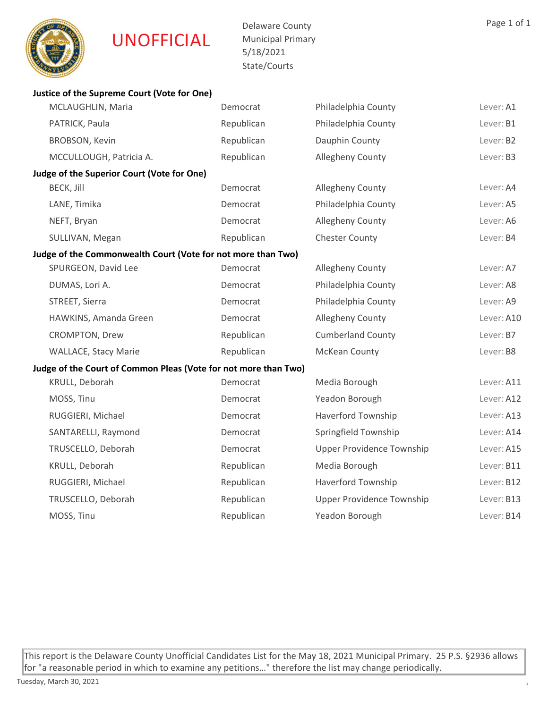

Delaware County Municipal Primary 5/18/2021 State/Courts

| Justice of the Supreme Court (Vote for One)                     |            |                                  |            |
|-----------------------------------------------------------------|------------|----------------------------------|------------|
| MCLAUGHLIN, Maria                                               | Democrat   | Philadelphia County              | Lever: A1  |
| PATRICK, Paula                                                  | Republican | Philadelphia County              | Lever: B1  |
| <b>BROBSON, Kevin</b>                                           | Republican | Dauphin County                   | Lever: B2  |
| MCCULLOUGH, Patricia A.                                         | Republican | Allegheny County                 | Lever: B3  |
| Judge of the Superior Court (Vote for One)                      |            |                                  |            |
| <b>BECK, Jill</b>                                               | Democrat   | Allegheny County                 | Lever: A4  |
| LANE, Timika                                                    | Democrat   | Philadelphia County              | Lever: A5  |
| NEFT, Bryan                                                     | Democrat   | Allegheny County                 | Lever: A6  |
| SULLIVAN, Megan                                                 | Republican | <b>Chester County</b>            | Lever: B4  |
| Judge of the Commonwealth Court (Vote for not more than Two)    |            |                                  |            |
| SPURGEON, David Lee                                             | Democrat   | Allegheny County                 | Lever: A7  |
| DUMAS, Lori A.                                                  | Democrat   | Philadelphia County              | Lever: A8  |
| STREET, Sierra                                                  | Democrat   | Philadelphia County              | Lever: A9  |
| HAWKINS, Amanda Green                                           | Democrat   | Allegheny County                 | Lever: A10 |
| CROMPTON, Drew                                                  | Republican | <b>Cumberland County</b>         | Lever: B7  |
| <b>WALLACE, Stacy Marie</b>                                     | Republican | McKean County                    | Lever: B8  |
| Judge of the Court of Common Pleas (Vote for not more than Two) |            |                                  |            |
| KRULL, Deborah                                                  | Democrat   | Media Borough                    | Lever: A11 |
| MOSS, Tinu                                                      | Democrat   | Yeadon Borough                   | Lever: A12 |
| RUGGIERI, Michael                                               | Democrat   | <b>Haverford Township</b>        | Lever: A13 |
| SANTARELLI, Raymond                                             | Democrat   | Springfield Township             | Lever: A14 |
| TRUSCELLO, Deborah                                              | Democrat   | <b>Upper Providence Township</b> | Lever: A15 |
| KRULL, Deborah                                                  | Republican | Media Borough                    | Lever: B11 |
| RUGGIERI, Michael                                               | Republican | <b>Haverford Township</b>        | Lever: B12 |
| TRUSCELLO, Deborah                                              | Republican | <b>Upper Providence Township</b> | Lever: B13 |
| MOSS, Tinu                                                      | Republican | Yeadon Borough                   | Lever: B14 |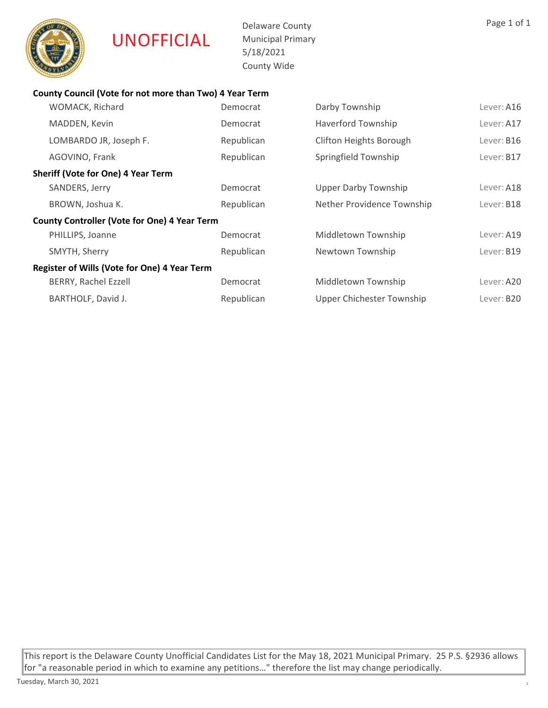

Delaware County Municipal Primary 5/18/2021 County Wide

# County Council (Vote for not more than Two) 4 Year Term

| WOMACK, Richard                                     | Democrat   | Darby Township                 | Lever: A16 |
|-----------------------------------------------------|------------|--------------------------------|------------|
| MADDEN, Kevin                                       | Democrat   | <b>Haverford Township</b>      | Lever: A17 |
| LOMBARDO JR, Joseph F.                              | Republican | <b>Clifton Heights Borough</b> | Lever: B16 |
| AGOVINO, Frank                                      | Republican | Springfield Township           | Lever: B17 |
| <b>Sheriff (Vote for One) 4 Year Term</b>           |            |                                |            |
| SANDERS, Jerry                                      | Democrat   | <b>Upper Darby Township</b>    | Lever: A18 |
| BROWN, Joshua K.                                    | Republican | Nether Providence Township     | Lever: B18 |
| <b>County Controller (Vote for One) 4 Year Term</b> |            |                                |            |
| PHILLIPS, Joanne                                    | Democrat   | Middletown Township            | Lever: A19 |
| SMYTH, Sherry                                       | Republican | Newtown Township               | Lever: B19 |
| Register of Wills (Vote for One) 4 Year Term        |            |                                |            |
| <b>BERRY, Rachel Ezzell</b>                         | Democrat   | Middletown Township            | Lever: A20 |
| BARTHOLF, David J.                                  | Republican | Upper Chichester Township      | Lever: B20 |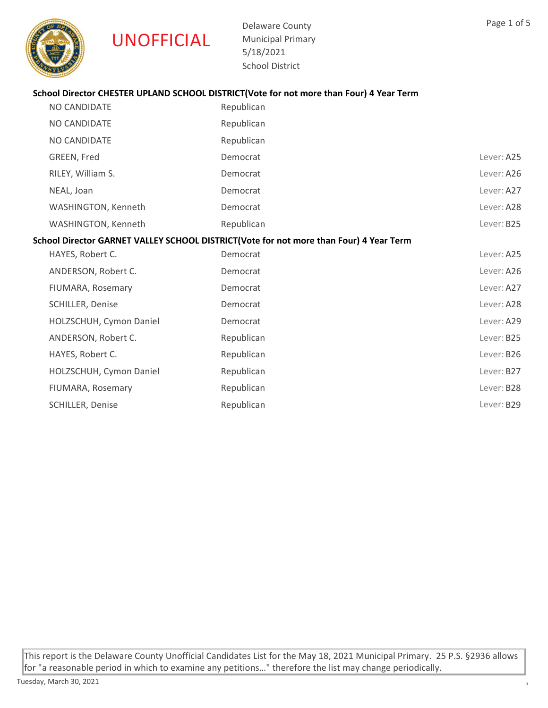

Delaware County Municipal Primary 5/18/2021 School District

# School Director CHESTER UPLAND SCHOOL DISTRICT(Vote for not more than Four) 4 Year Term

| <b>NO CANDIDATE</b>                                                                    | Republican |            |  |
|----------------------------------------------------------------------------------------|------------|------------|--|
| NO CANDIDATE                                                                           | Republican |            |  |
| NO CANDIDATE                                                                           | Republican |            |  |
| GREEN, Fred                                                                            | Democrat   | Lever: A25 |  |
| RILEY, William S.                                                                      | Democrat   | Lever: A26 |  |
| NEAL, Joan                                                                             | Democrat   | Lever: A27 |  |
| WASHINGTON, Kenneth                                                                    | Democrat   | Lever: A28 |  |
| WASHINGTON, Kenneth                                                                    | Republican | Lever: B25 |  |
| School Director GARNET VALLEY SCHOOL DISTRICT(Vote for not more than Four) 4 Year Term |            |            |  |
| HAYES, Robert C.                                                                       | Democrat   | Lever: A25 |  |
| ANDERSON, Robert C.                                                                    | Democrat   | Lever: A26 |  |
| FIUMARA, Rosemary                                                                      | Democrat   | Lever: A27 |  |
| SCHILLER, Denise                                                                       | Democrat   | Lever: A28 |  |
| HOLZSCHUH, Cymon Daniel                                                                | Democrat   | Lever: A29 |  |
| ANDERSON, Robert C.                                                                    | Republican | Lever: B25 |  |
| HAYES, Robert C.                                                                       | Republican | Lever: B26 |  |
| HOLZSCHUH, Cymon Daniel                                                                | Republican | Lever: B27 |  |
|                                                                                        |            |            |  |

FIUMARA, Rosemary **Republican** Republican Republican Republican Republican Republican Republican Republican Republican Republican Republican Republican Republican Republican Republican Republican Republican Republican Repu SCHILLER, Denise **Republican** Republican **Republican** Lever: B29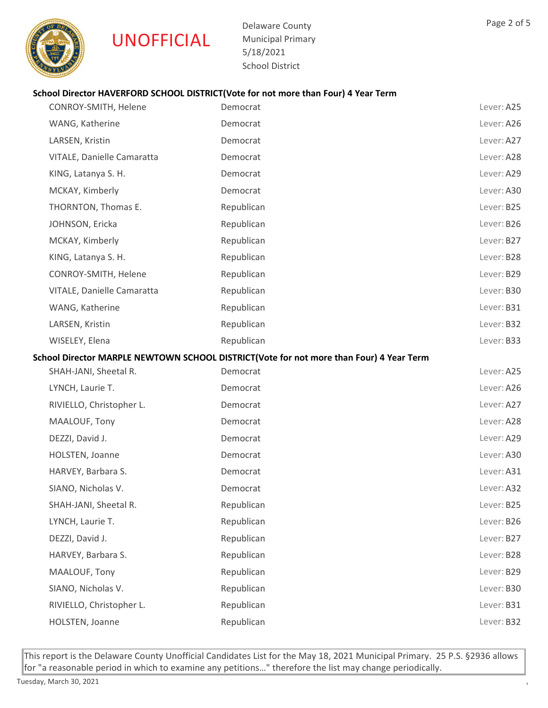

Delaware County Municipal Primary 5/18/2021 School District

# School Director HAVERFORD SCHOOL DISTRICT(Vote for not more than Four) 4 Year Term

| CONROY-SMITH, Helene       | Democrat                                                                                | Lever: A25 |
|----------------------------|-----------------------------------------------------------------------------------------|------------|
| WANG, Katherine            | Democrat                                                                                | Lever: A26 |
| LARSEN, Kristin            | Democrat                                                                                | Lever: A27 |
| VITALE, Danielle Camaratta | Democrat                                                                                | Lever: A28 |
| KING, Latanya S. H.        | Democrat                                                                                | Lever: A29 |
| MCKAY, Kimberly            | Democrat                                                                                | Lever: A30 |
| THORNTON, Thomas E.        | Republican                                                                              | Lever: B25 |
| JOHNSON, Ericka            | Republican                                                                              | Lever: B26 |
| MCKAY, Kimberly            | Republican                                                                              | Lever: B27 |
| KING, Latanya S. H.        | Republican                                                                              | Lever: B28 |
| CONROY-SMITH, Helene       | Republican                                                                              | Lever: B29 |
| VITALE, Danielle Camaratta | Republican                                                                              | Lever: B30 |
| WANG, Katherine            | Republican                                                                              | Lever: B31 |
| LARSEN, Kristin            | Republican                                                                              | Lever: B32 |
| WISELEY, Elena             | Republican                                                                              | Lever: B33 |
|                            | School Director MARPLE NEWTOWN SCHOOL DISTRICT(Vote for not more than Four) 4 Year Term |            |
| SHAH-JANI, Sheetal R.      | Democrat                                                                                | Lever: A25 |
| LYNCH, Laurie T.           | Democrat                                                                                | Lever: A26 |
| RIVIELLO, Christopher L.   | Democrat                                                                                | Lever: A27 |
| MAALOUF, Tony              | Democrat                                                                                | Lever: A28 |
| DEZZI, David J.            | Democrat                                                                                | Lever: A29 |
| HOLSTEN, Joanne            | Democrat                                                                                | Lever: A30 |
| HARVEY, Barbara S.         | Democrat                                                                                | Lever: A31 |
| SIANO, Nicholas V.         | Democrat                                                                                | Lever: A32 |
| SHAH-JANI, Sheetal R.      | Republican                                                                              | Lever: B25 |
| LYNCH, Laurie T.           | Republican                                                                              | Lever: B26 |
| DEZZI, David J.            | Republican                                                                              | Lever: B27 |
| HARVEY, Barbara S.         | Republican                                                                              | Lever: B28 |
| MAALOUF, Tony              | Republican                                                                              | Lever: B29 |
| SIANO, Nicholas V.         | Republican                                                                              | Lever: B30 |
| RIVIELLO, Christopher L.   | Republican                                                                              | Lever: B31 |
| HOLSTEN, Joanne            | Republican                                                                              | Lever: B32 |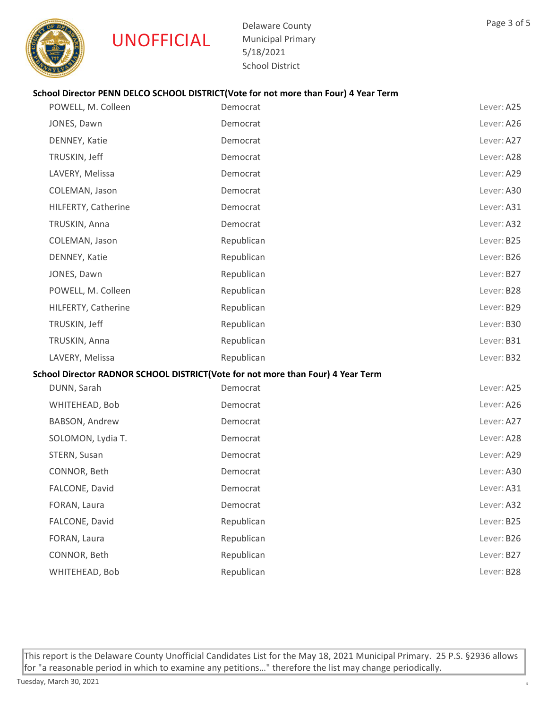

Delaware County Municipal Primary 5/18/2021 School District

# School Director PENN DELCO SCHOOL DISTRICT(Vote for not more than Four) 4 Year Term

| POWELL, M. Colleen  | Democrat                                                                        | Lever: A25 |
|---------------------|---------------------------------------------------------------------------------|------------|
| JONES, Dawn         | Democrat                                                                        | Lever: A26 |
| DENNEY, Katie       | Democrat                                                                        | Lever: A27 |
| TRUSKIN, Jeff       | Democrat                                                                        | Lever: A28 |
| LAVERY, Melissa     | Democrat                                                                        | Lever: A29 |
| COLEMAN, Jason      | Democrat                                                                        | Lever: A30 |
| HILFERTY, Catherine | Democrat                                                                        | Lever: A31 |
| TRUSKIN, Anna       | Democrat                                                                        | Lever: A32 |
| COLEMAN, Jason      | Republican                                                                      | Lever: B25 |
| DENNEY, Katie       | Republican                                                                      | Lever: B26 |
| JONES, Dawn         | Republican                                                                      | Lever: B27 |
| POWELL, M. Colleen  | Republican                                                                      | Lever: B28 |
| HILFERTY, Catherine | Republican                                                                      | Lever: B29 |
| TRUSKIN, Jeff       | Republican                                                                      | Lever: B30 |
| TRUSKIN, Anna       | Republican                                                                      | Lever: B31 |
| LAVERY, Melissa     | Republican                                                                      | Lever: B32 |
|                     | School Director RADNOR SCHOOL DISTRICT(Vote for not more than Four) 4 Year Term |            |
| DUNN, Sarah         | Democrat                                                                        | Lever: A25 |
| WHITEHEAD, Bob      | Democrat                                                                        | Lever: A26 |
| BABSON, Andrew      | Democrat                                                                        | Lever: A27 |
| SOLOMON, Lydia T.   | Democrat                                                                        | Lever: A28 |
| STERN, Susan        | Democrat                                                                        | Lever: A29 |
| CONNOR, Beth        | Democrat                                                                        | Lever: A30 |
| FALCONE, David      | Democrat                                                                        | Lever: A31 |
| FORAN, Laura        | Democrat                                                                        | Lever: A32 |
| FALCONE, David      | Republican                                                                      | Lever: B25 |
| FORAN, Laura        | Republican                                                                      | Lever: B26 |
| CONNOR, Beth        | Republican                                                                      | Lever: B27 |
| WHITEHEAD, Bob      | Republican                                                                      | Lever: B28 |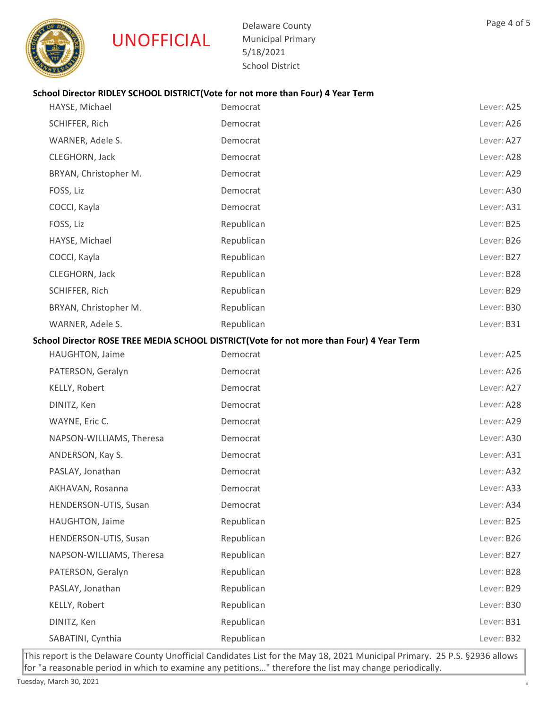

Delaware County Municipal Primary 5/18/2021 School District

# School Director RIDLEY SCHOOL DISTRICT(Vote for not more than Four) 4 Year Term

| HAYSE, Michael           | Democrat                                                                                 | Lever: A25 |
|--------------------------|------------------------------------------------------------------------------------------|------------|
| SCHIFFER, Rich           | Democrat                                                                                 | Lever: A26 |
| WARNER, Adele S.         | Democrat                                                                                 | Lever: A27 |
| CLEGHORN, Jack           | Democrat                                                                                 | Lever: A28 |
| BRYAN, Christopher M.    | Democrat                                                                                 | Lever: A29 |
| FOSS, Liz                | Democrat                                                                                 | Lever: A30 |
| COCCI, Kayla             | Democrat                                                                                 | Lever: A31 |
| FOSS, Liz                | Republican                                                                               | Lever: B25 |
| HAYSE, Michael           | Republican                                                                               | Lever: B26 |
| COCCI, Kayla             | Republican                                                                               | Lever: B27 |
| CLEGHORN, Jack           | Republican                                                                               | Lever: B28 |
| SCHIFFER, Rich           | Republican                                                                               | Lever: B29 |
| BRYAN, Christopher M.    | Republican                                                                               | Lever: B30 |
| WARNER, Adele S.         | Republican                                                                               | Lever: B31 |
|                          | School Director ROSE TREE MEDIA SCHOOL DISTRICT(Vote for not more than Four) 4 Year Term |            |
| HAUGHTON, Jaime          | Democrat                                                                                 | Lever: A25 |
| PATERSON, Geralyn        | Democrat                                                                                 | Lever: A26 |
| KELLY, Robert            | Democrat                                                                                 | Lever: A27 |
| DINITZ, Ken              | Democrat                                                                                 | Lever: A28 |
| WAYNE, Eric C.           | Democrat                                                                                 | Lever: A29 |
| NAPSON-WILLIAMS, Theresa | Democrat                                                                                 | Lever: A30 |
| ANDERSON, Kay S.         | Democrat                                                                                 | Lever: A31 |
| PASLAY, Jonathan         | Democrat                                                                                 | Lever: A32 |
| AKHAVAN, Rosanna         | Democrat                                                                                 | Lever: A33 |
| HENDERSON-UTIS, Susan    | Democrat                                                                                 | Lever: A34 |
| HAUGHTON, Jaime          | Republican                                                                               | Lever: B25 |
| HENDERSON-UTIS, Susan    | Republican                                                                               | Lever: B26 |
| NAPSON-WILLIAMS, Theresa | Republican                                                                               | Lever: B27 |
| PATERSON, Geralyn        | Republican                                                                               | Lever: B28 |
| PASLAY, Jonathan         | Republican                                                                               | Lever: B29 |
| KELLY, Robert            | Republican                                                                               | Lever: B30 |
| DINITZ, Ken              | Republican                                                                               | Lever: B31 |
| SABATINI, Cynthia        | Republican                                                                               | Lever: B32 |
|                          |                                                                                          |            |

This report is the Delaware County Unofficial Candidates List for the May 18, 2021 Municipal Primary. 25 P.S. §2936 allows for "a reasonable period in which to examine any petitions…" therefore the list may change periodically.

Page 4 of 5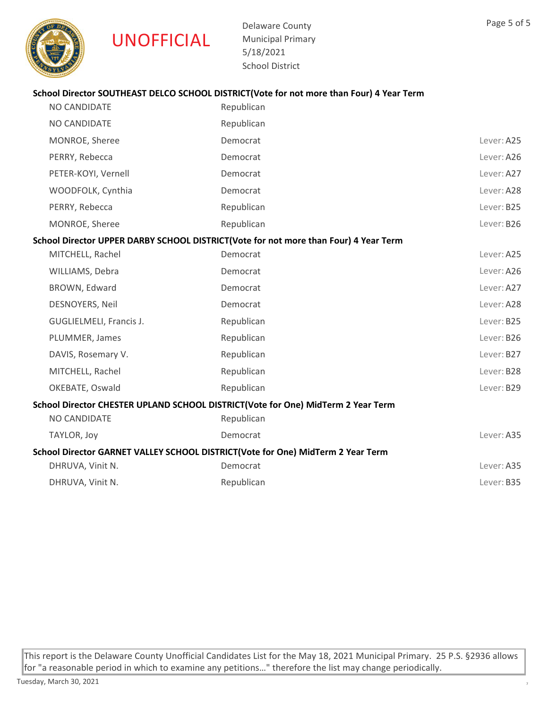

Delaware County Municipal Primary 5/18/2021 School District

# School Director SOUTHEAST DELCO SCHOOL DISTRICT(Vote for not more than Four) 4 Year Term

| <b>NO CANDIDATE</b>                                                             | Republican                                                                           |            |
|---------------------------------------------------------------------------------|--------------------------------------------------------------------------------------|------------|
| NO CANDIDATE                                                                    | Republican                                                                           |            |
| MONROE, Sheree                                                                  | Democrat                                                                             | Lever: A25 |
| PERRY, Rebecca                                                                  | Democrat                                                                             | Lever: A26 |
| PETER-KOYI, Vernell                                                             | Democrat                                                                             | Lever: A27 |
| WOODFOLK, Cynthia                                                               | Democrat                                                                             | Lever: A28 |
| PERRY, Rebecca                                                                  | Republican                                                                           | Lever: B25 |
| MONROE, Sheree                                                                  | Republican                                                                           | Lever: B26 |
|                                                                                 | School Director UPPER DARBY SCHOOL DISTRICT(Vote for not more than Four) 4 Year Term |            |
| MITCHELL, Rachel                                                                | Democrat                                                                             | Lever: A25 |
| WILLIAMS, Debra                                                                 | Democrat                                                                             | Lever: A26 |
| BROWN, Edward                                                                   | Democrat                                                                             | Lever: A27 |
| DESNOYERS, Neil                                                                 | Democrat                                                                             | Lever: A28 |
| GUGLIELMELI, Francis J.                                                         | Republican                                                                           | Lever: B25 |
| PLUMMER, James                                                                  | Republican                                                                           | Lever: B26 |
| DAVIS, Rosemary V.                                                              | Republican                                                                           | Lever: B27 |
| MITCHELL, Rachel                                                                | Republican                                                                           | Lever: B28 |
| OKEBATE, Oswald                                                                 | Republican                                                                           | Lever: B29 |
|                                                                                 | School Director CHESTER UPLAND SCHOOL DISTRICT(Vote for One) MidTerm 2 Year Term     |            |
| NO CANDIDATE                                                                    | Republican                                                                           |            |
| TAYLOR, Joy                                                                     | Democrat                                                                             | Lever: A35 |
| School Director GARNET VALLEY SCHOOL DISTRICT(Vote for One) MidTerm 2 Year Term |                                                                                      |            |
| DHRUVA, Vinit N.                                                                | Democrat                                                                             | Lever: A35 |
| DHRUVA, Vinit N.                                                                | Republican                                                                           | Lever: B35 |
|                                                                                 |                                                                                      |            |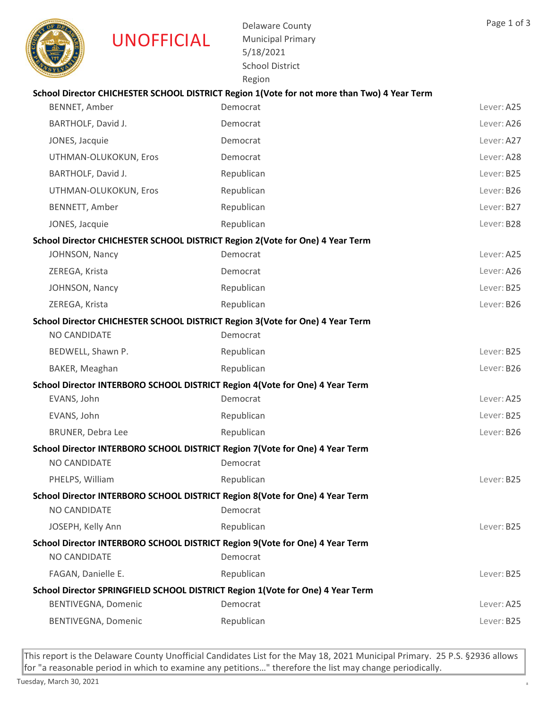

Delaware County Municipal Primary 5/18/2021 School District Region

|                          | School Director CHICHESTER SCHOOL DISTRICT Region 1 (Vote for not more than Two) 4 Year Term |            |
|--------------------------|----------------------------------------------------------------------------------------------|------------|
| BENNET, Amber            | Democrat                                                                                     | Lever: A25 |
| BARTHOLF, David J.       | Democrat                                                                                     | Lever: A26 |
| JONES, Jacquie           | Democrat                                                                                     | Lever: A27 |
| UTHMAN-OLUKOKUN, Eros    | Democrat                                                                                     | Lever: A28 |
| BARTHOLF, David J.       | Republican                                                                                   | Lever: B25 |
| UTHMAN-OLUKOKUN, Eros    | Republican                                                                                   | Lever: B26 |
| BENNETT, Amber           | Republican                                                                                   | Lever: B27 |
| JONES, Jacquie           | Republican                                                                                   | Lever: B28 |
|                          | School Director CHICHESTER SCHOOL DISTRICT Region 2(Vote for One) 4 Year Term                |            |
| JOHNSON, Nancy           | Democrat                                                                                     | Lever: A25 |
| ZEREGA, Krista           | Democrat                                                                                     | Lever: A26 |
| JOHNSON, Nancy           | Republican                                                                                   | Lever: B25 |
| ZEREGA, Krista           | Republican                                                                                   | Lever: B26 |
|                          | School Director CHICHESTER SCHOOL DISTRICT Region 3(Vote for One) 4 Year Term                |            |
| NO CANDIDATE             | Democrat                                                                                     |            |
| BEDWELL, Shawn P.        | Republican                                                                                   | Lever: B25 |
| BAKER, Meaghan           | Republican                                                                                   | Lever: B26 |
|                          | School Director INTERBORO SCHOOL DISTRICT Region 4 (Vote for One) 4 Year Term                |            |
| EVANS, John              | Democrat                                                                                     | Lever: A25 |
| EVANS, John              | Republican                                                                                   | Lever: B25 |
| <b>BRUNER, Debra Lee</b> | Republican                                                                                   | Lever: B26 |
|                          | School Director INTERBORO SCHOOL DISTRICT Region 7(Vote for One) 4 Year Term                 |            |
| NO CANDIDATE             | Democrat                                                                                     |            |
| PHELPS, William          | Republican                                                                                   | Lever: B25 |
|                          | School Director INTERBORO SCHOOL DISTRICT Region 8(Vote for One) 4 Year Term                 |            |
| NO CANDIDATE             | Democrat                                                                                     |            |
| JOSEPH, Kelly Ann        | Republican                                                                                   | Lever: B25 |
|                          | School Director INTERBORO SCHOOL DISTRICT Region 9(Vote for One) 4 Year Term                 |            |
| NO CANDIDATE             | Democrat                                                                                     |            |
| FAGAN, Danielle E.       | Republican                                                                                   | Lever: B25 |
|                          | School Director SPRINGFIELD SCHOOL DISTRICT Region 1(Vote for One) 4 Year Term               |            |
| BENTIVEGNA, Domenic      | Democrat                                                                                     | Lever: A25 |
| BENTIVEGNA, Domenic      | Republican                                                                                   | Lever: B25 |
|                          |                                                                                              |            |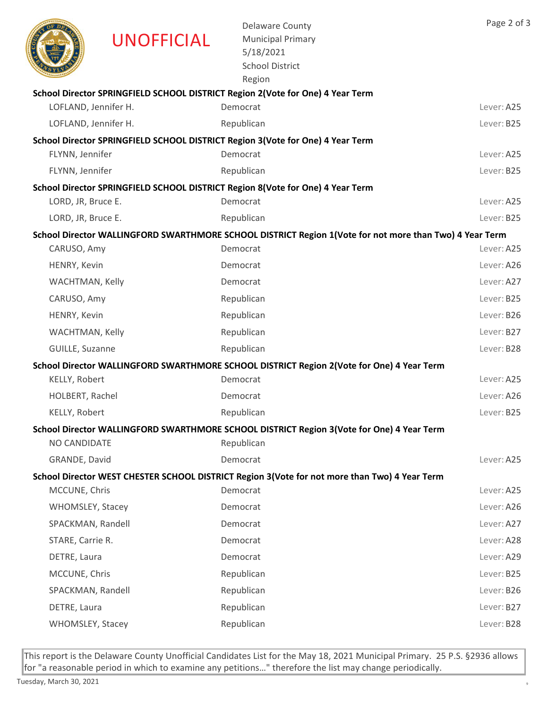|                      | <b>UNOFFICIAL</b> | <b>Delaware County</b><br><b>Municipal Primary</b><br>5/18/2021<br><b>School District</b><br>Region     | Page 2 of 3 |
|----------------------|-------------------|---------------------------------------------------------------------------------------------------------|-------------|
|                      |                   | School Director SPRINGFIELD SCHOOL DISTRICT Region 2(Vote for One) 4 Year Term                          |             |
| LOFLAND, Jennifer H. |                   | Democrat                                                                                                | Lever: A25  |
| LOFLAND, Jennifer H. |                   | Republican                                                                                              | Lever: B25  |
|                      |                   | School Director SPRINGFIELD SCHOOL DISTRICT Region 3(Vote for One) 4 Year Term                          |             |
| FLYNN, Jennifer      |                   | Democrat                                                                                                | Lever: A25  |
| FLYNN, Jennifer      |                   | Republican                                                                                              | Lever: B25  |
|                      |                   | School Director SPRINGFIELD SCHOOL DISTRICT Region 8(Vote for One) 4 Year Term                          |             |
| LORD, JR, Bruce E.   |                   | Democrat                                                                                                | Lever: A25  |
| LORD, JR, Bruce E.   |                   | Republican                                                                                              | Lever: B25  |
|                      |                   | School Director WALLINGFORD SWARTHMORE SCHOOL DISTRICT Region 1(Vote for not more than Two) 4 Year Term |             |
| CARUSO, Amy          |                   | Democrat                                                                                                | Lever: A25  |
| HENRY, Kevin         |                   | Democrat                                                                                                | Lever: A26  |
| WACHTMAN, Kelly      |                   | Democrat                                                                                                | Lever: A27  |
| CARUSO, Amy          |                   | Republican                                                                                              | Lever: B25  |
| HENRY, Kevin         |                   | Republican                                                                                              | Lever: B26  |
| WACHTMAN, Kelly      |                   | Republican                                                                                              | Lever: B27  |
| GUILLE, Suzanne      |                   | Republican                                                                                              | Lever: B28  |
|                      |                   | School Director WALLINGFORD SWARTHMORE SCHOOL DISTRICT Region 2(Vote for One) 4 Year Term               |             |
| KELLY, Robert        |                   | Democrat                                                                                                | Lever: A25  |
| HOLBERT, Rachel      |                   | Democrat                                                                                                | Lever: A26  |
| KELLY, Robert        |                   | Republican                                                                                              | Lever: B25  |
|                      |                   | School Director WALLINGFORD SWARTHMORE SCHOOL DISTRICT Region 3(Vote for One) 4 Year Term               |             |
| NO CANDIDATE         |                   | Republican                                                                                              |             |
| GRANDE, David        |                   | Democrat                                                                                                | Lever: A25  |
|                      |                   | School Director WEST CHESTER SCHOOL DISTRICT Region 3(Vote for not more than Two) 4 Year Term           |             |
| MCCUNE, Chris        |                   | Democrat                                                                                                | Lever: A25  |
| WHOMSLEY, Stacey     |                   | Democrat                                                                                                | Lever: A26  |
| SPACKMAN, Randell    |                   | Democrat                                                                                                | Lever: A27  |
| STARE, Carrie R.     |                   | Democrat                                                                                                | Lever: A28  |
| DETRE, Laura         |                   | Democrat                                                                                                | Lever: A29  |
| MCCUNE, Chris        |                   | Republican                                                                                              | Lever: B25  |
| SPACKMAN, Randell    |                   | Republican                                                                                              | Lever: B26  |
| DETRE, Laura         |                   | Republican                                                                                              | Lever: B27  |
| WHOMSLEY, Stacey     |                   | Republican                                                                                              | Lever: B28  |
|                      |                   |                                                                                                         |             |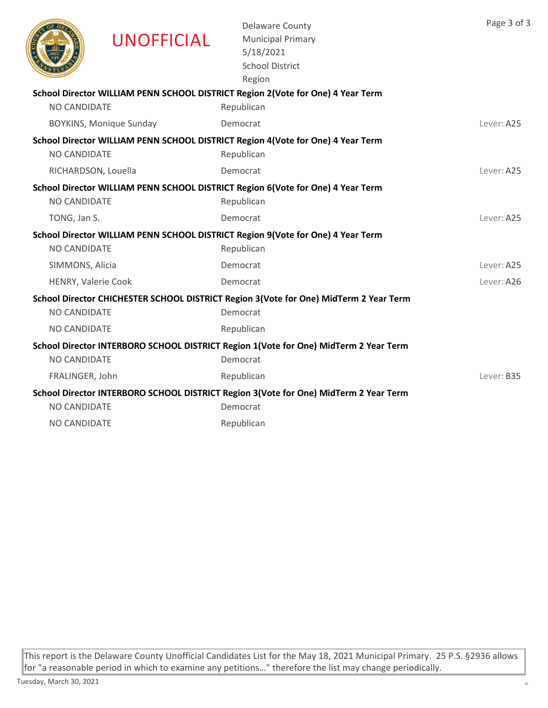|                     | <b>UNOFFICIAL</b>              | <b>Delaware County</b><br><b>Municipal Primary</b><br>5/18/2021<br><b>School District</b><br>Region | Page 3 of 3 |
|---------------------|--------------------------------|-----------------------------------------------------------------------------------------------------|-------------|
|                     |                                | School Director WILLIAM PENN SCHOOL DISTRICT Region 2(Vote for One) 4 Year Term                     |             |
| <b>NO CANDIDATE</b> |                                | Republican                                                                                          |             |
|                     | <b>BOYKINS, Monique Sunday</b> | Democrat                                                                                            | Lever: A25  |
|                     |                                | School Director WILLIAM PENN SCHOOL DISTRICT Region 4(Vote for One) 4 Year Term                     |             |
| <b>NO CANDIDATE</b> |                                | Republican                                                                                          |             |
|                     | RICHARDSON, Louella            | Democrat                                                                                            | Lever: A25  |
|                     |                                | School Director WILLIAM PENN SCHOOL DISTRICT Region 6(Vote for One) 4 Year Term                     |             |
| <b>NO CANDIDATE</b> |                                | Republican                                                                                          |             |
| TONG, Jan S.        |                                | Democrat                                                                                            | Lever: A25  |
|                     |                                | School Director WILLIAM PENN SCHOOL DISTRICT Region 9(Vote for One) 4 Year Term                     |             |
| <b>NO CANDIDATE</b> |                                | Republican                                                                                          |             |
| SIMMONS, Alicia     |                                | Democrat                                                                                            | Lever: A25  |
|                     | HENRY, Valerie Cook            | Democrat                                                                                            | Lever: A26  |
|                     |                                | School Director CHICHESTER SCHOOL DISTRICT Region 3(Vote for One) MidTerm 2 Year Term               |             |
| NO CANDIDATE        |                                | Democrat                                                                                            |             |
| NO CANDIDATE        |                                | Republican                                                                                          |             |
|                     |                                | School Director INTERBORO SCHOOL DISTRICT Region 1(Vote for One) MidTerm 2 Year Term                |             |
| <b>NO CANDIDATE</b> |                                | Democrat                                                                                            |             |
| FRALINGER, John     |                                | Republican                                                                                          | Lever: B35  |
|                     |                                | School Director INTERBORO SCHOOL DISTRICT Region 3(Vote for One) MidTerm 2 Year Term                |             |
| NO CANDIDATE        |                                | Democrat                                                                                            |             |
| <b>NO CANDIDATE</b> |                                | Republican                                                                                          |             |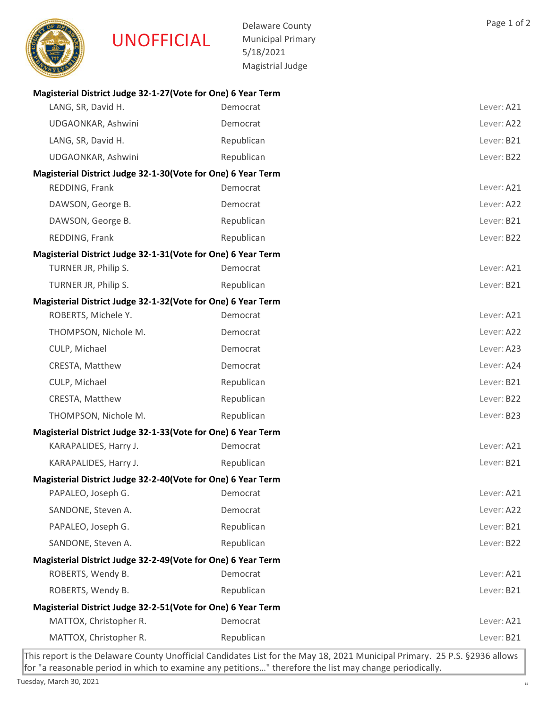

Delaware County Municipal Primary 5/18/2021 Magistrial Judge

| Magisterial District Judge 32-1-27 (Vote for One) 6 Year Term |            |            |  |
|---------------------------------------------------------------|------------|------------|--|
| LANG, SR, David H.                                            | Democrat   | Lever: A21 |  |
| UDGAONKAR, Ashwini                                            | Democrat   | Lever: A22 |  |
| LANG, SR, David H.                                            | Republican | Lever: B21 |  |
| UDGAONKAR, Ashwini                                            | Republican | Lever: B22 |  |
| Magisterial District Judge 32-1-30 (Vote for One) 6 Year Term |            |            |  |
| REDDING, Frank                                                | Democrat   | Lever: A21 |  |
| DAWSON, George B.                                             | Democrat   | Lever: A22 |  |
| DAWSON, George B.                                             | Republican | Lever: B21 |  |
| REDDING, Frank                                                | Republican | Lever: B22 |  |
| Magisterial District Judge 32-1-31 (Vote for One) 6 Year Term |            |            |  |
| TURNER JR, Philip S.                                          | Democrat   | Lever: A21 |  |
| TURNER JR, Philip S.                                          | Republican | Lever: B21 |  |
| Magisterial District Judge 32-1-32 (Vote for One) 6 Year Term |            |            |  |
| ROBERTS, Michele Y.                                           | Democrat   | Lever: A21 |  |
| THOMPSON, Nichole M.                                          | Democrat   | Lever: A22 |  |
| CULP, Michael                                                 | Democrat   | Lever: A23 |  |
| CRESTA, Matthew                                               | Democrat   | Lever: A24 |  |
| CULP, Michael                                                 | Republican | Lever: B21 |  |
| CRESTA, Matthew                                               | Republican | Lever: B22 |  |
| THOMPSON, Nichole M.                                          | Republican | Lever: B23 |  |
| Magisterial District Judge 32-1-33 (Vote for One) 6 Year Term |            |            |  |
| KARAPALIDES, Harry J.                                         | Democrat   | Lever: A21 |  |
| KARAPALIDES, Harry J.                                         | Republican | Lever: B21 |  |
| Magisterial District Judge 32-2-40(Vote for One) 6 Year Term  |            |            |  |
| PAPALEO, Joseph G.                                            | Democrat   | Lever: A21 |  |
| SANDONE, Steven A.                                            | Democrat   | Lever: A22 |  |
| PAPALEO, Joseph G.                                            | Republican | Lever: B21 |  |
| SANDONE, Steven A.                                            | Republican | Lever: B22 |  |
| Magisterial District Judge 32-2-49(Vote for One) 6 Year Term  |            |            |  |
| ROBERTS, Wendy B.                                             | Democrat   | Lever: A21 |  |
| ROBERTS, Wendy B.                                             | Republican | Lever: B21 |  |
| Magisterial District Judge 32-2-51(Vote for One) 6 Year Term  |            |            |  |
| MATTOX, Christopher R.                                        | Democrat   | Lever: A21 |  |
| MATTOX, Christopher R.                                        | Republican | Lever: B21 |  |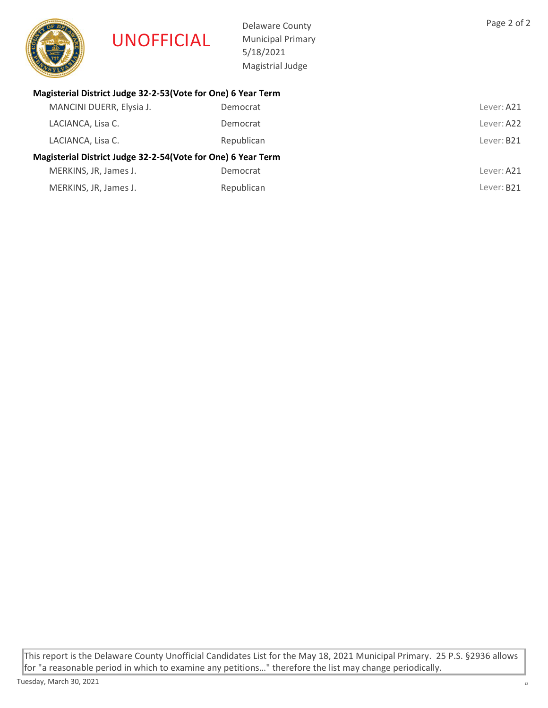

Delaware County Municipal Primary 5/18/2021 Magistrial Judge

# Magisterial District Judge 32-2-53(Vote for One) 6 Year Term

| MANCINI DUERR, Elysia J.                                     | Democrat   | Lever: A21             |
|--------------------------------------------------------------|------------|------------------------|
| LACIANCA, Lisa C.                                            | Democrat   | Lever: A22             |
| LACIANCA, Lisa C.                                            | Republican | Lever: B21             |
| Magisterial District Judge 32-2-54(Vote for One) 6 Year Term |            |                        |
| MERKINS, JR, James J.                                        | Democrat   | Lever: A21             |
| MERKINS, JR, James J.                                        | Republican | Lever: B <sub>21</sub> |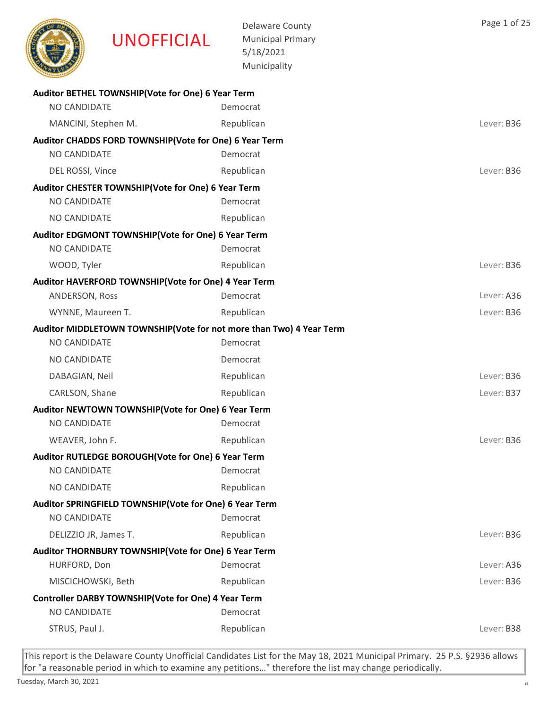

Delaware County Municipal Primary 5/18/2021

|                                                        | 5/18/2021<br>Municipality                                           |            |
|--------------------------------------------------------|---------------------------------------------------------------------|------------|
|                                                        |                                                                     |            |
| Auditor BETHEL TOWNSHIP(Vote for One) 6 Year Term      |                                                                     |            |
| NO CANDIDATE                                           | Democrat                                                            |            |
| MANCINI, Stephen M.                                    | Republican                                                          | Lever: B36 |
| Auditor CHADDS FORD TOWNSHIP(Vote for One) 6 Year Term |                                                                     |            |
| NO CANDIDATE                                           | Democrat                                                            |            |
| DEL ROSSI, Vince                                       | Republican                                                          | Lever: B36 |
| Auditor CHESTER TOWNSHIP(Vote for One) 6 Year Term     |                                                                     |            |
| NO CANDIDATE                                           | Democrat                                                            |            |
| NO CANDIDATE                                           | Republican                                                          |            |
| Auditor EDGMONT TOWNSHIP(Vote for One) 6 Year Term     |                                                                     |            |
| <b>NO CANDIDATE</b>                                    | Democrat                                                            |            |
| WOOD, Tyler                                            | Republican                                                          | Lever: B36 |
| Auditor HAVERFORD TOWNSHIP(Vote for One) 4 Year Term   |                                                                     |            |
| ANDERSON, Ross                                         | Democrat                                                            | Lever: A36 |
| WYNNE, Maureen T.                                      | Republican                                                          | Lever: B36 |
|                                                        | Auditor MIDDLETOWN TOWNSHIP(Vote for not more than Two) 4 Year Term |            |
| NO CANDIDATE                                           | Democrat                                                            |            |
| NO CANDIDATE                                           | Democrat                                                            |            |
| DABAGIAN, Neil                                         | Republican                                                          | Lever: B36 |
| CARLSON, Shane                                         | Republican                                                          | Lever: B37 |
| Auditor NEWTOWN TOWNSHIP(Vote for One) 6 Year Term     |                                                                     |            |
| NO CANDIDATE                                           | Democrat                                                            |            |
| WEAVER, John F.                                        | Republican                                                          | Lever: B36 |
| Auditor RUTLEDGE BOROUGH(Vote for One) 6 Year Term     |                                                                     |            |
| NO CANDIDATE                                           | Democrat                                                            |            |
| NO CANDIDATE                                           | Republican                                                          |            |
| Auditor SPRINGFIELD TOWNSHIP(Vote for One) 6 Year Term |                                                                     |            |
| NO CANDIDATE                                           | Democrat                                                            |            |
| DELIZZIO JR, James T.                                  | Republican                                                          | Lever: B36 |
| Auditor THORNBURY TOWNSHIP(Vote for One) 6 Year Term   |                                                                     |            |
| HURFORD, Don                                           | Democrat                                                            | Lever: A36 |
| MISCICHOWSKI, Beth                                     | Republican                                                          | Lever: B36 |
| Controller DARBY TOWNSHIP(Vote for One) 4 Year Term    |                                                                     |            |
| NO CANDIDATE                                           | Democrat                                                            |            |
| STRUS, Paul J.                                         | Republican                                                          | Lever: B38 |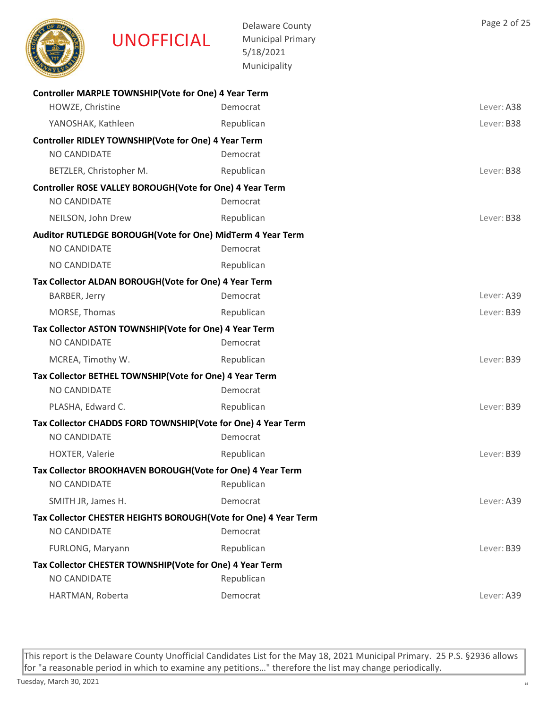|                    | <b>UNOFFICIAL</b>                                            | <b>Delaware County</b><br><b>Municipal Primary</b><br>5/18/2021<br>Municipality | Page 2 of  |
|--------------------|--------------------------------------------------------------|---------------------------------------------------------------------------------|------------|
|                    | Controller MARPLE TOWNSHIP(Vote for One) 4 Year Term         |                                                                                 |            |
| HOWZE, Christine   |                                                              | Democrat                                                                        | Lever: A38 |
| YANOSHAK, Kathleen |                                                              | Republican                                                                      | Lever: B38 |
|                    | Controller RIDLEY TOWNSHIP(Vote for One) 4 Year Term         |                                                                                 |            |
| NO CANDIDATE       |                                                              | Democrat                                                                        |            |
|                    | BETZLER, Christopher M.                                      | Republican                                                                      | Lever: B38 |
|                    | Controller ROSE VALLEY BOROUGH(Vote for One) 4 Year Term     |                                                                                 |            |
| NO CANDIDATE       |                                                              | Democrat                                                                        |            |
| NEILSON, John Drew |                                                              | Republican                                                                      | Lever: B38 |
|                    | Auditor RUTLEDGE BOROUGH(Vote for One) MidTerm 4 Year Term   |                                                                                 |            |
| NO CANDIDATE       |                                                              | Democrat                                                                        |            |
| NO CANDIDATE       |                                                              | Republican                                                                      |            |
|                    | Tax Collector ALDAN BOROUGH(Vote for One) 4 Year Term        |                                                                                 |            |
| BARBER, Jerry      |                                                              | Democrat                                                                        | Lever: A39 |
| MORSE, Thomas      |                                                              | Republican                                                                      | Lever: B39 |
|                    | Tax Collector ASTON TOWNSHIP(Vote for One) 4 Year Term       |                                                                                 |            |
| NO CANDIDATE       |                                                              | Democrat                                                                        |            |
| MCREA, Timothy W.  |                                                              | Republican                                                                      | Lever: B39 |
|                    | Tax Collector BETHEL TOWNSHIP(Vote for One) 4 Year Term      |                                                                                 |            |
| NO CANDIDATE       |                                                              | Democrat                                                                        |            |
| PLASHA, Edward C.  |                                                              | Republican                                                                      | Lever: B39 |
|                    | Tax Collector CHADDS FORD TOWNSHIP(Vote for One) 4 Year Term |                                                                                 |            |
| NO CANDIDATE       |                                                              | Democrat                                                                        |            |
| HOXTER, Valerie    |                                                              | Republican                                                                      | Lever: B39 |
|                    | Tax Collector BROOKHAVEN BOROUGH(Vote for One) 4 Year Term   |                                                                                 |            |
| NO CANDIDATE       |                                                              | Republican                                                                      |            |
|                    |                                                              |                                                                                 |            |

This report is the Delaware County Unofficial Candidates List for the May 18, 2021 Municipal Primary. 25 P.S. §2936 allows for "a reasonable period in which to examine any petitions…" therefore the list may change periodically.

Page 2 of 25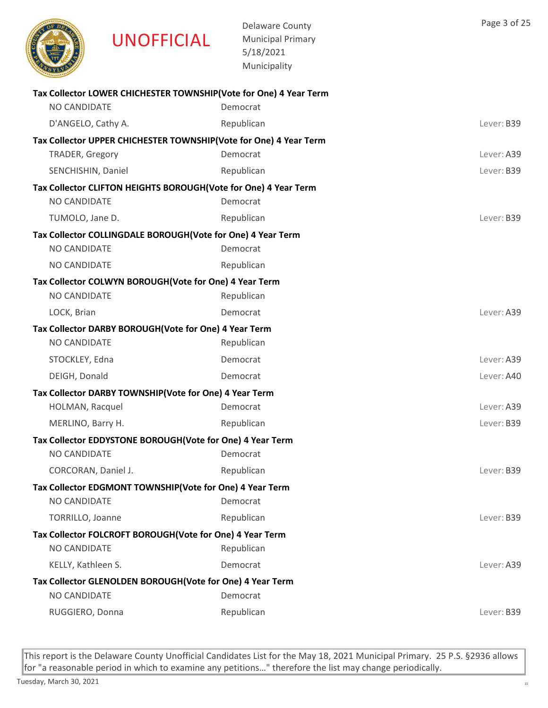

| <b>NO CANDIDATE</b>                                             | Tax Collector LOWER CHICHESTER TOWNSHIP(Vote for One) 4 Year Term<br>Democrat |            |
|-----------------------------------------------------------------|-------------------------------------------------------------------------------|------------|
| D'ANGELO, Cathy A.                                              | Republican                                                                    | Lever: B39 |
|                                                                 | Tax Collector UPPER CHICHESTER TOWNSHIP(Vote for One) 4 Year Term             |            |
| TRADER, Gregory                                                 | Democrat                                                                      | Lever: A39 |
| SENCHISHIN, Daniel                                              | Republican                                                                    | Lever: B39 |
| Tax Collector CLIFTON HEIGHTS BOROUGH(Vote for One) 4 Year Term |                                                                               |            |
| <b>NO CANDIDATE</b>                                             | Democrat                                                                      |            |
| TUMOLO, Jane D.                                                 | Republican                                                                    | Lever: B39 |
| Tax Collector COLLINGDALE BOROUGH(Vote for One) 4 Year Term     |                                                                               |            |
| NO CANDIDATE                                                    | Democrat                                                                      |            |
| NO CANDIDATE                                                    | Republican                                                                    |            |
| Tax Collector COLWYN BOROUGH(Vote for One) 4 Year Term          |                                                                               |            |
| NO CANDIDATE                                                    | Republican                                                                    |            |
| LOCK, Brian                                                     | Democrat                                                                      | Lever: A39 |
| Tax Collector DARBY BOROUGH(Vote for One) 4 Year Term           |                                                                               |            |
| NO CANDIDATE                                                    | Republican                                                                    |            |
| STOCKLEY, Edna                                                  | Democrat                                                                      | Lever: A39 |
| DEIGH, Donald                                                   | Democrat                                                                      | Lever: A40 |
| Tax Collector DARBY TOWNSHIP(Vote for One) 4 Year Term          |                                                                               |            |
| HOLMAN, Racquel                                                 | Democrat                                                                      | Lever: A39 |
| MERLINO, Barry H.                                               | Republican                                                                    | Lever: B39 |
| Tax Collector EDDYSTONE BOROUGH(Vote for One) 4 Year Term       |                                                                               |            |
| NO CANDIDATE                                                    | Democrat                                                                      |            |
| CORCORAN, Daniel J.                                             | Republican                                                                    | Lever: B39 |
| Tax Collector EDGMONT TOWNSHIP(Vote for One) 4 Year Term        |                                                                               |            |
| <b>NO CANDIDATE</b>                                             | Democrat                                                                      |            |
| TORRILLO, Joanne                                                | Republican                                                                    | Lever: B39 |
| Tax Collector FOLCROFT BOROUGH(Vote for One) 4 Year Term        |                                                                               |            |
| NO CANDIDATE                                                    | Republican                                                                    |            |
| KELLY, Kathleen S.                                              | Democrat                                                                      | Lever: A39 |
| Tax Collector GLENOLDEN BOROUGH(Vote for One) 4 Year Term       |                                                                               |            |
| NO CANDIDATE                                                    | Democrat                                                                      |            |
| RUGGIERO, Donna                                                 | Republican                                                                    | Lever: B39 |
|                                                                 |                                                                               |            |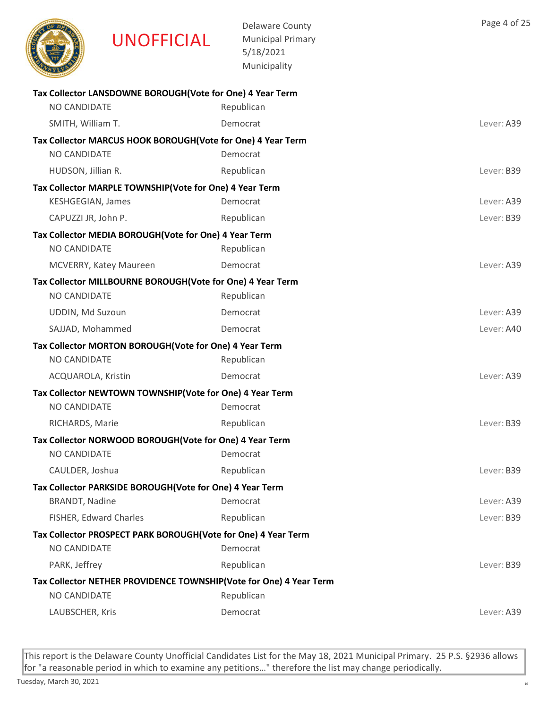

Delaware County Municipal Primary 5/18/2021 Municipality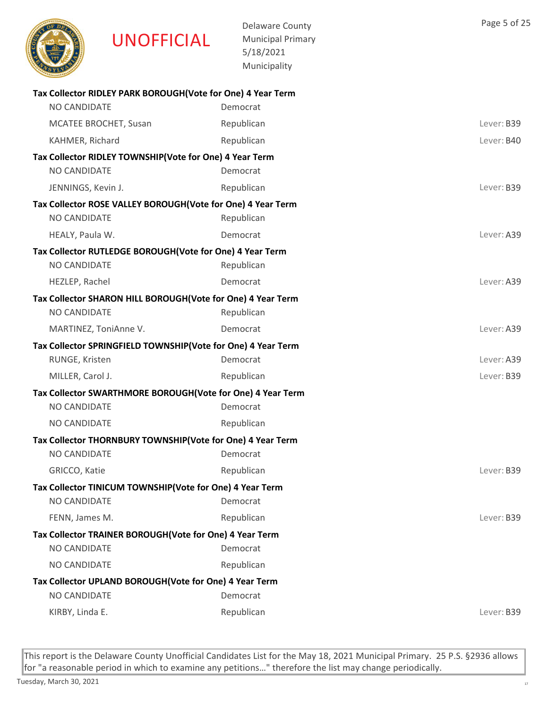

Delaware County Municipal Primary 5/18/2021 Municipality

| Tax Collector RIDLEY PARK BOROUGH (Vote for One) 4 Year Term |            |            |
|--------------------------------------------------------------|------------|------------|
| NO CANDIDATE                                                 | Democrat   |            |
| MCATEE BROCHET, Susan                                        | Republican | Lever: B39 |
| KAHMER, Richard                                              | Republican | Lever: B40 |
| Tax Collector RIDLEY TOWNSHIP(Vote for One) 4 Year Term      |            |            |
| NO CANDIDATE                                                 | Democrat   |            |
| JENNINGS, Kevin J.                                           | Republican | Lever: B39 |
| Tax Collector ROSE VALLEY BOROUGH(Vote for One) 4 Year Term  |            |            |
| NO CANDIDATE                                                 | Republican |            |
| HEALY, Paula W.                                              | Democrat   | Lever: A39 |
| Tax Collector RUTLEDGE BOROUGH(Vote for One) 4 Year Term     |            |            |
| NO CANDIDATE                                                 | Republican |            |
| HEZLEP, Rachel                                               | Democrat   | Lever: A39 |
| Tax Collector SHARON HILL BOROUGH(Vote for One) 4 Year Term  |            |            |
| NO CANDIDATE                                                 | Republican |            |
| MARTINEZ, ToniAnne V.                                        | Democrat   | Lever: A39 |
| Tax Collector SPRINGFIELD TOWNSHIP(Vote for One) 4 Year Term |            |            |
| RUNGE, Kristen                                               | Democrat   | Lever: A39 |
| MILLER, Carol J.                                             | Republican | Lever: B39 |
| Tax Collector SWARTHMORE BOROUGH(Vote for One) 4 Year Term   |            |            |
| NO CANDIDATE                                                 | Democrat   |            |
| NO CANDIDATE                                                 | Republican |            |
| Tax Collector THORNBURY TOWNSHIP(Vote for One) 4 Year Term   |            |            |
| NO CANDIDATE                                                 | Democrat   |            |
| GRICCO, Katie                                                | Republican | Lever: B39 |
| Tax Collector TINICUM TOWNSHIP (Vote for One) 4 Year Term    |            |            |
| NO CANDIDATE                                                 | Democrat   |            |
| FENN, James M.                                               | Republican | Lever: B39 |
| Tax Collector TRAINER BOROUGH (Vote for One) 4 Year Term     |            |            |
| NO CANDIDATE                                                 | Democrat   |            |
| NO CANDIDATE                                                 | Republican |            |
| Tax Collector UPLAND BOROUGH(Vote for One) 4 Year Term       |            |            |
| NO CANDIDATE                                                 | Democrat   |            |
| KIRBY, Linda E.                                              | Republican | Lever: B39 |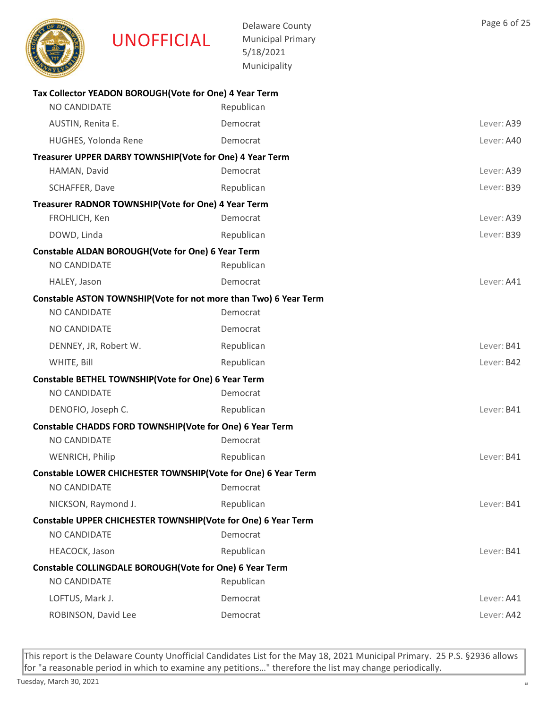

Delaware County Municipal Primary 5/18/2021 Municipality

| Tax Collector YEADON BOROUGH(Vote for One) 4 Year Term           |            |            |
|------------------------------------------------------------------|------------|------------|
| NO CANDIDATE                                                     | Republican |            |
| AUSTIN, Renita E.                                                | Democrat   | Lever: A39 |
| HUGHES, Yolonda Rene                                             | Democrat   | Lever: A40 |
| Treasurer UPPER DARBY TOWNSHIP(Vote for One) 4 Year Term         |            |            |
| HAMAN, David                                                     | Democrat   | Lever: A39 |
| SCHAFFER, Dave                                                   | Republican | Lever: B39 |
| Treasurer RADNOR TOWNSHIP(Vote for One) 4 Year Term              |            |            |
| FROHLICH, Ken                                                    | Democrat   | Lever: A39 |
| DOWD, Linda                                                      | Republican | Lever: B39 |
| Constable ALDAN BOROUGH (Vote for One) 6 Year Term               |            |            |
| NO CANDIDATE                                                     | Republican |            |
| HALEY, Jason                                                     | Democrat   | Lever: A41 |
| Constable ASTON TOWNSHIP(Vote for not more than Two) 6 Year Term |            |            |
| NO CANDIDATE                                                     | Democrat   |            |
| NO CANDIDATE                                                     | Democrat   |            |
| DENNEY, JR, Robert W.                                            | Republican | Lever: B41 |
| WHITE, Bill                                                      | Republican | Lever: B42 |
| Constable BETHEL TOWNSHIP(Vote for One) 6 Year Term              |            |            |
| NO CANDIDATE                                                     | Democrat   |            |
| DENOFIO, Joseph C.                                               | Republican | Lever: B41 |
| Constable CHADDS FORD TOWNSHIP(Vote for One) 6 Year Term         |            |            |
| NO CANDIDATE                                                     | Democrat   |            |
| WENRICH, Philip                                                  | Republican | Lever: B41 |
| Constable LOWER CHICHESTER TOWNSHIP(Vote for One) 6 Year Term    |            |            |
| NO CANDIDATE                                                     | Democrat   |            |
| NICKSON, Raymond J.                                              | Republican | Lever: B41 |
| Constable UPPER CHICHESTER TOWNSHIP(Vote for One) 6 Year Term    |            |            |
| NO CANDIDATE                                                     | Democrat   |            |
| HEACOCK, Jason                                                   | Republican | Lever: B41 |
| Constable COLLINGDALE BOROUGH(Vote for One) 6 Year Term          |            |            |
| NO CANDIDATE                                                     | Republican |            |
| LOFTUS, Mark J.                                                  | Democrat   | Lever: A41 |
| ROBINSON, David Lee                                              | Democrat   | Lever: A42 |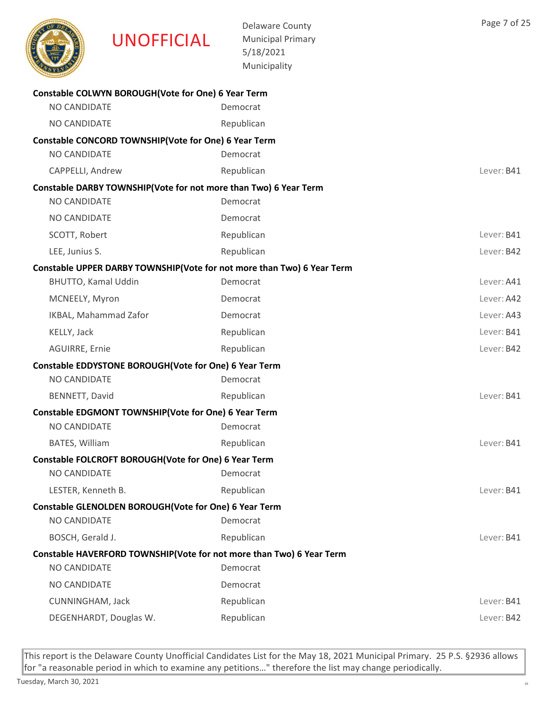|                     | <b>UNOFFICIAL</b>                                                | <b>Delaware County</b><br><b>Municipal Primary</b><br>5/18/2021<br>Municipality    | Page 7 of 25 |
|---------------------|------------------------------------------------------------------|------------------------------------------------------------------------------------|--------------|
|                     | Constable COLWYN BOROUGH(Vote for One) 6 Year Term               |                                                                                    |              |
| NO CANDIDATE        |                                                                  | Democrat                                                                           |              |
| NO CANDIDATE        |                                                                  | Republican                                                                         |              |
|                     | Constable CONCORD TOWNSHIP(Vote for One) 6 Year Term             |                                                                                    |              |
| NO CANDIDATE        |                                                                  | Democrat                                                                           |              |
| CAPPELLI, Andrew    |                                                                  | Republican                                                                         | Lever: B41   |
|                     | Constable DARBY TOWNSHIP(Vote for not more than Two) 6 Year Term |                                                                                    |              |
| NO CANDIDATE        |                                                                  | Democrat                                                                           |              |
| NO CANDIDATE        |                                                                  | Democrat                                                                           |              |
| SCOTT, Robert       |                                                                  | Republican                                                                         | Lever: B41   |
| LEE, Junius S.      |                                                                  | Republican                                                                         | Lever: B42   |
|                     |                                                                  | Constable UPPER DARBY TOWNSHIP(Vote for not more than Two) 6 Year Term<br>Democrat | Lever: A41   |
| BHUTTO, Kamal Uddin |                                                                  |                                                                                    |              |
| MCNEELY, Myron      |                                                                  | Democrat                                                                           | Lever: A42   |
|                     | IKBAL, Mahammad Zafor                                            | Democrat                                                                           | Lever: A43   |
| KELLY, Jack         |                                                                  | Republican                                                                         | Lever: B41   |
| AGUIRRE, Ernie      |                                                                  | Republican                                                                         | Lever: B42   |
| NO CANDIDATE        | Constable EDDYSTONE BOROUGH(Vote for One) 6 Year Term            | Democrat                                                                           |              |
| BENNETT, David      |                                                                  | Republican                                                                         | Lever: B41   |
|                     | Constable EDGMONT TOWNSHIP(Vote for One) 6 Year Term             |                                                                                    |              |
| NO CANDIDATE        |                                                                  | Democrat                                                                           |              |
| BATES, William      |                                                                  | Republican                                                                         | Lever: B41   |
|                     | Constable FOLCROFT BOROUGH(Vote for One) 6 Year Term             |                                                                                    |              |
| NO CANDIDATE        |                                                                  | Democrat                                                                           |              |
| LESTER, Kenneth B.  |                                                                  | Republican                                                                         | Lever: B41   |
|                     | Constable GLENOLDEN BOROUGH(Vote for One) 6 Year Term            |                                                                                    |              |
| NO CANDIDATE        |                                                                  | Democrat                                                                           |              |
| BOSCH, Gerald J.    |                                                                  | Republican                                                                         | Lever: B41   |
|                     |                                                                  | Constable HAVERFORD TOWNSHIP(Vote for not more than Two) 6 Year Term               |              |
| NO CANDIDATE        |                                                                  | Democrat                                                                           |              |
| NO CANDIDATE        |                                                                  | Democrat                                                                           |              |
| CUNNINGHAM, Jack    |                                                                  | Republican                                                                         | Lever: B41   |
|                     | DEGENHARDT, Douglas W.                                           | Republican                                                                         | Lever: B42   |
|                     |                                                                  |                                                                                    |              |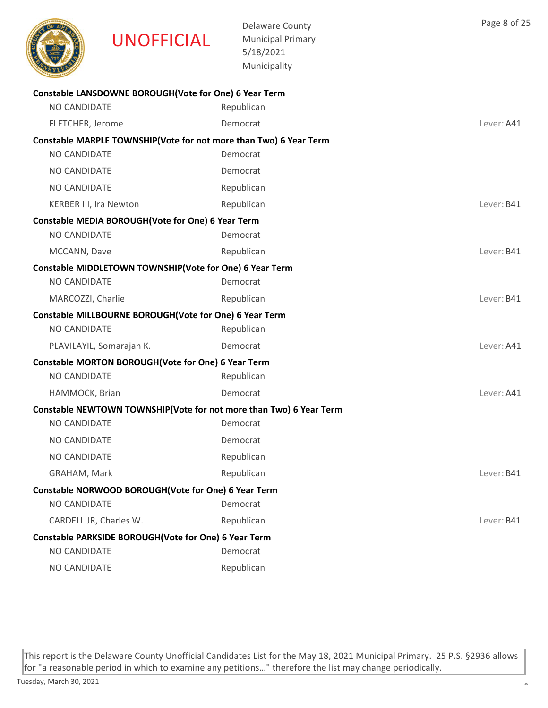

Delaware County Municipal Primary 5/18/2021 Municipality

| Constable LANSDOWNE BOROUGH(Vote for One) 6 Year Term   |                                                                    |            |
|---------------------------------------------------------|--------------------------------------------------------------------|------------|
| NO CANDIDATE                                            | Republican                                                         |            |
| FLETCHER, Jerome                                        | Democrat                                                           | Lever: A41 |
|                                                         | Constable MARPLE TOWNSHIP(Vote for not more than Two) 6 Year Term  |            |
| NO CANDIDATE                                            | Democrat                                                           |            |
| NO CANDIDATE                                            | Democrat                                                           |            |
| NO CANDIDATE                                            | Republican                                                         |            |
| <b>KERBER III, Ira Newton</b>                           | Republican                                                         | Lever: B41 |
| Constable MEDIA BOROUGH(Vote for One) 6 Year Term       |                                                                    |            |
| NO CANDIDATE                                            | Democrat                                                           |            |
| MCCANN, Dave                                            | Republican                                                         | Lever: B41 |
| Constable MIDDLETOWN TOWNSHIP(Vote for One) 6 Year Term |                                                                    |            |
| NO CANDIDATE                                            | Democrat                                                           |            |
| MARCOZZI, Charlie                                       | Republican                                                         | Lever: B41 |
| Constable MILLBOURNE BOROUGH(Vote for One) 6 Year Term  |                                                                    |            |
| NO CANDIDATE                                            | Republican                                                         |            |
| PLAVILAYIL, Somarajan K.                                | Democrat                                                           | Lever: A41 |
| Constable MORTON BOROUGH(Vote for One) 6 Year Term      |                                                                    |            |
| NO CANDIDATE                                            | Republican                                                         |            |
| HAMMOCK, Brian                                          | Democrat                                                           | Lever: A41 |
|                                                         | Constable NEWTOWN TOWNSHIP(Vote for not more than Two) 6 Year Term |            |
| <b>NO CANDIDATE</b>                                     | Democrat                                                           |            |
| NO CANDIDATE                                            | Democrat                                                           |            |
| NO CANDIDATE                                            | Republican                                                         |            |
| GRAHAM, Mark                                            | Republican                                                         | Lever: B41 |
| Constable NORWOOD BOROUGH(Vote for One) 6 Year Term     |                                                                    |            |
| NO CANDIDATE                                            | Democrat                                                           |            |
| CARDELL JR, Charles W.                                  | Republican                                                         | Lever: B41 |
| Constable PARKSIDE BOROUGH(Vote for One) 6 Year Term    |                                                                    |            |
| NO CANDIDATE                                            | Democrat                                                           |            |
| NO CANDIDATE                                            | Republican                                                         |            |

This report is the Delaware County Unofficial Candidates List for the May 18, 2021 Municipal Primary. 25 P.S. §2936 allows for "a reasonable period in which to examine any petitions…" therefore the list may change periodically.

Page 8 of 25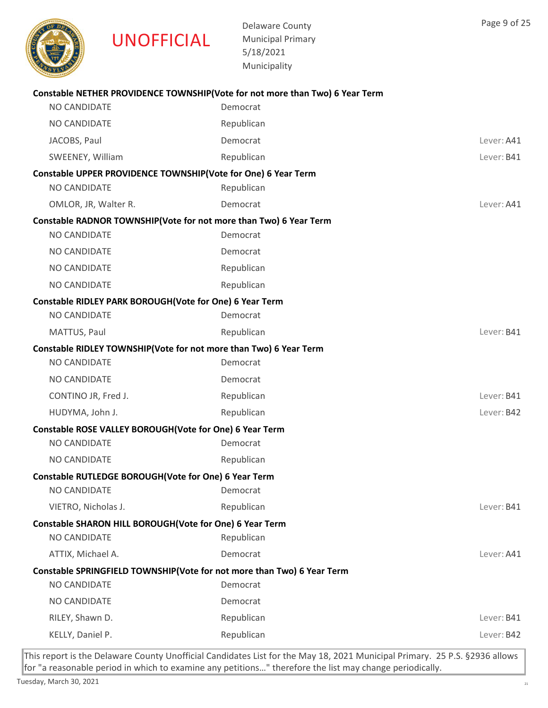

Delaware County Municipal Primary 5/18/2021

|                                                         | 5/18/2021<br>Municipality                                                    |            |
|---------------------------------------------------------|------------------------------------------------------------------------------|------------|
|                                                         |                                                                              |            |
|                                                         | Constable NETHER PROVIDENCE TOWNSHIP(Vote for not more than Two) 6 Year Term |            |
| NO CANDIDATE                                            | Democrat                                                                     |            |
| NO CANDIDATE                                            | Republican                                                                   |            |
| JACOBS, Paul                                            | Democrat                                                                     | Lever: A41 |
| SWEENEY, William                                        | Republican                                                                   | Lever: B41 |
|                                                         | Constable UPPER PROVIDENCE TOWNSHIP(Vote for One) 6 Year Term                |            |
| <b>NO CANDIDATE</b>                                     | Republican                                                                   |            |
| OMLOR, JR, Walter R.                                    | Democrat                                                                     | Lever: A41 |
|                                                         | Constable RADNOR TOWNSHIP(Vote for not more than Two) 6 Year Term            |            |
| <b>NO CANDIDATE</b>                                     | Democrat                                                                     |            |
| <b>NO CANDIDATE</b>                                     | Democrat                                                                     |            |
| NO CANDIDATE                                            | Republican                                                                   |            |
| NO CANDIDATE                                            | Republican                                                                   |            |
| Constable RIDLEY PARK BOROUGH(Vote for One) 6 Year Term |                                                                              |            |
| <b>NO CANDIDATE</b>                                     | Democrat                                                                     |            |
| MATTUS, Paul                                            | Republican                                                                   | Lever: B41 |
|                                                         | Constable RIDLEY TOWNSHIP(Vote for not more than Two) 6 Year Term            |            |
| <b>NO CANDIDATE</b>                                     | Democrat                                                                     |            |
| NO CANDIDATE                                            | Democrat                                                                     |            |
| CONTINO JR, Fred J.                                     | Republican                                                                   | Lever: B41 |
| HUDYMA, John J.                                         | Republican                                                                   | Lever: B42 |
| Constable ROSE VALLEY BOROUGH(Vote for One) 6 Year Term |                                                                              |            |
| NO CANDIDATE                                            | Democrat                                                                     |            |
| NO CANDIDATE                                            | Republican                                                                   |            |
| Constable RUTLEDGE BOROUGH(Vote for One) 6 Year Term    |                                                                              |            |
| NO CANDIDATE                                            | Democrat                                                                     |            |
| VIETRO, Nicholas J.                                     | Republican                                                                   | Lever: B41 |
| Constable SHARON HILL BOROUGH(Vote for One) 6 Year Term |                                                                              |            |
| NO CANDIDATE                                            | Republican                                                                   |            |
| ATTIX, Michael A.                                       | Democrat                                                                     | Lever: A41 |
|                                                         | Constable SPRINGFIELD TOWNSHIP(Vote for not more than Two) 6 Year Term       |            |
| NO CANDIDATE                                            | Democrat                                                                     |            |
| NO CANDIDATE                                            | Democrat                                                                     |            |
| RILEY, Shawn D.                                         | Republican                                                                   | Lever: B41 |
| KELLY, Daniel P.                                        | Republican                                                                   | Lever: B42 |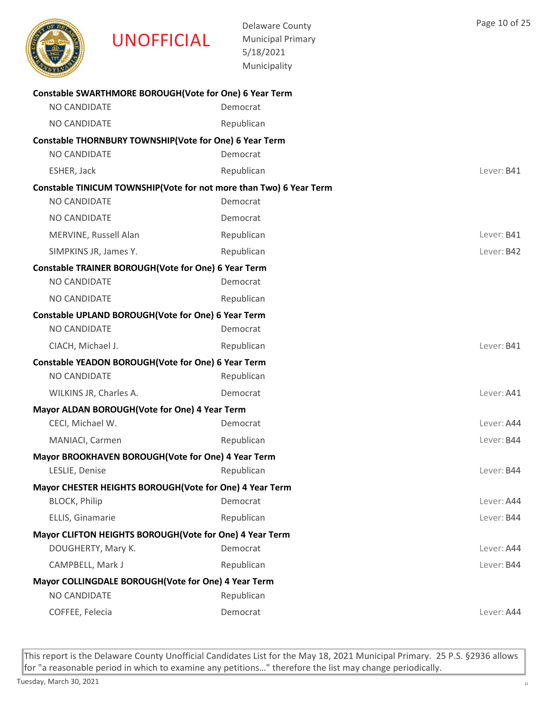

COFFEE, Felecia Democrat Lever: A44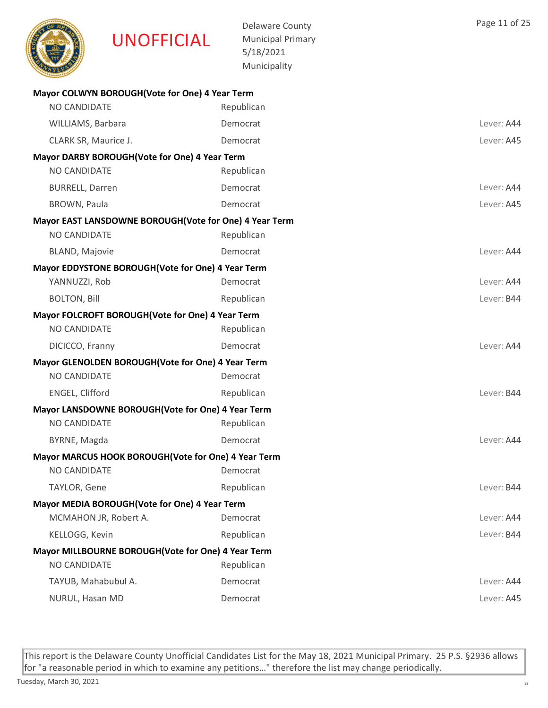

Delaware County Municipal Primary 5/18/2021 Municipality

| Mayor COLWYN BOROUGH (Vote for One) 4 Year Term        |            |            |
|--------------------------------------------------------|------------|------------|
| NO CANDIDATE                                           | Republican |            |
| WILLIAMS, Barbara                                      | Democrat   | Lever: A44 |
| CLARK SR, Maurice J.                                   | Democrat   | Lever: A45 |
| Mayor DARBY BOROUGH(Vote for One) 4 Year Term          |            |            |
| <b>NO CANDIDATE</b>                                    | Republican |            |
| <b>BURRELL, Darren</b>                                 | Democrat   | Lever: A44 |
| <b>BROWN, Paula</b>                                    | Democrat   | Lever: A45 |
| Mayor EAST LANSDOWNE BOROUGH(Vote for One) 4 Year Term |            |            |
| NO CANDIDATE                                           | Republican |            |
| <b>BLAND, Majovie</b>                                  | Democrat   | Lever: A44 |
| Mayor EDDYSTONE BOROUGH (Vote for One) 4 Year Term     |            |            |
| YANNUZZI, Rob                                          | Democrat   | Lever: A44 |
| <b>BOLTON, Bill</b>                                    | Republican | Lever: B44 |
| Mayor FOLCROFT BOROUGH (Vote for One) 4 Year Term      |            |            |
| NO CANDIDATE                                           | Republican |            |
| DICICCO, Franny                                        | Democrat   | Lever: A44 |
| Mayor GLENOLDEN BOROUGH (Vote for One) 4 Year Term     |            |            |
| NO CANDIDATE                                           | Democrat   |            |
| ENGEL, Clifford                                        | Republican | Lever: B44 |
| Mayor LANSDOWNE BOROUGH (Vote for One) 4 Year Term     |            |            |
| <b>NO CANDIDATE</b>                                    | Republican |            |
| BYRNE, Magda                                           | Democrat   | Lever: A44 |
| Mayor MARCUS HOOK BOROUGH (Vote for One) 4 Year Term   |            |            |
| <b>NO CANDIDATE</b>                                    | Democrat   |            |
| TAYLOR, Gene                                           | Republican | Lever: B44 |
| Mayor MEDIA BOROUGH(Vote for One) 4 Year Term          |            |            |
| MCMAHON JR, Robert A.                                  | Democrat   | Lever: A44 |
| KELLOGG, Kevin                                         | Republican | Lever: B44 |
| Mayor MILLBOURNE BOROUGH(Vote for One) 4 Year Term     |            |            |
| NO CANDIDATE                                           | Republican |            |
| TAYUB, Mahabubul A.                                    | Democrat   | Lever: A44 |
| NURUL, Hasan MD                                        | Democrat   | Lever: A45 |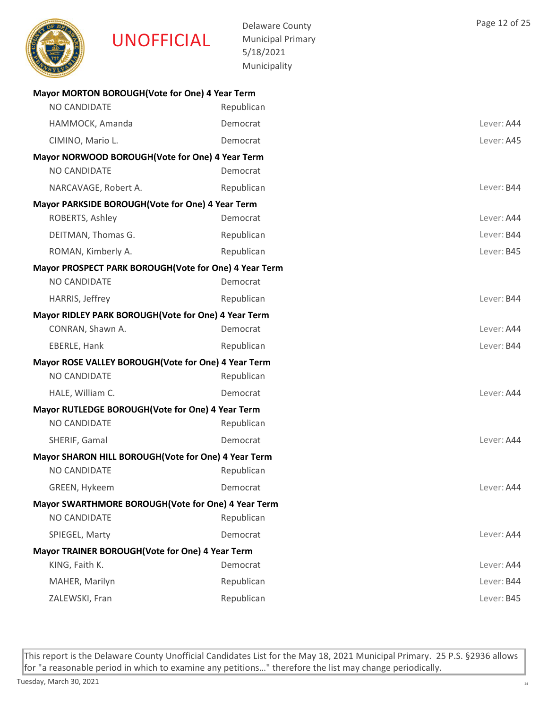

Delaware County Municipal Primary 5/18/2021 Municipality

| Mayor MORTON BOROUGH(Vote for One) 4 Year Term        |            |            |
|-------------------------------------------------------|------------|------------|
| NO CANDIDATE                                          | Republican |            |
| HAMMOCK, Amanda                                       | Democrat   | Lever: A44 |
| CIMINO, Mario L.                                      | Democrat   | Lever: A45 |
| Mayor NORWOOD BOROUGH (Vote for One) 4 Year Term      |            |            |
| NO CANDIDATE                                          | Democrat   |            |
| NARCAVAGE, Robert A.                                  | Republican | Lever: B44 |
| Mayor PARKSIDE BOROUGH (Vote for One) 4 Year Term     |            |            |
| ROBERTS, Ashley                                       | Democrat   | Lever: A44 |
| DEITMAN, Thomas G.                                    | Republican | Lever: B44 |
| ROMAN, Kimberly A.                                    | Republican | Lever: B45 |
| Mayor PROSPECT PARK BOROUGH(Vote for One) 4 Year Term |            |            |
| NO CANDIDATE                                          | Democrat   |            |
| HARRIS, Jeffrey                                       | Republican | Lever: B44 |
| Mayor RIDLEY PARK BOROUGH (Vote for One) 4 Year Term  |            |            |
| CONRAN, Shawn A.                                      | Democrat   | Lever: A44 |
| EBERLE, Hank                                          | Republican | Lever: B44 |
| Mayor ROSE VALLEY BOROUGH (Vote for One) 4 Year Term  |            |            |
| NO CANDIDATE                                          | Republican |            |
| HALE, William C.                                      | Democrat   | Lever: A44 |
| Mayor RUTLEDGE BOROUGH (Vote for One) 4 Year Term     |            |            |
| <b>NO CANDIDATE</b>                                   | Republican |            |
| SHERIF, Gamal                                         | Democrat   | Lever: A44 |
| Mayor SHARON HILL BOROUGH(Vote for One) 4 Year Term   |            |            |
| NO CANDIDATE                                          | Republican |            |
| <b>GREEN, Hykeem</b>                                  | Democrat   | Lever: A44 |
| Mayor SWARTHMORE BOROUGH(Vote for One) 4 Year Term    |            |            |
| NO CANDIDATE                                          | Republican |            |
| SPIEGEL, Marty                                        | Democrat   | Lever: A44 |
| Mayor TRAINER BOROUGH (Vote for One) 4 Year Term      |            |            |
| KING, Faith K.                                        | Democrat   | Lever: A44 |
| MAHER, Marilyn                                        | Republican | Lever: B44 |
| ZALEWSKI, Fran                                        | Republican | Lever: B45 |
|                                                       |            |            |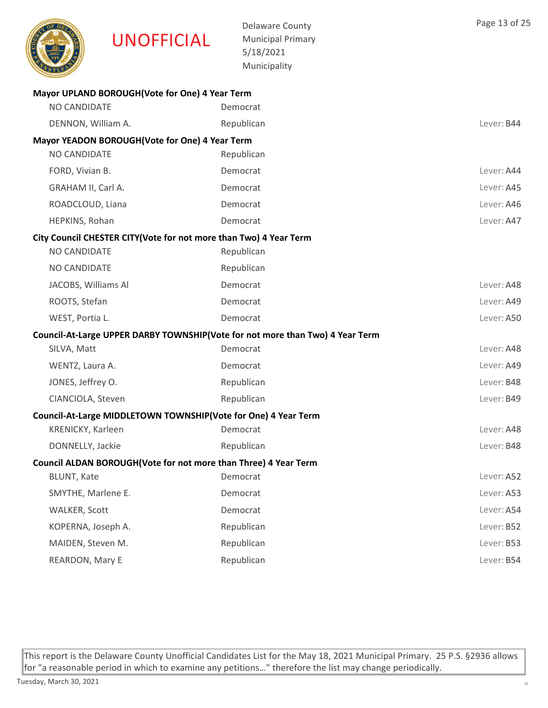|                     | <b>UNOFFICIAL</b>                                                 | <b>Delaware County</b><br><b>Municipal Primary</b><br>5/18/2021<br>Municipality | Page 13 of 25 |
|---------------------|-------------------------------------------------------------------|---------------------------------------------------------------------------------|---------------|
|                     | Mayor UPLAND BOROUGH(Vote for One) 4 Year Term                    |                                                                                 |               |
| <b>NO CANDIDATE</b> |                                                                   | Democrat                                                                        |               |
| DENNON, William A.  |                                                                   | Republican                                                                      | Lever: B44    |
| NO CANDIDATE        | Mayor YEADON BOROUGH (Vote for One) 4 Year Term                   | Republican                                                                      |               |
| FORD, Vivian B.     |                                                                   | Democrat                                                                        | Lever: A44    |
| GRAHAM II, Carl A.  |                                                                   | Democrat                                                                        | Lever: A45    |
| ROADCLOUD, Liana    |                                                                   | Democrat                                                                        | Lever: A46    |
| HEPKINS, Rohan      |                                                                   | Democrat                                                                        | Lever: A47    |
|                     | City Council CHESTER CITY(Vote for not more than Two) 4 Year Term |                                                                                 |               |
| <b>NO CANDIDATE</b> |                                                                   | Republican                                                                      |               |
| NO CANDIDATE        |                                                                   | Republican                                                                      |               |
| JACOBS, Williams Al |                                                                   | Democrat                                                                        | Lever: A48    |
| ROOTS, Stefan       |                                                                   | Democrat                                                                        | Lever: A49    |
| WEST, Portia L.     |                                                                   | Democrat                                                                        | Lever: A50    |
|                     |                                                                   | Council-At-Large UPPER DARBY TOWNSHIP(Vote for not more than Two) 4 Year Term   |               |
| SILVA, Matt         |                                                                   | Democrat                                                                        | Lever: A48    |
| WENTZ, Laura A.     |                                                                   | Democrat                                                                        | Lever: A49    |
| JONES, Jeffrey O.   |                                                                   | Republican                                                                      | Lever: B48    |
| CIANCIOLA, Steven   |                                                                   | Republican                                                                      | Lever: B49    |
|                     | Council-At-Large MIDDLETOWN TOWNSHIP(Vote for One) 4 Year Term    |                                                                                 |               |
| KRENICKY, Karleen   |                                                                   | Democrat                                                                        | Lever: A48    |
| DONNELLY, Jackie    |                                                                   | Republican                                                                      | Lever: B48    |
|                     | Council ALDAN BOROUGH(Vote for not more than Three) 4 Year Term   |                                                                                 |               |
| BLUNT, Kate         |                                                                   | Democrat                                                                        | Lever: A52    |
| SMYTHE, Marlene E.  |                                                                   | Democrat                                                                        | Lever: A53    |
| WALKER, Scott       |                                                                   | Democrat                                                                        | Lever: A54    |
| KOPERNA, Joseph A.  |                                                                   | Republican                                                                      | Lever: B52    |
| MAIDEN, Steven M.   |                                                                   | Republican                                                                      | Lever: B53    |
| REARDON, Mary E     |                                                                   | Republican                                                                      | Lever: B54    |
|                     |                                                                   |                                                                                 |               |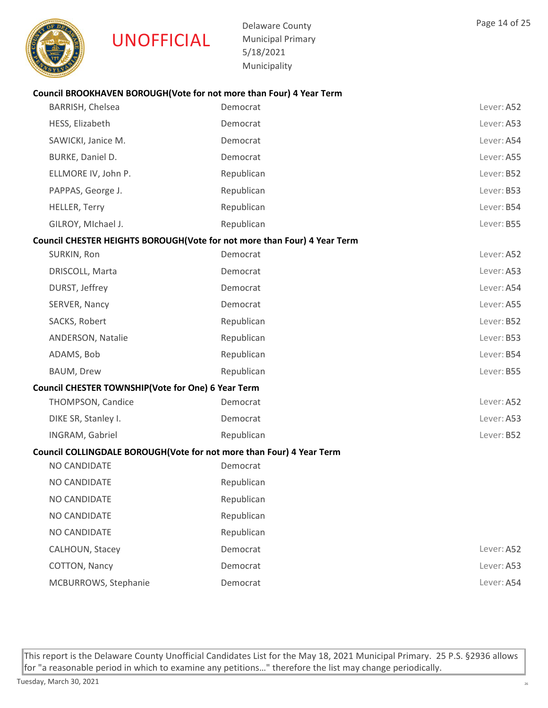

Delaware County Municipal Primary 5/18/2021 Municipality

| BARRISH, Chelsea                                   | Democrat                                                                 | Lever: A52 |
|----------------------------------------------------|--------------------------------------------------------------------------|------------|
| HESS, Elizabeth                                    | Democrat                                                                 | Lever: A53 |
| SAWICKI, Janice M.                                 | Democrat                                                                 | Lever: A54 |
| BURKE, Daniel D.                                   | Democrat                                                                 | Lever: A55 |
| ELLMORE IV, John P.                                | Republican                                                               | Lever: B52 |
| PAPPAS, George J.                                  | Republican                                                               | Lever: B53 |
| <b>HELLER, Terry</b>                               | Republican                                                               | Lever: B54 |
| GILROY, MIchael J.                                 | Republican                                                               | Lever: B55 |
|                                                    | Council CHESTER HEIGHTS BOROUGH(Vote for not more than Four) 4 Year Term |            |
| SURKIN, Ron                                        | Democrat                                                                 | Lever: A52 |
| DRISCOLL, Marta                                    | Democrat                                                                 | Lever: A53 |
| DURST, Jeffrey                                     | Democrat                                                                 | Lever: A54 |
| SERVER, Nancy                                      | Democrat                                                                 | Lever: A55 |
| SACKS, Robert                                      | Republican                                                               | Lever: B52 |
| ANDERSON, Natalie                                  | Republican                                                               | Lever: B53 |
| ADAMS, Bob                                         | Republican                                                               | Lever: B54 |
| BAUM, Drew                                         | Republican                                                               | Lever: B55 |
| Council CHESTER TOWNSHIP(Vote for One) 6 Year Term |                                                                          |            |
| THOMPSON, Candice                                  | Democrat                                                                 | Lever: A52 |
| DIKE SR, Stanley I.                                | Democrat                                                                 | Lever: A53 |
| INGRAM, Gabriel                                    | Republican                                                               | Lever: B52 |
|                                                    | Council COLLINGDALE BOROUGH(Vote for not more than Four) 4 Year Term     |            |
| NO CANDIDATE                                       | Democrat                                                                 |            |
| NO CANDIDATE                                       | Republican                                                               |            |
| <b>NO CANDIDATE</b>                                | Republican                                                               |            |
| NO CANDIDATE                                       | Republican                                                               |            |
| NO CANDIDATE                                       | Republican                                                               |            |
| CALHOUN, Stacey                                    | Democrat                                                                 | Lever: A52 |
| COTTON, Nancy                                      | Democrat                                                                 | Lever: A53 |
| MCBURROWS, Stephanie                               | Democrat                                                                 | Lever: A54 |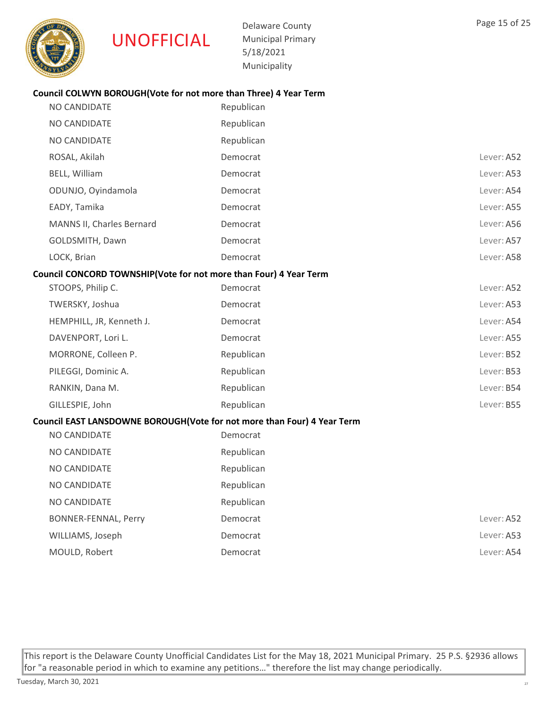

Delaware County Municipal Primary 5/18/2021 Municipality

# Council COLWYN BOROUGH(Vote for not more than Three) 4 Year Term

| NO CANDIDATE                                                            | Republican |            |
|-------------------------------------------------------------------------|------------|------------|
| NO CANDIDATE                                                            | Republican |            |
| NO CANDIDATE                                                            | Republican |            |
| ROSAL, Akilah                                                           | Democrat   | Lever: A52 |
| BELL, William                                                           | Democrat   | Lever: A53 |
| ODUNJO, Oyindamola                                                      | Democrat   | Lever: A54 |
| EADY, Tamika                                                            | Democrat   | Lever: A55 |
| MANNS II, Charles Bernard                                               | Democrat   | Lever: A56 |
| GOLDSMITH, Dawn                                                         | Democrat   | Lever: A57 |
| LOCK, Brian                                                             | Democrat   | Lever: A58 |
| Council CONCORD TOWNSHIP(Vote for not more than Four) 4 Year Term       |            |            |
| STOOPS, Philip C.                                                       | Democrat   | Lever: A52 |
| TWERSKY, Joshua                                                         | Democrat   | Lever: A53 |
| HEMPHILL, JR, Kenneth J.                                                | Democrat   | Lever: A54 |
| DAVENPORT, Lori L.                                                      | Democrat   | Lever: A55 |
| MORRONE, Colleen P.                                                     | Republican | Lever: B52 |
| PILEGGI, Dominic A.                                                     | Republican | Lever: B53 |
| RANKIN, Dana M.                                                         | Republican | Lever: B54 |
| GILLESPIE, John                                                         | Republican | Lever: B55 |
| Council EAST LANSDOWNE BOROUGH(Vote for not more than Four) 4 Year Term |            |            |
| <b>NO CANDIDATE</b>                                                     | Democrat   |            |
| NO CANDIDATE                                                            | Republican |            |
| <b>NO CANDIDATE</b>                                                     | Republican |            |
| NO CANDIDATE                                                            | Republican |            |
| NO CANDIDATE                                                            | Republican |            |
|                                                                         |            |            |

BONNER-FENNAL, Perry **Democrat Democrat Constant Democrat** Cever: A52 WILLIAMS, Joseph Democrat Democrat Democrat Communications and Lever: A53 MOULD, Robert **Democrat Democrat Contained Account Lever: A54**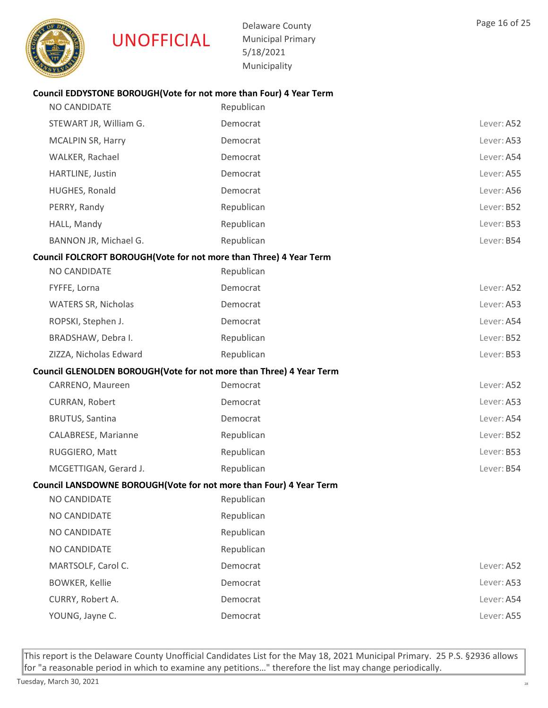

Delaware County Municipal Primary 5/18/2021 Municipality

| NO CANDIDATE                                                       | Republican                                                          |            |
|--------------------------------------------------------------------|---------------------------------------------------------------------|------------|
| STEWART JR, William G.                                             | Democrat                                                            | Lever: A52 |
| <b>MCALPIN SR, Harry</b>                                           | Democrat                                                            | Lever: A53 |
| WALKER, Rachael                                                    | Democrat                                                            | Lever: A54 |
| HARTLINE, Justin                                                   | Democrat                                                            | Lever: A55 |
| HUGHES, Ronald                                                     | Democrat                                                            | Lever: A56 |
| PERRY, Randy                                                       | Republican                                                          | Lever: B52 |
| HALL, Mandy                                                        | Republican                                                          | Lever: B53 |
| BANNON JR, Michael G.                                              | Republican                                                          | Lever: B54 |
| Council FOLCROFT BOROUGH(Vote for not more than Three) 4 Year Term |                                                                     |            |
| NO CANDIDATE                                                       | Republican                                                          |            |
| FYFFE, Lorna                                                       | Democrat                                                            | Lever: A52 |
| <b>WATERS SR, Nicholas</b>                                         | Democrat                                                            | Lever: A53 |
| ROPSKI, Stephen J.                                                 | Democrat                                                            | Lever: A54 |
| BRADSHAW, Debra I.                                                 | Republican                                                          | Lever: B52 |
| ZIZZA, Nicholas Edward                                             | Republican                                                          | Lever: B53 |
|                                                                    | Council GLENOLDEN BOROUGH(Vote for not more than Three) 4 Year Term |            |
| CARRENO, Maureen                                                   | Democrat                                                            | Lever: A52 |
| CURRAN, Robert                                                     | Democrat                                                            | Lever: A53 |
| <b>BRUTUS, Santina</b>                                             | Democrat                                                            | Lever: A54 |
| CALABRESE, Marianne                                                | Republican                                                          | Lever: B52 |
| RUGGIERO, Matt                                                     | Republican                                                          | Lever: B53 |
| MCGETTIGAN, Gerard J.                                              | Republican                                                          | Lever: B54 |
|                                                                    | Council LANSDOWNE BOROUGH(Vote for not more than Four) 4 Year Term  |            |
| NO CANDIDATE                                                       | Republican                                                          |            |
| NO CANDIDATE                                                       | Republican                                                          |            |
| NO CANDIDATE                                                       | Republican                                                          |            |
| NO CANDIDATE                                                       | Republican                                                          |            |
| MARTSOLF, Carol C.                                                 | Democrat                                                            | Lever: A52 |
| <b>BOWKER, Kellie</b>                                              | Democrat                                                            | Lever: A53 |
| CURRY, Robert A.                                                   | Democrat                                                            | Lever: A54 |
| YOUNG, Jayne C.                                                    | Democrat                                                            | Lever: A55 |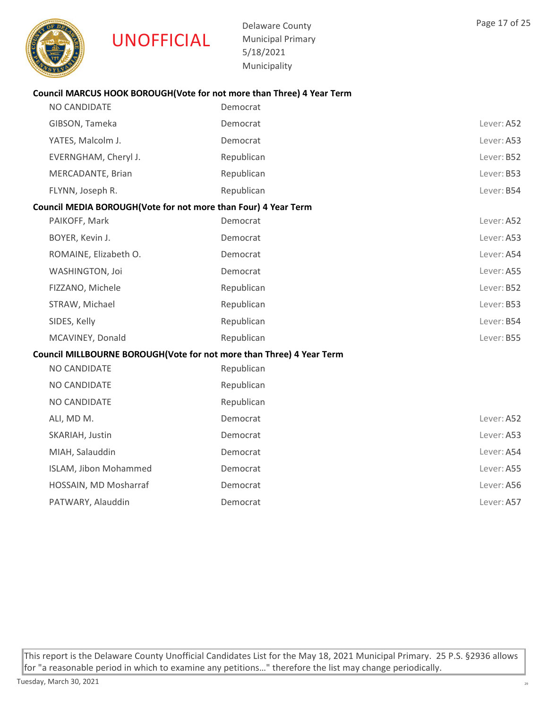

Delaware County Municipal Primary 5/18/2021 Municipality

#### Council MARCUS HOOK BOROUGH(Vote for not more than Three) 4 Year Term

| NO CANDIDATE                                                         | Democrat   |            |
|----------------------------------------------------------------------|------------|------------|
| GIBSON, Tameka                                                       | Democrat   | Lever: A52 |
| YATES, Malcolm J.                                                    | Democrat   | Lever: A53 |
| EVERNGHAM, Cheryl J.                                                 | Republican | Lever: B52 |
| MERCADANTE, Brian                                                    | Republican | Lever: B53 |
| FLYNN, Joseph R.                                                     | Republican | Lever: B54 |
| Council MEDIA BOROUGH(Vote for not more than Four) 4 Year Term       |            |            |
| PAIKOFF, Mark                                                        | Democrat   | Lever: A52 |
| BOYER, Kevin J.                                                      | Democrat   | Lever: A53 |
| ROMAINE, Elizabeth O.                                                | Democrat   | Lever: A54 |
| WASHINGTON, Joi                                                      | Democrat   | Lever: A55 |
| FIZZANO, Michele                                                     | Republican | Lever: B52 |
| STRAW, Michael                                                       | Republican | Lever: B53 |
| SIDES, Kelly                                                         | Republican | Lever: B54 |
| MCAVINEY, Donald                                                     | Republican | Lever: B55 |
| Council MILLBOURNE BOROUGH(Vote for not more than Three) 4 Year Term |            |            |
| NO CANDIDATE                                                         | Republican |            |
| NO CANDIDATE                                                         | Republican |            |
| NO CANDIDATE                                                         | Republican |            |
| ALI, MD M.                                                           | Democrat   | Lever: A52 |
| SKARIAH, Justin                                                      | Democrat   | Lever: A53 |
| MIAH, Salauddin                                                      | Democrat   | Lever: A54 |
| ISLAM, Jibon Mohammed                                                | Democrat   | Lever: A55 |
| HOSSAIN, MD Mosharraf                                                | Democrat   | Lever: A56 |
| PATWARY, Alauddin                                                    | Democrat   | Lever: A57 |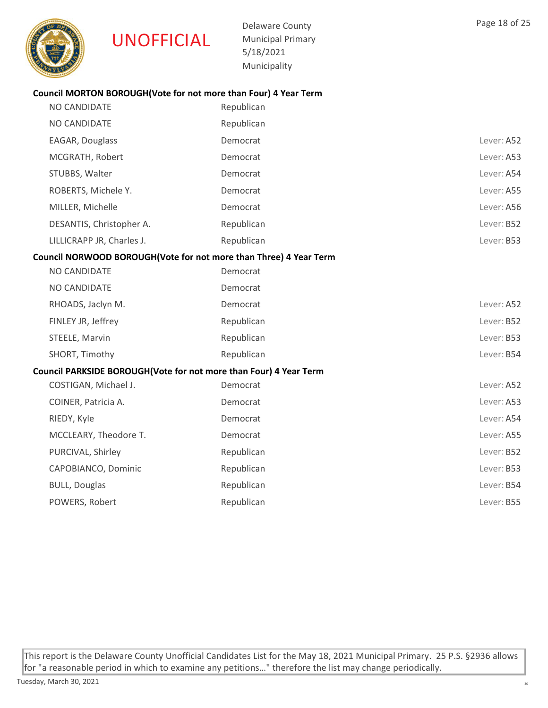

Delaware County Municipal Primary 5/18/2021 Municipality

# Council MORTON BOROUGH(Vote for not more than Four) 4 Year Term

| NO CANDIDATE                                                      | Republican |            |
|-------------------------------------------------------------------|------------|------------|
| NO CANDIDATE                                                      | Republican |            |
| EAGAR, Douglass                                                   | Democrat   | Lever: A52 |
| MCGRATH, Robert                                                   | Democrat   | Lever: A53 |
| STUBBS, Walter                                                    | Democrat   | Lever: A54 |
| ROBERTS, Michele Y.                                               | Democrat   | Lever: A55 |
| MILLER, Michelle                                                  | Democrat   | Lever: A56 |
| DESANTIS, Christopher A.                                          | Republican | Lever: B52 |
| LILLICRAPP JR, Charles J.                                         | Republican | Lever: B53 |
| Council NORWOOD BOROUGH(Vote for not more than Three) 4 Year Term |            |            |
| NO CANDIDATE                                                      | Democrat   |            |
| NO CANDIDATE                                                      | Democrat   |            |
| RHOADS, Jaclyn M.                                                 | Democrat   | Lever: A52 |
| FINLEY JR, Jeffrey                                                | Republican | Lever: B52 |
| STEELE, Marvin                                                    | Republican | Lever: B53 |
| SHORT, Timothy                                                    | Republican | Lever: B54 |
| Council PARKSIDE BOROUGH(Vote for not more than Four) 4 Year Term |            |            |
| COSTIGAN, Michael J.                                              | Democrat   | Lever: A52 |
| COINER, Patricia A.                                               | Democrat   | Lever: A53 |
| RIEDY, Kyle                                                       | Democrat   | Lever: A54 |
| MCCLEARY, Theodore T.                                             | Democrat   | Lever: A55 |
| PURCIVAL, Shirley                                                 | Republican | Lever: B52 |
| CAPOBIANCO, Dominic                                               | Republican | Lever: B53 |
| <b>BULL, Douglas</b>                                              | Republican | Lever: B54 |
| POWERS, Robert                                                    | Republican | Lever: B55 |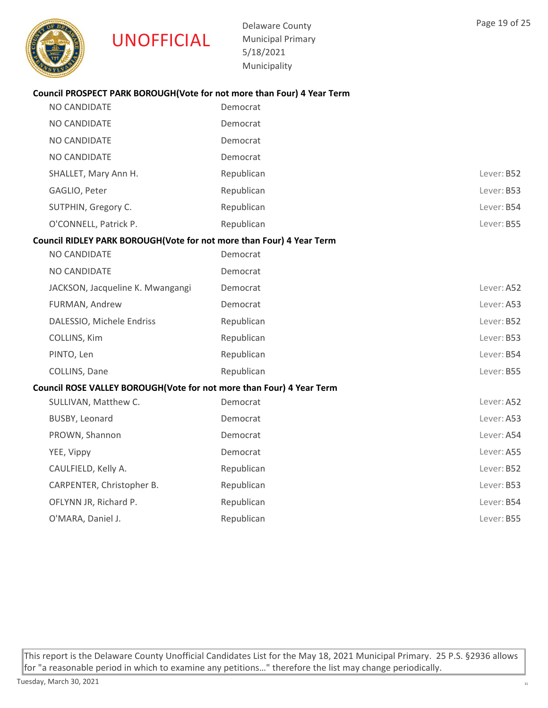

Delaware County Municipal Primary 5/18/2021 Municipality

# Council PROSPECT PARK BOROUGH(Vote for not more than Four) 4 Year Term

| NO CANDIDATE                                                         | Democrat   |            |
|----------------------------------------------------------------------|------------|------------|
| NO CANDIDATE                                                         | Democrat   |            |
| NO CANDIDATE                                                         | Democrat   |            |
| NO CANDIDATE                                                         | Democrat   |            |
| SHALLET, Mary Ann H.                                                 | Republican | Lever: B52 |
| GAGLIO, Peter                                                        | Republican | Lever: B53 |
| SUTPHIN, Gregory C.                                                  | Republican | Lever: B54 |
| O'CONNELL, Patrick P.                                                | Republican | Lever: B55 |
| Council RIDLEY PARK BOROUGH(Vote for not more than Four) 4 Year Term |            |            |
| NO CANDIDATE                                                         | Democrat   |            |
| NO CANDIDATE                                                         | Democrat   |            |
| JACKSON, Jacqueline K. Mwangangi                                     | Democrat   | Lever: A52 |
| FURMAN, Andrew                                                       | Democrat   | Lever: A53 |
| DALESSIO, Michele Endriss                                            | Republican | Lever: B52 |
| COLLINS, Kim                                                         | Republican | Lever: B53 |
| PINTO, Len                                                           | Republican | Lever: B54 |
| COLLINS, Dane                                                        | Republican | Lever: B55 |
| Council ROSE VALLEY BOROUGH(Vote for not more than Four) 4 Year Term |            |            |
| SULLIVAN, Matthew C.                                                 | Democrat   | Lever: A52 |
| BUSBY, Leonard                                                       | Democrat   | Lever: A53 |
| PROWN, Shannon                                                       | Democrat   | Lever: A54 |
| YEE, Vippy                                                           | Democrat   | Lever: A55 |
| CAULFIELD, Kelly A.                                                  | Republican | Lever: B52 |
| CARPENTER, Christopher B.                                            | Republican | Lever: B53 |
| OFLYNN JR, Richard P.                                                | Republican | Lever: B54 |
| O'MARA, Daniel J.                                                    | Republican | Lever: B55 |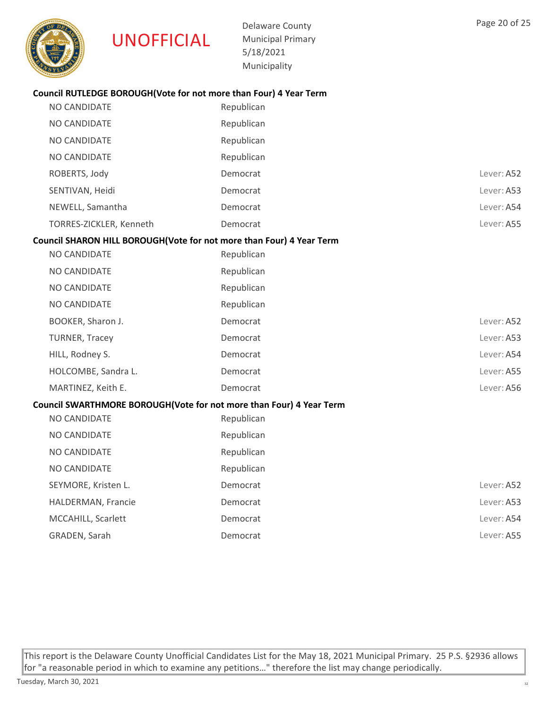

Delaware County Municipal Primary 5/18/2021 Municipality

# Council RUTLEDGE BOROUGH(Vote for not more than Four) 4 Year Term

| NO CANDIDATE                                                         | Republican |            |
|----------------------------------------------------------------------|------------|------------|
| NO CANDIDATE                                                         | Republican |            |
| NO CANDIDATE                                                         | Republican |            |
| NO CANDIDATE                                                         | Republican |            |
| ROBERTS, Jody                                                        | Democrat   | Lever: A52 |
| SENTIVAN, Heidi                                                      | Democrat   | Lever: A53 |
| NEWELL, Samantha                                                     | Democrat   | Lever: A54 |
| TORRES-ZICKLER, Kenneth                                              | Democrat   | Lever: A55 |
| Council SHARON HILL BOROUGH(Vote for not more than Four) 4 Year Term |            |            |
| NO CANDIDATE                                                         | Republican |            |
| NO CANDIDATE                                                         | Republican |            |
| <b>NO CANDIDATE</b>                                                  | Republican |            |
| NO CANDIDATE                                                         | Republican |            |
| BOOKER, Sharon J.                                                    | Democrat   | Lever: A52 |
| <b>TURNER, Tracey</b>                                                | Democrat   | Lever: A53 |
| HILL, Rodney S.                                                      | Democrat   | Lever: A54 |
| HOLCOMBE, Sandra L.                                                  | Democrat   | Lever: A55 |
| MARTINEZ, Keith E.                                                   | Democrat   | Lever: A56 |
| Council SWARTHMORE BOROUGH(Vote for not more than Four) 4 Year Term  |            |            |
| NO CANDIDATE                                                         | Republican |            |
| NO CANDIDATE                                                         | Republican |            |
| NO CANDIDATE                                                         | Republican |            |
| NO CANDIDATE                                                         | Republican |            |
| SEYMORE, Kristen L.                                                  | Democrat   | Lever: A52 |
| HALDERMAN, Francie                                                   | Democrat   | Lever: A53 |
| MCCAHILL, Scarlett                                                   | Democrat   | Lever: A54 |
| GRADEN, Sarah                                                        | Democrat   | Lever: A55 |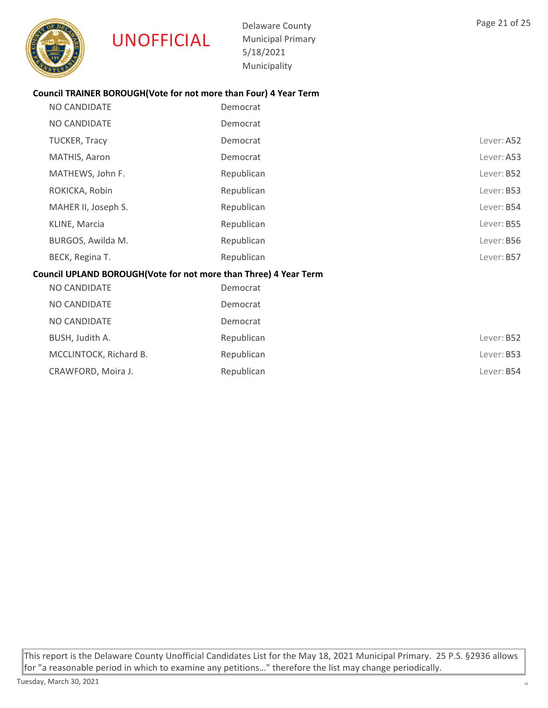

Delaware County Municipal Primary 5/18/2021 Municipality

# Council TRAINER BOROUGH(Vote for not more than Four) 4 Year Term

| NO CANDIDATE                                                     | Democrat   |            |  |
|------------------------------------------------------------------|------------|------------|--|
| NO CANDIDATE                                                     | Democrat   |            |  |
| TUCKER, Tracy                                                    | Democrat   | Lever: A52 |  |
| MATHIS, Aaron                                                    | Democrat   | Lever: A53 |  |
| MATHEWS, John F.                                                 | Republican | Lever: B52 |  |
| ROKICKA, Robin                                                   | Republican | Lever: B53 |  |
| MAHER II, Joseph S.                                              | Republican | Lever: B54 |  |
| KLINE, Marcia                                                    | Republican | Lever: B55 |  |
| BURGOS, Awilda M.                                                | Republican | Lever: B56 |  |
| BECK, Regina T.                                                  | Republican | Lever: B57 |  |
| Council UPLAND BOROUGH(Vote for not more than Three) 4 Year Term |            |            |  |
| <b>NO CANDIDATE</b>                                              | Democrat   |            |  |
| NO CANDIDATE                                                     | Democrat   |            |  |
| NO CANDIDATE                                                     | Democrat   |            |  |
|                                                                  |            |            |  |

| BUSH, Judith A.        | Republican | Lever: B52        |
|------------------------|------------|-------------------|
| MCCLINTOCK, Richard B. | Republican | Lever: B53        |
| CRAWFORD, Moira J.     | Republican | Lever: <b>B54</b> |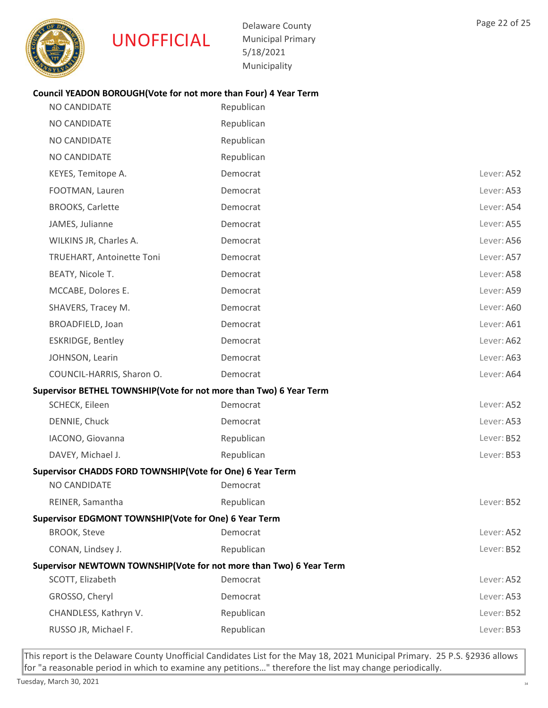

Delaware County Municipal Primary 5/18/2021 Municipality

#### Council YEADON BOROUGH(Vote for not more than Four) 4 Year Term

| <b>NO CANDIDATE</b>                                                 | Republican |            |
|---------------------------------------------------------------------|------------|------------|
| NO CANDIDATE                                                        | Republican |            |
| <b>NO CANDIDATE</b>                                                 | Republican |            |
| <b>NO CANDIDATE</b>                                                 | Republican |            |
| KEYES, Temitope A.                                                  | Democrat   | Lever: A52 |
| FOOTMAN, Lauren                                                     | Democrat   | Lever: A53 |
| <b>BROOKS, Carlette</b>                                             | Democrat   | Lever: A54 |
| JAMES, Julianne                                                     | Democrat   | Lever: A55 |
| WILKINS JR, Charles A.                                              | Democrat   | Lever: A56 |
| TRUEHART, Antoinette Toni                                           | Democrat   | Lever: A57 |
| BEATY, Nicole T.                                                    | Democrat   | Lever: A58 |
| MCCABE, Dolores E.                                                  | Democrat   | Lever: A59 |
| SHAVERS, Tracey M.                                                  | Democrat   | Lever: A60 |
| BROADFIELD, Joan                                                    | Democrat   | Lever: A61 |
| ESKRIDGE, Bentley                                                   | Democrat   | Lever: A62 |
| JOHNSON, Learin                                                     | Democrat   | Lever: A63 |
| COUNCIL-HARRIS, Sharon O.                                           | Democrat   | Lever: A64 |
| Supervisor BETHEL TOWNSHIP(Vote for not more than Two) 6 Year Term  |            |            |
| SCHECK, Eileen                                                      | Democrat   | Lever: A52 |
| DENNIE, Chuck                                                       | Democrat   | Lever: A53 |
| IACONO, Giovanna                                                    | Republican | Lever: B52 |
| DAVEY, Michael J.                                                   | Republican | Lever: B53 |
| Supervisor CHADDS FORD TOWNSHIP(Vote for One) 6 Year Term           |            |            |
| NO CANDIDATE                                                        | Democrat   |            |
| REINER, Samantha                                                    | Republican | Lever: B52 |
| Supervisor EDGMONT TOWNSHIP(Vote for One) 6 Year Term               |            |            |
| <b>BROOK, Steve</b>                                                 | Democrat   | Lever: A52 |
| CONAN, Lindsey J.                                                   | Republican | Lever: B52 |
| Supervisor NEWTOWN TOWNSHIP(Vote for not more than Two) 6 Year Term |            |            |
| SCOTT, Elizabeth                                                    | Democrat   | Lever: A52 |
| GROSSO, Cheryl                                                      | Democrat   | Lever: A53 |
| CHANDLESS, Kathryn V.                                               | Republican | Lever: B52 |
| RUSSO JR, Michael F.                                                | Republican | Lever: B53 |
|                                                                     |            |            |

This report is the Delaware County Unofficial Candidates List for the May 18, 2021 Municipal Primary. 25 P.S. §2936 allows for "a reasonable period in which to examine any petitions…" therefore the list may change periodically.

Page 22 of 25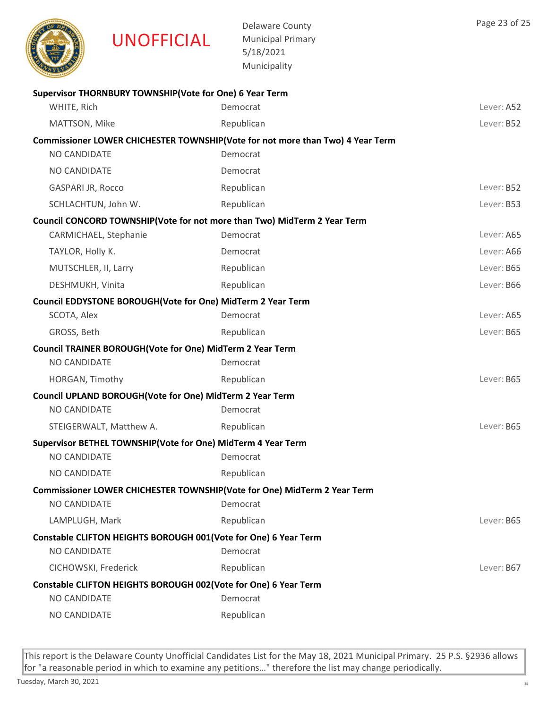

|                                                                                           | Municipality |            |
|-------------------------------------------------------------------------------------------|--------------|------------|
| Supervisor THORNBURY TOWNSHIP(Vote for One) 6 Year Term                                   |              |            |
| WHITE, Rich                                                                               | Democrat     | Lever: A52 |
| MATTSON, Mike                                                                             | Republican   | Lever: B52 |
| Commissioner LOWER CHICHESTER TOWNSHIP(Vote for not more than Two) 4 Year Term            |              |            |
| NO CANDIDATE                                                                              | Democrat     |            |
| <b>NO CANDIDATE</b>                                                                       | Democrat     |            |
| <b>GASPARI JR, Rocco</b>                                                                  | Republican   | Lever: B52 |
| SCHLACHTUN, John W.                                                                       | Republican   | Lever: B53 |
| Council CONCORD TOWNSHIP(Vote for not more than Two) MidTerm 2 Year Term                  |              |            |
| CARMICHAEL, Stephanie                                                                     | Democrat     | Lever: A65 |
| TAYLOR, Holly K.                                                                          | Democrat     | Lever: A66 |
| MUTSCHLER, II, Larry                                                                      | Republican   | Lever: B65 |
| DESHMUKH, Vinita                                                                          | Republican   | Lever: B66 |
| Council EDDYSTONE BOROUGH(Vote for One) MidTerm 2 Year Term                               |              |            |
| SCOTA, Alex                                                                               | Democrat     | Lever: A65 |
| GROSS, Beth                                                                               | Republican   | Lever: B65 |
| Council TRAINER BOROUGH(Vote for One) MidTerm 2 Year Term                                 |              |            |
| NO CANDIDATE                                                                              | Democrat     |            |
| HORGAN, Timothy                                                                           | Republican   | Lever: B65 |
| Council UPLAND BOROUGH(Vote for One) MidTerm 2 Year Term                                  |              |            |
| <b>NO CANDIDATE</b>                                                                       | Democrat     |            |
| STEIGERWALT, Matthew A.                                                                   | Republican   | Lever: B65 |
| Supervisor BETHEL TOWNSHIP(Vote for One) MidTerm 4 Year Term                              |              |            |
| <b>NO CANDIDATE</b>                                                                       | Democrat     |            |
| NO CANDIDATE                                                                              | Republican   |            |
| Commissioner LOWER CHICHESTER TOWNSHIP (Vote for One) MidTerm 2 Year Term<br>NO CANDIDATE | Democrat     |            |
| LAMPLUGH, Mark                                                                            | Republican   | Lever: B65 |
| Constable CLIFTON HEIGHTS BOROUGH 001(Vote for One) 6 Year Term                           |              |            |
| <b>NO CANDIDATE</b>                                                                       | Democrat     |            |
| CICHOWSKI, Frederick                                                                      | Republican   | Lever: B67 |
| Constable CLIFTON HEIGHTS BOROUGH 002(Vote for One) 6 Year Term                           |              |            |
| NO CANDIDATE                                                                              | Democrat     |            |
| NO CANDIDATE                                                                              | Republican   |            |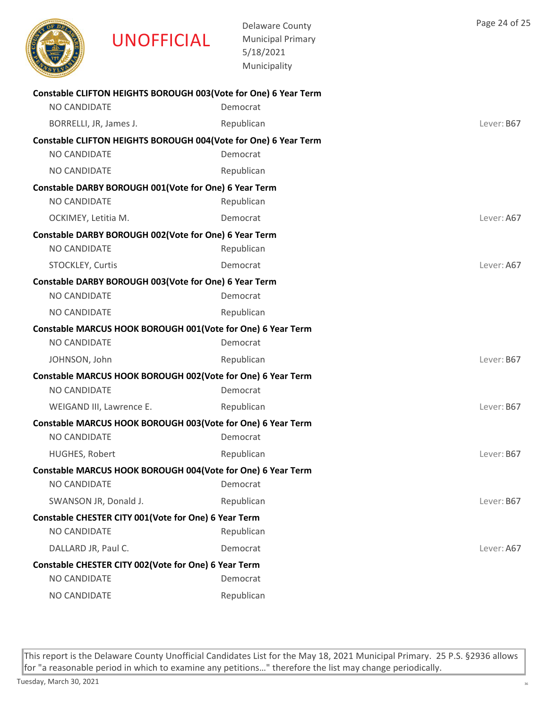

Delaware County Municipal Primary 5/18/2021 Municipality

| Constable CLIFTON HEIGHTS BOROUGH 003(Vote for One) 6 Year Term |            |            |
|-----------------------------------------------------------------|------------|------------|
| NO CANDIDATE                                                    | Democrat   |            |
| BORRELLI, JR, James J.                                          | Republican | Lever: B67 |
| Constable CLIFTON HEIGHTS BOROUGH 004(Vote for One) 6 Year Term |            |            |
| NO CANDIDATE                                                    | Democrat   |            |
| NO CANDIDATE                                                    | Republican |            |
| Constable DARBY BOROUGH 001(Vote for One) 6 Year Term           |            |            |
| NO CANDIDATE                                                    | Republican |            |
| OCKIMEY, Letitia M.                                             | Democrat   | Lever: A67 |
| Constable DARBY BOROUGH 002(Vote for One) 6 Year Term           |            |            |
| NO CANDIDATE                                                    | Republican |            |
| STOCKLEY, Curtis                                                | Democrat   | Lever: A67 |
| Constable DARBY BOROUGH 003(Vote for One) 6 Year Term           |            |            |
| <b>NO CANDIDATE</b>                                             | Democrat   |            |
| NO CANDIDATE                                                    | Republican |            |
| Constable MARCUS HOOK BOROUGH 001(Vote for One) 6 Year Term     |            |            |
| NO CANDIDATE                                                    | Democrat   |            |
| JOHNSON, John                                                   | Republican | Lever: B67 |
| Constable MARCUS HOOK BOROUGH 002(Vote for One) 6 Year Term     |            |            |
| NO CANDIDATE                                                    | Democrat   |            |
| WEIGAND III, Lawrence E.                                        | Republican | Lever: B67 |
| Constable MARCUS HOOK BOROUGH 003(Vote for One) 6 Year Term     |            |            |
| NO CANDIDATE                                                    | Democrat   |            |
| HUGHES, Robert                                                  | Republican | Lever: B67 |
| Constable MARCUS HOOK BOROUGH 004(Vote for One) 6 Year Term     |            |            |
| NO CANDIDATE                                                    | Democrat   |            |
| SWANSON JR, Donald J.                                           | Republican | Lever: B67 |
| Constable CHESTER CITY 001(Vote for One) 6 Year Term            |            |            |
| NO CANDIDATE                                                    | Republican |            |
| DALLARD JR, Paul C.                                             | Democrat   | Lever: A67 |
| Constable CHESTER CITY 002 (Vote for One) 6 Year Term           |            |            |
| NO CANDIDATE                                                    | Democrat   |            |
| NO CANDIDATE                                                    | Republican |            |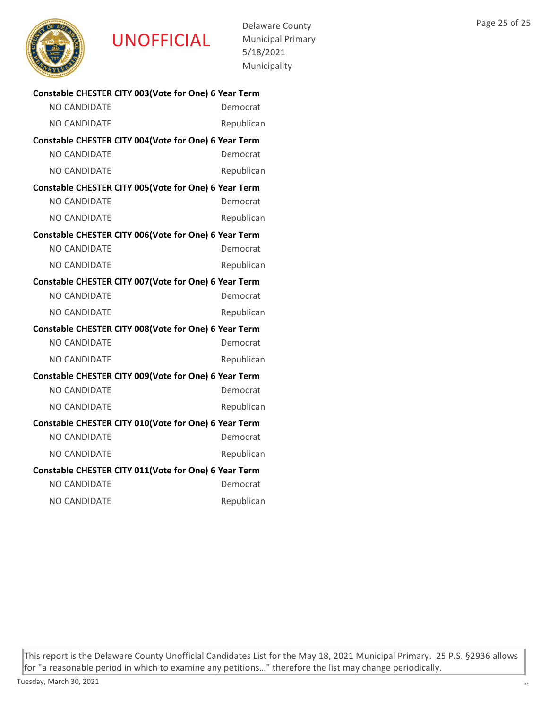

UNOFFICIAL

Delaware County Municipal Primary 5/18/2021 Municipality

| Constable CHESTER CITY 003(Vote for One) 6 Year Term  |            |  |
|-------------------------------------------------------|------------|--|
| <b>NO CANDIDATE</b>                                   | Democrat   |  |
| <b>NO CANDIDATE</b>                                   | Republican |  |
| Constable CHESTER CITY 004(Vote for One) 6 Year Term  |            |  |
| <b>NO CANDIDATE</b>                                   | Democrat   |  |
| <b>NO CANDIDATE</b>                                   | Republican |  |
| Constable CHESTER CITY 005(Vote for One) 6 Year Term  |            |  |
| <b>NO CANDIDATE</b>                                   | Democrat   |  |
| NO CANDIDATE                                          | Republican |  |
| Constable CHESTER CITY 006(Vote for One) 6 Year Term  |            |  |
| <b>NO CANDIDATE</b>                                   | Democrat   |  |
| NO CANDIDATE                                          | Republican |  |
| Constable CHESTER CITY 007 (Vote for One) 6 Year Term |            |  |
| <b>NO CANDIDATE</b>                                   | Democrat   |  |
| <b>NO CANDIDATE</b>                                   | Republican |  |
| Constable CHESTER CITY 008(Vote for One) 6 Year Term  |            |  |
| <b>NO CANDIDATE</b>                                   | Democrat   |  |
| <b>NO CANDIDATE</b>                                   | Republican |  |
| Constable CHESTER CITY 009(Vote for One) 6 Year Term  |            |  |
| <b>NO CANDIDATE</b>                                   | Democrat   |  |
| <b>NO CANDIDATE</b>                                   | Republican |  |
| Constable CHESTER CITY 010(Vote for One) 6 Year Term  |            |  |
| <b>NO CANDIDATE</b>                                   | Democrat   |  |
| <b>NO CANDIDATE</b>                                   | Republican |  |
| Constable CHESTER CITY 011(Vote for One) 6 Year Term  |            |  |
| <b>NO CANDIDATE</b>                                   | Democrat   |  |
| <b>NO CANDIDATE</b>                                   | Republican |  |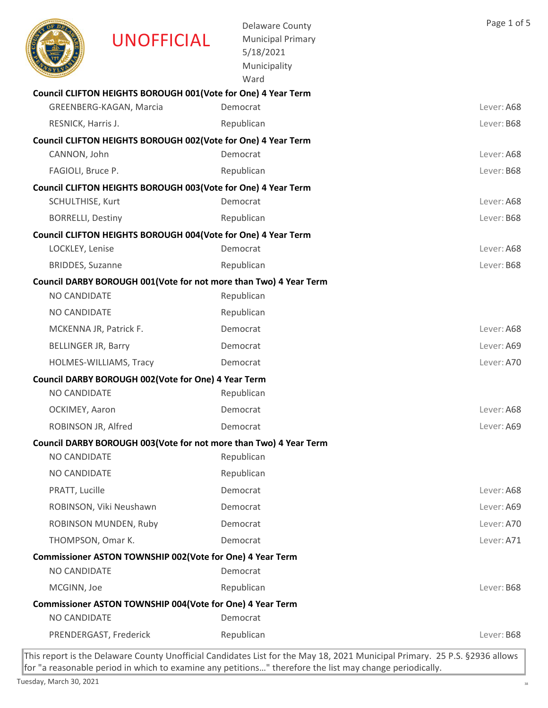|                            | <b>UNOFFICIAL</b>                                                  | <b>Delaware County</b><br><b>Municipal Primary</b><br>5/18/2021<br>Municipality<br>Ward | Page 1 of 5 |
|----------------------------|--------------------------------------------------------------------|-----------------------------------------------------------------------------------------|-------------|
|                            | Council CLIFTON HEIGHTS BOROUGH 001(Vote for One) 4 Year Term      |                                                                                         |             |
|                            | GREENBERG-KAGAN, Marcia                                            | Democrat                                                                                | Lever: A68  |
| RESNICK, Harris J.         |                                                                    | Republican                                                                              | Lever: B68  |
|                            | Council CLIFTON HEIGHTS BOROUGH 002(Vote for One) 4 Year Term      |                                                                                         |             |
| CANNON, John               |                                                                    | Democrat                                                                                | Lever: A68  |
| FAGIOLI, Bruce P.          |                                                                    | Republican                                                                              | Lever: B68  |
|                            | Council CLIFTON HEIGHTS BOROUGH 003(Vote for One) 4 Year Term      |                                                                                         |             |
| SCHULTHISE, Kurt           |                                                                    | Democrat                                                                                | Lever: A68  |
| <b>BORRELLI, Destiny</b>   |                                                                    | Republican                                                                              | Lever: B68  |
|                            | Council CLIFTON HEIGHTS BOROUGH 004(Vote for One) 4 Year Term      |                                                                                         |             |
| LOCKLEY, Lenise            |                                                                    | Democrat                                                                                | Lever: A68  |
| <b>BRIDDES, Suzanne</b>    |                                                                    | Republican                                                                              | Lever: B68  |
| NO CANDIDATE               | Council DARBY BOROUGH 001 (Vote for not more than Two) 4 Year Term | Republican                                                                              |             |
|                            |                                                                    |                                                                                         |             |
| NO CANDIDATE               |                                                                    | Republican                                                                              |             |
|                            | MCKENNA JR, Patrick F.                                             | Democrat                                                                                | Lever: A68  |
| <b>BELLINGER JR, Barry</b> |                                                                    | Democrat                                                                                | Lever: A69  |
|                            | HOLMES-WILLIAMS, Tracy                                             | Democrat                                                                                | Lever: A70  |
| <b>NO CANDIDATE</b>        | Council DARBY BOROUGH 002(Vote for One) 4 Year Term                | Republican                                                                              |             |
| OCKIMEY, Aaron             |                                                                    | Democrat                                                                                | Lever: A68  |
| ROBINSON JR, Alfred        |                                                                    | Democrat                                                                                | Lever: A69  |
|                            | Council DARBY BOROUGH 003 (Vote for not more than Two) 4 Year Term |                                                                                         |             |
| NO CANDIDATE               |                                                                    | Republican                                                                              |             |
| NO CANDIDATE               |                                                                    | Republican                                                                              |             |
| PRATT, Lucille             |                                                                    | Democrat                                                                                | Lever: A68  |
|                            | ROBINSON, Viki Neushawn                                            | Democrat                                                                                | Lever: A69  |
|                            | ROBINSON MUNDEN, Ruby                                              | Democrat                                                                                | Lever: A70  |
| THOMPSON, Omar K.          |                                                                    | Democrat                                                                                | Lever: A71  |
|                            | Commissioner ASTON TOWNSHIP 002(Vote for One) 4 Year Term          |                                                                                         |             |
| NO CANDIDATE               |                                                                    | Democrat                                                                                |             |
| MCGINN, Joe                |                                                                    | Republican                                                                              | Lever: B68  |
|                            | Commissioner ASTON TOWNSHIP 004(Vote for One) 4 Year Term          |                                                                                         |             |
| NO CANDIDATE               |                                                                    | Democrat                                                                                |             |
|                            | PRENDERGAST, Frederick                                             | Republican                                                                              | Lever: B68  |
|                            |                                                                    |                                                                                         |             |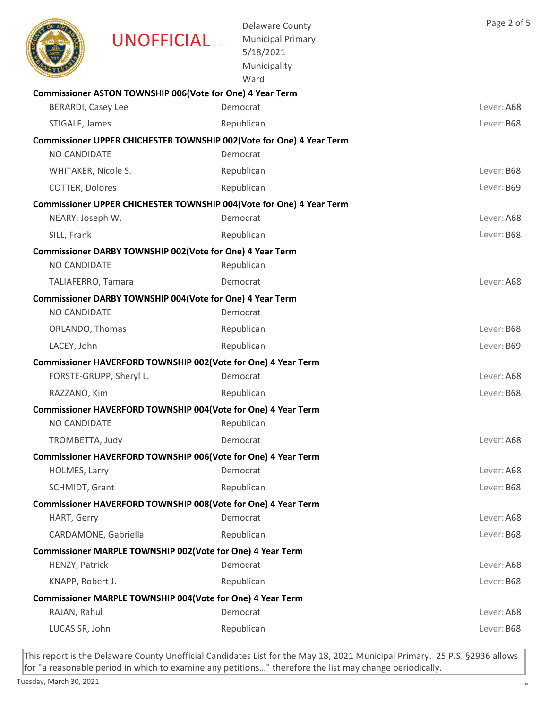|                           | <b>UNOFFICIAL</b>                                             | <b>Delaware County</b><br><b>Municipal Primary</b><br>5/18/2021<br>Municipality<br>Ward | Page 2 of 5 |
|---------------------------|---------------------------------------------------------------|-----------------------------------------------------------------------------------------|-------------|
|                           | Commissioner ASTON TOWNSHIP 006(Vote for One) 4 Year Term     |                                                                                         |             |
| <b>BERARDI, Casey Lee</b> |                                                               | Democrat                                                                                | Lever: A68  |
| STIGALE, James            |                                                               | Republican                                                                              | Lever: B68  |
|                           |                                                               | Commissioner UPPER CHICHESTER TOWNSHIP 002(Vote for One) 4 Year Term                    |             |
| <b>NO CANDIDATE</b>       |                                                               | Democrat                                                                                |             |
| WHITAKER, Nicole S.       |                                                               | Republican                                                                              | Lever: B68  |
| COTTER, Dolores           |                                                               | Republican                                                                              | Lever: B69  |
|                           |                                                               | Commissioner UPPER CHICHESTER TOWNSHIP 004(Vote for One) 4 Year Term                    |             |
| NEARY, Joseph W.          |                                                               | Democrat                                                                                | Lever: A68  |
| SILL, Frank               |                                                               | Republican                                                                              | Lever: B68  |
|                           | Commissioner DARBY TOWNSHIP 002(Vote for One) 4 Year Term     |                                                                                         |             |
| <b>NO CANDIDATE</b>       |                                                               | Republican                                                                              |             |
| TALIAFERRO, Tamara        |                                                               | Democrat                                                                                | Lever: A68  |
|                           | Commissioner DARBY TOWNSHIP 004(Vote for One) 4 Year Term     |                                                                                         |             |
| NO CANDIDATE              |                                                               | Democrat                                                                                |             |
| ORLANDO, Thomas           |                                                               | Republican                                                                              | Lever: B68  |
| LACEY, John               |                                                               | Republican                                                                              | Lever: B69  |
|                           | Commissioner HAVERFORD TOWNSHIP 002(Vote for One) 4 Year Term |                                                                                         |             |
|                           | FORSTE-GRUPP, Sheryl L.                                       | Democrat                                                                                | Lever: A68  |
| RAZZANO, Kim              |                                                               | Republican                                                                              | Lever: B68  |
|                           | Commissioner HAVERFORD TOWNSHIP 004(Vote for One) 4 Year Term |                                                                                         |             |
| NO CANDIDATE              |                                                               | Republican                                                                              |             |
| TROMBETTA, Judy           |                                                               | Democrat                                                                                | Lever: A68  |
|                           | Commissioner HAVERFORD TOWNSHIP 006(Vote for One) 4 Year Term |                                                                                         |             |
| HOLMES, Larry             |                                                               | Democrat                                                                                | Lever: A68  |
| SCHMIDT, Grant            |                                                               | Republican                                                                              | Lever: B68  |
|                           | Commissioner HAVERFORD TOWNSHIP 008(Vote for One) 4 Year Term |                                                                                         |             |
| HART, Gerry               |                                                               | Democrat                                                                                | Lever: A68  |
|                           | CARDAMONE, Gabriella                                          | Republican                                                                              | Lever: B68  |
|                           | Commissioner MARPLE TOWNSHIP 002(Vote for One) 4 Year Term    |                                                                                         |             |
| HENZY, Patrick            |                                                               | Democrat                                                                                | Lever: A68  |
| KNAPP, Robert J.          |                                                               | Republican                                                                              | Lever: B68  |
|                           | Commissioner MARPLE TOWNSHIP 004 (Vote for One) 4 Year Term   | Democrat                                                                                | Lever: A68  |
| RAJAN, Rahul              |                                                               |                                                                                         |             |
| LUCAS SR, John            |                                                               | Republican                                                                              | Lever: B68  |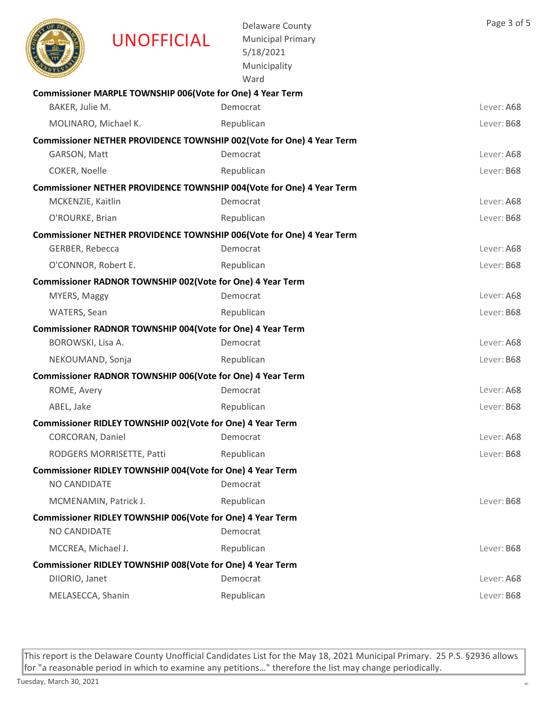|                       | <b>UNOFFICIAL</b>                                          | <b>Delaware County</b><br><b>Municipal Primary</b><br>5/18/2021<br>Municipality<br>Ward | Page 3 of 5 |
|-----------------------|------------------------------------------------------------|-----------------------------------------------------------------------------------------|-------------|
|                       | Commissioner MARPLE TOWNSHIP 006(Vote for One) 4 Year Term |                                                                                         |             |
| BAKER, Julie M.       |                                                            | Democrat                                                                                | Lever: A68  |
| MOLINARO, Michael K.  |                                                            | Republican                                                                              | Lever: B68  |
|                       |                                                            | Commissioner NETHER PROVIDENCE TOWNSHIP 002(Vote for One) 4 Year Term                   |             |
| GARSON, Matt          |                                                            | Democrat                                                                                | Lever: A68  |
| COKER, Noelle         |                                                            | Republican                                                                              | Lever: B68  |
|                       |                                                            | Commissioner NETHER PROVIDENCE TOWNSHIP 004(Vote for One) 4 Year Term                   |             |
| MCKENZIE, Kaitlin     |                                                            | Democrat                                                                                | Lever: A68  |
| O'ROURKE, Brian       |                                                            | Republican                                                                              | Lever: B68  |
|                       |                                                            | Commissioner NETHER PROVIDENCE TOWNSHIP 006(Vote for One) 4 Year Term                   |             |
| GERBER, Rebecca       |                                                            | Democrat                                                                                | Lever: A68  |
| O'CONNOR, Robert E.   |                                                            | Republican                                                                              | Lever: B68  |
|                       | Commissioner RADNOR TOWNSHIP 002(Vote for One) 4 Year Term |                                                                                         |             |
| MYERS, Maggy          |                                                            | Democrat                                                                                | Lever: A68  |
| WATERS, Sean          |                                                            | Republican                                                                              | Lever: B68  |
|                       | Commissioner RADNOR TOWNSHIP 004(Vote for One) 4 Year Term |                                                                                         |             |
| BOROWSKI, Lisa A.     |                                                            | Democrat                                                                                | Lever: A68  |
| NEKOUMAND, Sonja      |                                                            | Republican                                                                              | Lever: B68  |
|                       | Commissioner RADNOR TOWNSHIP 006(Vote for One) 4 Year Term |                                                                                         |             |
| ROME, Avery           |                                                            | Democrat                                                                                | Lever: A68  |
| ABEL, Jake            |                                                            | Republican                                                                              | Lever: B68  |
|                       | Commissioner RIDLEY TOWNSHIP 002(Vote for One) 4 Year Term |                                                                                         |             |
| CORCORAN, Daniel      |                                                            | Democrat                                                                                | Lever: A68  |
|                       | RODGERS MORRISETTE, Patti                                  | Republican                                                                              | Lever: B68  |
| NO CANDIDATE          | Commissioner RIDLEY TOWNSHIP 004(Vote for One) 4 Year Term | Democrat                                                                                |             |
| MCMENAMIN, Patrick J. |                                                            | Republican                                                                              | Lever: B68  |
|                       | Commissioner RIDLEY TOWNSHIP 006(Vote for One) 4 Year Term |                                                                                         |             |
| NO CANDIDATE          |                                                            | Democrat                                                                                |             |
| MCCREA, Michael J.    |                                                            | Republican                                                                              | Lever: B68  |
|                       | Commissioner RIDLEY TOWNSHIP 008(Vote for One) 4 Year Term |                                                                                         |             |
| DIIORIO, Janet        |                                                            | Democrat                                                                                | Lever: A68  |
| MELASECCA, Shanin     |                                                            | Republican                                                                              | Lever: B68  |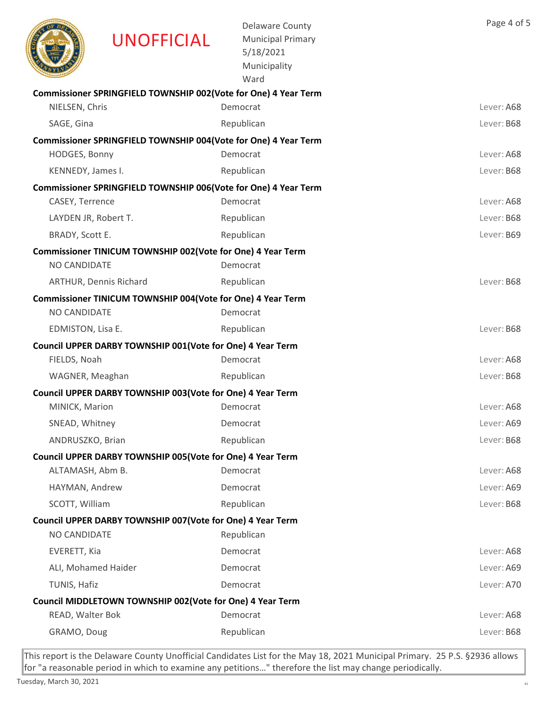|                      | <b>UNOFFICIAL</b>                                               | <b>Delaware County</b><br><b>Municipal Primary</b><br>5/18/2021<br>Municipality<br>Ward | Page 4 of 5 |
|----------------------|-----------------------------------------------------------------|-----------------------------------------------------------------------------------------|-------------|
|                      | Commissioner SPRINGFIELD TOWNSHIP 002(Vote for One) 4 Year Term |                                                                                         |             |
| NIELSEN, Chris       |                                                                 | Democrat                                                                                | Lever: A68  |
| SAGE, Gina           |                                                                 | Republican                                                                              | Lever: B68  |
|                      | Commissioner SPRINGFIELD TOWNSHIP 004(Vote for One) 4 Year Term |                                                                                         |             |
| HODGES, Bonny        |                                                                 | Democrat                                                                                | Lever: A68  |
| KENNEDY, James I.    |                                                                 | Republican                                                                              | Lever: B68  |
|                      | Commissioner SPRINGFIELD TOWNSHIP 006(Vote for One) 4 Year Term |                                                                                         |             |
| CASEY, Terrence      |                                                                 | Democrat                                                                                | Lever: A68  |
| LAYDEN JR, Robert T. |                                                                 | Republican                                                                              | Lever: B68  |
| BRADY, Scott E.      |                                                                 | Republican                                                                              | Lever: B69  |
|                      | Commissioner TINICUM TOWNSHIP 002(Vote for One) 4 Year Term     |                                                                                         |             |
| NO CANDIDATE         |                                                                 | Democrat                                                                                |             |
|                      | <b>ARTHUR, Dennis Richard</b>                                   | Republican                                                                              | Lever: B68  |
|                      | Commissioner TINICUM TOWNSHIP 004(Vote for One) 4 Year Term     |                                                                                         |             |
| <b>NO CANDIDATE</b>  |                                                                 | Democrat                                                                                |             |
| EDMISTON, Lisa E.    |                                                                 | Republican                                                                              | Lever: B68  |
|                      | Council UPPER DARBY TOWNSHIP 001(Vote for One) 4 Year Term      |                                                                                         |             |
| FIELDS, Noah         |                                                                 | Democrat                                                                                | Lever: A68  |
| WAGNER, Meaghan      |                                                                 | Republican                                                                              | Lever: B68  |
|                      | Council UPPER DARBY TOWNSHIP 003(Vote for One) 4 Year Term      |                                                                                         |             |
| MINICK, Marion       |                                                                 | Democrat                                                                                | Lever: A68  |
| SNEAD, Whitney       |                                                                 | Democrat                                                                                | Lever: A69  |
| ANDRUSZKO, Brian     |                                                                 | Republican                                                                              | Lever: B68  |
|                      | Council UPPER DARBY TOWNSHIP 005(Vote for One) 4 Year Term      |                                                                                         |             |
| ALTAMASH, Abm B.     |                                                                 | Democrat                                                                                | Lever: A68  |
| HAYMAN, Andrew       |                                                                 | Democrat                                                                                | Lever: A69  |
| SCOTT, William       |                                                                 | Republican                                                                              | Lever: B68  |
|                      | Council UPPER DARBY TOWNSHIP 007 (Vote for One) 4 Year Term     |                                                                                         |             |
| NO CANDIDATE         |                                                                 | Republican                                                                              |             |
| EVERETT, Kia         |                                                                 | Democrat                                                                                | Lever: A68  |
| ALI, Mohamed Haider  |                                                                 | Democrat                                                                                | Lever: A69  |
| TUNIS, Hafiz         |                                                                 | Democrat                                                                                | Lever: A70  |
|                      | Council MIDDLETOWN TOWNSHIP 002(Vote for One) 4 Year Term       |                                                                                         |             |
| READ, Walter Bok     |                                                                 | Democrat                                                                                | Lever: A68  |
| GRAMO, Doug          |                                                                 | Republican                                                                              | Lever: B68  |
|                      |                                                                 |                                                                                         |             |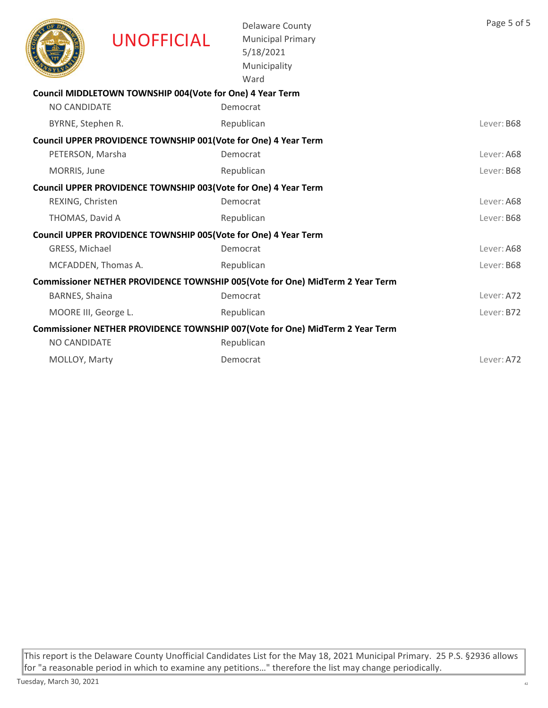|                      | <b>UNOFFICIAL</b>                                                | <b>Delaware County</b><br><b>Municipal Primary</b><br>5/18/2021<br>Municipality<br>Ward | Page 5 of 5 |
|----------------------|------------------------------------------------------------------|-----------------------------------------------------------------------------------------|-------------|
|                      | Council MIDDLETOWN TOWNSHIP 004(Vote for One) 4 Year Term        |                                                                                         |             |
| <b>NO CANDIDATE</b>  |                                                                  | Democrat                                                                                |             |
| BYRNE, Stephen R.    |                                                                  | Republican                                                                              | Lever: B68  |
|                      | Council UPPER PROVIDENCE TOWNSHIP 001 (Vote for One) 4 Year Term |                                                                                         |             |
| PETERSON, Marsha     |                                                                  | Democrat                                                                                | Lever: A68  |
| MORRIS, June         |                                                                  | Republican                                                                              | Lever: B68  |
|                      | Council UPPER PROVIDENCE TOWNSHIP 003(Vote for One) 4 Year Term  |                                                                                         |             |
| REXING, Christen     |                                                                  | Democrat                                                                                | Lever: A68  |
| THOMAS, David A      |                                                                  | Republican                                                                              | Lever: B68  |
|                      | Council UPPER PROVIDENCE TOWNSHIP 005(Vote for One) 4 Year Term  |                                                                                         |             |
| GRESS, Michael       |                                                                  | Democrat                                                                                | Lever: A68  |
|                      | MCFADDEN, Thomas A.                                              | Republican                                                                              | Lever: B68  |
|                      |                                                                  | Commissioner NETHER PROVIDENCE TOWNSHIP 005(Vote for One) MidTerm 2 Year Term           |             |
| BARNES, Shaina       |                                                                  | Democrat                                                                                | Lever: A72  |
| MOORE III, George L. |                                                                  | Republican                                                                              | Lever: B72  |
|                      |                                                                  | Commissioner NETHER PROVIDENCE TOWNSHIP 007(Vote for One) MidTerm 2 Year Term           |             |
| <b>NO CANDIDATE</b>  |                                                                  | Republican                                                                              |             |
| MOLLOY, Marty        |                                                                  | Democrat                                                                                | Lever: A72  |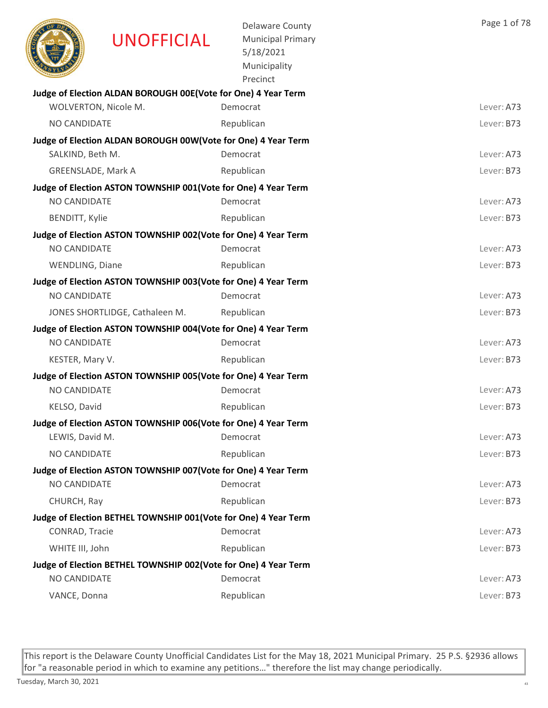|                        | <b>UNOFFICIAL</b>                                               | <b>Delaware County</b><br><b>Municipal Primary</b><br>5/18/2021<br>Municipality<br>Precinct | Page 1 of 78 |
|------------------------|-----------------------------------------------------------------|---------------------------------------------------------------------------------------------|--------------|
|                        | Judge of Election ALDAN BOROUGH 00E(Vote for One) 4 Year Term   |                                                                                             |              |
|                        | WOLVERTON, Nicole M.                                            | Democrat                                                                                    | Lever: A73   |
| NO CANDIDATE           |                                                                 | Republican                                                                                  | Lever: B73   |
| SALKIND, Beth M.       | Judge of Election ALDAN BOROUGH 00W(Vote for One) 4 Year Term   | Democrat                                                                                    | Lever: A73   |
| GREENSLADE, Mark A     |                                                                 | Republican                                                                                  | Lever: B73   |
|                        | Judge of Election ASTON TOWNSHIP 001 (Vote for One) 4 Year Term |                                                                                             |              |
| NO CANDIDATE           |                                                                 | Democrat                                                                                    | Lever: A73   |
| <b>BENDITT, Kylie</b>  |                                                                 | Republican                                                                                  | Lever: B73   |
|                        | Judge of Election ASTON TOWNSHIP 002(Vote for One) 4 Year Term  |                                                                                             |              |
| NO CANDIDATE           |                                                                 | Democrat                                                                                    | Lever: A73   |
| <b>WENDLING, Diane</b> |                                                                 | Republican                                                                                  | Lever: B73   |
|                        | Judge of Election ASTON TOWNSHIP 003(Vote for One) 4 Year Term  |                                                                                             |              |
| NO CANDIDATE           |                                                                 | Democrat                                                                                    | Lever: A73   |
|                        | JONES SHORTLIDGE, Cathaleen M.                                  | Republican                                                                                  | Lever: B73   |
|                        | Judge of Election ASTON TOWNSHIP 004(Vote for One) 4 Year Term  |                                                                                             |              |
| <b>NO CANDIDATE</b>    |                                                                 | Democrat                                                                                    | Lever: A73   |
| KESTER, Mary V.        |                                                                 | Republican                                                                                  | Lever: B73   |
|                        | Judge of Election ASTON TOWNSHIP 005(Vote for One) 4 Year Term  |                                                                                             |              |
| <b>NO CANDIDATE</b>    |                                                                 | Democrat                                                                                    | Lever: A73   |
| KELSO, David           |                                                                 | Republican                                                                                  | Lever: B73   |
|                        | Judge of Election ASTON TOWNSHIP 006(Vote for One) 4 Year Term  |                                                                                             |              |
| LEWIS, David M.        |                                                                 | Democrat                                                                                    | Lever: A73   |
| NO CANDIDATE           |                                                                 | Republican                                                                                  | Lever: B73   |
|                        | Judge of Election ASTON TOWNSHIP 007(Vote for One) 4 Year Term  |                                                                                             |              |
| NO CANDIDATE           |                                                                 | Democrat                                                                                    | Lever: A73   |
| CHURCH, Ray            |                                                                 | Republican                                                                                  | Lever: B73   |
| CONRAD, Tracie         | Judge of Election BETHEL TOWNSHIP 001(Vote for One) 4 Year Term | Democrat                                                                                    | Lever: A73   |
|                        |                                                                 |                                                                                             |              |
| WHITE III, John        |                                                                 | Republican                                                                                  | Lever: B73   |
| NO CANDIDATE           | Judge of Election BETHEL TOWNSHIP 002(Vote for One) 4 Year Term | Democrat                                                                                    | Lever: A73   |
| VANCE, Donna           |                                                                 | Republican                                                                                  | Lever: B73   |
|                        |                                                                 |                                                                                             |              |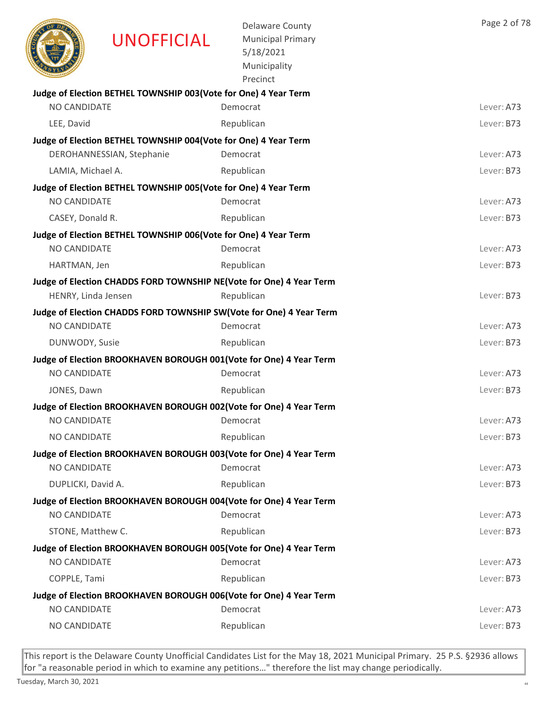|                     | <b>UNOFFICIAL</b>                                               | <b>Delaware County</b><br><b>Municipal Primary</b><br>5/18/2021<br>Municipality<br>Precinct | Page 2 of 78 |
|---------------------|-----------------------------------------------------------------|---------------------------------------------------------------------------------------------|--------------|
|                     | Judge of Election BETHEL TOWNSHIP 003(Vote for One) 4 Year Term |                                                                                             |              |
| NO CANDIDATE        |                                                                 | Democrat                                                                                    | Lever: A73   |
| LEE, David          |                                                                 | Republican                                                                                  | Lever: B73   |
|                     | Judge of Election BETHEL TOWNSHIP 004(Vote for One) 4 Year Term |                                                                                             |              |
|                     | DEROHANNESSIAN, Stephanie                                       | Democrat                                                                                    | Lever: A73   |
| LAMIA, Michael A.   |                                                                 | Republican                                                                                  | Lever: B73   |
|                     | Judge of Election BETHEL TOWNSHIP 005(Vote for One) 4 Year Term |                                                                                             |              |
| <b>NO CANDIDATE</b> |                                                                 | Democrat                                                                                    | Lever: A73   |
| CASEY, Donald R.    |                                                                 | Republican                                                                                  | Lever: B73   |
|                     | Judge of Election BETHEL TOWNSHIP 006(Vote for One) 4 Year Term |                                                                                             |              |
| NO CANDIDATE        |                                                                 | Democrat                                                                                    | Lever: A73   |
| HARTMAN, Jen        |                                                                 | Republican                                                                                  | Lever: B73   |
|                     |                                                                 | Judge of Election CHADDS FORD TOWNSHIP NE(Vote for One) 4 Year Term                         |              |
| HENRY, Linda Jensen |                                                                 | Republican                                                                                  | Lever: B73   |
|                     |                                                                 | Judge of Election CHADDS FORD TOWNSHIP SW(Vote for One) 4 Year Term                         |              |
| NO CANDIDATE        |                                                                 | Democrat                                                                                    | Lever: A73   |
| DUNWODY, Susie      |                                                                 | Republican                                                                                  | Lever: B73   |
|                     |                                                                 | Judge of Election BROOKHAVEN BOROUGH 001(Vote for One) 4 Year Term                          |              |
| NO CANDIDATE        |                                                                 | Democrat                                                                                    | Lever: A73   |
| JONES, Dawn         |                                                                 | Republican                                                                                  | Lever: B73   |
|                     |                                                                 | Judge of Election BROOKHAVEN BOROUGH 002(Vote for One) 4 Year Term                          |              |
| NO CANDIDATE        |                                                                 | Democrat                                                                                    | Lever: A73   |
| NO CANDIDATE        |                                                                 | Republican                                                                                  | Lever: B73   |
|                     |                                                                 | Judge of Election BROOKHAVEN BOROUGH 003(Vote for One) 4 Year Term                          |              |
| <b>NO CANDIDATE</b> |                                                                 | Democrat                                                                                    | Lever: A73   |
| DUPLICKI, David A.  |                                                                 | Republican                                                                                  | Lever: B73   |
|                     |                                                                 | Judge of Election BROOKHAVEN BOROUGH 004(Vote for One) 4 Year Term                          |              |
| <b>NO CANDIDATE</b> |                                                                 | Democrat                                                                                    | Lever: A73   |
| STONE, Matthew C.   |                                                                 | Republican                                                                                  | Lever: B73   |
|                     |                                                                 | Judge of Election BROOKHAVEN BOROUGH 005(Vote for One) 4 Year Term                          |              |
| NO CANDIDATE        |                                                                 | Democrat                                                                                    | Lever: A73   |
| COPPLE, Tami        |                                                                 | Republican                                                                                  | Lever: B73   |
|                     |                                                                 | Judge of Election BROOKHAVEN BOROUGH 006(Vote for One) 4 Year Term                          |              |
| NO CANDIDATE        |                                                                 | Democrat                                                                                    | Lever: A73   |
| NO CANDIDATE        |                                                                 | Republican                                                                                  | Lever: B73   |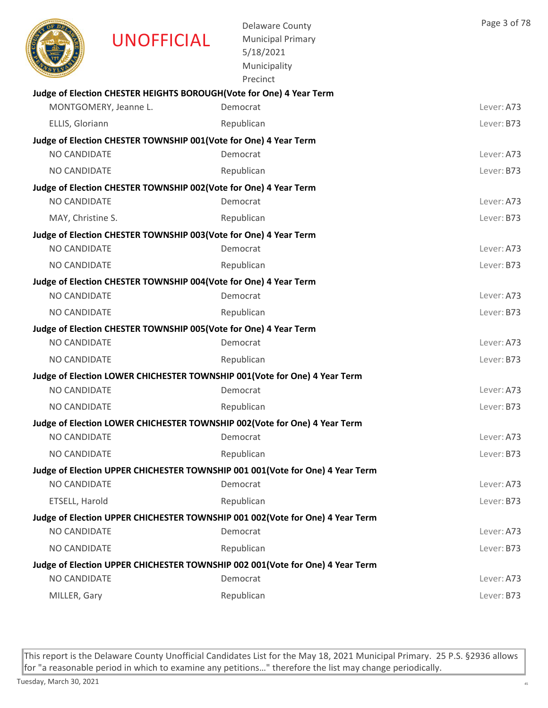|                     | <b>UNOFFICIAL</b>                                                | <b>Delaware County</b><br><b>Municipal Primary</b><br>5/18/2021<br>Municipality<br>Precinct | Page 3 of 78 |
|---------------------|------------------------------------------------------------------|---------------------------------------------------------------------------------------------|--------------|
|                     |                                                                  | Judge of Election CHESTER HEIGHTS BOROUGH(Vote for One) 4 Year Term                         |              |
|                     | MONTGOMERY, Jeanne L.                                            | Democrat                                                                                    | Lever: A73   |
| ELLIS, Gloriann     |                                                                  | Republican                                                                                  | Lever: B73   |
|                     | Judge of Election CHESTER TOWNSHIP 001(Vote for One) 4 Year Term |                                                                                             |              |
| NO CANDIDATE        |                                                                  | Democrat                                                                                    | Lever: A73   |
| NO CANDIDATE        |                                                                  | Republican                                                                                  | Lever: B73   |
|                     | Judge of Election CHESTER TOWNSHIP 002(Vote for One) 4 Year Term |                                                                                             |              |
| NO CANDIDATE        |                                                                  | Democrat                                                                                    | Lever: A73   |
| MAY, Christine S.   |                                                                  | Republican                                                                                  | Lever: B73   |
|                     | Judge of Election CHESTER TOWNSHIP 003(Vote for One) 4 Year Term |                                                                                             |              |
| <b>NO CANDIDATE</b> |                                                                  | Democrat                                                                                    | Lever: A73   |
| NO CANDIDATE        |                                                                  | Republican                                                                                  | Lever: B73   |
|                     | Judge of Election CHESTER TOWNSHIP 004(Vote for One) 4 Year Term |                                                                                             |              |
| <b>NO CANDIDATE</b> |                                                                  | Democrat                                                                                    | Lever: A73   |
| NO CANDIDATE        |                                                                  | Republican                                                                                  | Lever: B73   |
| NO CANDIDATE        | Judge of Election CHESTER TOWNSHIP 005(Vote for One) 4 Year Term | Democrat                                                                                    | Lever: A73   |
|                     |                                                                  |                                                                                             |              |
| NO CANDIDATE        |                                                                  | Republican                                                                                  | Lever: B73   |
| NO CANDIDATE        |                                                                  | Judge of Election LOWER CHICHESTER TOWNSHIP 001(Vote for One) 4 Year Term<br>Democrat       | Lever: A73   |
|                     |                                                                  |                                                                                             |              |
| NO CANDIDATE        |                                                                  | Republican                                                                                  | Lever: B73   |
| NO CANDIDATE        |                                                                  | Judge of Election LOWER CHICHESTER TOWNSHIP 002(Vote for One) 4 Year Term<br>Democrat       | Lever: A73   |
| NO CANDIDATE        |                                                                  | Republican                                                                                  | Lever: B73   |
|                     |                                                                  |                                                                                             |              |
| NO CANDIDATE        |                                                                  | Judge of Election UPPER CHICHESTER TOWNSHIP 001 001(Vote for One) 4 Year Term<br>Democrat   | Lever: A73   |
| ETSELL, Harold      |                                                                  | Republican                                                                                  | Lever: B73   |
|                     |                                                                  | Judge of Election UPPER CHICHESTER TOWNSHIP 001 002 (Vote for One) 4 Year Term              |              |
| NO CANDIDATE        |                                                                  | Democrat                                                                                    | Lever: A73   |
| NO CANDIDATE        |                                                                  | Republican                                                                                  | Lever: B73   |
|                     |                                                                  | Judge of Election UPPER CHICHESTER TOWNSHIP 002 001(Vote for One) 4 Year Term               |              |
| <b>NO CANDIDATE</b> |                                                                  | Democrat                                                                                    | Lever: A73   |
| MILLER, Gary        |                                                                  | Republican                                                                                  | Lever: B73   |
|                     |                                                                  |                                                                                             |              |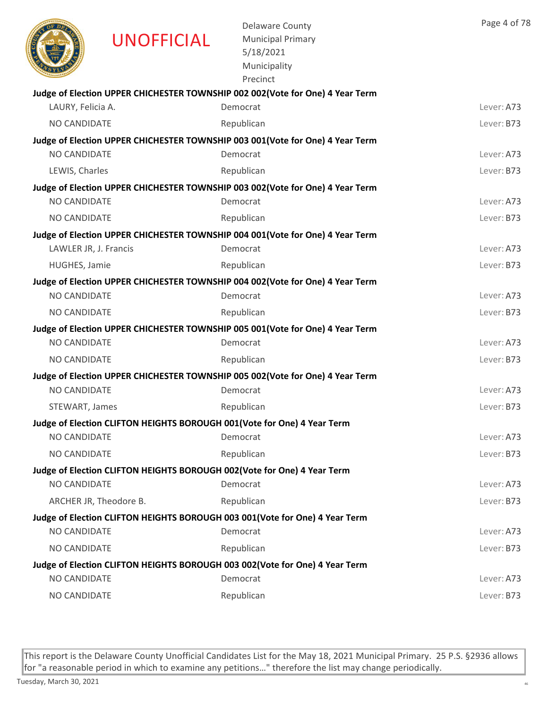|                       | <b>UNOFFICIAL</b>      | <b>Delaware County</b><br><b>Municipal Primary</b><br>5/18/2021<br>Municipality<br>Precinct | Page 4 of 78 |
|-----------------------|------------------------|---------------------------------------------------------------------------------------------|--------------|
|                       |                        | Judge of Election UPPER CHICHESTER TOWNSHIP 002 002(Vote for One) 4 Year Term               |              |
| LAURY, Felicia A.     |                        | Democrat                                                                                    | Lever: A73   |
| NO CANDIDATE          |                        | Republican                                                                                  | Lever: B73   |
|                       |                        | Judge of Election UPPER CHICHESTER TOWNSHIP 003 001(Vote for One) 4 Year Term               |              |
| NO CANDIDATE          |                        | Democrat                                                                                    | Lever: A73   |
| LEWIS, Charles        |                        | Republican                                                                                  | Lever: B73   |
|                       |                        | Judge of Election UPPER CHICHESTER TOWNSHIP 003 002(Vote for One) 4 Year Term               |              |
| NO CANDIDATE          |                        | Democrat                                                                                    | Lever: A73   |
| NO CANDIDATE          |                        | Republican                                                                                  | Lever: B73   |
|                       |                        | Judge of Election UPPER CHICHESTER TOWNSHIP 004 001 (Vote for One) 4 Year Term              |              |
| LAWLER JR, J. Francis |                        | Democrat                                                                                    | Lever: A73   |
| HUGHES, Jamie         |                        | Republican                                                                                  | Lever: B73   |
|                       |                        | Judge of Election UPPER CHICHESTER TOWNSHIP 004 002 (Vote for One) 4 Year Term              |              |
| NO CANDIDATE          |                        | Democrat                                                                                    | Lever: A73   |
| NO CANDIDATE          |                        | Republican                                                                                  | Lever: B73   |
|                       |                        | Judge of Election UPPER CHICHESTER TOWNSHIP 005 001(Vote for One) 4 Year Term               |              |
| <b>NO CANDIDATE</b>   |                        | Democrat                                                                                    | Lever: A73   |
| NO CANDIDATE          |                        | Republican                                                                                  | Lever: B73   |
|                       |                        | Judge of Election UPPER CHICHESTER TOWNSHIP 005 002(Vote for One) 4 Year Term               |              |
| NO CANDIDATE          |                        | Democrat                                                                                    | Lever: A73   |
| STEWART, James        |                        | Republican                                                                                  | Lever: B73   |
|                       |                        | Judge of Election CLIFTON HEIGHTS BOROUGH 001(Vote for One) 4 Year Term                     |              |
| NO CANDIDATE          |                        | Democrat                                                                                    | Lever: A73   |
| NO CANDIDATE          |                        | Republican                                                                                  | Lever: B73   |
|                       |                        | Judge of Election CLIFTON HEIGHTS BOROUGH 002(Vote for One) 4 Year Term                     |              |
| NO CANDIDATE          |                        | Democrat                                                                                    | Lever: A73   |
|                       | ARCHER JR, Theodore B. | Republican                                                                                  | Lever: B73   |
| NO CANDIDATE          |                        | Judge of Election CLIFTON HEIGHTS BOROUGH 003 001(Vote for One) 4 Year Term<br>Democrat     | Lever: A73   |
|                       |                        |                                                                                             |              |
| NO CANDIDATE          |                        | Republican                                                                                  | Lever: B73   |
| NO CANDIDATE          |                        | Judge of Election CLIFTON HEIGHTS BOROUGH 003 002(Vote for One) 4 Year Term<br>Democrat     | Lever: A73   |
| NO CANDIDATE          |                        | Republican                                                                                  | Lever: B73   |
|                       |                        |                                                                                             |              |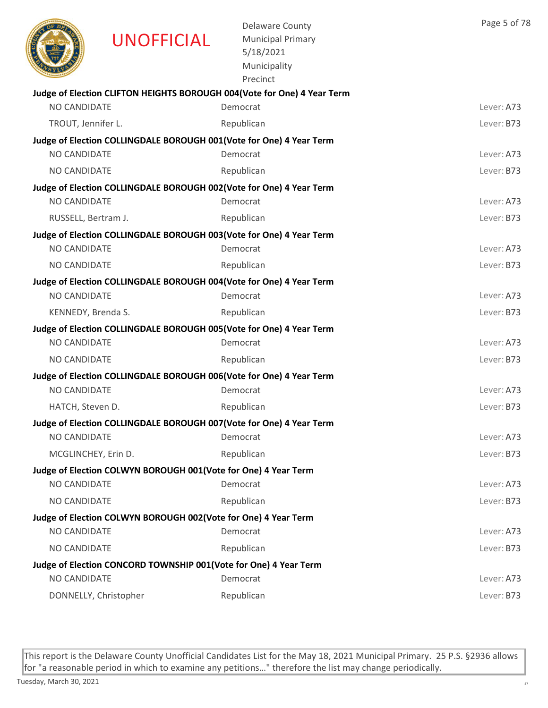|                     | <b>UNOFFICIAL</b>                                                | <b>Delaware County</b><br><b>Municipal Primary</b><br>5/18/2021<br>Municipality<br>Precinct | Page 5 of 78 |
|---------------------|------------------------------------------------------------------|---------------------------------------------------------------------------------------------|--------------|
| <b>NO CANDIDATE</b> |                                                                  | Judge of Election CLIFTON HEIGHTS BOROUGH 004(Vote for One) 4 Year Term<br>Democrat         | Lever: A73   |
|                     |                                                                  |                                                                                             |              |
| TROUT, Jennifer L.  |                                                                  | Republican                                                                                  | Lever: B73   |
| <b>NO CANDIDATE</b> |                                                                  | Judge of Election COLLINGDALE BOROUGH 001(Vote for One) 4 Year Term<br>Democrat             | Lever: A73   |
| NO CANDIDATE        |                                                                  | Republican                                                                                  | Lever: B73   |
|                     |                                                                  | Judge of Election COLLINGDALE BOROUGH 002(Vote for One) 4 Year Term                         |              |
| <b>NO CANDIDATE</b> |                                                                  | Democrat                                                                                    | Lever: A73   |
| RUSSELL, Bertram J. |                                                                  | Republican                                                                                  | Lever: B73   |
|                     |                                                                  | Judge of Election COLLINGDALE BOROUGH 003(Vote for One) 4 Year Term                         |              |
| NO CANDIDATE        |                                                                  | Democrat                                                                                    | Lever: A73   |
| NO CANDIDATE        |                                                                  | Republican                                                                                  | Lever: B73   |
|                     |                                                                  | Judge of Election COLLINGDALE BOROUGH 004(Vote for One) 4 Year Term                         |              |
| NO CANDIDATE        |                                                                  | Democrat                                                                                    | Lever: A73   |
| KENNEDY, Brenda S.  |                                                                  | Republican                                                                                  | Lever: B73   |
|                     |                                                                  | Judge of Election COLLINGDALE BOROUGH 005(Vote for One) 4 Year Term                         |              |
| NO CANDIDATE        |                                                                  | Democrat                                                                                    | Lever: A73   |
| NO CANDIDATE        |                                                                  | Republican                                                                                  | Lever: B73   |
|                     |                                                                  | Judge of Election COLLINGDALE BOROUGH 006(Vote for One) 4 Year Term                         |              |
| <b>NO CANDIDATE</b> |                                                                  | Democrat                                                                                    | Lever: A73   |
| HATCH, Steven D.    |                                                                  | Republican                                                                                  | Lever: B73   |
|                     |                                                                  | Judge of Election COLLINGDALE BOROUGH 007(Vote for One) 4 Year Term                         |              |
| NO CANDIDATE        |                                                                  | Democrat                                                                                    | Lever: A73   |
| MCGLINCHEY, Erin D. |                                                                  | Republican                                                                                  | Lever: B73   |
|                     | Judge of Election COLWYN BOROUGH 001(Vote for One) 4 Year Term   |                                                                                             |              |
| NO CANDIDATE        |                                                                  | Democrat                                                                                    | Lever: A73   |
| NO CANDIDATE        |                                                                  | Republican                                                                                  | Lever: B73   |
| NO CANDIDATE        | Judge of Election COLWYN BOROUGH 002(Vote for One) 4 Year Term   | Democrat                                                                                    | Lever: A73   |
| NO CANDIDATE        |                                                                  | Republican                                                                                  | Lever: B73   |
|                     | Judge of Election CONCORD TOWNSHIP 001(Vote for One) 4 Year Term |                                                                                             |              |
| NO CANDIDATE        |                                                                  | Democrat                                                                                    | Lever: A73   |
|                     | DONNELLY, Christopher                                            | Republican                                                                                  | Lever: B73   |
|                     |                                                                  |                                                                                             |              |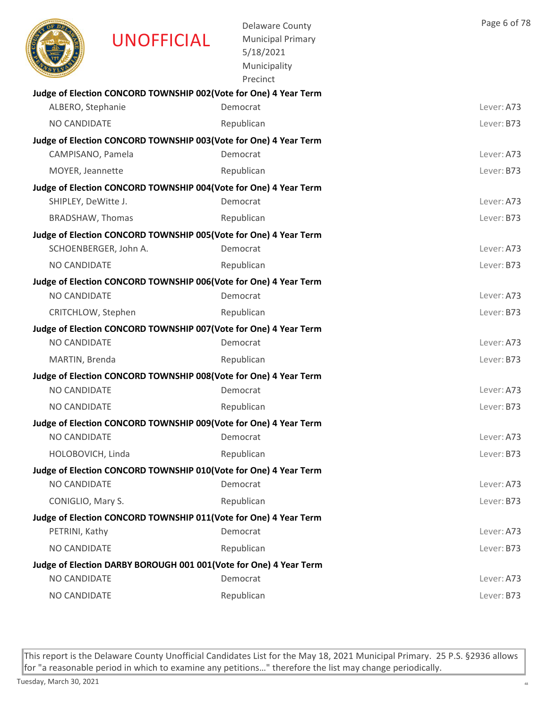|                         | <b>UNOFFICIAL</b>                                                                         | <b>Delaware County</b><br><b>Municipal Primary</b><br>5/18/2021<br>Municipality<br>Precinct | Page 6 of 78 |
|-------------------------|-------------------------------------------------------------------------------------------|---------------------------------------------------------------------------------------------|--------------|
|                         | Judge of Election CONCORD TOWNSHIP 002(Vote for One) 4 Year Term                          |                                                                                             |              |
| ALBERO, Stephanie       |                                                                                           | Democrat                                                                                    | Lever: A73   |
| <b>NO CANDIDATE</b>     |                                                                                           | Republican                                                                                  | Lever: B73   |
|                         | Judge of Election CONCORD TOWNSHIP 003(Vote for One) 4 Year Term                          |                                                                                             |              |
| CAMPISANO, Pamela       |                                                                                           | Democrat                                                                                    | Lever: A73   |
| MOYER, Jeannette        |                                                                                           | Republican                                                                                  | Lever: B73   |
|                         | Judge of Election CONCORD TOWNSHIP 004(Vote for One) 4 Year Term                          |                                                                                             |              |
| SHIPLEY, DeWitte J.     |                                                                                           | Democrat                                                                                    | Lever: A73   |
| <b>BRADSHAW, Thomas</b> |                                                                                           | Republican                                                                                  | Lever: B73   |
|                         | Judge of Election CONCORD TOWNSHIP 005(Vote for One) 4 Year Term<br>SCHOENBERGER, John A. | Democrat                                                                                    | Lever: A73   |
|                         |                                                                                           |                                                                                             |              |
| NO CANDIDATE            |                                                                                           | Republican                                                                                  | Lever: B73   |
| NO CANDIDATE            | Judge of Election CONCORD TOWNSHIP 006(Vote for One) 4 Year Term                          | Democrat                                                                                    | Lever: A73   |
| CRITCHLOW, Stephen      |                                                                                           | Republican                                                                                  | Lever: B73   |
|                         | Judge of Election CONCORD TOWNSHIP 007 (Vote for One) 4 Year Term                         |                                                                                             |              |
| <b>NO CANDIDATE</b>     |                                                                                           | Democrat                                                                                    | Lever: A73   |
| MARTIN, Brenda          |                                                                                           | Republican                                                                                  | Lever: B73   |
|                         | Judge of Election CONCORD TOWNSHIP 008(Vote for One) 4 Year Term                          |                                                                                             |              |
| NO CANDIDATE            |                                                                                           | Democrat                                                                                    | Lever: A73   |
| NO CANDIDATE            |                                                                                           | Republican                                                                                  | Lever: B73   |
|                         | Judge of Election CONCORD TOWNSHIP 009(Vote for One) 4 Year Term                          |                                                                                             |              |
| NO CANDIDATE            |                                                                                           | Democrat                                                                                    | Lever: A73   |
| HOLOBOVICH, Linda       |                                                                                           | Republican                                                                                  | Lever: B73   |
|                         | Judge of Election CONCORD TOWNSHIP 010(Vote for One) 4 Year Term                          |                                                                                             |              |
| NO CANDIDATE            |                                                                                           | Democrat                                                                                    | Lever: A73   |
| CONIGLIO, Mary S.       |                                                                                           | Republican                                                                                  | Lever: B73   |
|                         | Judge of Election CONCORD TOWNSHIP 011(Vote for One) 4 Year Term                          |                                                                                             |              |
| PETRINI, Kathy          |                                                                                           | Democrat                                                                                    | Lever: A73   |
| NO CANDIDATE            |                                                                                           | Republican                                                                                  | Lever: B73   |
|                         | Judge of Election DARBY BOROUGH 001 001 (Vote for One) 4 Year Term                        |                                                                                             |              |
| <b>NO CANDIDATE</b>     |                                                                                           | Democrat                                                                                    | Lever: A73   |
| NO CANDIDATE            |                                                                                           | Republican                                                                                  | Lever: B73   |
|                         |                                                                                           |                                                                                             |              |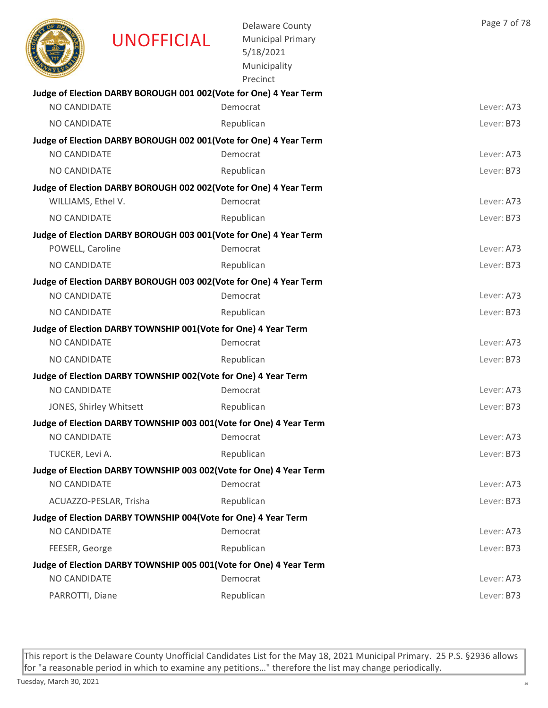|                     | <b>UNOFFICIAL</b>                                                  | <b>Delaware County</b><br><b>Municipal Primary</b><br>5/18/2021<br>Municipality<br>Precinct | Page 7 of 78 |
|---------------------|--------------------------------------------------------------------|---------------------------------------------------------------------------------------------|--------------|
|                     | Judge of Election DARBY BOROUGH 001 002(Vote for One) 4 Year Term  |                                                                                             |              |
| NO CANDIDATE        |                                                                    | Democrat                                                                                    | Lever: A73   |
| <b>NO CANDIDATE</b> |                                                                    | Republican                                                                                  | Lever: B73   |
|                     | Judge of Election DARBY BOROUGH 002 001(Vote for One) 4 Year Term  |                                                                                             |              |
| NO CANDIDATE        |                                                                    | Democrat                                                                                    | Lever: A73   |
| NO CANDIDATE        |                                                                    | Republican                                                                                  | Lever: B73   |
|                     | Judge of Election DARBY BOROUGH 002 002(Vote for One) 4 Year Term  |                                                                                             |              |
| WILLIAMS, Ethel V.  |                                                                    | Democrat                                                                                    | Lever: A73   |
| NO CANDIDATE        |                                                                    | Republican                                                                                  | Lever: B73   |
|                     | Judge of Election DARBY BOROUGH 003 001(Vote for One) 4 Year Term  |                                                                                             |              |
| POWELL, Caroline    |                                                                    | Democrat                                                                                    | Lever: A73   |
| NO CANDIDATE        |                                                                    | Republican                                                                                  | Lever: B73   |
|                     | Judge of Election DARBY BOROUGH 003 002(Vote for One) 4 Year Term  |                                                                                             |              |
| NO CANDIDATE        |                                                                    | Democrat                                                                                    | Lever: A73   |
| NO CANDIDATE        |                                                                    | Republican                                                                                  | Lever: B73   |
|                     | Judge of Election DARBY TOWNSHIP 001(Vote for One) 4 Year Term     |                                                                                             |              |
| NO CANDIDATE        |                                                                    | Democrat                                                                                    | Lever: A73   |
| NO CANDIDATE        |                                                                    | Republican                                                                                  | Lever: B73   |
|                     | Judge of Election DARBY TOWNSHIP 002(Vote for One) 4 Year Term     |                                                                                             |              |
| NO CANDIDATE        |                                                                    | Democrat                                                                                    | Lever: A73   |
|                     | JONES, Shirley Whitsett                                            | Republican                                                                                  | Lever: B73   |
|                     | Judge of Election DARBY TOWNSHIP 003 001(Vote for One) 4 Year Term |                                                                                             |              |
| NO CANDIDATE        |                                                                    | Democrat                                                                                    | Lever: A73   |
| TUCKER, Levi A.     |                                                                    | Republican                                                                                  | Lever: B73   |
|                     | Judge of Election DARBY TOWNSHIP 003 002(Vote for One) 4 Year Term |                                                                                             |              |
| NO CANDIDATE        |                                                                    | Democrat                                                                                    | Lever: A73   |
|                     | ACUAZZO-PESLAR, Trisha                                             | Republican                                                                                  | Lever: B73   |
| NO CANDIDATE        | Judge of Election DARBY TOWNSHIP 004(Vote for One) 4 Year Term     | Democrat                                                                                    | Lever: A73   |
| FEESER, George      |                                                                    | Republican                                                                                  | Lever: B73   |
|                     | Judge of Election DARBY TOWNSHIP 005 001(Vote for One) 4 Year Term |                                                                                             |              |
| NO CANDIDATE        |                                                                    | Democrat                                                                                    | Lever: A73   |
| PARROTTI, Diane     |                                                                    | Republican                                                                                  | Lever: B73   |
|                     |                                                                    |                                                                                             |              |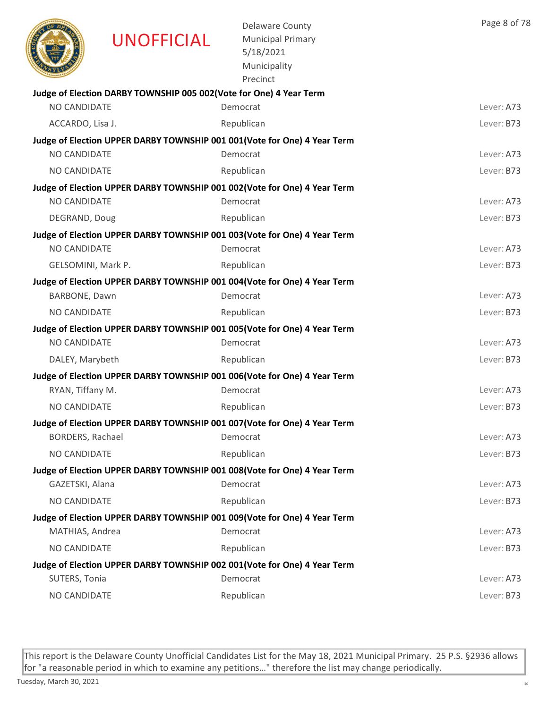|                         | <b>UNOFFICIAL</b>                                                  | <b>Delaware County</b><br><b>Municipal Primary</b><br>5/18/2021<br>Municipality<br>Precinct | Page 8 of 78 |
|-------------------------|--------------------------------------------------------------------|---------------------------------------------------------------------------------------------|--------------|
| NO CANDIDATE            | Judge of Election DARBY TOWNSHIP 005 002(Vote for One) 4 Year Term | Democrat                                                                                    | Lever: A73   |
|                         |                                                                    |                                                                                             |              |
| ACCARDO, Lisa J.        |                                                                    | Republican                                                                                  | Lever: B73   |
| NO CANDIDATE            |                                                                    | Judge of Election UPPER DARBY TOWNSHIP 001 001 (Vote for One) 4 Year Term<br>Democrat       | Lever: A73   |
| NO CANDIDATE            |                                                                    | Republican                                                                                  | Lever: B73   |
|                         |                                                                    | Judge of Election UPPER DARBY TOWNSHIP 001 002(Vote for One) 4 Year Term                    |              |
| NO CANDIDATE            |                                                                    | Democrat                                                                                    | Lever: A73   |
| DEGRAND, Doug           |                                                                    | Republican                                                                                  | Lever: B73   |
|                         |                                                                    | Judge of Election UPPER DARBY TOWNSHIP 001 003(Vote for One) 4 Year Term                    |              |
| NO CANDIDATE            |                                                                    | Democrat                                                                                    | Lever: A73   |
| GELSOMINI, Mark P.      |                                                                    | Republican                                                                                  | Lever: B73   |
|                         |                                                                    | Judge of Election UPPER DARBY TOWNSHIP 001 004(Vote for One) 4 Year Term                    |              |
| BARBONE, Dawn           |                                                                    | Democrat                                                                                    | Lever: A73   |
| NO CANDIDATE            |                                                                    | Republican                                                                                  | Lever: B73   |
|                         |                                                                    | Judge of Election UPPER DARBY TOWNSHIP 001 005 (Vote for One) 4 Year Term                   |              |
| <b>NO CANDIDATE</b>     |                                                                    | Democrat                                                                                    | Lever: A73   |
| DALEY, Marybeth         |                                                                    | Republican                                                                                  | Lever: B73   |
|                         |                                                                    | Judge of Election UPPER DARBY TOWNSHIP 001 006(Vote for One) 4 Year Term                    |              |
| RYAN, Tiffany M.        |                                                                    | Democrat                                                                                    | Lever: A73   |
| <b>NO CANDIDATE</b>     |                                                                    | Republican                                                                                  | Lever: B73   |
|                         |                                                                    | Judge of Election UPPER DARBY TOWNSHIP 001 007(Vote for One) 4 Year Term                    |              |
| <b>BORDERS, Rachael</b> |                                                                    | Democrat                                                                                    | Lever: A73   |
| NO CANDIDATE            |                                                                    | Republican                                                                                  | Lever: B73   |
|                         |                                                                    | Judge of Election UPPER DARBY TOWNSHIP 001 008(Vote for One) 4 Year Term                    |              |
| GAZETSKI, Alana         |                                                                    | Democrat                                                                                    | Lever: A73   |
| NO CANDIDATE            |                                                                    | Republican                                                                                  | Lever: B73   |
|                         |                                                                    | Judge of Election UPPER DARBY TOWNSHIP 001 009(Vote for One) 4 Year Term<br>Democrat        |              |
| MATHIAS, Andrea         |                                                                    |                                                                                             | Lever: A73   |
| NO CANDIDATE            |                                                                    | Republican                                                                                  | Lever: B73   |
| SUTERS, Tonia           |                                                                    | Judge of Election UPPER DARBY TOWNSHIP 002 001(Vote for One) 4 Year Term<br>Democrat        | Lever: A73   |
| NO CANDIDATE            |                                                                    | Republican                                                                                  | Lever: B73   |
|                         |                                                                    |                                                                                             |              |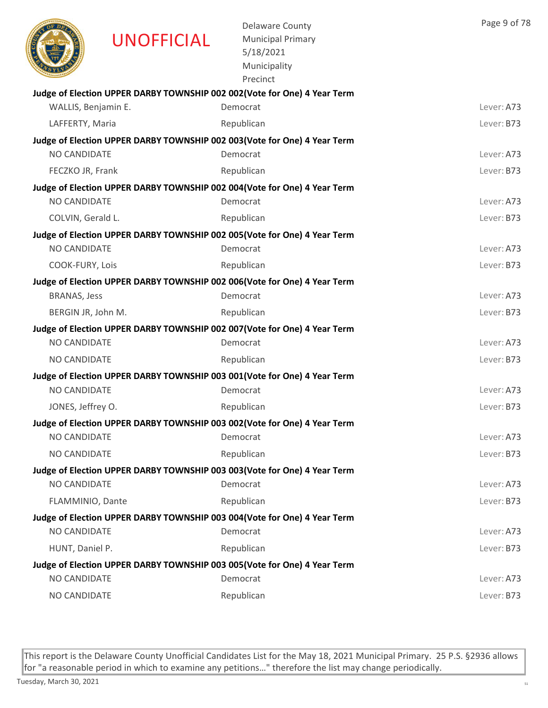|                     | <b>UNOFFICIAL</b> | <b>Delaware County</b><br><b>Municipal Primary</b><br>5/18/2021<br>Municipality<br>Precinct | Page 9 of 78 |
|---------------------|-------------------|---------------------------------------------------------------------------------------------|--------------|
|                     |                   | Judge of Election UPPER DARBY TOWNSHIP 002 002(Vote for One) 4 Year Term                    |              |
| WALLIS, Benjamin E. |                   | Democrat                                                                                    | Lever: A73   |
| LAFFERTY, Maria     |                   | Republican                                                                                  | Lever: B73   |
|                     |                   | Judge of Election UPPER DARBY TOWNSHIP 002 003 (Vote for One) 4 Year Term                   |              |
| <b>NO CANDIDATE</b> |                   | Democrat                                                                                    | Lever: A73   |
| FECZKO JR, Frank    |                   | Republican                                                                                  | Lever: B73   |
| <b>NO CANDIDATE</b> |                   | Judge of Election UPPER DARBY TOWNSHIP 002 004(Vote for One) 4 Year Term<br>Democrat        |              |
|                     |                   |                                                                                             | Lever: A73   |
| COLVIN, Gerald L.   |                   | Republican                                                                                  | Lever: B73   |
| <b>NO CANDIDATE</b> |                   | Judge of Election UPPER DARBY TOWNSHIP 002 005 (Vote for One) 4 Year Term<br>Democrat       | Lever: A73   |
|                     |                   |                                                                                             |              |
| COOK-FURY, Lois     |                   | Republican                                                                                  | Lever: B73   |
| <b>BRANAS, Jess</b> |                   | Judge of Election UPPER DARBY TOWNSHIP 002 006(Vote for One) 4 Year Term<br>Democrat        | Lever: A73   |
| BERGIN JR, John M.  |                   | Republican                                                                                  | Lever: B73   |
|                     |                   | Judge of Election UPPER DARBY TOWNSHIP 002 007 (Vote for One) 4 Year Term                   |              |
| NO CANDIDATE        |                   | Democrat                                                                                    | Lever: A73   |
| NO CANDIDATE        |                   | Republican                                                                                  | Lever: B73   |
|                     |                   | Judge of Election UPPER DARBY TOWNSHIP 003 001 (Vote for One) 4 Year Term                   |              |
| <b>NO CANDIDATE</b> |                   | Democrat                                                                                    | Lever: A73   |
| JONES, Jeffrey O.   |                   | Republican                                                                                  | Lever: B73   |
|                     |                   | Judge of Election UPPER DARBY TOWNSHIP 003 002(Vote for One) 4 Year Term                    |              |
| NO CANDIDATE        |                   | Democrat                                                                                    | Lever: A73   |
| NO CANDIDATE        |                   | Republican                                                                                  | Lever: B73   |
|                     |                   | Judge of Election UPPER DARBY TOWNSHIP 003 003 (Vote for One) 4 Year Term                   |              |
| <b>NO CANDIDATE</b> |                   | Democrat                                                                                    | Lever: A73   |
| FLAMMINIO, Dante    |                   | Republican                                                                                  | Lever: B73   |
|                     |                   | Judge of Election UPPER DARBY TOWNSHIP 003 004 (Vote for One) 4 Year Term                   |              |
| NO CANDIDATE        |                   | Democrat                                                                                    | Lever: A73   |
| HUNT, Daniel P.     |                   | Republican                                                                                  | Lever: B73   |
|                     |                   | Judge of Election UPPER DARBY TOWNSHIP 003 005(Vote for One) 4 Year Term                    |              |
| NO CANDIDATE        |                   | Democrat                                                                                    | Lever: A73   |
| NO CANDIDATE        |                   | Republican                                                                                  | Lever: B73   |
|                     |                   |                                                                                             |              |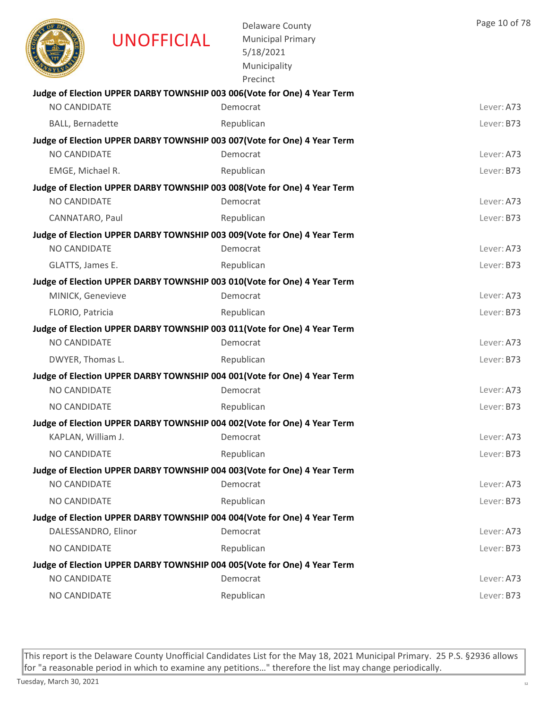|                     | UNOFFICIAL | <b>Delaware County</b><br><b>Municipal Primary</b><br>5/18/2021<br>Municipality<br>Precinct | Page 10 of 78 |
|---------------------|------------|---------------------------------------------------------------------------------------------|---------------|
|                     |            | Judge of Election UPPER DARBY TOWNSHIP 003 006(Vote for One) 4 Year Term                    |               |
| <b>NO CANDIDATE</b> |            | Democrat                                                                                    | Lever: A73    |
| BALL, Bernadette    |            | Republican                                                                                  | Lever: B73    |
|                     |            | Judge of Election UPPER DARBY TOWNSHIP 003 007(Vote for One) 4 Year Term                    |               |
| NO CANDIDATE        |            | Democrat                                                                                    | Lever: A73    |
| EMGE, Michael R.    |            | Republican                                                                                  | Lever: B73    |
|                     |            | Judge of Election UPPER DARBY TOWNSHIP 003 008(Vote for One) 4 Year Term                    |               |
| <b>NO CANDIDATE</b> |            | Democrat                                                                                    | Lever: A73    |
| CANNATARO, Paul     |            | Republican                                                                                  | Lever: B73    |
|                     |            | Judge of Election UPPER DARBY TOWNSHIP 003 009(Vote for One) 4 Year Term                    |               |
| NO CANDIDATE        |            | Democrat                                                                                    | Lever: A73    |
| GLATTS, James E.    |            | Republican                                                                                  | Lever: B73    |
| MINICK, Genevieve   |            | Judge of Election UPPER DARBY TOWNSHIP 003 010(Vote for One) 4 Year Term<br>Democrat        | Lever: A73    |
|                     |            |                                                                                             |               |
| FLORIO, Patricia    |            | Republican                                                                                  | Lever: B73    |
| NO CANDIDATE        |            | Judge of Election UPPER DARBY TOWNSHIP 003 011(Vote for One) 4 Year Term<br>Democrat        | Lever: A73    |
| DWYER, Thomas L.    |            | Republican                                                                                  | Lever: B73    |
|                     |            | Judge of Election UPPER DARBY TOWNSHIP 004 001 (Vote for One) 4 Year Term                   |               |
| NO CANDIDATE        |            | Democrat                                                                                    | Lever: A73    |
| <b>NO CANDIDATE</b> |            | Republican                                                                                  | Lever: B73    |
|                     |            | Judge of Election UPPER DARBY TOWNSHIP 004 002(Vote for One) 4 Year Term                    |               |
| KAPLAN, William J.  |            | Democrat                                                                                    | Lever: A73    |
| NO CANDIDATE        |            | Republican                                                                                  | Lever: B73    |
|                     |            | Judge of Election UPPER DARBY TOWNSHIP 004 003 (Vote for One) 4 Year Term                   |               |
| NO CANDIDATE        |            | Democrat                                                                                    | Lever: A73    |
| NO CANDIDATE        |            | Republican                                                                                  | Lever: B73    |
|                     |            | Judge of Election UPPER DARBY TOWNSHIP 004 004 (Vote for One) 4 Year Term                   |               |
| DALESSANDRO, Elinor |            | Democrat                                                                                    | Lever: A73    |
| NO CANDIDATE        |            | Republican                                                                                  | Lever: B73    |
|                     |            | Judge of Election UPPER DARBY TOWNSHIP 004 005(Vote for One) 4 Year Term                    |               |
| NO CANDIDATE        |            | Democrat                                                                                    | Lever: A73    |
| NO CANDIDATE        |            | Republican                                                                                  | Lever: B73    |
|                     |            |                                                                                             |               |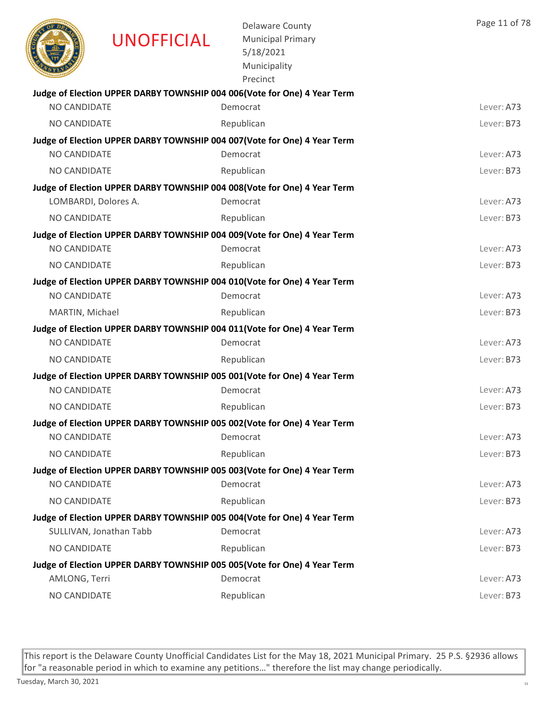|                     | <b>UNOFFICIAL</b>       | <b>Delaware County</b><br><b>Municipal Primary</b><br>5/18/2021<br>Municipality<br>Precinct | Page 11 of 78 |
|---------------------|-------------------------|---------------------------------------------------------------------------------------------|---------------|
|                     |                         | Judge of Election UPPER DARBY TOWNSHIP 004 006(Vote for One) 4 Year Term                    |               |
| <b>NO CANDIDATE</b> |                         | Democrat                                                                                    | Lever: A73    |
| NO CANDIDATE        |                         | Republican                                                                                  | Lever: B73    |
|                     |                         | Judge of Election UPPER DARBY TOWNSHIP 004 007 (Vote for One) 4 Year Term                   |               |
| <b>NO CANDIDATE</b> |                         | Democrat                                                                                    | Lever: A73    |
| <b>NO CANDIDATE</b> |                         | Republican                                                                                  | Lever: B73    |
|                     |                         | Judge of Election UPPER DARBY TOWNSHIP 004 008(Vote for One) 4 Year Term                    |               |
|                     | LOMBARDI, Dolores A.    | Democrat                                                                                    | Lever: A73    |
| NO CANDIDATE        |                         | Republican                                                                                  | Lever: B73    |
|                     |                         | Judge of Election UPPER DARBY TOWNSHIP 004 009(Vote for One) 4 Year Term                    |               |
| <b>NO CANDIDATE</b> |                         | Democrat                                                                                    | Lever: A73    |
| <b>NO CANDIDATE</b> |                         | Republican                                                                                  | Lever: B73    |
|                     |                         | Judge of Election UPPER DARBY TOWNSHIP 004 010(Vote for One) 4 Year Term                    |               |
| <b>NO CANDIDATE</b> |                         | Democrat                                                                                    | Lever: A73    |
| MARTIN, Michael     |                         | Republican                                                                                  | Lever: B73    |
|                     |                         | Judge of Election UPPER DARBY TOWNSHIP 004 011(Vote for One) 4 Year Term                    |               |
| NO CANDIDATE        |                         | Democrat                                                                                    | Lever: A73    |
| NO CANDIDATE        |                         | Republican                                                                                  | Lever: B73    |
|                     |                         | Judge of Election UPPER DARBY TOWNSHIP 005 001 (Vote for One) 4 Year Term                   |               |
| <b>NO CANDIDATE</b> |                         | Democrat                                                                                    | Lever: A73    |
| NO CANDIDATE        |                         | Republican                                                                                  | Lever: B73    |
| NO CANDIDATE        |                         | Judge of Election UPPER DARBY TOWNSHIP 005 002 (Vote for One) 4 Year Term<br>Democrat       |               |
|                     |                         |                                                                                             | Lever: A73    |
| NO CANDIDATE        |                         | Republican                                                                                  | Lever: B73    |
| NO CANDIDATE        |                         | Judge of Election UPPER DARBY TOWNSHIP 005 003(Vote for One) 4 Year Term<br>Democrat        | Lever: A73    |
| NO CANDIDATE        |                         | Republican                                                                                  | Lever: B73    |
|                     |                         |                                                                                             |               |
|                     | SULLIVAN, Jonathan Tabb | Judge of Election UPPER DARBY TOWNSHIP 005 004 (Vote for One) 4 Year Term<br>Democrat       | Lever: A73    |
| NO CANDIDATE        |                         | Republican                                                                                  | Lever: B73    |
|                     |                         | Judge of Election UPPER DARBY TOWNSHIP 005 005(Vote for One) 4 Year Term                    |               |
| AMLONG, Terri       |                         | Democrat                                                                                    | Lever: A73    |
| NO CANDIDATE        |                         | Republican                                                                                  | Lever: B73    |
|                     |                         |                                                                                             |               |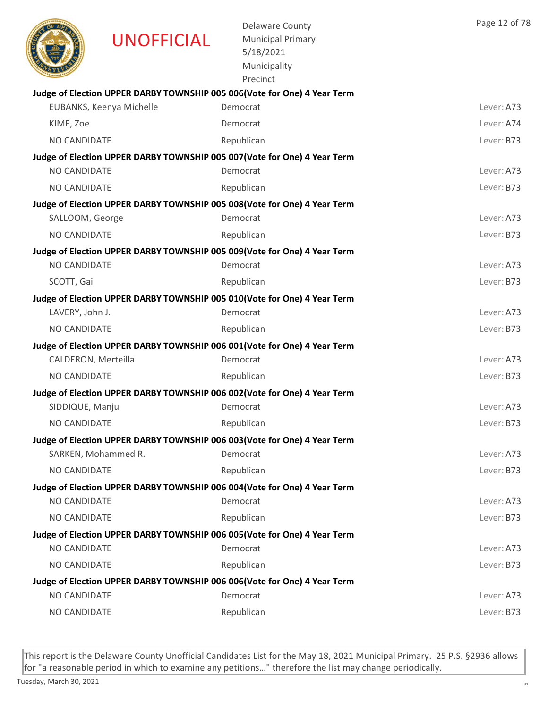|                     | <b>UNOFFICIAL</b>        | <b>Delaware County</b><br><b>Municipal Primary</b><br>5/18/2021<br>Municipality<br>Precinct | Page 12 of 78 |
|---------------------|--------------------------|---------------------------------------------------------------------------------------------|---------------|
|                     |                          | Judge of Election UPPER DARBY TOWNSHIP 005 006(Vote for One) 4 Year Term                    |               |
|                     | EUBANKS, Keenya Michelle | Democrat                                                                                    | Lever: A73    |
| KIME, Zoe           |                          | Democrat                                                                                    | Lever: A74    |
| NO CANDIDATE        |                          | Republican                                                                                  | Lever: B73    |
|                     |                          | Judge of Election UPPER DARBY TOWNSHIP 005 007 (Vote for One) 4 Year Term                   |               |
| NO CANDIDATE        |                          | Democrat                                                                                    | Lever: A73    |
| <b>NO CANDIDATE</b> |                          | Republican                                                                                  | Lever: B73    |
|                     |                          | Judge of Election UPPER DARBY TOWNSHIP 005 008(Vote for One) 4 Year Term                    |               |
| SALLOOM, George     |                          | Democrat                                                                                    | Lever: A73    |
| NO CANDIDATE        |                          | Republican                                                                                  | Lever: B73    |
|                     |                          | Judge of Election UPPER DARBY TOWNSHIP 005 009(Vote for One) 4 Year Term                    |               |
| <b>NO CANDIDATE</b> |                          | Democrat                                                                                    | Lever: A73    |
| SCOTT, Gail         |                          | Republican                                                                                  | Lever: B73    |
|                     |                          | Judge of Election UPPER DARBY TOWNSHIP 005 010(Vote for One) 4 Year Term                    |               |
| LAVERY, John J.     |                          | Democrat                                                                                    | Lever: A73    |
| NO CANDIDATE        |                          | Republican                                                                                  | Lever: B73    |
|                     |                          | Judge of Election UPPER DARBY TOWNSHIP 006 001 (Vote for One) 4 Year Term                   |               |
| CALDERON, Merteilla |                          | Democrat                                                                                    | Lever: A73    |
| NO CANDIDATE        |                          | Republican                                                                                  | Lever: B73    |
|                     |                          | Judge of Election UPPER DARBY TOWNSHIP 006 002(Vote for One) 4 Year Term                    |               |
| SIDDIQUE, Manju     |                          | Democrat                                                                                    | Lever: A73    |
| <b>NO CANDIDATE</b> |                          | Republican                                                                                  | Lever: B73    |
|                     |                          | Judge of Election UPPER DARBY TOWNSHIP 006 003(Vote for One) 4 Year Term                    |               |
| SARKEN, Mohammed R. |                          | Democrat                                                                                    | Lever: A73    |
| NO CANDIDATE        |                          | Republican                                                                                  | Lever: B73    |
| NO CANDIDATE        |                          | Judge of Election UPPER DARBY TOWNSHIP 006 004(Vote for One) 4 Year Term<br>Democrat        | Lever: A73    |
|                     |                          | Republican                                                                                  |               |
| NO CANDIDATE        |                          |                                                                                             | Lever: B73    |
| NO CANDIDATE        |                          | Judge of Election UPPER DARBY TOWNSHIP 006 005(Vote for One) 4 Year Term<br>Democrat        | Lever: A73    |
| NO CANDIDATE        |                          | Republican                                                                                  | Lever: B73    |
|                     |                          | Judge of Election UPPER DARBY TOWNSHIP 006 006(Vote for One) 4 Year Term                    |               |
| NO CANDIDATE        |                          | Democrat                                                                                    | Lever: A73    |
| NO CANDIDATE        |                          | Republican                                                                                  | Lever: B73    |
|                     |                          |                                                                                             |               |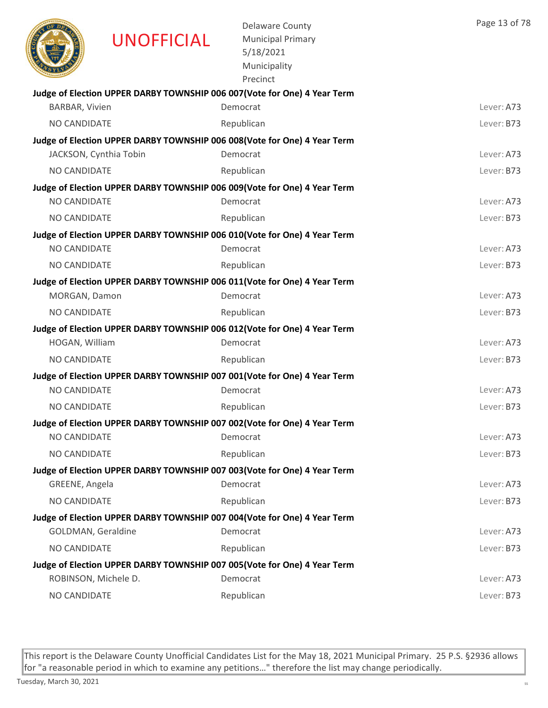|                      | <b>UNOFFICIAL</b>      | <b>Delaware County</b><br><b>Municipal Primary</b><br>5/18/2021<br>Municipality<br>Precinct | Page 13 of 78 |
|----------------------|------------------------|---------------------------------------------------------------------------------------------|---------------|
|                      |                        | Judge of Election UPPER DARBY TOWNSHIP 006 007 (Vote for One) 4 Year Term                   |               |
| BARBAR, Vivien       |                        | Democrat                                                                                    | Lever: A73    |
| NO CANDIDATE         |                        | Republican                                                                                  | Lever: B73    |
|                      | JACKSON, Cynthia Tobin | Judge of Election UPPER DARBY TOWNSHIP 006 008 (Vote for One) 4 Year Term<br>Democrat       | Lever: A73    |
| NO CANDIDATE         |                        |                                                                                             |               |
|                      |                        | Republican                                                                                  | Lever: B73    |
| <b>NO CANDIDATE</b>  |                        | Judge of Election UPPER DARBY TOWNSHIP 006 009(Vote for One) 4 Year Term<br>Democrat        | Lever: A73    |
| NO CANDIDATE         |                        | Republican                                                                                  | Lever: B73    |
|                      |                        | Judge of Election UPPER DARBY TOWNSHIP 006 010(Vote for One) 4 Year Term                    |               |
| <b>NO CANDIDATE</b>  |                        | Democrat                                                                                    | Lever: A73    |
| NO CANDIDATE         |                        | Republican                                                                                  | Lever: B73    |
|                      |                        | Judge of Election UPPER DARBY TOWNSHIP 006 011(Vote for One) 4 Year Term                    |               |
| MORGAN, Damon        |                        | Democrat                                                                                    | Lever: A73    |
| NO CANDIDATE         |                        | Republican                                                                                  | Lever: B73    |
|                      |                        | Judge of Election UPPER DARBY TOWNSHIP 006 012(Vote for One) 4 Year Term                    |               |
| HOGAN, William       |                        | Democrat                                                                                    | Lever: A73    |
| NO CANDIDATE         |                        | Republican                                                                                  | Lever: B73    |
|                      |                        | Judge of Election UPPER DARBY TOWNSHIP 007 001 (Vote for One) 4 Year Term                   |               |
| NO CANDIDATE         |                        | Democrat                                                                                    | Lever: A73    |
| <b>NO CANDIDATE</b>  |                        | Republican                                                                                  | Lever: B73    |
|                      |                        | Judge of Election UPPER DARBY TOWNSHIP 007 002 (Vote for One) 4 Year Term                   |               |
| NO CANDIDATE         |                        | Democrat                                                                                    | Lever: A73    |
| NO CANDIDATE         |                        | Republican                                                                                  | Lever: B73    |
|                      |                        | Judge of Election UPPER DARBY TOWNSHIP 007 003(Vote for One) 4 Year Term                    |               |
| GREENE, Angela       |                        | Democrat                                                                                    | Lever: A73    |
| NO CANDIDATE         |                        | Republican                                                                                  | Lever: B73    |
|                      |                        | Judge of Election UPPER DARBY TOWNSHIP 007 004 (Vote for One) 4 Year Term                   |               |
| GOLDMAN, Geraldine   |                        | Democrat                                                                                    | Lever: A73    |
| NO CANDIDATE         |                        | Republican                                                                                  | Lever: B73    |
|                      |                        | Judge of Election UPPER DARBY TOWNSHIP 007 005(Vote for One) 4 Year Term                    |               |
| ROBINSON, Michele D. |                        | Democrat                                                                                    | Lever: A73    |
| NO CANDIDATE         |                        | Republican                                                                                  | Lever: B73    |
|                      |                        |                                                                                             |               |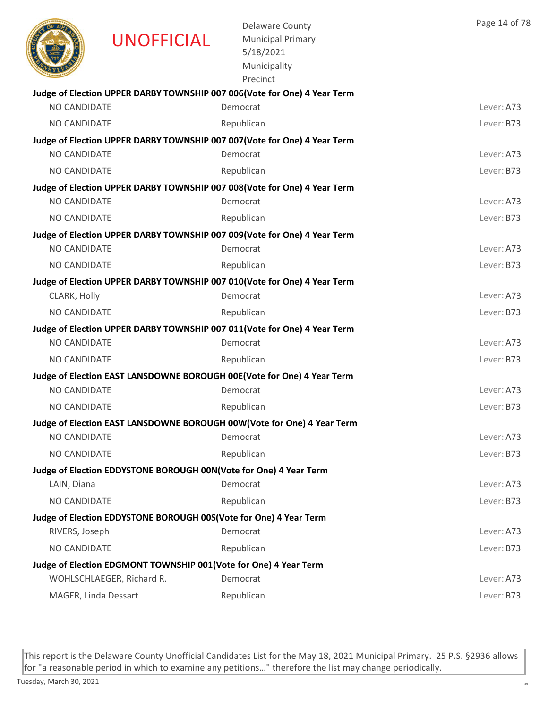|                      | <b>UNOFFICIAL</b>                                                 | <b>Delaware County</b><br><b>Municipal Primary</b><br>5/18/2021<br>Municipality<br>Precinct | Page 14 of 78 |
|----------------------|-------------------------------------------------------------------|---------------------------------------------------------------------------------------------|---------------|
|                      |                                                                   | Judge of Election UPPER DARBY TOWNSHIP 007 006(Vote for One) 4 Year Term                    |               |
| <b>NO CANDIDATE</b>  |                                                                   | Democrat                                                                                    | Lever: A73    |
| NO CANDIDATE         |                                                                   | Republican                                                                                  | Lever: B73    |
|                      |                                                                   | Judge of Election UPPER DARBY TOWNSHIP 007 007 (Vote for One) 4 Year Term                   |               |
| <b>NO CANDIDATE</b>  |                                                                   | Democrat                                                                                    | Lever: A73    |
| <b>NO CANDIDATE</b>  |                                                                   | Republican                                                                                  | Lever: B73    |
|                      |                                                                   | Judge of Election UPPER DARBY TOWNSHIP 007 008(Vote for One) 4 Year Term                    |               |
| <b>NO CANDIDATE</b>  |                                                                   | Democrat                                                                                    | Lever: A73    |
| <b>NO CANDIDATE</b>  |                                                                   | Republican                                                                                  | Lever: B73    |
|                      |                                                                   | Judge of Election UPPER DARBY TOWNSHIP 007 009(Vote for One) 4 Year Term                    |               |
| <b>NO CANDIDATE</b>  |                                                                   | Democrat                                                                                    | Lever: A73    |
| <b>NO CANDIDATE</b>  |                                                                   | Republican                                                                                  | Lever: B73    |
|                      |                                                                   | Judge of Election UPPER DARBY TOWNSHIP 007 010(Vote for One) 4 Year Term                    |               |
| CLARK, Holly         |                                                                   | Democrat                                                                                    | Lever: A73    |
| NO CANDIDATE         |                                                                   | Republican                                                                                  | Lever: B73    |
|                      |                                                                   | Judge of Election UPPER DARBY TOWNSHIP 007 011(Vote for One) 4 Year Term                    |               |
| <b>NO CANDIDATE</b>  |                                                                   | Democrat                                                                                    | Lever: A73    |
| NO CANDIDATE         |                                                                   | Republican                                                                                  | Lever: B73    |
| <b>NO CANDIDATE</b>  |                                                                   | Judge of Election EAST LANSDOWNE BOROUGH 00E(Vote for One) 4 Year Term<br>Democrat          | Lever: A73    |
|                      |                                                                   |                                                                                             |               |
| NO CANDIDATE         |                                                                   | Republican                                                                                  | Lever: B73    |
| NO CANDIDATE         |                                                                   | Judge of Election EAST LANSDOWNE BOROUGH 00W(Vote for One) 4 Year Term<br>Democrat          | Lever: A73    |
| NO CANDIDATE         |                                                                   | Republican                                                                                  | Lever: B73    |
|                      |                                                                   |                                                                                             |               |
| LAIN, Diana          | Judge of Election EDDYSTONE BOROUGH 00N(Vote for One) 4 Year Term | Democrat                                                                                    | Lever: A73    |
| NO CANDIDATE         |                                                                   | Republican                                                                                  | Lever: B73    |
|                      | Judge of Election EDDYSTONE BOROUGH 00S(Vote for One) 4 Year Term |                                                                                             |               |
| RIVERS, Joseph       |                                                                   | Democrat                                                                                    | Lever: A73    |
| NO CANDIDATE         |                                                                   | Republican                                                                                  | Lever: B73    |
|                      | Judge of Election EDGMONT TOWNSHIP 001 (Vote for One) 4 Year Term |                                                                                             |               |
|                      | WOHLSCHLAEGER, Richard R.                                         | Democrat                                                                                    | Lever: A73    |
| MAGER, Linda Dessart |                                                                   | Republican                                                                                  | Lever: B73    |
|                      |                                                                   |                                                                                             |               |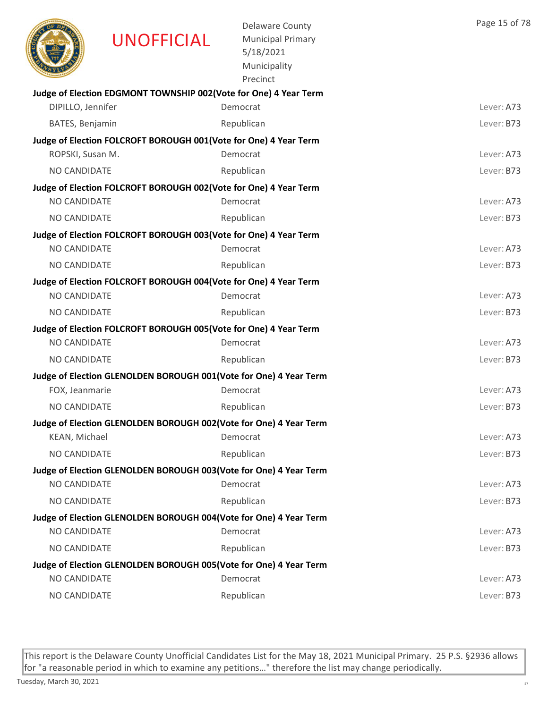| Judge of Election EDGMONT TOWNSHIP 002(Vote for One) 4 Year Term<br>DIPILLO, Jennifer<br>Democrat<br>BATES, Benjamin<br>Republican<br>Judge of Election FOLCROFT BOROUGH 001(Vote for One) 4 Year Term<br>ROPSKI, Susan M.<br>Democrat<br>NO CANDIDATE<br>Republican<br>Judge of Election FOLCROFT BOROUGH 002(Vote for One) 4 Year Term<br>NO CANDIDATE<br>Democrat<br>NO CANDIDATE<br>Republican<br>Judge of Election FOLCROFT BOROUGH 003(Vote for One) 4 Year Term<br>NO CANDIDATE<br>Democrat<br><b>NO CANDIDATE</b><br>Republican<br>Judge of Election FOLCROFT BOROUGH 004(Vote for One) 4 Year Term<br>NO CANDIDATE<br>Democrat<br>NO CANDIDATE<br>Republican<br>Judge of Election FOLCROFT BOROUGH 005(Vote for One) 4 Year Term<br>NO CANDIDATE<br>Democrat<br>NO CANDIDATE<br>Republican<br>Judge of Election GLENOLDEN BOROUGH 001(Vote for One) 4 Year Term<br>FOX, Jeanmarie<br>Democrat<br><b>NO CANDIDATE</b><br>Republican<br>Judge of Election GLENOLDEN BOROUGH 002(Vote for One) 4 Year Term<br>KEAN, Michael<br>Democrat<br>NO CANDIDATE<br>Republican<br>Judge of Election GLENOLDEN BOROUGH 003(Vote for One) 4 Year Term<br>NO CANDIDATE<br>Democrat<br>Republican<br>NO CANDIDATE<br>Judge of Election GLENOLDEN BOROUGH 004(Vote for One) 4 Year Term<br>NO CANDIDATE<br>Democrat<br>NO CANDIDATE<br>Republican<br>Judge of Election GLENOLDEN BOROUGH 005(Vote for One) 4 Year Term<br><b>NO CANDIDATE</b><br>Democrat<br>NO CANDIDATE<br>Republican | <b>UNOFFICIAL</b> | <b>Delaware County</b><br><b>Municipal Primary</b><br>5/18/2021<br>Municipality<br>Precinct | Page 15 of 78 |
|---------------------------------------------------------------------------------------------------------------------------------------------------------------------------------------------------------------------------------------------------------------------------------------------------------------------------------------------------------------------------------------------------------------------------------------------------------------------------------------------------------------------------------------------------------------------------------------------------------------------------------------------------------------------------------------------------------------------------------------------------------------------------------------------------------------------------------------------------------------------------------------------------------------------------------------------------------------------------------------------------------------------------------------------------------------------------------------------------------------------------------------------------------------------------------------------------------------------------------------------------------------------------------------------------------------------------------------------------------------------------------------------------------------------------------------------------------------------------------|-------------------|---------------------------------------------------------------------------------------------|---------------|
|                                                                                                                                                                                                                                                                                                                                                                                                                                                                                                                                                                                                                                                                                                                                                                                                                                                                                                                                                                                                                                                                                                                                                                                                                                                                                                                                                                                                                                                                                 |                   |                                                                                             |               |
|                                                                                                                                                                                                                                                                                                                                                                                                                                                                                                                                                                                                                                                                                                                                                                                                                                                                                                                                                                                                                                                                                                                                                                                                                                                                                                                                                                                                                                                                                 |                   |                                                                                             | Lever: A73    |
|                                                                                                                                                                                                                                                                                                                                                                                                                                                                                                                                                                                                                                                                                                                                                                                                                                                                                                                                                                                                                                                                                                                                                                                                                                                                                                                                                                                                                                                                                 |                   |                                                                                             | Lever: B73    |
|                                                                                                                                                                                                                                                                                                                                                                                                                                                                                                                                                                                                                                                                                                                                                                                                                                                                                                                                                                                                                                                                                                                                                                                                                                                                                                                                                                                                                                                                                 |                   |                                                                                             |               |
|                                                                                                                                                                                                                                                                                                                                                                                                                                                                                                                                                                                                                                                                                                                                                                                                                                                                                                                                                                                                                                                                                                                                                                                                                                                                                                                                                                                                                                                                                 |                   |                                                                                             | Lever: A73    |
|                                                                                                                                                                                                                                                                                                                                                                                                                                                                                                                                                                                                                                                                                                                                                                                                                                                                                                                                                                                                                                                                                                                                                                                                                                                                                                                                                                                                                                                                                 |                   |                                                                                             | Lever: B73    |
|                                                                                                                                                                                                                                                                                                                                                                                                                                                                                                                                                                                                                                                                                                                                                                                                                                                                                                                                                                                                                                                                                                                                                                                                                                                                                                                                                                                                                                                                                 |                   |                                                                                             |               |
|                                                                                                                                                                                                                                                                                                                                                                                                                                                                                                                                                                                                                                                                                                                                                                                                                                                                                                                                                                                                                                                                                                                                                                                                                                                                                                                                                                                                                                                                                 |                   |                                                                                             | Lever: A73    |
|                                                                                                                                                                                                                                                                                                                                                                                                                                                                                                                                                                                                                                                                                                                                                                                                                                                                                                                                                                                                                                                                                                                                                                                                                                                                                                                                                                                                                                                                                 |                   |                                                                                             | Lever: B73    |
|                                                                                                                                                                                                                                                                                                                                                                                                                                                                                                                                                                                                                                                                                                                                                                                                                                                                                                                                                                                                                                                                                                                                                                                                                                                                                                                                                                                                                                                                                 |                   |                                                                                             |               |
|                                                                                                                                                                                                                                                                                                                                                                                                                                                                                                                                                                                                                                                                                                                                                                                                                                                                                                                                                                                                                                                                                                                                                                                                                                                                                                                                                                                                                                                                                 |                   |                                                                                             | Lever: A73    |
|                                                                                                                                                                                                                                                                                                                                                                                                                                                                                                                                                                                                                                                                                                                                                                                                                                                                                                                                                                                                                                                                                                                                                                                                                                                                                                                                                                                                                                                                                 |                   |                                                                                             | Lever: B73    |
|                                                                                                                                                                                                                                                                                                                                                                                                                                                                                                                                                                                                                                                                                                                                                                                                                                                                                                                                                                                                                                                                                                                                                                                                                                                                                                                                                                                                                                                                                 |                   |                                                                                             |               |
|                                                                                                                                                                                                                                                                                                                                                                                                                                                                                                                                                                                                                                                                                                                                                                                                                                                                                                                                                                                                                                                                                                                                                                                                                                                                                                                                                                                                                                                                                 |                   |                                                                                             | Lever: A73    |
|                                                                                                                                                                                                                                                                                                                                                                                                                                                                                                                                                                                                                                                                                                                                                                                                                                                                                                                                                                                                                                                                                                                                                                                                                                                                                                                                                                                                                                                                                 |                   |                                                                                             | Lever: B73    |
|                                                                                                                                                                                                                                                                                                                                                                                                                                                                                                                                                                                                                                                                                                                                                                                                                                                                                                                                                                                                                                                                                                                                                                                                                                                                                                                                                                                                                                                                                 |                   |                                                                                             |               |
|                                                                                                                                                                                                                                                                                                                                                                                                                                                                                                                                                                                                                                                                                                                                                                                                                                                                                                                                                                                                                                                                                                                                                                                                                                                                                                                                                                                                                                                                                 |                   |                                                                                             | Lever: A73    |
|                                                                                                                                                                                                                                                                                                                                                                                                                                                                                                                                                                                                                                                                                                                                                                                                                                                                                                                                                                                                                                                                                                                                                                                                                                                                                                                                                                                                                                                                                 |                   |                                                                                             | Lever: B73    |
|                                                                                                                                                                                                                                                                                                                                                                                                                                                                                                                                                                                                                                                                                                                                                                                                                                                                                                                                                                                                                                                                                                                                                                                                                                                                                                                                                                                                                                                                                 |                   |                                                                                             |               |
|                                                                                                                                                                                                                                                                                                                                                                                                                                                                                                                                                                                                                                                                                                                                                                                                                                                                                                                                                                                                                                                                                                                                                                                                                                                                                                                                                                                                                                                                                 |                   |                                                                                             | Lever: A73    |
|                                                                                                                                                                                                                                                                                                                                                                                                                                                                                                                                                                                                                                                                                                                                                                                                                                                                                                                                                                                                                                                                                                                                                                                                                                                                                                                                                                                                                                                                                 |                   |                                                                                             | Lever: B73    |
|                                                                                                                                                                                                                                                                                                                                                                                                                                                                                                                                                                                                                                                                                                                                                                                                                                                                                                                                                                                                                                                                                                                                                                                                                                                                                                                                                                                                                                                                                 |                   |                                                                                             |               |
|                                                                                                                                                                                                                                                                                                                                                                                                                                                                                                                                                                                                                                                                                                                                                                                                                                                                                                                                                                                                                                                                                                                                                                                                                                                                                                                                                                                                                                                                                 |                   |                                                                                             | Lever: A73    |
|                                                                                                                                                                                                                                                                                                                                                                                                                                                                                                                                                                                                                                                                                                                                                                                                                                                                                                                                                                                                                                                                                                                                                                                                                                                                                                                                                                                                                                                                                 |                   |                                                                                             | Lever: B73    |
|                                                                                                                                                                                                                                                                                                                                                                                                                                                                                                                                                                                                                                                                                                                                                                                                                                                                                                                                                                                                                                                                                                                                                                                                                                                                                                                                                                                                                                                                                 |                   |                                                                                             |               |
|                                                                                                                                                                                                                                                                                                                                                                                                                                                                                                                                                                                                                                                                                                                                                                                                                                                                                                                                                                                                                                                                                                                                                                                                                                                                                                                                                                                                                                                                                 |                   |                                                                                             | Lever: A73    |
|                                                                                                                                                                                                                                                                                                                                                                                                                                                                                                                                                                                                                                                                                                                                                                                                                                                                                                                                                                                                                                                                                                                                                                                                                                                                                                                                                                                                                                                                                 |                   |                                                                                             | Lever: B73    |
|                                                                                                                                                                                                                                                                                                                                                                                                                                                                                                                                                                                                                                                                                                                                                                                                                                                                                                                                                                                                                                                                                                                                                                                                                                                                                                                                                                                                                                                                                 |                   |                                                                                             |               |
|                                                                                                                                                                                                                                                                                                                                                                                                                                                                                                                                                                                                                                                                                                                                                                                                                                                                                                                                                                                                                                                                                                                                                                                                                                                                                                                                                                                                                                                                                 |                   |                                                                                             | Lever: A73    |
|                                                                                                                                                                                                                                                                                                                                                                                                                                                                                                                                                                                                                                                                                                                                                                                                                                                                                                                                                                                                                                                                                                                                                                                                                                                                                                                                                                                                                                                                                 |                   |                                                                                             | Lever: B73    |
|                                                                                                                                                                                                                                                                                                                                                                                                                                                                                                                                                                                                                                                                                                                                                                                                                                                                                                                                                                                                                                                                                                                                                                                                                                                                                                                                                                                                                                                                                 |                   |                                                                                             |               |
|                                                                                                                                                                                                                                                                                                                                                                                                                                                                                                                                                                                                                                                                                                                                                                                                                                                                                                                                                                                                                                                                                                                                                                                                                                                                                                                                                                                                                                                                                 |                   |                                                                                             | Lever: A73    |
|                                                                                                                                                                                                                                                                                                                                                                                                                                                                                                                                                                                                                                                                                                                                                                                                                                                                                                                                                                                                                                                                                                                                                                                                                                                                                                                                                                                                                                                                                 |                   |                                                                                             | Lever: B73    |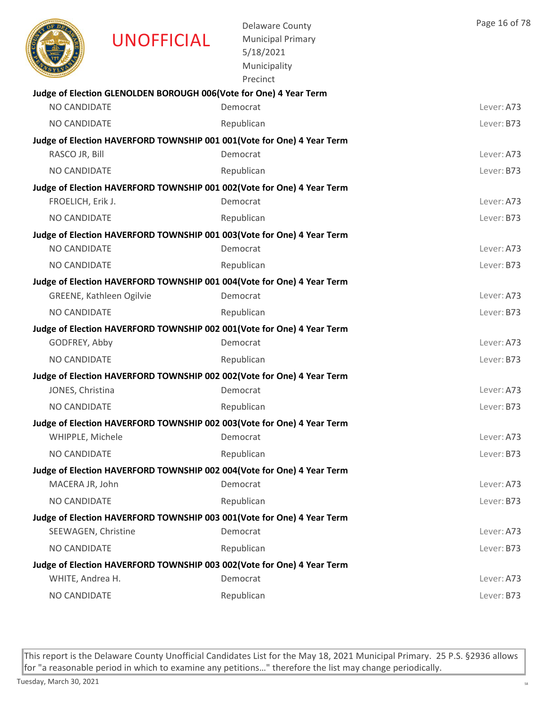|                     | UNOFFICIAL                                                        | <b>Delaware County</b><br><b>Municipal Primary</b><br>5/18/2021<br>Municipality<br>Precinct | Page 16 of 78 |
|---------------------|-------------------------------------------------------------------|---------------------------------------------------------------------------------------------|---------------|
|                     | Judge of Election GLENOLDEN BOROUGH 006(Vote for One) 4 Year Term |                                                                                             |               |
| NO CANDIDATE        |                                                                   | Democrat                                                                                    | Lever: A73    |
| NO CANDIDATE        |                                                                   | Republican                                                                                  | Lever: B73    |
|                     |                                                                   | Judge of Election HAVERFORD TOWNSHIP 001 001 (Vote for One) 4 Year Term                     |               |
| RASCO JR, Bill      |                                                                   | Democrat                                                                                    | Lever: A73    |
| NO CANDIDATE        |                                                                   | Republican                                                                                  | Lever: B73    |
|                     |                                                                   | Judge of Election HAVERFORD TOWNSHIP 001 002(Vote for One) 4 Year Term                      |               |
| FROELICH, Erik J.   |                                                                   | Democrat                                                                                    | Lever: A73    |
| <b>NO CANDIDATE</b> |                                                                   | Republican                                                                                  | Lever: B73    |
|                     |                                                                   | Judge of Election HAVERFORD TOWNSHIP 001 003(Vote for One) 4 Year Term                      |               |
| NO CANDIDATE        |                                                                   | Democrat                                                                                    | Lever: A73    |
| NO CANDIDATE        |                                                                   | Republican                                                                                  | Lever: B73    |
|                     |                                                                   | Judge of Election HAVERFORD TOWNSHIP 001 004(Vote for One) 4 Year Term                      |               |
|                     | <b>GREENE, Kathleen Ogilvie</b>                                   | Democrat                                                                                    | Lever: A73    |
| NO CANDIDATE        |                                                                   | Republican                                                                                  | Lever: B73    |
|                     |                                                                   | Judge of Election HAVERFORD TOWNSHIP 002 001(Vote for One) 4 Year Term                      |               |
| GODFREY, Abby       |                                                                   | Democrat                                                                                    | Lever: A73    |
| NO CANDIDATE        |                                                                   | Republican                                                                                  | Lever: B73    |
|                     |                                                                   | Judge of Election HAVERFORD TOWNSHIP 002 002(Vote for One) 4 Year Term                      |               |
| JONES, Christina    |                                                                   | Democrat                                                                                    | Lever: A73    |
| NO CANDIDATE        |                                                                   | Republican                                                                                  | Lever: B73    |
|                     |                                                                   | Judge of Election HAVERFORD TOWNSHIP 002 003(Vote for One) 4 Year Term                      |               |
| WHIPPLE, Michele    |                                                                   | Democrat                                                                                    | Lever: A73    |
| NO CANDIDATE        |                                                                   | Republican                                                                                  | Lever: B73    |
|                     |                                                                   | Judge of Election HAVERFORD TOWNSHIP 002 004(Vote for One) 4 Year Term                      |               |
| MACERA JR, John     |                                                                   | Democrat                                                                                    | Lever: A73    |
| NO CANDIDATE        |                                                                   | Republican                                                                                  | Lever: B73    |
|                     |                                                                   | Judge of Election HAVERFORD TOWNSHIP 003 001(Vote for One) 4 Year Term                      |               |
| SEEWAGEN, Christine |                                                                   | Democrat                                                                                    | Lever: A73    |
| NO CANDIDATE        |                                                                   | Republican                                                                                  | Lever: B73    |
|                     |                                                                   | Judge of Election HAVERFORD TOWNSHIP 003 002(Vote for One) 4 Year Term                      |               |
| WHITE, Andrea H.    |                                                                   | Democrat                                                                                    | Lever: A73    |
| NO CANDIDATE        |                                                                   | Republican                                                                                  | Lever: B73    |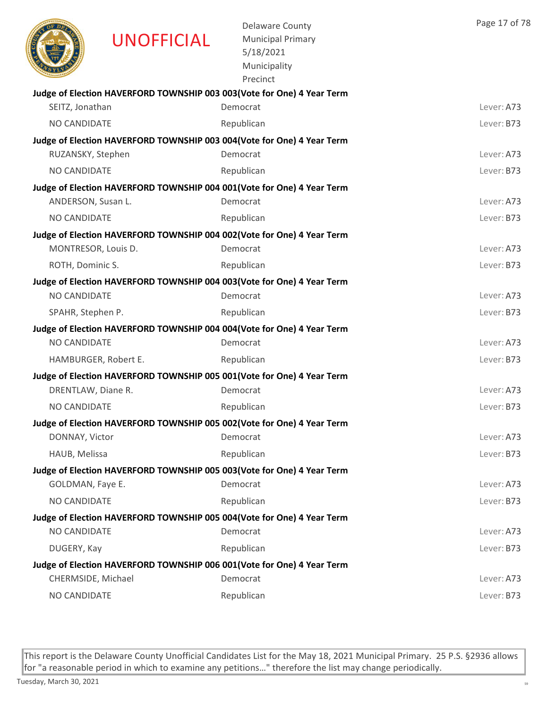|                     | <b>UNOFFICIAL</b>    | <b>Delaware County</b><br><b>Municipal Primary</b><br>5/18/2021<br>Municipality<br>Precinct | Page 17 of 78 |
|---------------------|----------------------|---------------------------------------------------------------------------------------------|---------------|
|                     |                      | Judge of Election HAVERFORD TOWNSHIP 003 003(Vote for One) 4 Year Term                      |               |
| SEITZ, Jonathan     |                      | Democrat                                                                                    | Lever: A73    |
| NO CANDIDATE        |                      | Republican                                                                                  | Lever: B73    |
| RUZANSKY, Stephen   |                      | Judge of Election HAVERFORD TOWNSHIP 003 004(Vote for One) 4 Year Term<br>Democrat          | Lever: A73    |
| NO CANDIDATE        |                      | Republican                                                                                  | Lever: B73    |
|                     |                      | Judge of Election HAVERFORD TOWNSHIP 004 001(Vote for One) 4 Year Term                      |               |
| ANDERSON, Susan L.  |                      | Democrat                                                                                    | Lever: A73    |
| NO CANDIDATE        |                      | Republican                                                                                  | Lever: B73    |
|                     |                      | Judge of Election HAVERFORD TOWNSHIP 004 002(Vote for One) 4 Year Term                      |               |
| MONTRESOR, Louis D. |                      | Democrat                                                                                    | Lever: A73    |
| ROTH, Dominic S.    |                      | Republican                                                                                  | Lever: B73    |
|                     |                      | Judge of Election HAVERFORD TOWNSHIP 004 003(Vote for One) 4 Year Term                      |               |
| NO CANDIDATE        |                      | Democrat                                                                                    | Lever: A73    |
| SPAHR, Stephen P.   |                      | Republican                                                                                  | Lever: B73    |
|                     |                      | Judge of Election HAVERFORD TOWNSHIP 004 004 (Vote for One) 4 Year Term                     |               |
| <b>NO CANDIDATE</b> |                      | Democrat                                                                                    | Lever: A73    |
|                     | HAMBURGER, Robert E. | Republican                                                                                  | Lever: B73    |
|                     |                      | Judge of Election HAVERFORD TOWNSHIP 005 001(Vote for One) 4 Year Term                      |               |
| DRENTLAW, Diane R.  |                      | Democrat                                                                                    | Lever: A73    |
| <b>NO CANDIDATE</b> |                      | Republican                                                                                  | Lever: B73    |
|                     |                      | Judge of Election HAVERFORD TOWNSHIP 005 002(Vote for One) 4 Year Term                      |               |
| DONNAY, Victor      |                      | Democrat                                                                                    | Lever: A73    |
| HAUB, Melissa       |                      | Republican                                                                                  | Lever: B73    |
|                     |                      | Judge of Election HAVERFORD TOWNSHIP 005 003(Vote for One) 4 Year Term                      |               |
| GOLDMAN, Faye E.    |                      | Democrat                                                                                    | Lever: A73    |
| NO CANDIDATE        |                      | Republican                                                                                  | Lever: B73    |
| NO CANDIDATE        |                      | Judge of Election HAVERFORD TOWNSHIP 005 004(Vote for One) 4 Year Term<br>Democrat          | Lever: A73    |
| DUGERY, Kay         |                      | Republican                                                                                  | Lever: B73    |
|                     |                      | Judge of Election HAVERFORD TOWNSHIP 006 001 (Vote for One) 4 Year Term                     |               |
| CHERMSIDE, Michael  |                      | Democrat                                                                                    | Lever: A73    |
| NO CANDIDATE        |                      | Republican                                                                                  | Lever: B73    |
|                     |                      |                                                                                             |               |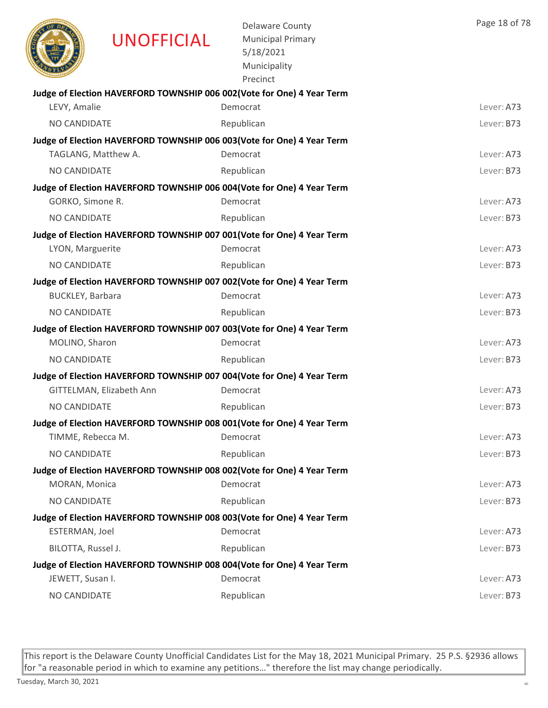|                         | <b>UNOFFICIAL</b>        | <b>Delaware County</b><br><b>Municipal Primary</b><br>5/18/2021<br>Municipality<br>Precinct | Page 18 of 78 |
|-------------------------|--------------------------|---------------------------------------------------------------------------------------------|---------------|
|                         |                          | Judge of Election HAVERFORD TOWNSHIP 006 002(Vote for One) 4 Year Term                      |               |
| LEVY, Amalie            |                          | Democrat                                                                                    | Lever: A73    |
| NO CANDIDATE            |                          | Republican                                                                                  | Lever: B73    |
| TAGLANG, Matthew A.     |                          | Judge of Election HAVERFORD TOWNSHIP 006 003 (Vote for One) 4 Year Term<br>Democrat         | Lever: A73    |
|                         |                          |                                                                                             | Lever: B73    |
| NO CANDIDATE            |                          | Republican                                                                                  |               |
| GORKO, Simone R.        |                          | Judge of Election HAVERFORD TOWNSHIP 006 004(Vote for One) 4 Year Term<br>Democrat          | Lever: A73    |
| NO CANDIDATE            |                          | Republican                                                                                  | Lever: B73    |
|                         |                          | Judge of Election HAVERFORD TOWNSHIP 007 001(Vote for One) 4 Year Term                      |               |
| LYON, Marguerite        |                          | Democrat                                                                                    | Lever: A73    |
| <b>NO CANDIDATE</b>     |                          | Republican                                                                                  | Lever: B73    |
|                         |                          | Judge of Election HAVERFORD TOWNSHIP 007 002(Vote for One) 4 Year Term                      |               |
| <b>BUCKLEY, Barbara</b> |                          | Democrat                                                                                    | Lever: A73    |
| NO CANDIDATE            |                          | Republican                                                                                  | Lever: B73    |
|                         |                          | Judge of Election HAVERFORD TOWNSHIP 007 003 (Vote for One) 4 Year Term                     |               |
| MOLINO, Sharon          |                          | Democrat                                                                                    | Lever: A73    |
| NO CANDIDATE            |                          | Republican                                                                                  | Lever: B73    |
|                         |                          | Judge of Election HAVERFORD TOWNSHIP 007 004(Vote for One) 4 Year Term                      |               |
|                         | GITTELMAN, Elizabeth Ann | Democrat                                                                                    | Lever: A73    |
| NO CANDIDATE            |                          | Republican                                                                                  | Lever: B73    |
|                         |                          | Judge of Election HAVERFORD TOWNSHIP 008 001(Vote for One) 4 Year Term                      |               |
| TIMME, Rebecca M.       |                          | Democrat                                                                                    | Lever: A73    |
| NO CANDIDATE            |                          | Republican                                                                                  | Lever: B73    |
|                         |                          | Judge of Election HAVERFORD TOWNSHIP 008 002(Vote for One) 4 Year Term                      |               |
| MORAN, Monica           |                          | Democrat                                                                                    | Lever: A73    |
| NO CANDIDATE            |                          | Republican                                                                                  | Lever: B73    |
|                         |                          | Judge of Election HAVERFORD TOWNSHIP 008 003(Vote for One) 4 Year Term                      |               |
| ESTERMAN, Joel          |                          | Democrat                                                                                    | Lever: A73    |
| BILOTTA, Russel J.      |                          | Republican                                                                                  | Lever: B73    |
|                         |                          | Judge of Election HAVERFORD TOWNSHIP 008 004(Vote for One) 4 Year Term                      |               |
| JEWETT, Susan I.        |                          | Democrat                                                                                    | Lever: A73    |
| NO CANDIDATE            |                          | Republican                                                                                  | Lever: B73    |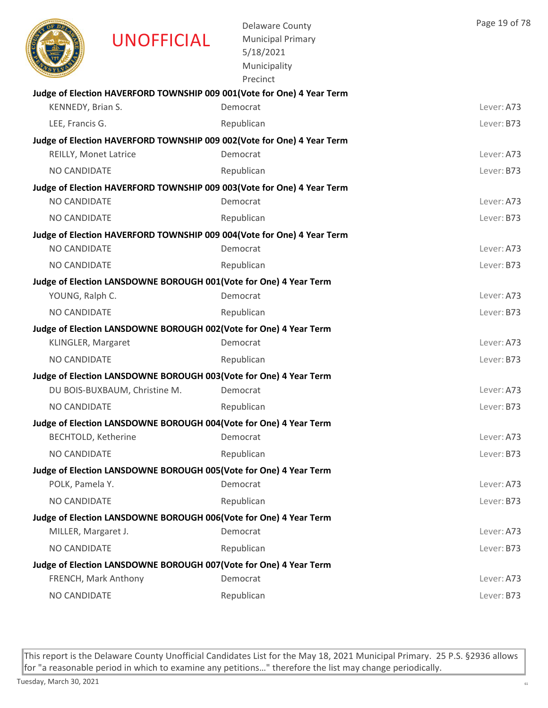|                            | <b>UNOFFICIAL</b>             | <b>Delaware County</b><br><b>Municipal Primary</b><br>5/18/2021<br>Municipality<br>Precinct | Page 19 of 78 |
|----------------------------|-------------------------------|---------------------------------------------------------------------------------------------|---------------|
|                            |                               | Judge of Election HAVERFORD TOWNSHIP 009 001(Vote for One) 4 Year Term                      |               |
| KENNEDY, Brian S.          |                               | Democrat                                                                                    | Lever: A73    |
| LEE, Francis G.            |                               | Republican                                                                                  | Lever: B73    |
|                            |                               | Judge of Election HAVERFORD TOWNSHIP 009 002(Vote for One) 4 Year Term                      |               |
| REILLY, Monet Latrice      |                               | Democrat                                                                                    | Lever: A73    |
| NO CANDIDATE               |                               | Republican                                                                                  | Lever: B73    |
|                            |                               | Judge of Election HAVERFORD TOWNSHIP 009 003(Vote for One) 4 Year Term                      |               |
| NO CANDIDATE               |                               | Democrat                                                                                    | Lever: A73    |
| NO CANDIDATE               |                               | Republican                                                                                  | Lever: B73    |
|                            |                               | Judge of Election HAVERFORD TOWNSHIP 009 004(Vote for One) 4 Year Term                      |               |
| <b>NO CANDIDATE</b>        |                               | Democrat                                                                                    | Lever: A73    |
| NO CANDIDATE               |                               | Republican                                                                                  | Lever: B73    |
|                            |                               | Judge of Election LANSDOWNE BOROUGH 001(Vote for One) 4 Year Term                           |               |
| YOUNG, Ralph C.            |                               | Democrat                                                                                    | Lever: A73    |
| NO CANDIDATE               |                               | Republican                                                                                  | Lever: B73    |
|                            |                               | Judge of Election LANSDOWNE BOROUGH 002(Vote for One) 4 Year Term                           | Lever: A73    |
| KLINGLER, Margaret         |                               | Democrat                                                                                    |               |
| NO CANDIDATE               |                               | Republican                                                                                  | Lever: B73    |
|                            |                               | Judge of Election LANSDOWNE BOROUGH 003(Vote for One) 4 Year Term                           |               |
|                            | DU BOIS-BUXBAUM, Christine M. | Democrat                                                                                    | Lever: A73    |
| NO CANDIDATE               |                               | Republican                                                                                  | Lever: B73    |
|                            |                               | Judge of Election LANSDOWNE BOROUGH 004(Vote for One) 4 Year Term                           |               |
| <b>BECHTOLD, Ketherine</b> |                               | Democrat                                                                                    | Lever: A73    |
| NO CANDIDATE               |                               | Republican                                                                                  | Lever: B73    |
|                            |                               | Judge of Election LANSDOWNE BOROUGH 005(Vote for One) 4 Year Term                           |               |
| POLK, Pamela Y.            |                               | Democrat                                                                                    | Lever: A73    |
| NO CANDIDATE               |                               | Republican                                                                                  | Lever: B73    |
|                            |                               | Judge of Election LANSDOWNE BOROUGH 006(Vote for One) 4 Year Term                           |               |
| MILLER, Margaret J.        |                               | Democrat                                                                                    | Lever: A73    |
| NO CANDIDATE               |                               | Republican                                                                                  | Lever: B73    |
|                            |                               | Judge of Election LANSDOWNE BOROUGH 007(Vote for One) 4 Year Term                           |               |
|                            | FRENCH, Mark Anthony          | Democrat                                                                                    | Lever: A73    |
| NO CANDIDATE               |                               | Republican                                                                                  | Lever: B73    |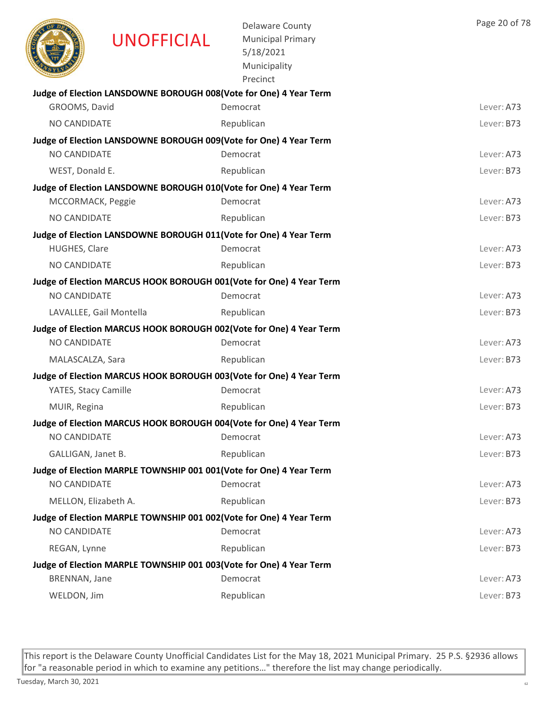|                      | <b>UNOFFICIAL</b>                                                    | <b>Delaware County</b><br><b>Municipal Primary</b><br>5/18/2021<br>Municipality<br>Precinct | Page 20 of 78 |
|----------------------|----------------------------------------------------------------------|---------------------------------------------------------------------------------------------|---------------|
|                      | Judge of Election LANSDOWNE BOROUGH 008(Vote for One) 4 Year Term    |                                                                                             | Lever: A73    |
| GROOMS, David        |                                                                      | Democrat                                                                                    |               |
| NO CANDIDATE         |                                                                      | Republican                                                                                  | Lever: B73    |
| NO CANDIDATE         | Judge of Election LANSDOWNE BOROUGH 009(Vote for One) 4 Year Term    | Democrat                                                                                    | Lever: A73    |
| WEST, Donald E.      |                                                                      | Republican                                                                                  | Lever: B73    |
|                      | Judge of Election LANSDOWNE BOROUGH 010(Vote for One) 4 Year Term    |                                                                                             |               |
| MCCORMACK, Peggie    |                                                                      | Democrat                                                                                    | Lever: A73    |
| NO CANDIDATE         |                                                                      | Republican                                                                                  | Lever: B73    |
|                      | Judge of Election LANSDOWNE BOROUGH 011(Vote for One) 4 Year Term    |                                                                                             |               |
| HUGHES, Clare        |                                                                      | Democrat                                                                                    | Lever: A73    |
| NO CANDIDATE         |                                                                      | Republican                                                                                  | Lever: B73    |
|                      |                                                                      | Judge of Election MARCUS HOOK BOROUGH 001(Vote for One) 4 Year Term                         |               |
| NO CANDIDATE         |                                                                      | Democrat                                                                                    | Lever: A73    |
|                      | LAVALLEE, Gail Montella                                              | Republican                                                                                  | Lever: B73    |
|                      |                                                                      | Judge of Election MARCUS HOOK BOROUGH 002(Vote for One) 4 Year Term                         |               |
| <b>NO CANDIDATE</b>  |                                                                      | Democrat                                                                                    | Lever: A73    |
| MALASCALZA, Sara     |                                                                      | Republican                                                                                  | Lever: B73    |
|                      |                                                                      | Judge of Election MARCUS HOOK BOROUGH 003(Vote for One) 4 Year Term                         |               |
| YATES, Stacy Camille |                                                                      | Democrat                                                                                    | Lever: A73    |
| MUIR, Regina         |                                                                      | Republican                                                                                  | Lever: B73    |
|                      |                                                                      | Judge of Election MARCUS HOOK BOROUGH 004(Vote for One) 4 Year Term                         |               |
| NO CANDIDATE         |                                                                      | Democrat                                                                                    | Lever: A73    |
| GALLIGAN, Janet B.   |                                                                      | Republican                                                                                  | Lever: B73    |
|                      | Judge of Election MARPLE TOWNSHIP 001 001 (Vote for One) 4 Year Term |                                                                                             |               |
| NO CANDIDATE         |                                                                      | Democrat                                                                                    | Lever: A73    |
| MELLON, Elizabeth A. |                                                                      | Republican                                                                                  | Lever: B73    |
| NO CANDIDATE         | Judge of Election MARPLE TOWNSHIP 001 002(Vote for One) 4 Year Term  |                                                                                             | Lever: A73    |
|                      |                                                                      | Democrat                                                                                    |               |
| REGAN, Lynne         |                                                                      | Republican                                                                                  | Lever: B73    |
| BRENNAN, Jane        | Judge of Election MARPLE TOWNSHIP 001 003(Vote for One) 4 Year Term  | Democrat                                                                                    | Lever: A73    |
| WELDON, Jim          |                                                                      | Republican                                                                                  | Lever: B73    |
|                      |                                                                      |                                                                                             |               |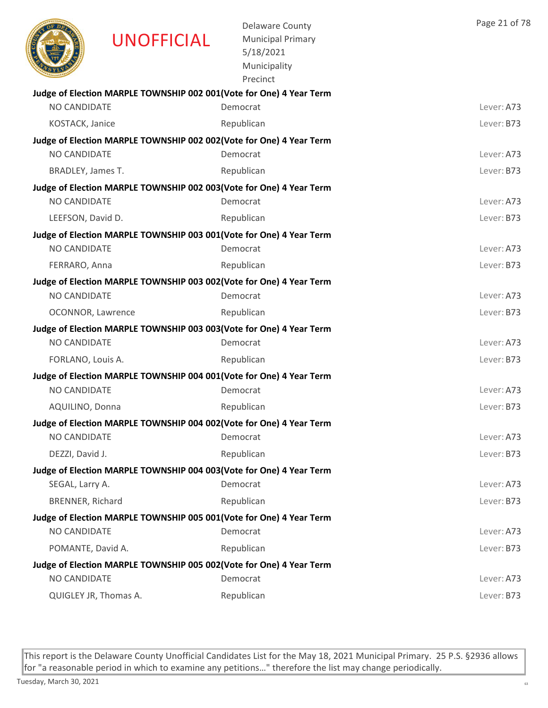|                       | <b>UNOFFICIAL</b> | <b>Delaware County</b><br><b>Municipal Primary</b><br>5/18/2021<br>Municipality<br>Precinct | Page 21 of 78 |
|-----------------------|-------------------|---------------------------------------------------------------------------------------------|---------------|
|                       |                   | Judge of Election MARPLE TOWNSHIP 002 001(Vote for One) 4 Year Term                         |               |
| NO CANDIDATE          |                   | Democrat                                                                                    | Lever: A73    |
| KOSTACK, Janice       |                   | Republican                                                                                  | Lever: B73    |
|                       |                   | Judge of Election MARPLE TOWNSHIP 002 002(Vote for One) 4 Year Term                         |               |
| <b>NO CANDIDATE</b>   |                   | Democrat                                                                                    | Lever: A73    |
| BRADLEY, James T.     |                   | Republican                                                                                  | Lever: B73    |
|                       |                   | Judge of Election MARPLE TOWNSHIP 002 003(Vote for One) 4 Year Term                         |               |
| <b>NO CANDIDATE</b>   |                   | Democrat                                                                                    | Lever: A73    |
| LEEFSON, David D.     |                   | Republican                                                                                  | Lever: B73    |
| <b>NO CANDIDATE</b>   |                   | Judge of Election MARPLE TOWNSHIP 003 001 (Vote for One) 4 Year Term<br>Democrat            | Lever: A73    |
|                       |                   |                                                                                             |               |
| FERRARO, Anna         |                   | Republican                                                                                  | Lever: B73    |
| NO CANDIDATE          |                   | Judge of Election MARPLE TOWNSHIP 003 002(Vote for One) 4 Year Term<br>Democrat             | Lever: A73    |
| OCONNOR, Lawrence     |                   | Republican                                                                                  | Lever: B73    |
|                       |                   | Judge of Election MARPLE TOWNSHIP 003 003(Vote for One) 4 Year Term                         |               |
| <b>NO CANDIDATE</b>   |                   | Democrat                                                                                    | Lever: A73    |
| FORLANO, Louis A.     |                   | Republican                                                                                  | Lever: B73    |
|                       |                   | Judge of Election MARPLE TOWNSHIP 004 001(Vote for One) 4 Year Term                         |               |
| <b>NO CANDIDATE</b>   |                   | Democrat                                                                                    | Lever: A73    |
| AQUILINO, Donna       |                   | Republican                                                                                  | Lever: B73    |
|                       |                   | Judge of Election MARPLE TOWNSHIP 004 002(Vote for One) 4 Year Term                         |               |
| NO CANDIDATE          |                   | Democrat                                                                                    | Lever: A73    |
| DEZZI, David J.       |                   | Republican                                                                                  | Lever: B73    |
|                       |                   | Judge of Election MARPLE TOWNSHIP 004 003(Vote for One) 4 Year Term                         |               |
| SEGAL, Larry A.       |                   | Democrat                                                                                    | Lever: A73    |
| BRENNER, Richard      |                   | Republican                                                                                  | Lever: B73    |
| NO CANDIDATE          |                   | Judge of Election MARPLE TOWNSHIP 005 001(Vote for One) 4 Year Term<br>Democrat             | Lever: A73    |
| POMANTE, David A.     |                   | Republican                                                                                  | Lever: B73    |
|                       |                   | Judge of Election MARPLE TOWNSHIP 005 002(Vote for One) 4 Year Term                         |               |
| NO CANDIDATE          |                   | Democrat                                                                                    | Lever: A73    |
| QUIGLEY JR, Thomas A. |                   | Republican                                                                                  | Lever: B73    |
|                       |                   |                                                                                             |               |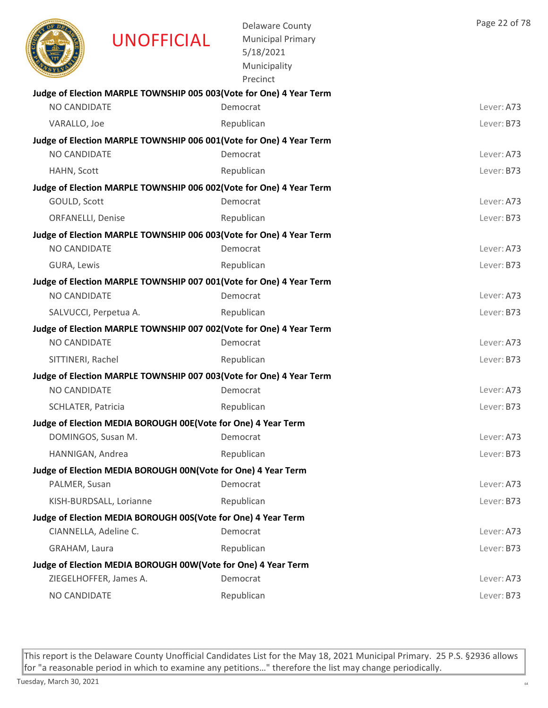|                           | <b>UNOFFICIAL</b>                                             | <b>Delaware County</b><br><b>Municipal Primary</b><br>5/18/2021<br>Municipality<br>Precinct | Page 22 of 78 |
|---------------------------|---------------------------------------------------------------|---------------------------------------------------------------------------------------------|---------------|
|                           |                                                               | Judge of Election MARPLE TOWNSHIP 005 003 (Vote for One) 4 Year Term                        |               |
| <b>NO CANDIDATE</b>       |                                                               | Democrat                                                                                    | Lever: A73    |
| VARALLO, Joe              |                                                               | Republican                                                                                  | Lever: B73    |
|                           |                                                               | Judge of Election MARPLE TOWNSHIP 006 001(Vote for One) 4 Year Term                         |               |
| <b>NO CANDIDATE</b>       |                                                               | Democrat                                                                                    | Lever: A73    |
| HAHN, Scott               |                                                               | Republican                                                                                  | Lever: B73    |
|                           |                                                               | Judge of Election MARPLE TOWNSHIP 006 002(Vote for One) 4 Year Term                         |               |
| GOULD, Scott              |                                                               | Democrat                                                                                    | Lever: A73    |
| <b>ORFANELLI, Denise</b>  |                                                               | Republican                                                                                  | Lever: B73    |
|                           |                                                               | Judge of Election MARPLE TOWNSHIP 006 003(Vote for One) 4 Year Term                         |               |
| <b>NO CANDIDATE</b>       |                                                               | Democrat                                                                                    | Lever: A73    |
| GURA, Lewis               |                                                               | Republican                                                                                  | Lever: B73    |
|                           |                                                               | Judge of Election MARPLE TOWNSHIP 007 001(Vote for One) 4 Year Term                         |               |
| NO CANDIDATE              |                                                               | Democrat                                                                                    | Lever: A73    |
| SALVUCCI, Perpetua A.     |                                                               | Republican                                                                                  | Lever: B73    |
|                           |                                                               | Judge of Election MARPLE TOWNSHIP 007 002(Vote for One) 4 Year Term                         |               |
| NO CANDIDATE              |                                                               | Democrat                                                                                    | Lever: A73    |
| SITTINERI, Rachel         |                                                               | Republican                                                                                  | Lever: B73    |
|                           |                                                               | Judge of Election MARPLE TOWNSHIP 007 003(Vote for One) 4 Year Term                         |               |
| NO CANDIDATE              |                                                               | Democrat                                                                                    | Lever: A73    |
| <b>SCHLATER, Patricia</b> |                                                               | Republican                                                                                  | Lever: B73    |
|                           | Judge of Election MEDIA BOROUGH 00E(Vote for One) 4 Year Term |                                                                                             |               |
| DOMINGOS, Susan M.        |                                                               | Democrat                                                                                    | Lever: A73    |
| HANNIGAN, Andrea          |                                                               | Republican                                                                                  | Lever: B73    |
|                           | Judge of Election MEDIA BOROUGH 00N(Vote for One) 4 Year Term |                                                                                             |               |
| PALMER, Susan             |                                                               | Democrat                                                                                    | Lever: A73    |
|                           | KISH-BURDSALL, Lorianne                                       | Republican                                                                                  | Lever: B73    |
|                           | Judge of Election MEDIA BOROUGH 00S(Vote for One) 4 Year Term |                                                                                             |               |
| CIANNELLA, Adeline C.     |                                                               | Democrat                                                                                    | Lever: A73    |
| GRAHAM, Laura             |                                                               | Republican                                                                                  | Lever: B73    |
|                           | Judge of Election MEDIA BOROUGH 00W(Vote for One) 4 Year Term |                                                                                             |               |
|                           | ZIEGELHOFFER, James A.                                        | Democrat                                                                                    | Lever: A73    |
| NO CANDIDATE              |                                                               | Republican                                                                                  | Lever: B73    |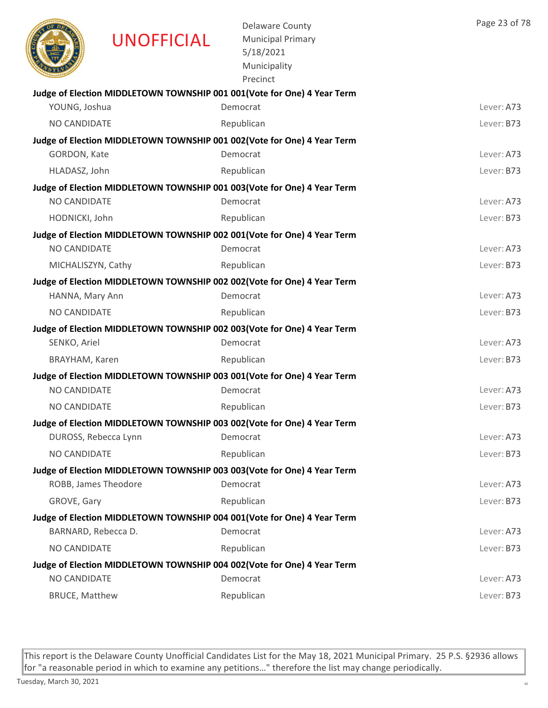|                       | <b>UNOFFICIAL</b>    | <b>Delaware County</b><br><b>Municipal Primary</b><br>5/18/2021<br>Municipality<br>Precinct | Page 23 of 78 |
|-----------------------|----------------------|---------------------------------------------------------------------------------------------|---------------|
|                       |                      | Judge of Election MIDDLETOWN TOWNSHIP 001 001 (Vote for One) 4 Year Term                    |               |
| YOUNG, Joshua         |                      | Democrat                                                                                    | Lever: A73    |
| NO CANDIDATE          |                      | Republican                                                                                  | Lever: B73    |
|                       |                      | Judge of Election MIDDLETOWN TOWNSHIP 001 002(Vote for One) 4 Year Term                     |               |
| GORDON, Kate          |                      | Democrat                                                                                    | Lever: A73    |
| HLADASZ, John         |                      | Republican                                                                                  | Lever: B73    |
| <b>NO CANDIDATE</b>   |                      | Judge of Election MIDDLETOWN TOWNSHIP 001 003 (Vote for One) 4 Year Term<br>Democrat        | Lever: A73    |
|                       |                      |                                                                                             |               |
| HODNICKI, John        |                      | Republican                                                                                  | Lever: B73    |
| <b>NO CANDIDATE</b>   |                      | Judge of Election MIDDLETOWN TOWNSHIP 002 001(Vote for One) 4 Year Term<br>Democrat         | Lever: A73    |
| MICHALISZYN, Cathy    |                      | Republican                                                                                  | Lever: B73    |
|                       |                      |                                                                                             |               |
| HANNA, Mary Ann       |                      | Judge of Election MIDDLETOWN TOWNSHIP 002 002(Vote for One) 4 Year Term<br>Democrat         | Lever: A73    |
| NO CANDIDATE          |                      | Republican                                                                                  | Lever: B73    |
|                       |                      | Judge of Election MIDDLETOWN TOWNSHIP 002 003(Vote for One) 4 Year Term                     |               |
| SENKO, Ariel          |                      | Democrat                                                                                    | Lever: A73    |
| BRAYHAM, Karen        |                      | Republican                                                                                  | Lever: B73    |
|                       |                      | Judge of Election MIDDLETOWN TOWNSHIP 003 001(Vote for One) 4 Year Term                     |               |
| NO CANDIDATE          |                      | Democrat                                                                                    | Lever: A73    |
| NO CANDIDATE          |                      | Republican                                                                                  | Lever: B73    |
|                       |                      | Judge of Election MIDDLETOWN TOWNSHIP 003 002(Vote for One) 4 Year Term                     |               |
|                       | DUROSS, Rebecca Lynn | Democrat                                                                                    | Lever: A73    |
| NO CANDIDATE          |                      | Republican                                                                                  | Lever: B73    |
|                       |                      | Judge of Election MIDDLETOWN TOWNSHIP 003 003(Vote for One) 4 Year Term                     |               |
|                       | ROBB, James Theodore | Democrat                                                                                    | Lever: A73    |
| GROVE, Gary           |                      | Republican                                                                                  | Lever: B73    |
|                       |                      | Judge of Election MIDDLETOWN TOWNSHIP 004 001(Vote for One) 4 Year Term                     |               |
| BARNARD, Rebecca D.   |                      | Democrat                                                                                    | Lever: A73    |
| NO CANDIDATE          |                      | Republican                                                                                  | Lever: B73    |
|                       |                      | Judge of Election MIDDLETOWN TOWNSHIP 004 002(Vote for One) 4 Year Term                     |               |
| NO CANDIDATE          |                      | Democrat                                                                                    | Lever: A73    |
| <b>BRUCE, Matthew</b> |                      | Republican                                                                                  | Lever: B73    |
|                       |                      |                                                                                             |               |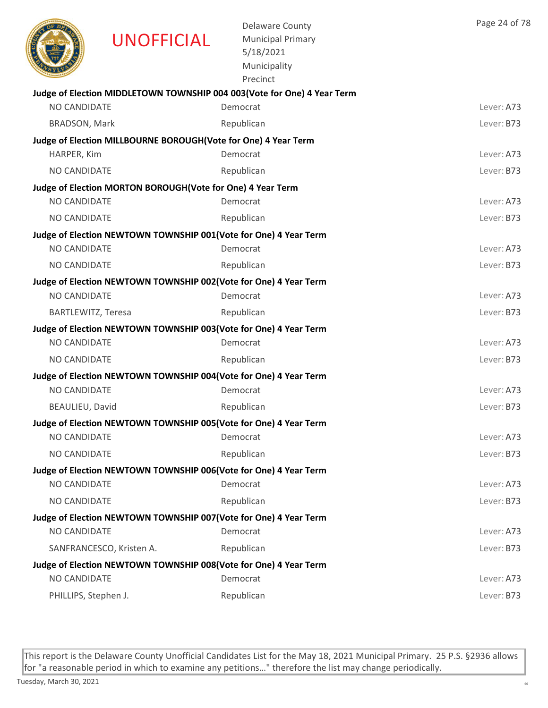|                      | <b>UNOFFICIAL</b>                                                | <b>Delaware County</b><br><b>Municipal Primary</b><br>5/18/2021<br>Municipality<br>Precinct | Page 24 of 78 |
|----------------------|------------------------------------------------------------------|---------------------------------------------------------------------------------------------|---------------|
|                      |                                                                  | Judge of Election MIDDLETOWN TOWNSHIP 004 003 (Vote for One) 4 Year Term                    |               |
| NO CANDIDATE         |                                                                  | Democrat                                                                                    | Lever: A73    |
| <b>BRADSON, Mark</b> |                                                                  | Republican                                                                                  | Lever: B73    |
|                      | Judge of Election MILLBOURNE BOROUGH(Vote for One) 4 Year Term   |                                                                                             |               |
| HARPER, Kim          |                                                                  | Democrat                                                                                    | Lever: A73    |
| <b>NO CANDIDATE</b>  |                                                                  | Republican                                                                                  | Lever: B73    |
|                      | Judge of Election MORTON BOROUGH (Vote for One) 4 Year Term      |                                                                                             |               |
| <b>NO CANDIDATE</b>  |                                                                  | Democrat                                                                                    | Lever: A73    |
| NO CANDIDATE         |                                                                  | Republican                                                                                  | Lever: B73    |
|                      | Judge of Election NEWTOWN TOWNSHIP 001(Vote for One) 4 Year Term |                                                                                             |               |
| <b>NO CANDIDATE</b>  |                                                                  | Democrat                                                                                    | Lever: A73    |
| NO CANDIDATE         |                                                                  | Republican                                                                                  | Lever: B73    |
|                      | Judge of Election NEWTOWN TOWNSHIP 002(Vote for One) 4 Year Term |                                                                                             |               |
| <b>NO CANDIDATE</b>  |                                                                  | Democrat                                                                                    | Lever: A73    |
| BARTLEWITZ, Teresa   |                                                                  | Republican                                                                                  | Lever: B73    |
|                      | Judge of Election NEWTOWN TOWNSHIP 003(Vote for One) 4 Year Term |                                                                                             |               |
| <b>NO CANDIDATE</b>  |                                                                  | Democrat                                                                                    | Lever: A73    |
| NO CANDIDATE         |                                                                  | Republican                                                                                  | Lever: B73    |
|                      | Judge of Election NEWTOWN TOWNSHIP 004(Vote for One) 4 Year Term |                                                                                             | Lever: A73    |
| NO CANDIDATE         |                                                                  | Democrat                                                                                    |               |
| BEAULIEU, David      |                                                                  | Republican                                                                                  | Lever: B73    |
| NO CANDIDATE         | Judge of Election NEWTOWN TOWNSHIP 005(Vote for One) 4 Year Term | Democrat                                                                                    | Lever: A73    |
| NO CANDIDATE         |                                                                  | Republican                                                                                  | Lever: B73    |
|                      |                                                                  |                                                                                             |               |
| <b>NO CANDIDATE</b>  | Judge of Election NEWTOWN TOWNSHIP 006(Vote for One) 4 Year Term | Democrat                                                                                    | Lever: A73    |
| NO CANDIDATE         |                                                                  | Republican                                                                                  | Lever: B73    |
|                      | Judge of Election NEWTOWN TOWNSHIP 007(Vote for One) 4 Year Term |                                                                                             |               |
| NO CANDIDATE         |                                                                  | Democrat                                                                                    | Lever: A73    |
|                      | SANFRANCESCO, Kristen A.                                         | Republican                                                                                  | Lever: B73    |
|                      | Judge of Election NEWTOWN TOWNSHIP 008(Vote for One) 4 Year Term |                                                                                             |               |
| <b>NO CANDIDATE</b>  |                                                                  | Democrat                                                                                    | Lever: A73    |
| PHILLIPS, Stephen J. |                                                                  | Republican                                                                                  | Lever: B73    |
|                      |                                                                  |                                                                                             |               |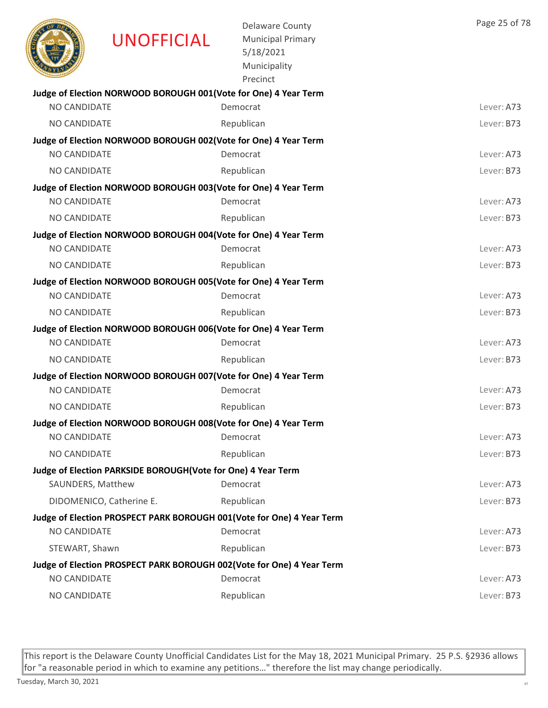|                     | <b>UNOFFICIAL</b>                                               | <b>Delaware County</b><br><b>Municipal Primary</b><br>5/18/2021<br>Municipality<br>Precinct | Page 25 of 78 |
|---------------------|-----------------------------------------------------------------|---------------------------------------------------------------------------------------------|---------------|
|                     | Judge of Election NORWOOD BOROUGH 001(Vote for One) 4 Year Term |                                                                                             |               |
| NO CANDIDATE        |                                                                 | Democrat                                                                                    | Lever: A73    |
| <b>NO CANDIDATE</b> |                                                                 | Republican                                                                                  | Lever: B73    |
|                     | Judge of Election NORWOOD BOROUGH 002(Vote for One) 4 Year Term |                                                                                             |               |
| NO CANDIDATE        |                                                                 | Democrat                                                                                    | Lever: A73    |
| NO CANDIDATE        |                                                                 | Republican                                                                                  | Lever: B73    |
|                     | Judge of Election NORWOOD BOROUGH 003(Vote for One) 4 Year Term |                                                                                             |               |
| <b>NO CANDIDATE</b> |                                                                 | Democrat                                                                                    | Lever: A73    |
| NO CANDIDATE        |                                                                 | Republican                                                                                  | Lever: B73    |
|                     | Judge of Election NORWOOD BOROUGH 004(Vote for One) 4 Year Term |                                                                                             |               |
| <b>NO CANDIDATE</b> |                                                                 | Democrat                                                                                    | Lever: A73    |
| NO CANDIDATE        |                                                                 | Republican                                                                                  | Lever: B73    |
|                     | Judge of Election NORWOOD BOROUGH 005(Vote for One) 4 Year Term |                                                                                             |               |
| NO CANDIDATE        |                                                                 | Democrat                                                                                    | Lever: A73    |
| NO CANDIDATE        |                                                                 | Republican                                                                                  | Lever: B73    |
| NO CANDIDATE        | Judge of Election NORWOOD BOROUGH 006(Vote for One) 4 Year Term |                                                                                             |               |
|                     |                                                                 | Democrat                                                                                    | Lever: A73    |
| NO CANDIDATE        |                                                                 | Republican                                                                                  | Lever: B73    |
| <b>NO CANDIDATE</b> | Judge of Election NORWOOD BOROUGH 007(Vote for One) 4 Year Term |                                                                                             |               |
|                     |                                                                 | Democrat                                                                                    | Lever: A73    |
| NO CANDIDATE        |                                                                 | Republican                                                                                  | Lever: B73    |
| NO CANDIDATE        | Judge of Election NORWOOD BOROUGH 008(Vote for One) 4 Year Term |                                                                                             |               |
|                     |                                                                 | Democrat                                                                                    | Lever: A73    |
| NO CANDIDATE        |                                                                 | Republican                                                                                  | Lever: B73    |
| SAUNDERS, Matthew   | Judge of Election PARKSIDE BOROUGH(Vote for One) 4 Year Term    | Democrat                                                                                    | Lever: A73    |
|                     |                                                                 |                                                                                             |               |
|                     | DIDOMENICO, Catherine E.                                        | Republican                                                                                  | Lever: B73    |
| NO CANDIDATE        |                                                                 | Judge of Election PROSPECT PARK BOROUGH 001(Vote for One) 4 Year Term<br>Democrat           | Lever: A73    |
|                     |                                                                 |                                                                                             |               |
| STEWART, Shawn      |                                                                 | Republican                                                                                  | Lever: B73    |
| NO CANDIDATE        |                                                                 | Judge of Election PROSPECT PARK BOROUGH 002(Vote for One) 4 Year Term<br>Democrat           | Lever: A73    |
|                     |                                                                 |                                                                                             |               |
| NO CANDIDATE        |                                                                 | Republican                                                                                  | Lever: B73    |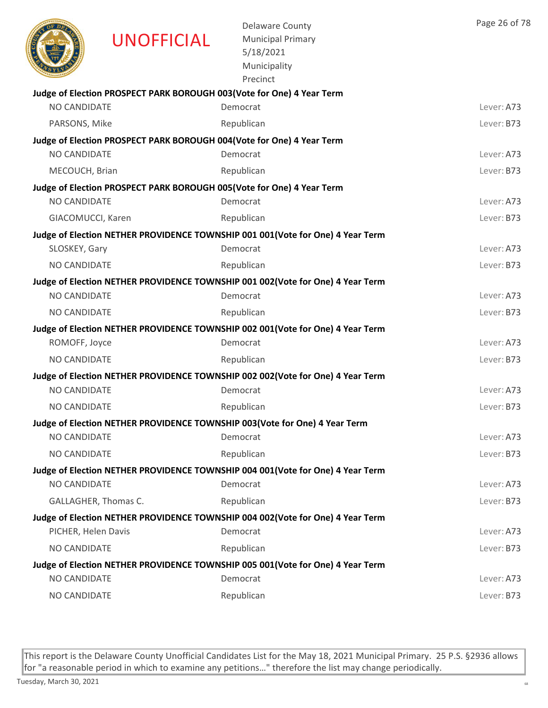|                      | <b>UNOFFICIAL</b> | <b>Delaware County</b><br><b>Municipal Primary</b><br>5/18/2021<br>Municipality<br>Precinct | Page 26 of 78 |
|----------------------|-------------------|---------------------------------------------------------------------------------------------|---------------|
|                      |                   | Judge of Election PROSPECT PARK BOROUGH 003(Vote for One) 4 Year Term                       |               |
| NO CANDIDATE         |                   | Democrat                                                                                    | Lever: A73    |
| PARSONS, Mike        |                   | Republican                                                                                  | Lever: B73    |
|                      |                   | Judge of Election PROSPECT PARK BOROUGH 004(Vote for One) 4 Year Term                       |               |
| NO CANDIDATE         |                   | Democrat                                                                                    | Lever: A73    |
| MECOUCH, Brian       |                   | Republican                                                                                  | Lever: B73    |
|                      |                   | Judge of Election PROSPECT PARK BOROUGH 005(Vote for One) 4 Year Term                       |               |
| <b>NO CANDIDATE</b>  |                   | Democrat                                                                                    | Lever: A73    |
| GIACOMUCCI, Karen    |                   | Republican                                                                                  | Lever: B73    |
|                      |                   | Judge of Election NETHER PROVIDENCE TOWNSHIP 001 001(Vote for One) 4 Year Term              |               |
| SLOSKEY, Gary        |                   | Democrat                                                                                    | Lever: A73    |
| <b>NO CANDIDATE</b>  |                   | Republican                                                                                  | Lever: B73    |
|                      |                   | Judge of Election NETHER PROVIDENCE TOWNSHIP 001 002(Vote for One) 4 Year Term              |               |
| NO CANDIDATE         |                   | Democrat                                                                                    | Lever: A73    |
| NO CANDIDATE         |                   | Republican                                                                                  | Lever: B73    |
|                      |                   | Judge of Election NETHER PROVIDENCE TOWNSHIP 002 001(Vote for One) 4 Year Term              |               |
| ROMOFF, Joyce        |                   | Democrat                                                                                    | Lever: A73    |
| NO CANDIDATE         |                   | Republican                                                                                  | Lever: B73    |
|                      |                   | Judge of Election NETHER PROVIDENCE TOWNSHIP 002 002(Vote for One) 4 Year Term              |               |
| NO CANDIDATE         |                   | Democrat                                                                                    | Lever: A73    |
| <b>NO CANDIDATE</b>  |                   | Republican                                                                                  | Lever: B73    |
|                      |                   | Judge of Election NETHER PROVIDENCE TOWNSHIP 003 (Vote for One) 4 Year Term                 |               |
| NO CANDIDATE         |                   | Democrat                                                                                    | Lever: A73    |
| NO CANDIDATE         |                   | Republican                                                                                  | Lever: B73    |
|                      |                   | Judge of Election NETHER PROVIDENCE TOWNSHIP 004 001(Vote for One) 4 Year Term              |               |
| <b>NO CANDIDATE</b>  |                   | Democrat                                                                                    | Lever: A73    |
| GALLAGHER, Thomas C. |                   | Republican                                                                                  | Lever: B73    |
|                      |                   | Judge of Election NETHER PROVIDENCE TOWNSHIP 004 002 (Vote for One) 4 Year Term             |               |
| PICHER, Helen Davis  |                   | Democrat                                                                                    | Lever: A73    |
| NO CANDIDATE         |                   | Republican                                                                                  | Lever: B73    |
|                      |                   | Judge of Election NETHER PROVIDENCE TOWNSHIP 005 001(Vote for One) 4 Year Term              |               |
| NO CANDIDATE         |                   | Democrat                                                                                    | Lever: A73    |
| NO CANDIDATE         |                   | Republican                                                                                  | Lever: B73    |
|                      |                   |                                                                                             |               |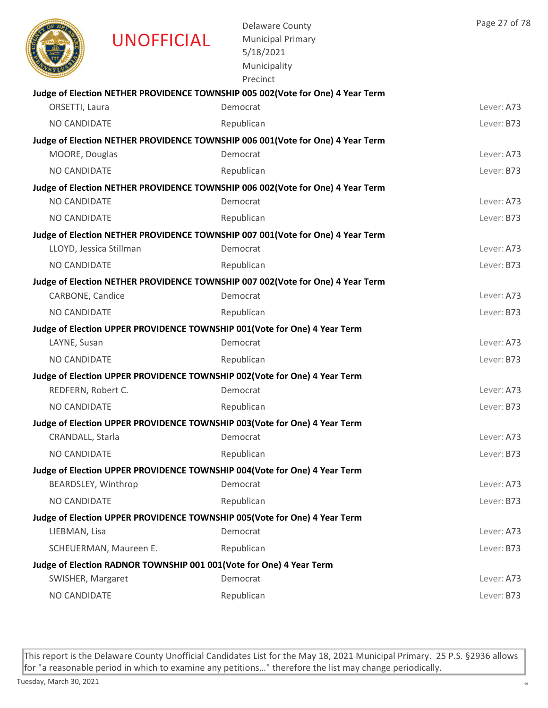|                     | <b>UNOFFICIAL</b>       | <b>Delaware County</b><br><b>Municipal Primary</b><br>5/18/2021<br>Municipality<br>Precinct | Page 27 of 78 |
|---------------------|-------------------------|---------------------------------------------------------------------------------------------|---------------|
|                     |                         | Judge of Election NETHER PROVIDENCE TOWNSHIP 005 002(Vote for One) 4 Year Term              |               |
| ORSETTI, Laura      |                         | Democrat                                                                                    | Lever: A73    |
| NO CANDIDATE        |                         | Republican                                                                                  | Lever: B73    |
|                     |                         | Judge of Election NETHER PROVIDENCE TOWNSHIP 006 001(Vote for One) 4 Year Term              |               |
| MOORE, Douglas      |                         | Democrat                                                                                    | Lever: A73    |
| NO CANDIDATE        |                         | Republican                                                                                  | Lever: B73    |
|                     |                         | Judge of Election NETHER PROVIDENCE TOWNSHIP 006 002(Vote for One) 4 Year Term              |               |
| <b>NO CANDIDATE</b> |                         | Democrat                                                                                    | Lever: A73    |
| NO CANDIDATE        |                         | Republican                                                                                  | Lever: B73    |
|                     |                         | Judge of Election NETHER PROVIDENCE TOWNSHIP 007 001(Vote for One) 4 Year Term              |               |
|                     | LLOYD, Jessica Stillman | Democrat                                                                                    | Lever: A73    |
| NO CANDIDATE        |                         | Republican                                                                                  | Lever: B73    |
|                     |                         | Judge of Election NETHER PROVIDENCE TOWNSHIP 007 002(Vote for One) 4 Year Term              |               |
| CARBONE, Candice    |                         | Democrat                                                                                    | Lever: A73    |
| NO CANDIDATE        |                         | Republican                                                                                  | Lever: B73    |
|                     |                         | Judge of Election UPPER PROVIDENCE TOWNSHIP 001(Vote for One) 4 Year Term                   |               |
| LAYNE, Susan        |                         | Democrat                                                                                    | Lever: A73    |
| NO CANDIDATE        |                         | Republican                                                                                  | Lever: B73    |
|                     |                         | Judge of Election UPPER PROVIDENCE TOWNSHIP 002(Vote for One) 4 Year Term                   |               |
| REDFERN, Robert C.  |                         | Democrat                                                                                    | Lever: A73    |
| NO CANDIDATE        |                         | Republican                                                                                  | Lever: B73    |
|                     |                         | Judge of Election UPPER PROVIDENCE TOWNSHIP 003(Vote for One) 4 Year Term                   |               |
| CRANDALL, Starla    |                         | Democrat                                                                                    | Lever: A73    |
| NO CANDIDATE        |                         | Republican                                                                                  | Lever: B73    |
|                     |                         | Judge of Election UPPER PROVIDENCE TOWNSHIP 004(Vote for One) 4 Year Term<br>Democrat       | Lever: A73    |
|                     | BEARDSLEY, Winthrop     |                                                                                             |               |
| NO CANDIDATE        |                         | Republican                                                                                  | Lever: B73    |
| LIEBMAN, Lisa       |                         | Judge of Election UPPER PROVIDENCE TOWNSHIP 005(Vote for One) 4 Year Term<br>Democrat       | Lever: A73    |
|                     | SCHEUERMAN, Maureen E.  | Republican                                                                                  | Lever: B73    |
|                     |                         |                                                                                             |               |
| SWISHER, Margaret   |                         | Judge of Election RADNOR TOWNSHIP 001 001(Vote for One) 4 Year Term<br>Democrat             | Lever: A73    |
| NO CANDIDATE        |                         | Republican                                                                                  | Lever: B73    |
|                     |                         |                                                                                             |               |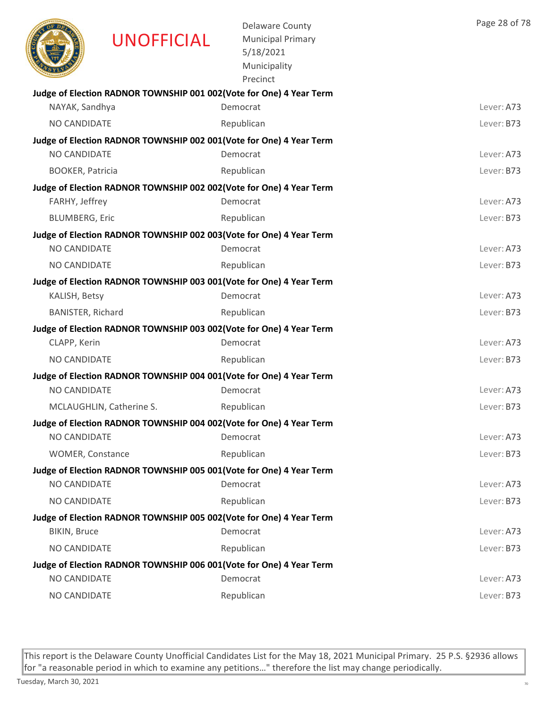|                          | <b>UNOFFICIAL</b>        | <b>Delaware County</b><br><b>Municipal Primary</b><br>5/18/2021<br>Municipality<br>Precinct | Page 28 of 78 |
|--------------------------|--------------------------|---------------------------------------------------------------------------------------------|---------------|
|                          |                          | Judge of Election RADNOR TOWNSHIP 001 002(Vote for One) 4 Year Term                         |               |
| NAYAK, Sandhya           |                          | Democrat                                                                                    | Lever: A73    |
| NO CANDIDATE             |                          | Republican                                                                                  | Lever: B73    |
|                          |                          | Judge of Election RADNOR TOWNSHIP 002 001(Vote for One) 4 Year Term                         |               |
| NO CANDIDATE             |                          | Democrat                                                                                    | Lever: A73    |
| <b>BOOKER, Patricia</b>  |                          | Republican                                                                                  | Lever: B73    |
|                          |                          | Judge of Election RADNOR TOWNSHIP 002 002(Vote for One) 4 Year Term                         |               |
| FARHY, Jeffrey           |                          | Democrat                                                                                    | Lever: A73    |
| <b>BLUMBERG, Eric</b>    |                          | Republican                                                                                  | Lever: B73    |
| NO CANDIDATE             |                          | Judge of Election RADNOR TOWNSHIP 002 003(Vote for One) 4 Year Term<br>Democrat             | Lever: A73    |
|                          |                          |                                                                                             |               |
| NO CANDIDATE             |                          | Republican                                                                                  | Lever: B73    |
| KALISH, Betsy            |                          | Judge of Election RADNOR TOWNSHIP 003 001(Vote for One) 4 Year Term<br>Democrat             | Lever: A73    |
| <b>BANISTER, Richard</b> |                          |                                                                                             | Lever: B73    |
|                          |                          | Republican                                                                                  |               |
| CLAPP, Kerin             |                          | Judge of Election RADNOR TOWNSHIP 003 002(Vote for One) 4 Year Term<br>Democrat             | Lever: A73    |
| NO CANDIDATE             |                          | Republican                                                                                  | Lever: B73    |
|                          |                          |                                                                                             |               |
| NO CANDIDATE             |                          | Judge of Election RADNOR TOWNSHIP 004 001(Vote for One) 4 Year Term<br>Democrat             | Lever: A73    |
|                          | MCLAUGHLIN, Catherine S. | Republican                                                                                  | Lever: B73    |
|                          |                          | Judge of Election RADNOR TOWNSHIP 004 002(Vote for One) 4 Year Term                         |               |
| NO CANDIDATE             |                          | Democrat                                                                                    | Lever: A73    |
| <b>WOMER, Constance</b>  |                          | Republican                                                                                  | Lever: B73    |
|                          |                          | Judge of Election RADNOR TOWNSHIP 005 001(Vote for One) 4 Year Term                         |               |
| NO CANDIDATE             |                          | Democrat                                                                                    | Lever: A73    |
| NO CANDIDATE             |                          | Republican                                                                                  | Lever: B73    |
|                          |                          | Judge of Election RADNOR TOWNSHIP 005 002(Vote for One) 4 Year Term                         |               |
| BIKIN, Bruce             |                          | Democrat                                                                                    | Lever: A73    |
| NO CANDIDATE             |                          | Republican                                                                                  | Lever: B73    |
|                          |                          | Judge of Election RADNOR TOWNSHIP 006 001(Vote for One) 4 Year Term                         |               |
| NO CANDIDATE             |                          | Democrat                                                                                    | Lever: A73    |
| NO CANDIDATE             |                          | Republican                                                                                  | Lever: B73    |
|                          |                          |                                                                                             |               |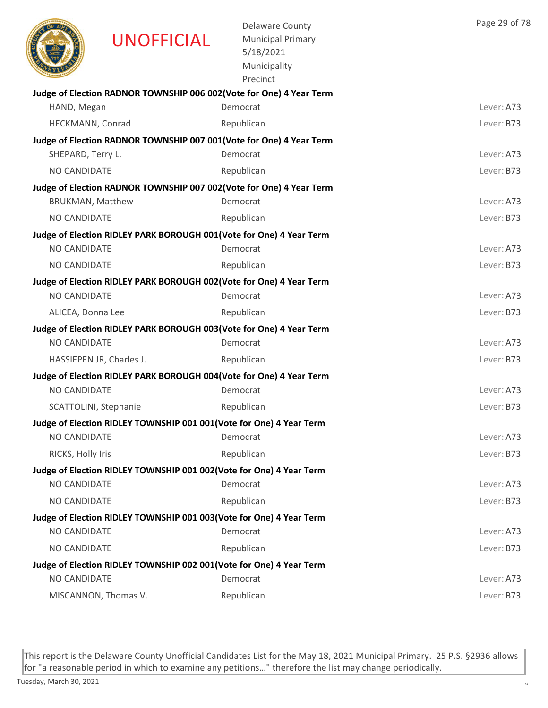|                         | <b>UNOFFICIAL</b>                                                    | <b>Delaware County</b><br><b>Municipal Primary</b><br>5/18/2021<br>Municipality<br>Precinct | Page 29 of 78 |
|-------------------------|----------------------------------------------------------------------|---------------------------------------------------------------------------------------------|---------------|
|                         |                                                                      | Judge of Election RADNOR TOWNSHIP 006 002(Vote for One) 4 Year Term                         |               |
| HAND, Megan             |                                                                      | Democrat                                                                                    | Lever: A73    |
| HECKMANN, Conrad        |                                                                      | Republican                                                                                  | Lever: B73    |
| SHEPARD, Terry L.       |                                                                      | Judge of Election RADNOR TOWNSHIP 007 001(Vote for One) 4 Year Term<br>Democrat             | Lever: A73    |
| NO CANDIDATE            |                                                                      |                                                                                             | Lever: B73    |
|                         |                                                                      | Republican<br>Judge of Election RADNOR TOWNSHIP 007 002(Vote for One) 4 Year Term           |               |
| <b>BRUKMAN, Matthew</b> |                                                                      | Democrat                                                                                    | Lever: A73    |
| NO CANDIDATE            |                                                                      | Republican                                                                                  | Lever: B73    |
|                         | Judge of Election RIDLEY PARK BOROUGH 001 (Vote for One) 4 Year Term |                                                                                             |               |
| NO CANDIDATE            |                                                                      | Democrat                                                                                    | Lever: A73    |
| <b>NO CANDIDATE</b>     |                                                                      | Republican                                                                                  | Lever: B73    |
|                         | Judge of Election RIDLEY PARK BOROUGH 002(Vote for One) 4 Year Term  |                                                                                             |               |
| <b>NO CANDIDATE</b>     |                                                                      | Democrat                                                                                    | Lever: A73    |
| ALICEA, Donna Lee       |                                                                      | Republican                                                                                  | Lever: B73    |
|                         | Judge of Election RIDLEY PARK BOROUGH 003(Vote for One) 4 Year Term  |                                                                                             |               |
| NO CANDIDATE            |                                                                      | Democrat                                                                                    | Lever: A73    |
|                         | HASSIEPEN JR, Charles J.                                             | Republican                                                                                  | Lever: B73    |
|                         | Judge of Election RIDLEY PARK BOROUGH 004(Vote for One) 4 Year Term  |                                                                                             |               |
| NO CANDIDATE            |                                                                      | Democrat                                                                                    | Lever: A73    |
| SCATTOLINI, Stephanie   |                                                                      | Republican                                                                                  | Lever: B73    |
|                         | Judge of Election RIDLEY TOWNSHIP 001 001 (Vote for One) 4 Year Term |                                                                                             |               |
| NO CANDIDATE            |                                                                      | Democrat                                                                                    | Lever: A73    |
| RICKS, Holly Iris       |                                                                      | Republican                                                                                  | Lever: B73    |
|                         | Judge of Election RIDLEY TOWNSHIP 001 002(Vote for One) 4 Year Term  |                                                                                             |               |
| NO CANDIDATE            |                                                                      | Democrat                                                                                    | Lever: A73    |
| NO CANDIDATE            |                                                                      | Republican                                                                                  | Lever: B73    |
| NO CANDIDATE            | Judge of Election RIDLEY TOWNSHIP 001 003(Vote for One) 4 Year Term  |                                                                                             | Lever: A73    |
|                         |                                                                      | Democrat                                                                                    |               |
| NO CANDIDATE            |                                                                      | Republican                                                                                  | Lever: B73    |
| NO CANDIDATE            | Judge of Election RIDLEY TOWNSHIP 002 001(Vote for One) 4 Year Term  | Democrat                                                                                    | Lever: A73    |
|                         | MISCANNON, Thomas V.                                                 | Republican                                                                                  | Lever: B73    |
|                         |                                                                      |                                                                                             |               |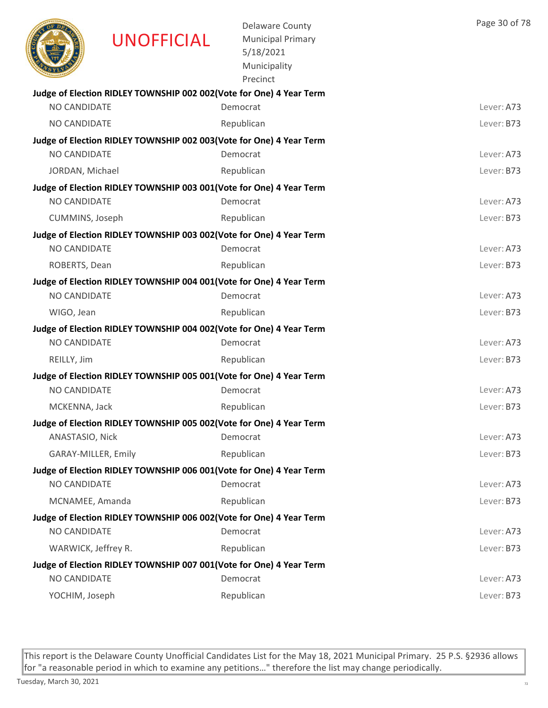|                     | <b>UNOFFICIAL</b>                                                   | <b>Delaware County</b><br><b>Municipal Primary</b><br>5/18/2021<br>Municipality<br>Precinct | Page 30 of 78 |
|---------------------|---------------------------------------------------------------------|---------------------------------------------------------------------------------------------|---------------|
| NO CANDIDATE        | Judge of Election RIDLEY TOWNSHIP 002 002(Vote for One) 4 Year Term | Democrat                                                                                    | Lever: A73    |
|                     |                                                                     |                                                                                             |               |
| <b>NO CANDIDATE</b> |                                                                     | Republican                                                                                  | Lever: B73    |
| <b>NO CANDIDATE</b> | Judge of Election RIDLEY TOWNSHIP 002 003(Vote for One) 4 Year Term | Democrat                                                                                    | Lever: A73    |
| JORDAN, Michael     |                                                                     | Republican                                                                                  | Lever: B73    |
|                     | Judge of Election RIDLEY TOWNSHIP 003 001(Vote for One) 4 Year Term |                                                                                             |               |
| NO CANDIDATE        |                                                                     | Democrat                                                                                    | Lever: A73    |
| CUMMINS, Joseph     |                                                                     | Republican                                                                                  | Lever: B73    |
|                     | Judge of Election RIDLEY TOWNSHIP 003 002(Vote for One) 4 Year Term |                                                                                             |               |
| <b>NO CANDIDATE</b> |                                                                     | Democrat                                                                                    | Lever: A73    |
| ROBERTS, Dean       |                                                                     | Republican                                                                                  | Lever: B73    |
|                     | Judge of Election RIDLEY TOWNSHIP 004 001(Vote for One) 4 Year Term |                                                                                             |               |
| NO CANDIDATE        |                                                                     | Democrat                                                                                    | Lever: A73    |
| WIGO, Jean          |                                                                     | Republican                                                                                  | Lever: B73    |
|                     | Judge of Election RIDLEY TOWNSHIP 004 002(Vote for One) 4 Year Term |                                                                                             |               |
| <b>NO CANDIDATE</b> |                                                                     | Democrat                                                                                    | Lever: A73    |
| REILLY, Jim         |                                                                     | Republican                                                                                  | Lever: B73    |
|                     | Judge of Election RIDLEY TOWNSHIP 005 001(Vote for One) 4 Year Term |                                                                                             |               |
| NO CANDIDATE        |                                                                     | Democrat                                                                                    | Lever: A73    |
| MCKENNA, Jack       |                                                                     | Republican                                                                                  | Lever: B73    |
|                     | Judge of Election RIDLEY TOWNSHIP 005 002(Vote for One) 4 Year Term |                                                                                             |               |
| ANASTASIO, Nick     |                                                                     | Democrat                                                                                    | Lever: A73    |
| GARAY-MILLER, Emily |                                                                     | Republican                                                                                  | Lever: B73    |
|                     | Judge of Election RIDLEY TOWNSHIP 006 001(Vote for One) 4 Year Term |                                                                                             |               |
| NO CANDIDATE        |                                                                     | Democrat                                                                                    | Lever: A73    |
| MCNAMEE, Amanda     |                                                                     | Republican                                                                                  | Lever: B73    |
| NO CANDIDATE        | Judge of Election RIDLEY TOWNSHIP 006 002(Vote for One) 4 Year Term |                                                                                             | Lever: A73    |
|                     |                                                                     | Democrat                                                                                    |               |
| WARWICK, Jeffrey R. |                                                                     | Republican                                                                                  | Lever: B73    |
| NO CANDIDATE        | Judge of Election RIDLEY TOWNSHIP 007 001(Vote for One) 4 Year Term | Democrat                                                                                    | Lever: A73    |
| YOCHIM, Joseph      |                                                                     | Republican                                                                                  | Lever: B73    |
|                     |                                                                     |                                                                                             |               |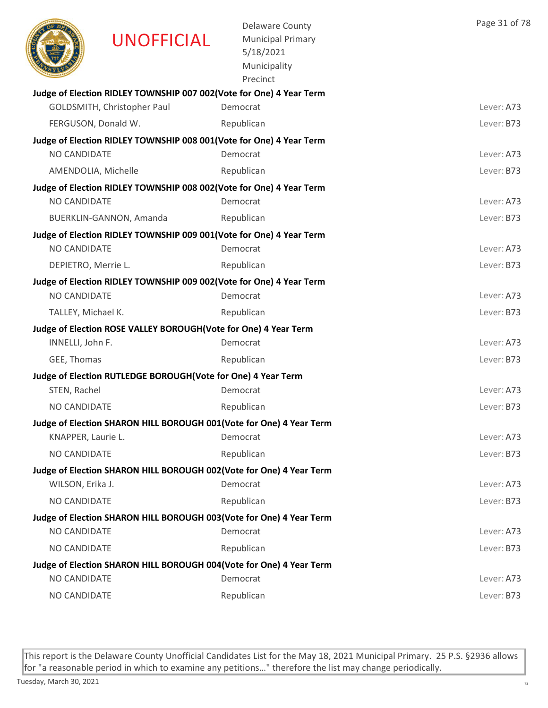

UNOFFICIAL

Delaware County Municipal Primary 5/18/2021 Municipality

|                                                                     | Precinct   |            |
|---------------------------------------------------------------------|------------|------------|
| Judge of Election RIDLEY TOWNSHIP 007 002(Vote for One) 4 Year Term |            |            |
| GOLDSMITH, Christopher Paul                                         | Democrat   | Lever: A73 |
| FERGUSON, Donald W.                                                 | Republican | Lever: B73 |
| Judge of Election RIDLEY TOWNSHIP 008 001(Vote for One) 4 Year Term |            |            |
| NO CANDIDATE                                                        | Democrat   | Lever: A73 |
| AMENDOLIA, Michelle                                                 | Republican | Lever: B73 |
| Judge of Election RIDLEY TOWNSHIP 008 002(Vote for One) 4 Year Term |            |            |
| NO CANDIDATE                                                        | Democrat   | Lever: A73 |
| BUERKLIN-GANNON, Amanda                                             | Republican | Lever: B73 |
| Judge of Election RIDLEY TOWNSHIP 009 001(Vote for One) 4 Year Term |            |            |
| <b>NO CANDIDATE</b>                                                 | Democrat   | Lever: A73 |
| DEPIETRO, Merrie L.                                                 | Republican | Lever: B73 |
| Judge of Election RIDLEY TOWNSHIP 009 002(Vote for One) 4 Year Term |            |            |
| <b>NO CANDIDATE</b>                                                 | Democrat   | Lever: A73 |
| TALLEY, Michael K.                                                  | Republican | Lever: B73 |
| Judge of Election ROSE VALLEY BOROUGH(Vote for One) 4 Year Term     |            |            |
| INNELLI, John F.                                                    | Democrat   | Lever: A73 |
| GEE, Thomas                                                         | Republican | Lever: B73 |
| Judge of Election RUTLEDGE BOROUGH(Vote for One) 4 Year Term        |            |            |
| STEN, Rachel                                                        | Democrat   | Lever: A73 |
| NO CANDIDATE                                                        | Republican | Lever: B73 |
| Judge of Election SHARON HILL BOROUGH 001(Vote for One) 4 Year Term |            |            |
| KNAPPER, Laurie L.                                                  | Democrat   | Lever: A73 |
| <b>NO CANDIDATE</b>                                                 | Republican | Lever: B73 |
| Judge of Election SHARON HILL BOROUGH 002(Vote for One) 4 Year Term |            |            |
| WILSON, Erika J.                                                    | Democrat   | Lever: A73 |
| NO CANDIDATE                                                        | Republican | Lever: B73 |
| Judge of Election SHARON HILL BOROUGH 003(Vote for One) 4 Year Term |            |            |
| NO CANDIDATE                                                        | Democrat   | Lever: A73 |
| <b>NO CANDIDATE</b>                                                 | Republican | Lever: B73 |
| Judge of Election SHARON HILL BOROUGH 004(Vote for One) 4 Year Term |            |            |
| NO CANDIDATE                                                        | Democrat   | Lever: A73 |
| NO CANDIDATE                                                        | Republican | Lever: B73 |

This report is the Delaware County Unofficial Candidates List for the May 18, 2021 Municipal Primary. 25 P.S. §2936 allows for "a reasonable period in which to examine any petitions…" therefore the list may change periodically.

Page 31 of 78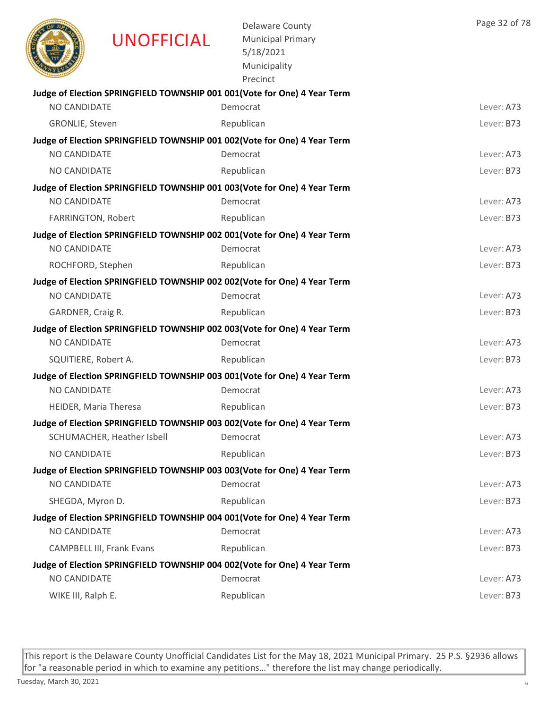|                      | UNOFFICIAL                 | <b>Delaware County</b><br><b>Municipal Primary</b><br>5/18/2021<br>Municipality<br>Precinct | Page 32 of 78 |
|----------------------|----------------------------|---------------------------------------------------------------------------------------------|---------------|
|                      |                            | Judge of Election SPRINGFIELD TOWNSHIP 001 001 (Vote for One) 4 Year Term                   |               |
| <b>NO CANDIDATE</b>  |                            | Democrat                                                                                    | Lever: A73    |
| GRONLIE, Steven      |                            | Republican                                                                                  | Lever: B73    |
|                      |                            | Judge of Election SPRINGFIELD TOWNSHIP 001 002(Vote for One) 4 Year Term                    |               |
| NO CANDIDATE         |                            | Democrat                                                                                    | Lever: A73    |
| <b>NO CANDIDATE</b>  |                            | Republican                                                                                  | Lever: B73    |
| <b>NO CANDIDATE</b>  |                            | Judge of Election SPRINGFIELD TOWNSHIP 001 003(Vote for One) 4 Year Term<br>Democrat        | Lever: A73    |
| FARRINGTON, Robert   |                            | Republican                                                                                  | Lever: B73    |
|                      |                            | Judge of Election SPRINGFIELD TOWNSHIP 002 001(Vote for One) 4 Year Term                    |               |
| NO CANDIDATE         |                            | Democrat                                                                                    | Lever: A73    |
| ROCHFORD, Stephen    |                            | Republican                                                                                  | Lever: B73    |
|                      |                            | Judge of Election SPRINGFIELD TOWNSHIP 002 002(Vote for One) 4 Year Term                    |               |
| <b>NO CANDIDATE</b>  |                            | Democrat                                                                                    | Lever: A73    |
| GARDNER, Craig R.    |                            | Republican                                                                                  | Lever: B73    |
|                      |                            | Judge of Election SPRINGFIELD TOWNSHIP 002 003(Vote for One) 4 Year Term                    |               |
| NO CANDIDATE         |                            | Democrat                                                                                    | Lever: A73    |
| SQUITIERE, Robert A. |                            | Republican                                                                                  | Lever: B73    |
|                      |                            | Judge of Election SPRINGFIELD TOWNSHIP 003 001(Vote for One) 4 Year Term                    |               |
| NO CANDIDATE         |                            | Democrat                                                                                    | Lever: A73    |
|                      | HEIDER, Maria Theresa      | Republican                                                                                  | Lever: B73    |
|                      |                            | Judge of Election SPRINGFIELD TOWNSHIP 003 002(Vote for One) 4 Year Term                    |               |
|                      | SCHUMACHER, Heather Isbell | Democrat                                                                                    | Lever: A73    |
| NO CANDIDATE         |                            | Republican                                                                                  | Lever: B73    |
|                      |                            | Judge of Election SPRINGFIELD TOWNSHIP 003 003(Vote for One) 4 Year Term                    |               |
| NO CANDIDATE         |                            | Democrat                                                                                    | Lever: A73    |
| SHEGDA, Myron D.     |                            | Republican                                                                                  | Lever: B73    |
|                      |                            | Judge of Election SPRINGFIELD TOWNSHIP 004 001(Vote for One) 4 Year Term                    |               |
| NO CANDIDATE         |                            | Democrat                                                                                    | Lever: A73    |
|                      | CAMPBELL III, Frank Evans  | Republican                                                                                  | Lever: B73    |
|                      |                            | Judge of Election SPRINGFIELD TOWNSHIP 004 002(Vote for One) 4 Year Term                    |               |
| NO CANDIDATE         |                            | Democrat                                                                                    | Lever: A73    |
| WIKE III, Ralph E.   |                            | Republican                                                                                  | Lever: B73    |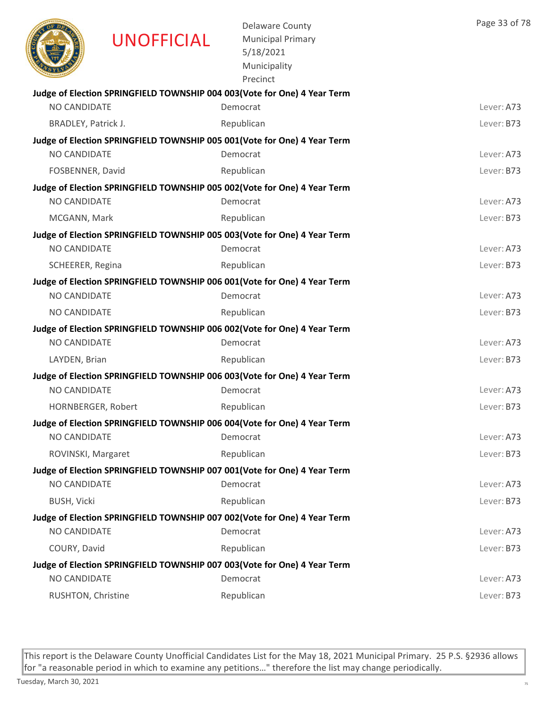|                            | UNOFFICIAL | <b>Delaware County</b><br><b>Municipal Primary</b><br>5/18/2021<br>Municipality<br>Precinct | Page 33 of 78 |
|----------------------------|------------|---------------------------------------------------------------------------------------------|---------------|
|                            |            | Judge of Election SPRINGFIELD TOWNSHIP 004 003(Vote for One) 4 Year Term                    |               |
| <b>NO CANDIDATE</b>        |            | Democrat                                                                                    | Lever: A73    |
| <b>BRADLEY, Patrick J.</b> |            | Republican                                                                                  | Lever: B73    |
|                            |            | Judge of Election SPRINGFIELD TOWNSHIP 005 001(Vote for One) 4 Year Term                    |               |
| NO CANDIDATE               |            | Democrat                                                                                    | Lever: A73    |
| FOSBENNER, David           |            | Republican                                                                                  | Lever: B73    |
|                            |            | Judge of Election SPRINGFIELD TOWNSHIP 005 002(Vote for One) 4 Year Term                    |               |
| <b>NO CANDIDATE</b>        |            | Democrat                                                                                    | Lever: A73    |
| MCGANN, Mark               |            | Republican                                                                                  | Lever: B73    |
|                            |            | Judge of Election SPRINGFIELD TOWNSHIP 005 003(Vote for One) 4 Year Term                    |               |
| NO CANDIDATE               |            | Democrat                                                                                    | Lever: A73    |
| SCHEERER, Regina           |            | Republican                                                                                  | Lever: B73    |
| NO CANDIDATE               |            | Judge of Election SPRINGFIELD TOWNSHIP 006 001(Vote for One) 4 Year Term<br>Democrat        | Lever: A73    |
| NO CANDIDATE               |            | Republican                                                                                  | Lever: B73    |
|                            |            |                                                                                             |               |
| NO CANDIDATE               |            | Judge of Election SPRINGFIELD TOWNSHIP 006 002(Vote for One) 4 Year Term<br>Democrat        | Lever: A73    |
| LAYDEN, Brian              |            | Republican                                                                                  | Lever: B73    |
|                            |            | Judge of Election SPRINGFIELD TOWNSHIP 006 003(Vote for One) 4 Year Term                    |               |
| NO CANDIDATE               |            | Democrat                                                                                    | Lever: A73    |
| HORNBERGER, Robert         |            | Republican                                                                                  | Lever: B73    |
|                            |            | Judge of Election SPRINGFIELD TOWNSHIP 006 004(Vote for One) 4 Year Term                    |               |
| NO CANDIDATE               |            | Democrat                                                                                    | Lever: A73    |
| ROVINSKI, Margaret         |            | Republican                                                                                  | Lever: B73    |
|                            |            | Judge of Election SPRINGFIELD TOWNSHIP 007 001(Vote for One) 4 Year Term                    |               |
| <b>NO CANDIDATE</b>        |            | Democrat                                                                                    | Lever: A73    |
| <b>BUSH, Vicki</b>         |            | Republican                                                                                  | Lever: B73    |
|                            |            | Judge of Election SPRINGFIELD TOWNSHIP 007 002(Vote for One) 4 Year Term                    |               |
| NO CANDIDATE               |            | Democrat                                                                                    | Lever: A73    |
| COURY, David               |            | Republican                                                                                  | Lever: B73    |
|                            |            | Judge of Election SPRINGFIELD TOWNSHIP 007 003(Vote for One) 4 Year Term                    |               |
| NO CANDIDATE               |            | Democrat                                                                                    | Lever: A73    |
| RUSHTON, Christine         |            | Republican                                                                                  | Lever: B73    |
|                            |            |                                                                                             |               |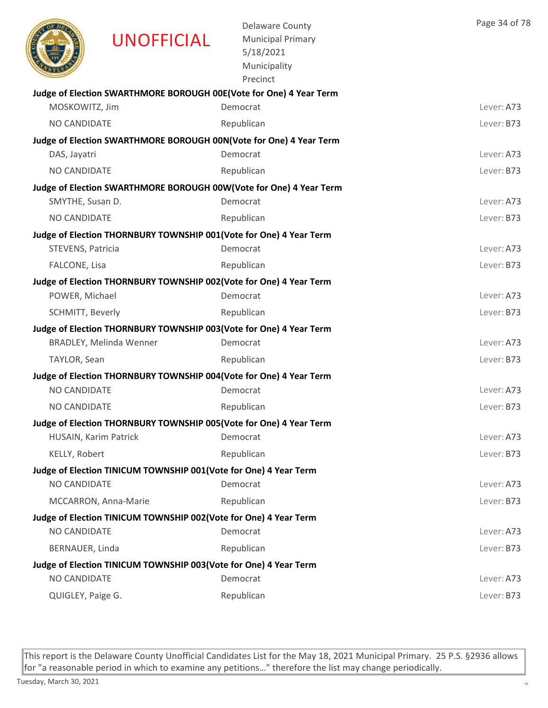|                       | UNOFFICIAL                                                          | <b>Delaware County</b><br><b>Municipal Primary</b><br>5/18/2021<br>Municipality<br>Precinct | Page 34 of 78 |
|-----------------------|---------------------------------------------------------------------|---------------------------------------------------------------------------------------------|---------------|
|                       |                                                                     | Judge of Election SWARTHMORE BOROUGH 00E(Vote for One) 4 Year Term                          |               |
| MOSKOWITZ, Jim        |                                                                     | Democrat                                                                                    | Lever: A73    |
| NO CANDIDATE          |                                                                     | Republican                                                                                  | Lever: B73    |
|                       |                                                                     | Judge of Election SWARTHMORE BOROUGH 00N(Vote for One) 4 Year Term                          |               |
| DAS, Jayatri          |                                                                     | Democrat                                                                                    | Lever: A73    |
| <b>NO CANDIDATE</b>   |                                                                     | Republican                                                                                  | Lever: B73    |
|                       |                                                                     | Judge of Election SWARTHMORE BOROUGH 00W(Vote for One) 4 Year Term                          |               |
| SMYTHE, Susan D.      |                                                                     | Democrat                                                                                    | Lever: A73    |
| NO CANDIDATE          |                                                                     | Republican                                                                                  | Lever: B73    |
|                       | Judge of Election THORNBURY TOWNSHIP 001(Vote for One) 4 Year Term  |                                                                                             |               |
| STEVENS, Patricia     |                                                                     | Democrat                                                                                    | Lever: A73    |
| FALCONE, Lisa         |                                                                     | Republican                                                                                  | Lever: B73    |
|                       | Judge of Election THORNBURY TOWNSHIP 002 (Vote for One) 4 Year Term |                                                                                             |               |
| POWER, Michael        |                                                                     | Democrat                                                                                    | Lever: A73    |
| SCHMITT, Beverly      |                                                                     | Republican                                                                                  | Lever: B73    |
|                       | Judge of Election THORNBURY TOWNSHIP 003(Vote for One) 4 Year Term  |                                                                                             |               |
|                       | <b>BRADLEY, Melinda Wenner</b>                                      | Democrat                                                                                    | Lever: A73    |
| TAYLOR, Sean          |                                                                     | Republican                                                                                  | Lever: B73    |
|                       | Judge of Election THORNBURY TOWNSHIP 004(Vote for One) 4 Year Term  |                                                                                             |               |
| <b>NO CANDIDATE</b>   |                                                                     | Democrat                                                                                    | Lever: A73    |
| NO CANDIDATE          |                                                                     | Republican                                                                                  | Lever: B73    |
|                       | Judge of Election THORNBURY TOWNSHIP 005(Vote for One) 4 Year Term  |                                                                                             |               |
| HUSAIN, Karim Patrick |                                                                     | Democrat                                                                                    | Lever: A73    |
| KELLY, Robert         |                                                                     | Republican                                                                                  | Lever: B73    |
|                       | Judge of Election TINICUM TOWNSHIP 001(Vote for One) 4 Year Term    |                                                                                             |               |
| NO CANDIDATE          |                                                                     | Democrat                                                                                    | Lever: A73    |
|                       | MCCARRON, Anna-Marie                                                | Republican                                                                                  | Lever: B73    |
|                       | Judge of Election TINICUM TOWNSHIP 002(Vote for One) 4 Year Term    |                                                                                             |               |
| NO CANDIDATE          |                                                                     | Democrat                                                                                    | Lever: A73    |
| BERNAUER, Linda       |                                                                     | Republican                                                                                  | Lever: B73    |
|                       | Judge of Election TINICUM TOWNSHIP 003(Vote for One) 4 Year Term    |                                                                                             |               |
| NO CANDIDATE          |                                                                     | Democrat                                                                                    | Lever: A73    |
| QUIGLEY, Paige G.     |                                                                     | Republican                                                                                  | Lever: B73    |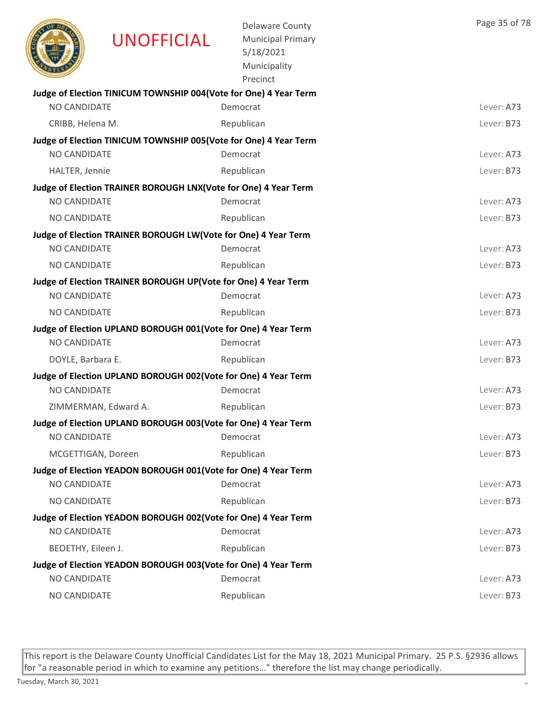|                     | <b>UNOFFICIAL</b>                                                | <b>Delaware County</b><br><b>Municipal Primary</b><br>5/18/2021<br>Municipality<br>Precinct | Page 35 of 78 |
|---------------------|------------------------------------------------------------------|---------------------------------------------------------------------------------------------|---------------|
|                     | Judge of Election TINICUM TOWNSHIP 004(Vote for One) 4 Year Term |                                                                                             |               |
| <b>NO CANDIDATE</b> |                                                                  | Democrat                                                                                    | Lever: A73    |
| CRIBB, Helena M.    |                                                                  | Republican                                                                                  | Lever: B73    |
| <b>NO CANDIDATE</b> | Judge of Election TINICUM TOWNSHIP 005(Vote for One) 4 Year Term | Democrat                                                                                    | Lever: A73    |
| HALTER, Jennie      |                                                                  | Republican                                                                                  | Lever: B73    |
|                     | Judge of Election TRAINER BOROUGH LNX(Vote for One) 4 Year Term  |                                                                                             |               |
| NO CANDIDATE        |                                                                  | Democrat                                                                                    | Lever: A73    |
| NO CANDIDATE        |                                                                  | Republican                                                                                  | Lever: B73    |
|                     | Judge of Election TRAINER BOROUGH LW(Vote for One) 4 Year Term   |                                                                                             |               |
| NO CANDIDATE        |                                                                  | Democrat                                                                                    | Lever: A73    |
| NO CANDIDATE        |                                                                  | Republican                                                                                  | Lever: B73    |
|                     | Judge of Election TRAINER BOROUGH UP(Vote for One) 4 Year Term   |                                                                                             |               |
| NO CANDIDATE        |                                                                  | Democrat                                                                                    | Lever: A73    |
| NO CANDIDATE        |                                                                  | Republican                                                                                  | Lever: B73    |
|                     | Judge of Election UPLAND BOROUGH 001(Vote for One) 4 Year Term   |                                                                                             |               |
| <b>NO CANDIDATE</b> |                                                                  | Democrat                                                                                    | Lever: A73    |
| DOYLE, Barbara E.   |                                                                  | Republican                                                                                  | Lever: B73    |
|                     | Judge of Election UPLAND BOROUGH 002(Vote for One) 4 Year Term   |                                                                                             |               |
| NO CANDIDATE        |                                                                  | Democrat                                                                                    | Lever: A73    |
|                     | ZIMMERMAN, Edward A.                                             | Republican                                                                                  | Lever: B73    |
|                     | Judge of Election UPLAND BOROUGH 003(Vote for One) 4 Year Term   |                                                                                             |               |
| NO CANDIDATE        |                                                                  | Democrat                                                                                    | Lever: A73    |
| MCGETTIGAN, Doreen  |                                                                  | Republican                                                                                  | Lever: B73    |
| NO CANDIDATE        | Judge of Election YEADON BOROUGH 001(Vote for One) 4 Year Term   | Democrat                                                                                    | Lever: A73    |
| NO CANDIDATE        |                                                                  |                                                                                             | Lever: B73    |
|                     |                                                                  | Republican                                                                                  |               |
| NO CANDIDATE        | Judge of Election YEADON BOROUGH 002(Vote for One) 4 Year Term   | Democrat                                                                                    | Lever: A73    |
| BEOETHY, Eileen J.  |                                                                  | Republican                                                                                  | Lever: B73    |
|                     | Judge of Election YEADON BOROUGH 003(Vote for One) 4 Year Term   |                                                                                             |               |
| NO CANDIDATE        |                                                                  | Democrat                                                                                    | Lever: A73    |
| NO CANDIDATE        |                                                                  | Republican                                                                                  | Lever: B73    |
|                     |                                                                  |                                                                                             |               |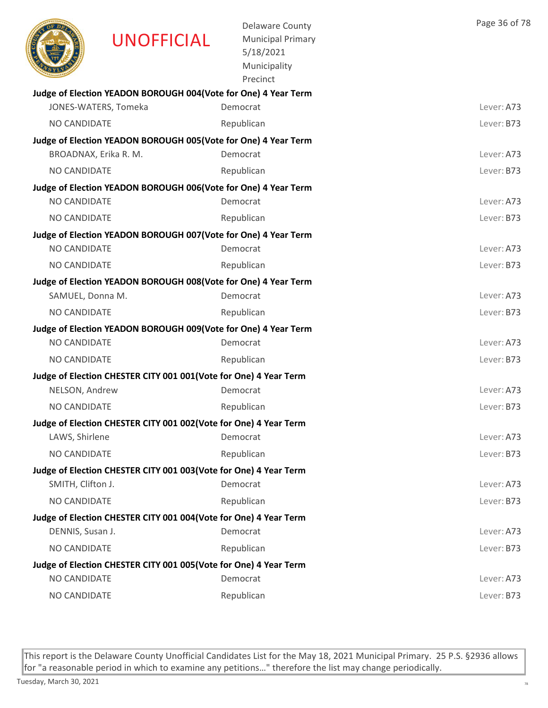|                     | <b>UNOFFICIAL</b>                                                                       | <b>Delaware County</b><br><b>Municipal Primary</b><br>5/18/2021<br>Municipality<br>Precinct | Page 36 of 78 |
|---------------------|-----------------------------------------------------------------------------------------|---------------------------------------------------------------------------------------------|---------------|
|                     | Judge of Election YEADON BOROUGH 004(Vote for One) 4 Year Term                          |                                                                                             |               |
|                     | JONES-WATERS, Tomeka                                                                    | Democrat                                                                                    | Lever: A73    |
| NO CANDIDATE        |                                                                                         | Republican                                                                                  | Lever: B73    |
|                     | Judge of Election YEADON BOROUGH 005(Vote for One) 4 Year Term<br>BROADNAX, Erika R. M. | Democrat                                                                                    | Lever: A73    |
| NO CANDIDATE        |                                                                                         | Republican                                                                                  | Lever: B73    |
|                     | Judge of Election YEADON BOROUGH 006(Vote for One) 4 Year Term                          |                                                                                             |               |
| <b>NO CANDIDATE</b> |                                                                                         | Democrat                                                                                    | Lever: A73    |
| NO CANDIDATE        |                                                                                         | Republican                                                                                  | Lever: B73    |
|                     | Judge of Election YEADON BOROUGH 007(Vote for One) 4 Year Term                          |                                                                                             |               |
| <b>NO CANDIDATE</b> |                                                                                         | Democrat                                                                                    | Lever: A73    |
| NO CANDIDATE        |                                                                                         | Republican                                                                                  | Lever: B73    |
|                     | Judge of Election YEADON BOROUGH 008(Vote for One) 4 Year Term                          |                                                                                             |               |
| SAMUEL, Donna M.    |                                                                                         | Democrat                                                                                    | Lever: A73    |
| NO CANDIDATE        |                                                                                         | Republican                                                                                  | Lever: B73    |
|                     | Judge of Election YEADON BOROUGH 009(Vote for One) 4 Year Term                          |                                                                                             |               |
| <b>NO CANDIDATE</b> |                                                                                         | Democrat                                                                                    | Lever: A73    |
| NO CANDIDATE        |                                                                                         | Republican                                                                                  | Lever: B73    |
|                     | Judge of Election CHESTER CITY 001 001(Vote for One) 4 Year Term                        |                                                                                             |               |
| NELSON, Andrew      |                                                                                         | Democrat                                                                                    | Lever: A73    |
| NO CANDIDATE        |                                                                                         | Republican                                                                                  | Lever: B73    |
|                     | Judge of Election CHESTER CITY 001 002(Vote for One) 4 Year Term                        |                                                                                             |               |
| LAWS, Shirlene      |                                                                                         | Democrat                                                                                    | Lever: A73    |
| NO CANDIDATE        |                                                                                         | Republican                                                                                  | Lever: B73    |
|                     | Judge of Election CHESTER CITY 001 003(Vote for One) 4 Year Term                        |                                                                                             |               |
| SMITH, Clifton J.   |                                                                                         | Democrat                                                                                    | Lever: A73    |
| NO CANDIDATE        |                                                                                         | Republican                                                                                  | Lever: B73    |
|                     | Judge of Election CHESTER CITY 001 004(Vote for One) 4 Year Term                        |                                                                                             |               |
| DENNIS, Susan J.    |                                                                                         | Democrat                                                                                    | Lever: A73    |
| NO CANDIDATE        |                                                                                         | Republican                                                                                  | Lever: B73    |
|                     | Judge of Election CHESTER CITY 001 005(Vote for One) 4 Year Term                        |                                                                                             |               |
| NO CANDIDATE        |                                                                                         | Democrat                                                                                    | Lever: A73    |
| NO CANDIDATE        |                                                                                         | Republican                                                                                  | Lever: B73    |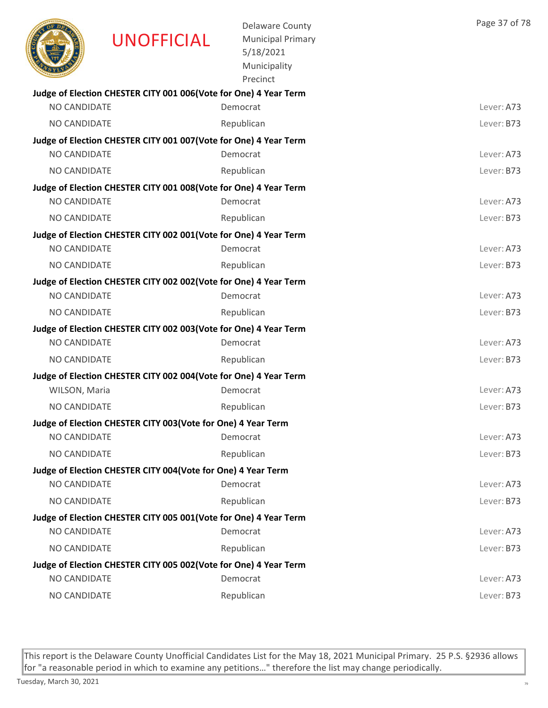|                     | <b>UNOFFICIAL</b>                                                 | <b>Delaware County</b><br><b>Municipal Primary</b><br>5/18/2021<br>Municipality<br>Precinct | Page 37 of 78 |
|---------------------|-------------------------------------------------------------------|---------------------------------------------------------------------------------------------|---------------|
|                     | Judge of Election CHESTER CITY 001 006(Vote for One) 4 Year Term  |                                                                                             |               |
| <b>NO CANDIDATE</b> |                                                                   | Democrat                                                                                    | Lever: A73    |
| <b>NO CANDIDATE</b> |                                                                   | Republican                                                                                  | Lever: B73    |
|                     | Judge of Election CHESTER CITY 001 007 (Vote for One) 4 Year Term |                                                                                             |               |
| NO CANDIDATE        |                                                                   | Democrat                                                                                    | Lever: A73    |
| <b>NO CANDIDATE</b> |                                                                   | Republican                                                                                  | Lever: B73    |
|                     | Judge of Election CHESTER CITY 001 008(Vote for One) 4 Year Term  |                                                                                             |               |
| NO CANDIDATE        |                                                                   | Democrat                                                                                    | Lever: A73    |
| NO CANDIDATE        |                                                                   | Republican                                                                                  | Lever: B73    |
|                     | Judge of Election CHESTER CITY 002 001(Vote for One) 4 Year Term  |                                                                                             |               |
| <b>NO CANDIDATE</b> |                                                                   | Democrat                                                                                    | Lever: A73    |
| <b>NO CANDIDATE</b> |                                                                   | Republican                                                                                  | Lever: B73    |
|                     | Judge of Election CHESTER CITY 002 002(Vote for One) 4 Year Term  |                                                                                             |               |
| NO CANDIDATE        |                                                                   | Democrat                                                                                    | Lever: A73    |
| NO CANDIDATE        |                                                                   | Republican                                                                                  | Lever: B73    |
| NO CANDIDATE        | Judge of Election CHESTER CITY 002 003(Vote for One) 4 Year Term  | Democrat                                                                                    | Lever: A73    |
|                     |                                                                   |                                                                                             |               |
| NO CANDIDATE        |                                                                   | Republican                                                                                  | Lever: B73    |
|                     | Judge of Election CHESTER CITY 002 004(Vote for One) 4 Year Term  | Democrat                                                                                    | Lever: A73    |
| WILSON, Maria       |                                                                   |                                                                                             | Lever: B73    |
| <b>NO CANDIDATE</b> |                                                                   | Republican                                                                                  |               |
| NO CANDIDATE        | Judge of Election CHESTER CITY 003(Vote for One) 4 Year Term      | Democrat                                                                                    | Lever: A73    |
| NO CANDIDATE        |                                                                   | Republican                                                                                  | Lever: B73    |
|                     |                                                                   |                                                                                             |               |
| NO CANDIDATE        | Judge of Election CHESTER CITY 004(Vote for One) 4 Year Term      | Democrat                                                                                    | Lever: A73    |
| NO CANDIDATE        |                                                                   | Republican                                                                                  | Lever: B73    |
|                     | Judge of Election CHESTER CITY 005 001(Vote for One) 4 Year Term  |                                                                                             |               |
| NO CANDIDATE        |                                                                   | Democrat                                                                                    | Lever: A73    |
| NO CANDIDATE        |                                                                   | Republican                                                                                  | Lever: B73    |
|                     | Judge of Election CHESTER CITY 005 002(Vote for One) 4 Year Term  |                                                                                             |               |
| NO CANDIDATE        |                                                                   | Democrat                                                                                    | Lever: A73    |
| NO CANDIDATE        |                                                                   | Republican                                                                                  | Lever: B73    |
|                     |                                                                   |                                                                                             |               |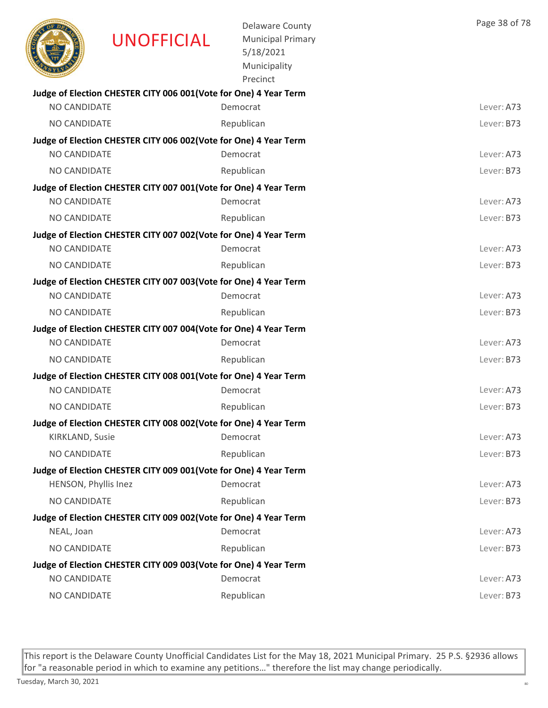|                      | <b>UNOFFICIAL</b>                                                | <b>Delaware County</b><br><b>Municipal Primary</b><br>5/18/2021<br>Municipality<br>Precinct | Page 38 of 78 |
|----------------------|------------------------------------------------------------------|---------------------------------------------------------------------------------------------|---------------|
|                      | Judge of Election CHESTER CITY 006 001(Vote for One) 4 Year Term |                                                                                             |               |
| NO CANDIDATE         |                                                                  | Democrat                                                                                    | Lever: A73    |
| <b>NO CANDIDATE</b>  |                                                                  | Republican                                                                                  | Lever: B73    |
|                      | Judge of Election CHESTER CITY 006 002(Vote for One) 4 Year Term |                                                                                             |               |
| NO CANDIDATE         |                                                                  | Democrat                                                                                    | Lever: A73    |
| <b>NO CANDIDATE</b>  |                                                                  | Republican                                                                                  | Lever: B73    |
|                      | Judge of Election CHESTER CITY 007 001(Vote for One) 4 Year Term |                                                                                             |               |
| NO CANDIDATE         |                                                                  | Democrat                                                                                    | Lever: A73    |
| NO CANDIDATE         |                                                                  | Republican                                                                                  | Lever: B73    |
| NO CANDIDATE         | Judge of Election CHESTER CITY 007 002(Vote for One) 4 Year Term | Democrat                                                                                    | Lever: A73    |
|                      |                                                                  |                                                                                             |               |
| <b>NO CANDIDATE</b>  |                                                                  | Republican                                                                                  | Lever: B73    |
| NO CANDIDATE         | Judge of Election CHESTER CITY 007 003(Vote for One) 4 Year Term | Democrat                                                                                    | Lever: A73    |
| NO CANDIDATE         |                                                                  | Republican                                                                                  | Lever: B73    |
|                      | Judge of Election CHESTER CITY 007 004(Vote for One) 4 Year Term |                                                                                             |               |
| NO CANDIDATE         |                                                                  | Democrat                                                                                    | Lever: A73    |
| NO CANDIDATE         |                                                                  | Republican                                                                                  | Lever: B73    |
|                      | Judge of Election CHESTER CITY 008 001(Vote for One) 4 Year Term |                                                                                             |               |
| <b>NO CANDIDATE</b>  |                                                                  | Democrat                                                                                    | Lever: A73    |
| <b>NO CANDIDATE</b>  |                                                                  | Republican                                                                                  | Lever: B73    |
|                      | Judge of Election CHESTER CITY 008 002(Vote for One) 4 Year Term |                                                                                             |               |
| KIRKLAND, Susie      |                                                                  | Democrat                                                                                    | Lever: A73    |
| NO CANDIDATE         |                                                                  | Republican                                                                                  | Lever: B73    |
|                      | Judge of Election CHESTER CITY 009 001(Vote for One) 4 Year Term |                                                                                             |               |
| HENSON, Phyllis Inez |                                                                  | Democrat                                                                                    | Lever: A73    |
| NO CANDIDATE         |                                                                  | Republican                                                                                  | Lever: B73    |
|                      | Judge of Election CHESTER CITY 009 002(Vote for One) 4 Year Term |                                                                                             |               |
| NEAL, Joan           |                                                                  | Democrat                                                                                    | Lever: A73    |
| NO CANDIDATE         |                                                                  | Republican                                                                                  | Lever: B73    |
|                      | Judge of Election CHESTER CITY 009 003(Vote for One) 4 Year Term |                                                                                             |               |
| NO CANDIDATE         |                                                                  | Democrat                                                                                    | Lever: A73    |
| NO CANDIDATE         |                                                                  | Republican                                                                                  | Lever: B73    |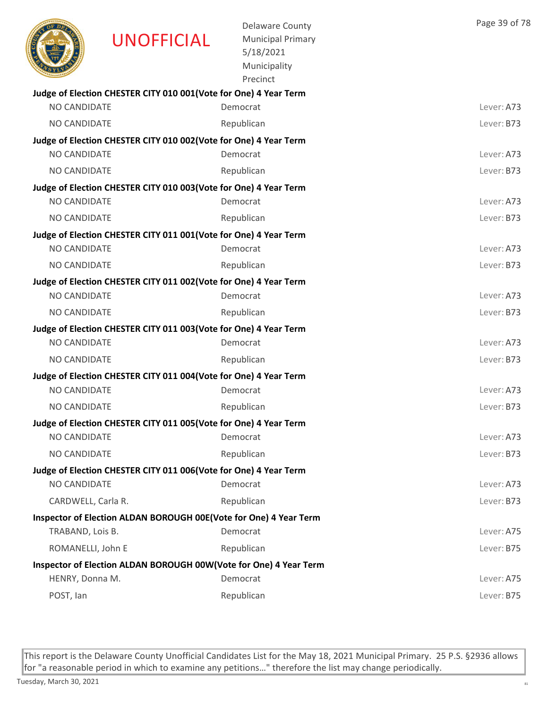|                     | <b>UNOFFICIAL</b>                                                 | <b>Delaware County</b><br><b>Municipal Primary</b><br>5/18/2021<br>Municipality<br>Precinct | Page 39 of 78 |
|---------------------|-------------------------------------------------------------------|---------------------------------------------------------------------------------------------|---------------|
|                     | Judge of Election CHESTER CITY 010 001(Vote for One) 4 Year Term  |                                                                                             |               |
| NO CANDIDATE        |                                                                   | Democrat                                                                                    | Lever: A73    |
| <b>NO CANDIDATE</b> |                                                                   | Republican                                                                                  | Lever: B73    |
|                     | Judge of Election CHESTER CITY 010 002(Vote for One) 4 Year Term  |                                                                                             |               |
| NO CANDIDATE        |                                                                   | Democrat                                                                                    | Lever: A73    |
| <b>NO CANDIDATE</b> |                                                                   | Republican                                                                                  | Lever: B73    |
| NO CANDIDATE        | Judge of Election CHESTER CITY 010 003(Vote for One) 4 Year Term  | Democrat                                                                                    | Lever: A73    |
| NO CANDIDATE        |                                                                   | Republican                                                                                  | Lever: B73    |
|                     |                                                                   |                                                                                             |               |
| NO CANDIDATE        | Judge of Election CHESTER CITY 011 001(Vote for One) 4 Year Term  | Democrat                                                                                    | Lever: A73    |
| <b>NO CANDIDATE</b> |                                                                   | Republican                                                                                  | Lever: B73    |
|                     | Judge of Election CHESTER CITY 011 002(Vote for One) 4 Year Term  |                                                                                             |               |
| NO CANDIDATE        |                                                                   | Democrat                                                                                    | Lever: A73    |
| NO CANDIDATE        |                                                                   | Republican                                                                                  | Lever: B73    |
|                     | Judge of Election CHESTER CITY 011 003 (Vote for One) 4 Year Term |                                                                                             |               |
| NO CANDIDATE        |                                                                   | Democrat                                                                                    | Lever: A73    |
| NO CANDIDATE        |                                                                   | Republican                                                                                  | Lever: B73    |
|                     | Judge of Election CHESTER CITY 011 004(Vote for One) 4 Year Term  |                                                                                             |               |
| NO CANDIDATE        |                                                                   | Democrat                                                                                    | Lever: A73    |
| <b>NO CANDIDATE</b> |                                                                   | Republican                                                                                  | Lever: B73    |
|                     | Judge of Election CHESTER CITY 011 005(Vote for One) 4 Year Term  |                                                                                             |               |
| NO CANDIDATE        |                                                                   | Democrat                                                                                    | Lever: A73    |
| NO CANDIDATE        |                                                                   | Republican                                                                                  | Lever: B73    |
|                     | Judge of Election CHESTER CITY 011 006(Vote for One) 4 Year Term  |                                                                                             |               |
| NO CANDIDATE        |                                                                   | Democrat                                                                                    | Lever: A73    |
| CARDWELL, Carla R.  |                                                                   | Republican                                                                                  | Lever: B73    |
|                     | Inspector of Election ALDAN BOROUGH 00E(Vote for One) 4 Year Term |                                                                                             |               |
| TRABAND, Lois B.    |                                                                   | Democrat                                                                                    | Lever: A75    |
| ROMANELLI, John E   |                                                                   | Republican                                                                                  | Lever: B75    |
|                     | Inspector of Election ALDAN BOROUGH 00W(Vote for One) 4 Year Term |                                                                                             |               |
| HENRY, Donna M.     |                                                                   | Democrat                                                                                    | Lever: A75    |
| POST, Ian           |                                                                   | Republican                                                                                  | Lever: B75    |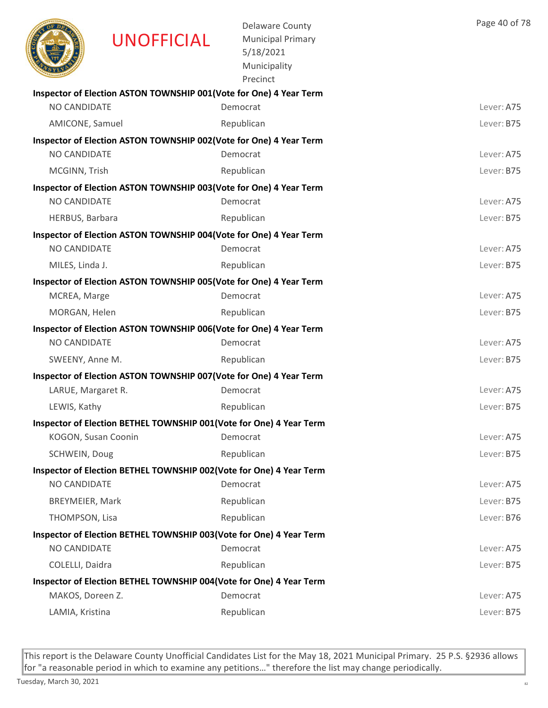|                        | <b>UNOFFICIAL</b>                                                   | <b>Delaware County</b><br><b>Municipal Primary</b><br>5/18/2021<br>Municipality<br>Precinct | Page 40 of 78 |
|------------------------|---------------------------------------------------------------------|---------------------------------------------------------------------------------------------|---------------|
|                        | Inspector of Election ASTON TOWNSHIP 001(Vote for One) 4 Year Term  |                                                                                             |               |
| NO CANDIDATE           |                                                                     | Democrat                                                                                    | Lever: A75    |
| AMICONE, Samuel        |                                                                     | Republican                                                                                  | Lever: B75    |
|                        | Inspector of Election ASTON TOWNSHIP 002(Vote for One) 4 Year Term  |                                                                                             |               |
| NO CANDIDATE           |                                                                     | Democrat                                                                                    | Lever: A75    |
| MCGINN, Trish          |                                                                     | Republican                                                                                  | Lever: B75    |
| NO CANDIDATE           | Inspector of Election ASTON TOWNSHIP 003(Vote for One) 4 Year Term  |                                                                                             |               |
|                        |                                                                     | Democrat                                                                                    | Lever: A75    |
| HERBUS, Barbara        |                                                                     | Republican                                                                                  | Lever: B75    |
| NO CANDIDATE           | Inspector of Election ASTON TOWNSHIP 004(Vote for One) 4 Year Term  | Democrat                                                                                    | Lever: A75    |
|                        |                                                                     |                                                                                             | Lever: B75    |
| MILES, Linda J.        |                                                                     | Republican                                                                                  |               |
| MCREA, Marge           | Inspector of Election ASTON TOWNSHIP 005(Vote for One) 4 Year Term  | Democrat                                                                                    | Lever: A75    |
| MORGAN, Helen          |                                                                     | Republican                                                                                  | Lever: B75    |
|                        | Inspector of Election ASTON TOWNSHIP 006(Vote for One) 4 Year Term  |                                                                                             |               |
| <b>NO CANDIDATE</b>    |                                                                     | Democrat                                                                                    | Lever: A75    |
| SWEENY, Anne M.        |                                                                     | Republican                                                                                  | Lever: B75    |
|                        | Inspector of Election ASTON TOWNSHIP 007 (Vote for One) 4 Year Term |                                                                                             |               |
| LARUE, Margaret R.     |                                                                     | Democrat                                                                                    | Lever: A75    |
| LEWIS, Kathy           |                                                                     | Republican                                                                                  | Lever: B75    |
|                        | Inspector of Election BETHEL TOWNSHIP 001(Vote for One) 4 Year Term |                                                                                             |               |
| KOGON, Susan Coonin    |                                                                     | Democrat                                                                                    | Lever: A75    |
| SCHWEIN, Doug          |                                                                     | Republican                                                                                  | Lever: B75    |
|                        | Inspector of Election BETHEL TOWNSHIP 002(Vote for One) 4 Year Term |                                                                                             |               |
| NO CANDIDATE           |                                                                     | Democrat                                                                                    | Lever: A75    |
| <b>BREYMEIER, Mark</b> |                                                                     | Republican                                                                                  | Lever: B75    |
| THOMPSON, Lisa         |                                                                     | Republican                                                                                  | Lever: B76    |
|                        | Inspector of Election BETHEL TOWNSHIP 003(Vote for One) 4 Year Term |                                                                                             |               |
| NO CANDIDATE           |                                                                     | Democrat                                                                                    | Lever: A75    |
| COLELLI, Daidra        |                                                                     | Republican                                                                                  | Lever: B75    |
|                        | Inspector of Election BETHEL TOWNSHIP 004(Vote for One) 4 Year Term |                                                                                             |               |
| MAKOS, Doreen Z.       |                                                                     | Democrat                                                                                    | Lever: A75    |
| LAMIA, Kristina        |                                                                     | Republican                                                                                  | Lever: B75    |
|                        |                                                                     |                                                                                             |               |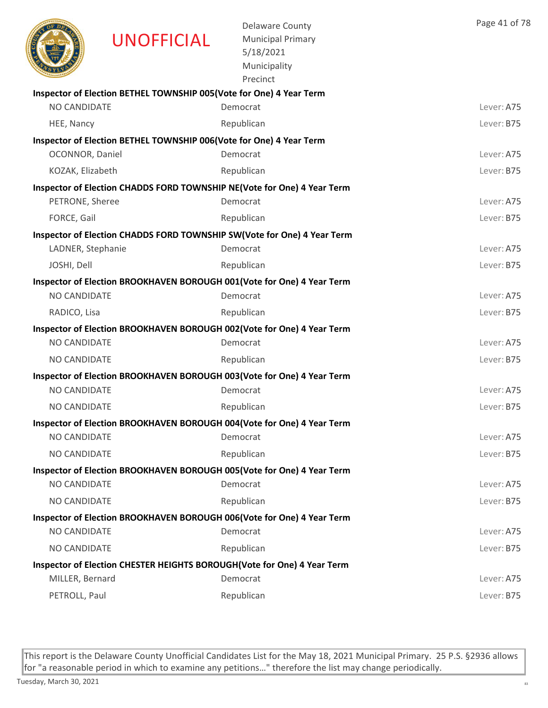|                     | <b>UNOFFICIAL</b>                                                   | <b>Delaware County</b><br><b>Municipal Primary</b><br>5/18/2021<br>Municipality<br>Precinct | Page 41 of 78 |
|---------------------|---------------------------------------------------------------------|---------------------------------------------------------------------------------------------|---------------|
|                     | Inspector of Election BETHEL TOWNSHIP 005(Vote for One) 4 Year Term |                                                                                             |               |
| <b>NO CANDIDATE</b> |                                                                     | Democrat                                                                                    | Lever: A75    |
| HEE, Nancy          |                                                                     | Republican                                                                                  | Lever: B75    |
| OCONNOR, Daniel     | Inspector of Election BETHEL TOWNSHIP 006(Vote for One) 4 Year Term | Democrat                                                                                    | Lever: A75    |
| KOZAK, Elizabeth    |                                                                     | Republican                                                                                  | Lever: B75    |
|                     |                                                                     | Inspector of Election CHADDS FORD TOWNSHIP NE(Vote for One) 4 Year Term                     |               |
| PETRONE, Sheree     |                                                                     | Democrat                                                                                    | Lever: A75    |
| FORCE, Gail         |                                                                     | Republican                                                                                  | Lever: B75    |
|                     |                                                                     | Inspector of Election CHADDS FORD TOWNSHIP SW(Vote for One) 4 Year Term                     |               |
| LADNER, Stephanie   |                                                                     | Democrat                                                                                    | Lever: A75    |
| JOSHI, Dell         |                                                                     | Republican                                                                                  | Lever: B75    |
|                     |                                                                     | Inspector of Election BROOKHAVEN BOROUGH 001(Vote for One) 4 Year Term                      |               |
| NO CANDIDATE        |                                                                     | Democrat                                                                                    | Lever: A75    |
| RADICO, Lisa        |                                                                     | Republican                                                                                  | Lever: B75    |
|                     |                                                                     | Inspector of Election BROOKHAVEN BOROUGH 002(Vote for One) 4 Year Term                      |               |
| NO CANDIDATE        |                                                                     | Democrat                                                                                    | Lever: A75    |
| <b>NO CANDIDATE</b> |                                                                     | Republican                                                                                  | Lever: B75    |
|                     |                                                                     | Inspector of Election BROOKHAVEN BOROUGH 003(Vote for One) 4 Year Term                      |               |
| NO CANDIDATE        |                                                                     | Democrat                                                                                    | Lever: A75    |
| NO CANDIDATE        |                                                                     | Republican                                                                                  | Lever: B75    |
|                     |                                                                     | Inspector of Election BROOKHAVEN BOROUGH 004(Vote for One) 4 Year Term                      |               |
| NO CANDIDATE        |                                                                     | Democrat                                                                                    | Lever: A75    |
| NO CANDIDATE        |                                                                     | Republican                                                                                  | Lever: B75    |
|                     |                                                                     | Inspector of Election BROOKHAVEN BOROUGH 005(Vote for One) 4 Year Term                      |               |
| NO CANDIDATE        |                                                                     | Democrat                                                                                    | Lever: A75    |
| NO CANDIDATE        |                                                                     | Republican                                                                                  | Lever: B75    |
|                     |                                                                     | Inspector of Election BROOKHAVEN BOROUGH 006(Vote for One) 4 Year Term                      |               |
| NO CANDIDATE        |                                                                     | Democrat                                                                                    | Lever: A75    |
| NO CANDIDATE        |                                                                     | Republican                                                                                  | Lever: B75    |
|                     |                                                                     | Inspector of Election CHESTER HEIGHTS BOROUGH(Vote for One) 4 Year Term                     |               |
| MILLER, Bernard     |                                                                     | Democrat                                                                                    | Lever: A75    |
| PETROLL, Paul       |                                                                     | Republican                                                                                  | Lever: B75    |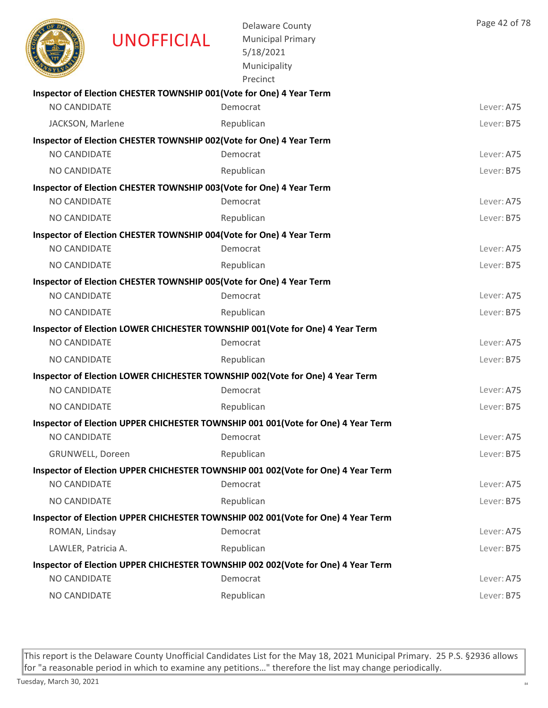|                     | <b>UNOFFICIAL</b>                                                     | <b>Delaware County</b><br><b>Municipal Primary</b><br>5/18/2021<br>Municipality<br>Precinct | Page 42 of 78 |
|---------------------|-----------------------------------------------------------------------|---------------------------------------------------------------------------------------------|---------------|
|                     | Inspector of Election CHESTER TOWNSHIP 001 (Vote for One) 4 Year Term |                                                                                             |               |
| <b>NO CANDIDATE</b> |                                                                       | Democrat                                                                                    | Lever: A75    |
| JACKSON, Marlene    |                                                                       | Republican                                                                                  | Lever: B75    |
| <b>NO CANDIDATE</b> | Inspector of Election CHESTER TOWNSHIP 002(Vote for One) 4 Year Term  | Democrat                                                                                    | Lever: A75    |
| NO CANDIDATE        |                                                                       | Republican                                                                                  | Lever: B75    |
|                     | Inspector of Election CHESTER TOWNSHIP 003(Vote for One) 4 Year Term  |                                                                                             |               |
| NO CANDIDATE        |                                                                       | Democrat                                                                                    | Lever: A75    |
| NO CANDIDATE        |                                                                       | Republican                                                                                  | Lever: B75    |
|                     | Inspector of Election CHESTER TOWNSHIP 004(Vote for One) 4 Year Term  |                                                                                             |               |
| <b>NO CANDIDATE</b> |                                                                       | Democrat                                                                                    | Lever: A75    |
| <b>NO CANDIDATE</b> |                                                                       | Republican                                                                                  | Lever: B75    |
|                     | Inspector of Election CHESTER TOWNSHIP 005(Vote for One) 4 Year Term  |                                                                                             |               |
| <b>NO CANDIDATE</b> |                                                                       | Democrat                                                                                    | Lever: A75    |
| NO CANDIDATE        |                                                                       | Republican                                                                                  | Lever: B75    |
|                     |                                                                       | Inspector of Election LOWER CHICHESTER TOWNSHIP 001(Vote for One) 4 Year Term               |               |
| NO CANDIDATE        |                                                                       | Democrat                                                                                    | Lever: A75    |
| <b>NO CANDIDATE</b> |                                                                       | Republican                                                                                  | Lever: B75    |
|                     |                                                                       | Inspector of Election LOWER CHICHESTER TOWNSHIP 002(Vote for One) 4 Year Term               |               |
| <b>NO CANDIDATE</b> |                                                                       | Democrat                                                                                    | Lever: A75    |
| <b>NO CANDIDATE</b> |                                                                       | Republican                                                                                  | Lever: B75    |
|                     |                                                                       | Inspector of Election UPPER CHICHESTER TOWNSHIP 001 001(Vote for One) 4 Year Term           |               |
| NO CANDIDATE        |                                                                       | Democrat                                                                                    | Lever: A75    |
| GRUNWELL, Doreen    |                                                                       | Republican                                                                                  | Lever: B75    |
|                     |                                                                       | Inspector of Election UPPER CHICHESTER TOWNSHIP 001 002(Vote for One) 4 Year Term           |               |
| NO CANDIDATE        |                                                                       | Democrat                                                                                    | Lever: A75    |
| NO CANDIDATE        |                                                                       | Republican                                                                                  | Lever: B75    |
|                     |                                                                       | Inspector of Election UPPER CHICHESTER TOWNSHIP 002 001(Vote for One) 4 Year Term           |               |
| ROMAN, Lindsay      |                                                                       | Democrat                                                                                    | Lever: A75    |
| LAWLER, Patricia A. |                                                                       | Republican                                                                                  | Lever: B75    |
|                     |                                                                       | Inspector of Election UPPER CHICHESTER TOWNSHIP 002 002(Vote for One) 4 Year Term           |               |
| NO CANDIDATE        |                                                                       | Democrat                                                                                    | Lever: A75    |
| NO CANDIDATE        |                                                                       | Republican                                                                                  | Lever: B75    |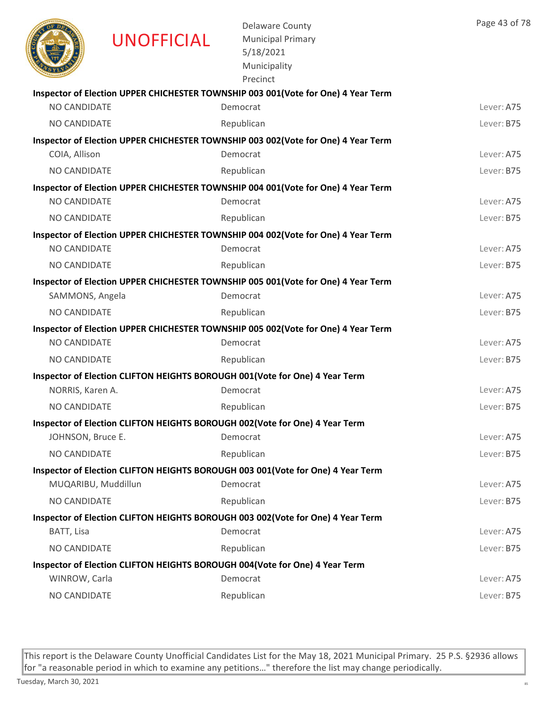|                     | <b>UNOFFICIAL</b>   | <b>Delaware County</b><br><b>Municipal Primary</b><br>5/18/2021<br>Municipality<br>Precinct | Page 43 of 78 |
|---------------------|---------------------|---------------------------------------------------------------------------------------------|---------------|
|                     |                     | Inspector of Election UPPER CHICHESTER TOWNSHIP 003 001(Vote for One) 4 Year Term           |               |
| NO CANDIDATE        |                     | Democrat                                                                                    | Lever: A75    |
| <b>NO CANDIDATE</b> |                     | Republican                                                                                  | Lever: B75    |
|                     |                     | Inspector of Election UPPER CHICHESTER TOWNSHIP 003 002(Vote for One) 4 Year Term           |               |
| COIA, Allison       |                     | Democrat                                                                                    | Lever: A75    |
| NO CANDIDATE        |                     | Republican                                                                                  | Lever: B75    |
|                     |                     | Inspector of Election UPPER CHICHESTER TOWNSHIP 004 001(Vote for One) 4 Year Term           |               |
| NO CANDIDATE        |                     | Democrat                                                                                    | Lever: A75    |
| NO CANDIDATE        |                     | Republican                                                                                  | Lever: B75    |
|                     |                     | Inspector of Election UPPER CHICHESTER TOWNSHIP 004 002(Vote for One) 4 Year Term           |               |
| <b>NO CANDIDATE</b> |                     | Democrat                                                                                    | Lever: A75    |
| NO CANDIDATE        |                     | Republican                                                                                  | Lever: B75    |
|                     |                     | Inspector of Election UPPER CHICHESTER TOWNSHIP 005 001(Vote for One) 4 Year Term           |               |
| SAMMONS, Angela     |                     | Democrat                                                                                    | Lever: A75    |
| NO CANDIDATE        |                     | Republican                                                                                  | Lever: B75    |
|                     |                     | Inspector of Election UPPER CHICHESTER TOWNSHIP 005 002(Vote for One) 4 Year Term           |               |
| NO CANDIDATE        |                     | Democrat                                                                                    | Lever: A75    |
| NO CANDIDATE        |                     | Republican                                                                                  | Lever: B75    |
|                     |                     | Inspector of Election CLIFTON HEIGHTS BOROUGH 001 (Vote for One) 4 Year Term                |               |
| NORRIS, Karen A.    |                     | Democrat                                                                                    | Lever: A75    |
| NO CANDIDATE        |                     | Republican                                                                                  | Lever: B75    |
|                     |                     | Inspector of Election CLIFTON HEIGHTS BOROUGH 002(Vote for One) 4 Year Term                 |               |
| JOHNSON, Bruce E.   |                     | Democrat                                                                                    | Lever: A75    |
| NO CANDIDATE        |                     | Republican                                                                                  | Lever: B75    |
|                     | MUQARIBU, Muddillun | Inspector of Election CLIFTON HEIGHTS BOROUGH 003 001(Vote for One) 4 Year Term<br>Democrat | Lever: A75    |
| NO CANDIDATE        |                     | Republican                                                                                  | Lever: B75    |
|                     |                     |                                                                                             |               |
| BATT, Lisa          |                     | Inspector of Election CLIFTON HEIGHTS BOROUGH 003 002(Vote for One) 4 Year Term<br>Democrat | Lever: A75    |
| NO CANDIDATE        |                     | Republican                                                                                  | Lever: B75    |
|                     |                     |                                                                                             |               |
| WINROW, Carla       |                     | Inspector of Election CLIFTON HEIGHTS BOROUGH 004(Vote for One) 4 Year Term<br>Democrat     | Lever: A75    |
| NO CANDIDATE        |                     | Republican                                                                                  | Lever: B75    |
|                     |                     |                                                                                             |               |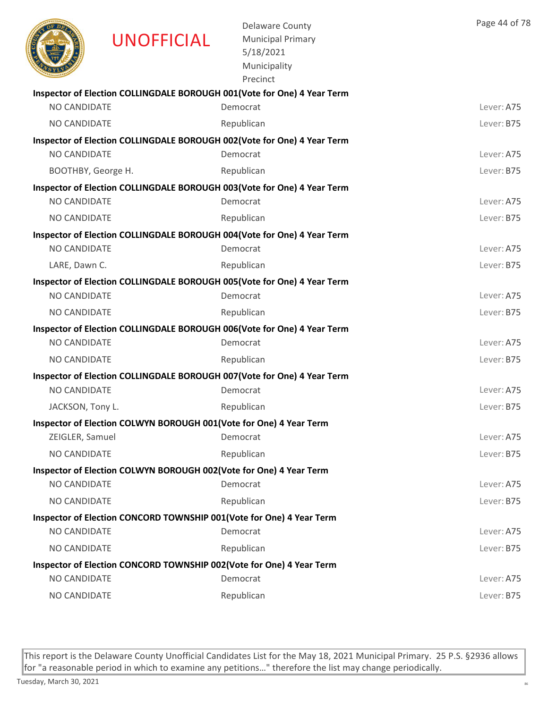|                     | <b>UNOFFICIAL</b> | <b>Delaware County</b><br><b>Municipal Primary</b><br>5/18/2021<br>Municipality<br>Precinct | Page 44 of 78 |
|---------------------|-------------------|---------------------------------------------------------------------------------------------|---------------|
|                     |                   | Inspector of Election COLLINGDALE BOROUGH 001(Vote for One) 4 Year Term                     |               |
| NO CANDIDATE        |                   | Democrat                                                                                    | Lever: A75    |
| <b>NO CANDIDATE</b> |                   | Republican                                                                                  | Lever: B75    |
|                     |                   | Inspector of Election COLLINGDALE BOROUGH 002(Vote for One) 4 Year Term                     |               |
| NO CANDIDATE        |                   | Democrat                                                                                    | Lever: A75    |
| BOOTHBY, George H.  |                   | Republican                                                                                  | Lever: B75    |
|                     |                   | Inspector of Election COLLINGDALE BOROUGH 003(Vote for One) 4 Year Term                     |               |
| <b>NO CANDIDATE</b> |                   | Democrat                                                                                    | Lever: A75    |
| <b>NO CANDIDATE</b> |                   | Republican                                                                                  | Lever: B75    |
| <b>NO CANDIDATE</b> |                   | Inspector of Election COLLINGDALE BOROUGH 004(Vote for One) 4 Year Term<br>Democrat         | Lever: A75    |
|                     |                   |                                                                                             |               |
| LARE, Dawn C.       |                   | Republican                                                                                  | Lever: B75    |
| NO CANDIDATE        |                   | Inspector of Election COLLINGDALE BOROUGH 005(Vote for One) 4 Year Term<br>Democrat         | Lever: A75    |
| <b>NO CANDIDATE</b> |                   | Republican                                                                                  | Lever: B75    |
|                     |                   | Inspector of Election COLLINGDALE BOROUGH 006(Vote for One) 4 Year Term                     |               |
| NO CANDIDATE        |                   | Democrat                                                                                    | Lever: A75    |
| NO CANDIDATE        |                   | Republican                                                                                  | Lever: B75    |
|                     |                   | Inspector of Election COLLINGDALE BOROUGH 007(Vote for One) 4 Year Term                     |               |
| <b>NO CANDIDATE</b> |                   | Democrat                                                                                    | Lever: A75    |
| JACKSON, Tony L.    |                   | Republican                                                                                  | Lever: B75    |
|                     |                   | Inspector of Election COLWYN BOROUGH 001(Vote for One) 4 Year Term                          |               |
| ZEIGLER, Samuel     |                   | Democrat                                                                                    | Lever: A75    |
| NO CANDIDATE        |                   | Republican                                                                                  | Lever: B75    |
|                     |                   | Inspector of Election COLWYN BOROUGH 002(Vote for One) 4 Year Term                          |               |
| <b>NO CANDIDATE</b> |                   | Democrat                                                                                    | Lever: A75    |
| <b>NO CANDIDATE</b> |                   | Republican                                                                                  | Lever: B75    |
|                     |                   | Inspector of Election CONCORD TOWNSHIP 001(Vote for One) 4 Year Term                        |               |
| NO CANDIDATE        |                   | Democrat                                                                                    | Lever: A75    |
| <b>NO CANDIDATE</b> |                   | Republican                                                                                  | Lever: B75    |
|                     |                   | Inspector of Election CONCORD TOWNSHIP 002(Vote for One) 4 Year Term                        |               |
| NO CANDIDATE        |                   | Democrat                                                                                    | Lever: A75    |
| NO CANDIDATE        |                   | Republican                                                                                  | Lever: B75    |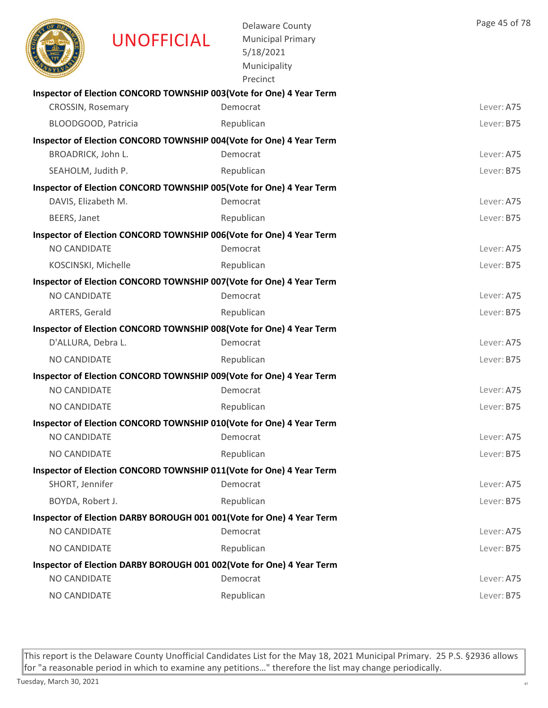|                          | <b>UNOFFICIAL</b> | <b>Delaware County</b><br><b>Municipal Primary</b><br>5/18/2021<br>Municipality<br>Precinct | Page 45 of 78 |
|--------------------------|-------------------|---------------------------------------------------------------------------------------------|---------------|
|                          |                   | Inspector of Election CONCORD TOWNSHIP 003(Vote for One) 4 Year Term                        |               |
| <b>CROSSIN, Rosemary</b> |                   | Democrat                                                                                    | Lever: A75    |
| BLOODGOOD, Patricia      |                   | Republican                                                                                  | Lever: B75    |
|                          |                   | Inspector of Election CONCORD TOWNSHIP 004(Vote for One) 4 Year Term                        |               |
| BROADRICK, John L.       |                   | Democrat                                                                                    | Lever: A75    |
| SEAHOLM, Judith P.       |                   | Republican                                                                                  | Lever: B75    |
|                          |                   | Inspector of Election CONCORD TOWNSHIP 005(Vote for One) 4 Year Term                        |               |
| DAVIS, Elizabeth M.      |                   | Democrat                                                                                    | Lever: A75    |
| BEERS, Janet             |                   | Republican                                                                                  | Lever: B75    |
|                          |                   | Inspector of Election CONCORD TOWNSHIP 006(Vote for One) 4 Year Term                        |               |
| NO CANDIDATE             |                   | Democrat                                                                                    | Lever: A75    |
| KOSCINSKI, Michelle      |                   | Republican                                                                                  | Lever: B75    |
|                          |                   | Inspector of Election CONCORD TOWNSHIP 007(Vote for One) 4 Year Term                        |               |
| NO CANDIDATE             |                   | Democrat                                                                                    | Lever: A75    |
| ARTERS, Gerald           |                   | Republican                                                                                  | Lever: B75    |
|                          |                   | Inspector of Election CONCORD TOWNSHIP 008(Vote for One) 4 Year Term                        | Lever: A75    |
| D'ALLURA, Debra L.       |                   | Democrat                                                                                    |               |
| NO CANDIDATE             |                   | Republican                                                                                  | Lever: B75    |
| <b>NO CANDIDATE</b>      |                   | Inspector of Election CONCORD TOWNSHIP 009(Vote for One) 4 Year Term                        |               |
|                          |                   | Democrat                                                                                    | Lever: A75    |
| <b>NO CANDIDATE</b>      |                   | Republican                                                                                  | Lever: B75    |
| NO CANDIDATE             |                   | Inspector of Election CONCORD TOWNSHIP 010(Vote for One) 4 Year Term<br>Democrat            | Lever: A75    |
|                          |                   |                                                                                             |               |
| NO CANDIDATE             |                   | Republican                                                                                  | Lever: B75    |
| SHORT, Jennifer          |                   | Inspector of Election CONCORD TOWNSHIP 011(Vote for One) 4 Year Term<br>Democrat            | Lever: A75    |
|                          |                   |                                                                                             |               |
| BOYDA, Robert J.         |                   | Republican                                                                                  | Lever: B75    |
| NO CANDIDATE             |                   | Inspector of Election DARBY BOROUGH 001 001 (Vote for One) 4 Year Term<br>Democrat          | Lever: A75    |
| NO CANDIDATE             |                   | Republican                                                                                  | Lever: B75    |
|                          |                   | Inspector of Election DARBY BOROUGH 001 002(Vote for One) 4 Year Term                       |               |
| NO CANDIDATE             |                   | Democrat                                                                                    | Lever: A75    |
| NO CANDIDATE             |                   | Republican                                                                                  | Lever: B75    |
|                          |                   |                                                                                             |               |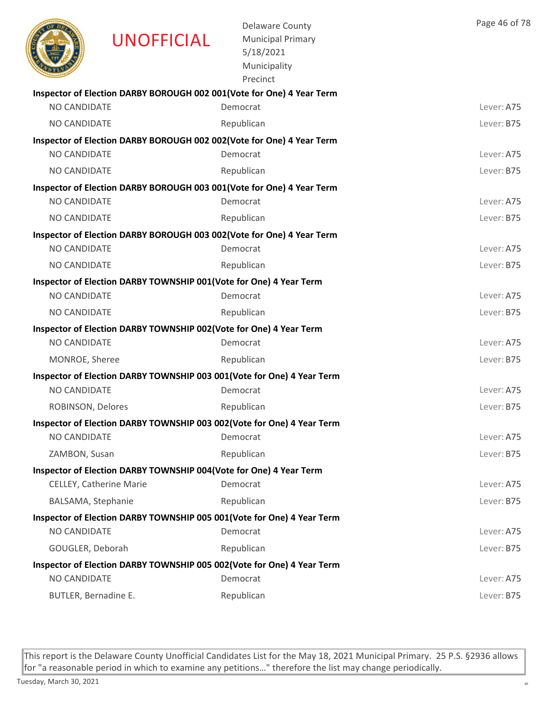|                      | <b>UNOFFICIAL</b>                                                  | <b>Delaware County</b><br><b>Municipal Primary</b><br>5/18/2021<br>Municipality<br>Precinct | Page 46 of 78 |
|----------------------|--------------------------------------------------------------------|---------------------------------------------------------------------------------------------|---------------|
|                      |                                                                    | Inspector of Election DARBY BOROUGH 002 001(Vote for One) 4 Year Term                       |               |
| NO CANDIDATE         |                                                                    | Democrat                                                                                    | Lever: A75    |
| NO CANDIDATE         |                                                                    | Republican                                                                                  | Lever: B75    |
|                      |                                                                    | Inspector of Election DARBY BOROUGH 002 002(Vote for One) 4 Year Term                       |               |
| NO CANDIDATE         |                                                                    | Democrat                                                                                    | Lever: A75    |
| <b>NO CANDIDATE</b>  |                                                                    | Republican                                                                                  | Lever: B75    |
| <b>NO CANDIDATE</b>  |                                                                    | Inspector of Election DARBY BOROUGH 003 001(Vote for One) 4 Year Term<br>Democrat           | Lever: A75    |
|                      |                                                                    |                                                                                             |               |
| NO CANDIDATE         |                                                                    | Republican                                                                                  | Lever: B75    |
| NO CANDIDATE         |                                                                    | Inspector of Election DARBY BOROUGH 003 002(Vote for One) 4 Year Term<br>Democrat           | Lever: A75    |
| <b>NO CANDIDATE</b>  |                                                                    | Republican                                                                                  | Lever: B75    |
|                      | Inspector of Election DARBY TOWNSHIP 001(Vote for One) 4 Year Term |                                                                                             |               |
| <b>NO CANDIDATE</b>  |                                                                    | Democrat                                                                                    | Lever: A75    |
| NO CANDIDATE         |                                                                    | Republican                                                                                  | Lever: B75    |
|                      | Inspector of Election DARBY TOWNSHIP 002(Vote for One) 4 Year Term |                                                                                             |               |
| <b>NO CANDIDATE</b>  |                                                                    | Democrat                                                                                    | Lever: A75    |
| MONROE, Sheree       |                                                                    | Republican                                                                                  | Lever: B75    |
|                      |                                                                    | Inspector of Election DARBY TOWNSHIP 003 001(Vote for One) 4 Year Term                      |               |
| NO CANDIDATE         |                                                                    | Democrat                                                                                    | Lever: A75    |
| ROBINSON, Delores    |                                                                    | Republican                                                                                  | Lever: B75    |
|                      |                                                                    | Inspector of Election DARBY TOWNSHIP 003 002(Vote for One) 4 Year Term                      |               |
| NO CANDIDATE         |                                                                    | Democrat                                                                                    | Lever: A75    |
| ZAMBON, Susan        |                                                                    | Republican                                                                                  | Lever: B75    |
|                      | Inspector of Election DARBY TOWNSHIP 004(Vote for One) 4 Year Term |                                                                                             |               |
|                      | CELLEY, Catherine Marie                                            | Democrat                                                                                    | Lever: A75    |
| BALSAMA, Stephanie   |                                                                    | Republican                                                                                  | Lever: B75    |
|                      |                                                                    | Inspector of Election DARBY TOWNSHIP 005 001 (Vote for One) 4 Year Term                     |               |
| NO CANDIDATE         |                                                                    | Democrat                                                                                    | Lever: A75    |
| GOUGLER, Deborah     |                                                                    | Republican                                                                                  | Lever: B75    |
|                      |                                                                    | Inspector of Election DARBY TOWNSHIP 005 002(Vote for One) 4 Year Term                      |               |
| NO CANDIDATE         |                                                                    | Democrat                                                                                    | Lever: A75    |
| BUTLER, Bernadine E. |                                                                    | Republican                                                                                  | Lever: B75    |
|                      |                                                                    |                                                                                             |               |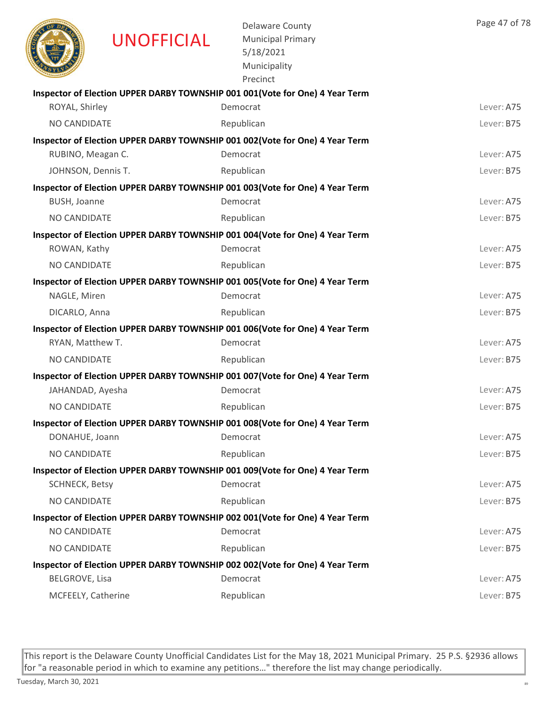|                       | <b>UNOFFICIAL</b> | <b>Delaware County</b><br><b>Municipal Primary</b><br>5/18/2021<br>Municipality<br>Precinct | Page 47 of 78 |
|-----------------------|-------------------|---------------------------------------------------------------------------------------------|---------------|
|                       |                   | Inspector of Election UPPER DARBY TOWNSHIP 001 001 (Vote for One) 4 Year Term               |               |
| ROYAL, Shirley        |                   | Democrat                                                                                    | Lever: A75    |
| NO CANDIDATE          |                   | Republican                                                                                  | Lever: B75    |
|                       |                   | Inspector of Election UPPER DARBY TOWNSHIP 001 002(Vote for One) 4 Year Term                |               |
| RUBINO, Meagan C.     |                   | Democrat                                                                                    | Lever: A75    |
| JOHNSON, Dennis T.    |                   | Republican                                                                                  | Lever: B75    |
|                       |                   | Inspector of Election UPPER DARBY TOWNSHIP 001 003(Vote for One) 4 Year Term                |               |
| BUSH, Joanne          |                   | Democrat                                                                                    | Lever: A75    |
| NO CANDIDATE          |                   | Republican                                                                                  | Lever: B75    |
|                       |                   | Inspector of Election UPPER DARBY TOWNSHIP 001 004(Vote for One) 4 Year Term                |               |
| ROWAN, Kathy          |                   | Democrat                                                                                    | Lever: A75    |
| NO CANDIDATE          |                   | Republican                                                                                  | Lever: B75    |
|                       |                   | Inspector of Election UPPER DARBY TOWNSHIP 001 005(Vote for One) 4 Year Term                |               |
| NAGLE, Miren          |                   | Democrat                                                                                    | Lever: A75    |
| DICARLO, Anna         |                   | Republican                                                                                  | Lever: B75    |
|                       |                   | Inspector of Election UPPER DARBY TOWNSHIP 001 006(Vote for One) 4 Year Term                |               |
| RYAN, Matthew T.      |                   | Democrat                                                                                    | Lever: A75    |
| NO CANDIDATE          |                   | Republican                                                                                  | Lever: B75    |
|                       |                   | Inspector of Election UPPER DARBY TOWNSHIP 001 007 (Vote for One) 4 Year Term               |               |
| JAHANDAD, Ayesha      |                   | Democrat                                                                                    | Lever: A75    |
| NO CANDIDATE          |                   | Republican                                                                                  | Lever: B75    |
|                       |                   | Inspector of Election UPPER DARBY TOWNSHIP 001 008(Vote for One) 4 Year Term                |               |
| DONAHUE, Joann        |                   | Democrat                                                                                    | Lever: A75    |
| NO CANDIDATE          |                   | Republican                                                                                  | Lever: B75    |
|                       |                   | Inspector of Election UPPER DARBY TOWNSHIP 001 009(Vote for One) 4 Year Term                |               |
| SCHNECK, Betsy        |                   | Democrat                                                                                    | Lever: A75    |
| NO CANDIDATE          |                   | Republican                                                                                  | Lever: B75    |
|                       |                   | Inspector of Election UPPER DARBY TOWNSHIP 002 001(Vote for One) 4 Year Term                |               |
| NO CANDIDATE          |                   | Democrat                                                                                    | Lever: A75    |
| NO CANDIDATE          |                   | Republican                                                                                  | Lever: B75    |
|                       |                   | Inspector of Election UPPER DARBY TOWNSHIP 002 002(Vote for One) 4 Year Term                |               |
| <b>BELGROVE, Lisa</b> |                   | Democrat                                                                                    | Lever: A75    |
| MCFEELY, Catherine    |                   | Republican                                                                                  | Lever: B75    |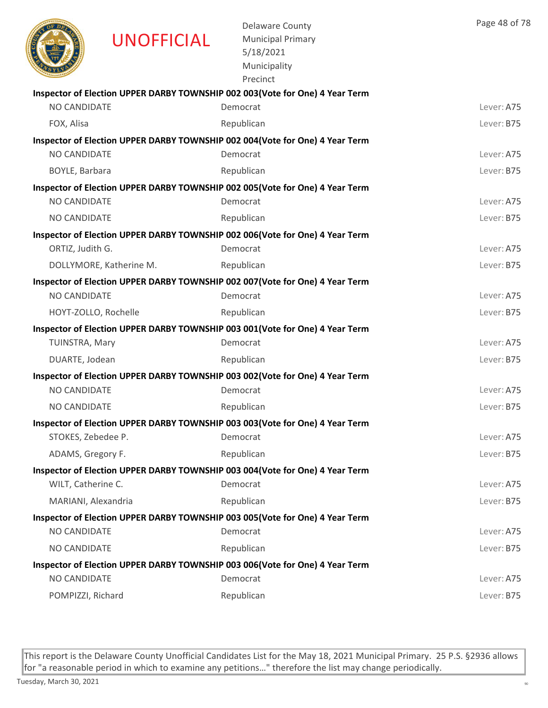|                     | <b>UNOFFICIAL</b>       | <b>Delaware County</b><br><b>Municipal Primary</b><br>5/18/2021<br>Municipality<br>Precinct | Page 48 of 78 |
|---------------------|-------------------------|---------------------------------------------------------------------------------------------|---------------|
|                     |                         | Inspector of Election UPPER DARBY TOWNSHIP 002 003(Vote for One) 4 Year Term                |               |
| NO CANDIDATE        |                         | Democrat                                                                                    | Lever: A75    |
| FOX, Alisa          |                         | Republican                                                                                  | Lever: B75    |
|                     |                         | Inspector of Election UPPER DARBY TOWNSHIP 002 004(Vote for One) 4 Year Term                |               |
| NO CANDIDATE        |                         | Democrat                                                                                    | Lever: A75    |
| BOYLE, Barbara      |                         | Republican                                                                                  | Lever: B75    |
|                     |                         | Inspector of Election UPPER DARBY TOWNSHIP 002 005 (Vote for One) 4 Year Term               |               |
| <b>NO CANDIDATE</b> |                         | Democrat                                                                                    | Lever: A75    |
| <b>NO CANDIDATE</b> |                         | Republican                                                                                  | Lever: B75    |
|                     |                         | Inspector of Election UPPER DARBY TOWNSHIP 002 006(Vote for One) 4 Year Term                |               |
| ORTIZ, Judith G.    |                         | Democrat                                                                                    | Lever: A75    |
|                     | DOLLYMORE, Katherine M. | Republican                                                                                  | Lever: B75    |
| <b>NO CANDIDATE</b> |                         | Inspector of Election UPPER DARBY TOWNSHIP 002 007(Vote for One) 4 Year Term<br>Democrat    | Lever: A75    |
|                     | HOYT-ZOLLO, Rochelle    | Republican                                                                                  | Lever: B75    |
|                     |                         |                                                                                             |               |
| TUINSTRA, Mary      |                         | Inspector of Election UPPER DARBY TOWNSHIP 003 001(Vote for One) 4 Year Term<br>Democrat    | Lever: A75    |
| DUARTE, Jodean      |                         | Republican                                                                                  | Lever: B75    |
|                     |                         | Inspector of Election UPPER DARBY TOWNSHIP 003 002(Vote for One) 4 Year Term                |               |
| NO CANDIDATE        |                         | Democrat                                                                                    | Lever: A75    |
| NO CANDIDATE        |                         | Republican                                                                                  | Lever: B75    |
|                     |                         | Inspector of Election UPPER DARBY TOWNSHIP 003 003 (Vote for One) 4 Year Term               |               |
| STOKES, Zebedee P.  |                         | Democrat                                                                                    | Lever: A75    |
| ADAMS, Gregory F.   |                         | Republican                                                                                  | Lever: B75    |
|                     |                         | Inspector of Election UPPER DARBY TOWNSHIP 003 004(Vote for One) 4 Year Term                |               |
| WILT, Catherine C.  |                         | Democrat                                                                                    | Lever: A75    |
| MARIANI, Alexandria |                         | Republican                                                                                  | Lever: B75    |
|                     |                         | Inspector of Election UPPER DARBY TOWNSHIP 003 005(Vote for One) 4 Year Term                |               |
| NO CANDIDATE        |                         | Democrat                                                                                    | Lever: A75    |
| NO CANDIDATE        |                         | Republican                                                                                  | Lever: B75    |
|                     |                         | Inspector of Election UPPER DARBY TOWNSHIP 003 006(Vote for One) 4 Year Term                |               |
| NO CANDIDATE        |                         | Democrat                                                                                    | Lever: A75    |
| POMPIZZI, Richard   |                         | Republican                                                                                  | Lever: B75    |
|                     |                         |                                                                                             |               |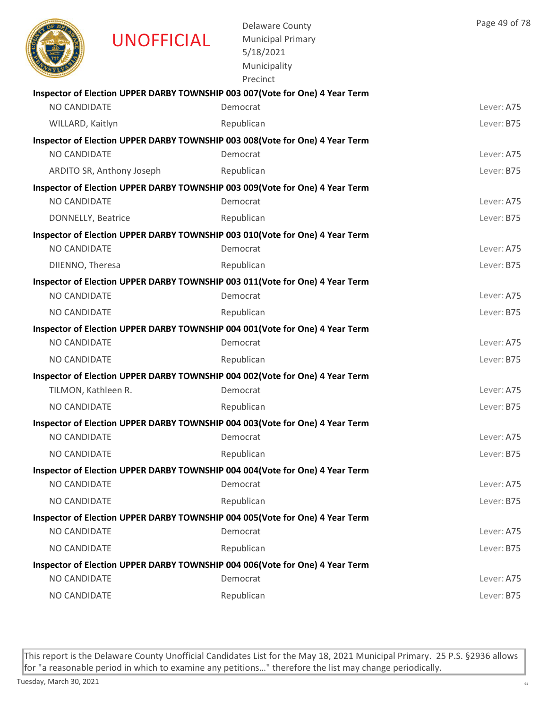|                     | <b>UNOFFICIAL</b>         | <b>Delaware County</b><br><b>Municipal Primary</b><br>5/18/2021<br>Municipality<br>Precinct | Page 49 of 78 |
|---------------------|---------------------------|---------------------------------------------------------------------------------------------|---------------|
|                     |                           | Inspector of Election UPPER DARBY TOWNSHIP 003 007(Vote for One) 4 Year Term                |               |
| <b>NO CANDIDATE</b> |                           | Democrat                                                                                    | Lever: A75    |
| WILLARD, Kaitlyn    |                           | Republican                                                                                  | Lever: B75    |
|                     |                           | Inspector of Election UPPER DARBY TOWNSHIP 003 008(Vote for One) 4 Year Term                |               |
| NO CANDIDATE        |                           | Democrat                                                                                    | Lever: A75    |
|                     | ARDITO SR, Anthony Joseph | Republican                                                                                  | Lever: B75    |
|                     |                           | Inspector of Election UPPER DARBY TOWNSHIP 003 009(Vote for One) 4 Year Term                |               |
| <b>NO CANDIDATE</b> |                           | Democrat                                                                                    | Lever: A75    |
| DONNELLY, Beatrice  |                           | Republican                                                                                  | Lever: B75    |
|                     |                           | Inspector of Election UPPER DARBY TOWNSHIP 003 010(Vote for One) 4 Year Term                |               |
| <b>NO CANDIDATE</b> |                           | Democrat                                                                                    | Lever: A75    |
| DIIENNO, Theresa    |                           | Republican                                                                                  | Lever: B75    |
|                     |                           | Inspector of Election UPPER DARBY TOWNSHIP 003 011(Vote for One) 4 Year Term                |               |
| NO CANDIDATE        |                           | Democrat                                                                                    | Lever: A75    |
| <b>NO CANDIDATE</b> |                           | Republican                                                                                  | Lever: B75    |
|                     |                           | Inspector of Election UPPER DARBY TOWNSHIP 004 001 (Vote for One) 4 Year Term               |               |
| NO CANDIDATE        |                           | Democrat                                                                                    | Lever: A75    |
| NO CANDIDATE        |                           | Republican                                                                                  | Lever: B75    |
|                     |                           | Inspector of Election UPPER DARBY TOWNSHIP 004 002 (Vote for One) 4 Year Term               |               |
| TILMON, Kathleen R. |                           | Democrat                                                                                    | Lever: A75    |
| NO CANDIDATE        |                           | Republican                                                                                  | Lever: B75    |
|                     |                           | Inspector of Election UPPER DARBY TOWNSHIP 004 003(Vote for One) 4 Year Term                |               |
| NO CANDIDATE        |                           | Democrat                                                                                    | Lever: A75    |
| NO CANDIDATE        |                           | Republican                                                                                  | Lever: B75    |
|                     |                           | Inspector of Election UPPER DARBY TOWNSHIP 004 004 (Vote for One) 4 Year Term               |               |
| <b>NO CANDIDATE</b> |                           | Democrat                                                                                    | Lever: A75    |
| NO CANDIDATE        |                           | Republican                                                                                  | Lever: B75    |
|                     |                           | Inspector of Election UPPER DARBY TOWNSHIP 004 005(Vote for One) 4 Year Term                |               |
| NO CANDIDATE        |                           | Democrat                                                                                    | Lever: A75    |
| <b>NO CANDIDATE</b> |                           | Republican                                                                                  | Lever: B75    |
|                     |                           | Inspector of Election UPPER DARBY TOWNSHIP 004 006(Vote for One) 4 Year Term                |               |
| NO CANDIDATE        |                           | Democrat                                                                                    | Lever: A75    |
| NO CANDIDATE        |                           | Republican                                                                                  | Lever: B75    |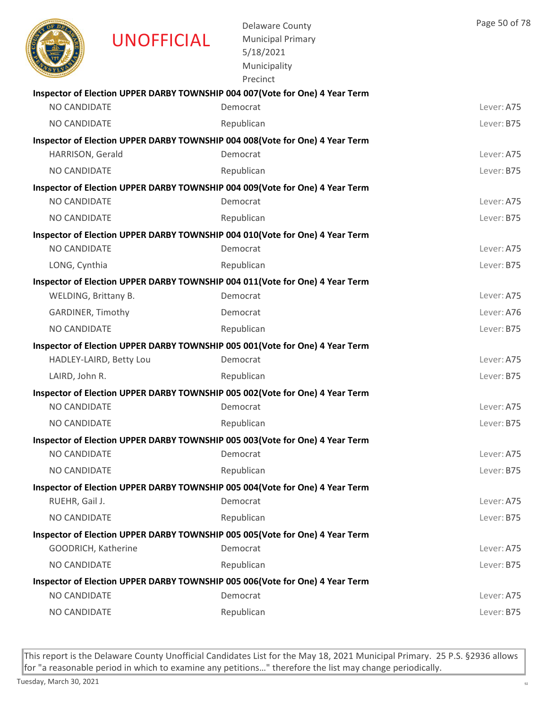|                      | <b>UNOFFICIAL</b>       | <b>Delaware County</b><br><b>Municipal Primary</b><br>5/18/2021<br>Municipality<br>Precinct | Page 50 of 78 |
|----------------------|-------------------------|---------------------------------------------------------------------------------------------|---------------|
|                      |                         | Inspector of Election UPPER DARBY TOWNSHIP 004 007 (Vote for One) 4 Year Term               |               |
| <b>NO CANDIDATE</b>  |                         | Democrat                                                                                    | Lever: A75    |
| NO CANDIDATE         |                         | Republican                                                                                  | Lever: B75    |
|                      |                         | Inspector of Election UPPER DARBY TOWNSHIP 004 008(Vote for One) 4 Year Term                |               |
| HARRISON, Gerald     |                         | Democrat                                                                                    | Lever: A75    |
| NO CANDIDATE         |                         | Republican                                                                                  | Lever: B75    |
|                      |                         | Inspector of Election UPPER DARBY TOWNSHIP 004 009(Vote for One) 4 Year Term                |               |
| NO CANDIDATE         |                         | Democrat                                                                                    | Lever: A75    |
| <b>NO CANDIDATE</b>  |                         | Republican                                                                                  | Lever: B75    |
|                      |                         | Inspector of Election UPPER DARBY TOWNSHIP 004 010(Vote for One) 4 Year Term                |               |
| NO CANDIDATE         |                         | Democrat                                                                                    | Lever: A75    |
| LONG, Cynthia        |                         | Republican                                                                                  | Lever: B75    |
|                      |                         | Inspector of Election UPPER DARBY TOWNSHIP 004 011(Vote for One) 4 Year Term                |               |
| WELDING, Brittany B. |                         | Democrat                                                                                    | Lever: A75    |
| GARDINER, Timothy    |                         | Democrat                                                                                    | Lever: A76    |
| NO CANDIDATE         |                         | Republican                                                                                  | Lever: B75    |
|                      |                         | Inspector of Election UPPER DARBY TOWNSHIP 005 001(Vote for One) 4 Year Term                |               |
|                      | HADLEY-LAIRD, Betty Lou | Democrat                                                                                    | Lever: A75    |
| LAIRD, John R.       |                         | Republican                                                                                  | Lever: B75    |
|                      |                         | Inspector of Election UPPER DARBY TOWNSHIP 005 002(Vote for One) 4 Year Term                |               |
| NO CANDIDATE         |                         | Democrat                                                                                    | Lever: A75    |
| NO CANDIDATE         |                         | Republican                                                                                  | Lever: B75    |
|                      |                         | Inspector of Election UPPER DARBY TOWNSHIP 005 003(Vote for One) 4 Year Term                |               |
| NO CANDIDATE         |                         | Democrat                                                                                    | Lever: A75    |
| NO CANDIDATE         |                         | Republican                                                                                  | Lever: B75    |
|                      |                         | Inspector of Election UPPER DARBY TOWNSHIP 005 004(Vote for One) 4 Year Term                |               |
| RUEHR, Gail J.       |                         | Democrat                                                                                    | Lever: A75    |
| NO CANDIDATE         |                         | Republican                                                                                  | Lever: B75    |
|                      |                         | Inspector of Election UPPER DARBY TOWNSHIP 005 005(Vote for One) 4 Year Term                |               |
| GOODRICH, Katherine  |                         | Democrat                                                                                    | Lever: A75    |
| NO CANDIDATE         |                         | Republican                                                                                  | Lever: B75    |
|                      |                         | Inspector of Election UPPER DARBY TOWNSHIP 005 006(Vote for One) 4 Year Term                |               |
| NO CANDIDATE         |                         | Democrat                                                                                    | Lever: A75    |
| NO CANDIDATE         |                         | Republican                                                                                  | Lever: B75    |
|                      |                         |                                                                                             |               |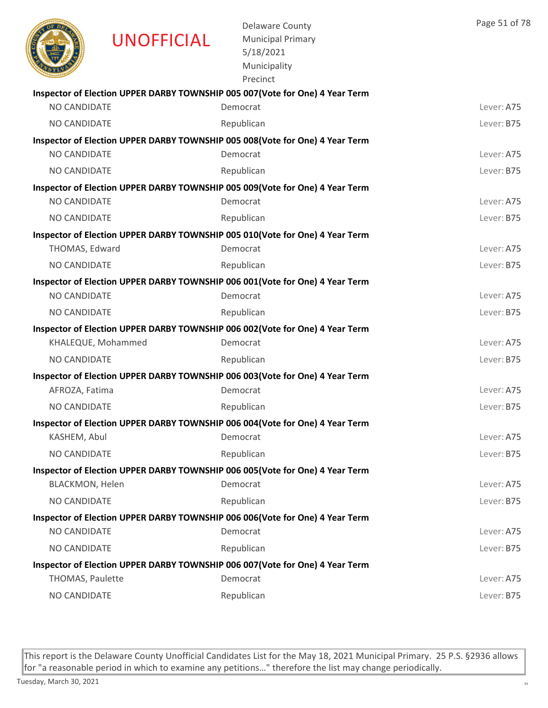|                        | <b>UNOFFICIAL</b>  | <b>Delaware County</b><br><b>Municipal Primary</b><br>5/18/2021<br>Municipality<br>Precinct | Page 51 of 78 |
|------------------------|--------------------|---------------------------------------------------------------------------------------------|---------------|
|                        |                    | Inspector of Election UPPER DARBY TOWNSHIP 005 007(Vote for One) 4 Year Term                |               |
| NO CANDIDATE           |                    | Democrat                                                                                    | Lever: A75    |
| <b>NO CANDIDATE</b>    |                    | Republican                                                                                  | Lever: B75    |
|                        |                    | Inspector of Election UPPER DARBY TOWNSHIP 005 008(Vote for One) 4 Year Term                |               |
| NO CANDIDATE           |                    | Democrat                                                                                    | Lever: A75    |
| <b>NO CANDIDATE</b>    |                    | Republican                                                                                  | Lever: B75    |
|                        |                    | Inspector of Election UPPER DARBY TOWNSHIP 005 009(Vote for One) 4 Year Term                |               |
| <b>NO CANDIDATE</b>    |                    | Democrat                                                                                    | Lever: A75    |
| NO CANDIDATE           |                    | Republican                                                                                  | Lever: B75    |
|                        |                    | Inspector of Election UPPER DARBY TOWNSHIP 005 010(Vote for One) 4 Year Term                |               |
| THOMAS, Edward         |                    | Democrat                                                                                    | Lever: A75    |
| NO CANDIDATE           |                    | Republican                                                                                  | Lever: B75    |
|                        |                    | Inspector of Election UPPER DARBY TOWNSHIP 006 001(Vote for One) 4 Year Term                |               |
| NO CANDIDATE           |                    | Democrat                                                                                    | Lever: A75    |
| NO CANDIDATE           |                    | Republican                                                                                  | Lever: B75    |
|                        |                    | Inspector of Election UPPER DARBY TOWNSHIP 006 002(Vote for One) 4 Year Term                |               |
|                        | KHALEQUE, Mohammed | Democrat                                                                                    | Lever: A75    |
| NO CANDIDATE           |                    | Republican                                                                                  | Lever: B75    |
|                        |                    | Inspector of Election UPPER DARBY TOWNSHIP 006 003(Vote for One) 4 Year Term                |               |
| AFROZA, Fatima         |                    | Democrat                                                                                    | Lever: A75    |
| NO CANDIDATE           |                    | Republican                                                                                  | Lever: B75    |
|                        |                    | Inspector of Election UPPER DARBY TOWNSHIP 006 004(Vote for One) 4 Year Term                |               |
| KASHEM, Abul           |                    | Democrat                                                                                    | Lever: A75    |
| <b>NO CANDIDATE</b>    |                    | Republican                                                                                  | Lever: B75    |
|                        |                    | Inspector of Election UPPER DARBY TOWNSHIP 006 005(Vote for One) 4 Year Term                |               |
| <b>BLACKMON, Helen</b> |                    | Democrat                                                                                    | Lever: A75    |
| NO CANDIDATE           |                    | Republican                                                                                  | Lever: B75    |
|                        |                    | Inspector of Election UPPER DARBY TOWNSHIP 006 006(Vote for One) 4 Year Term                |               |
| NO CANDIDATE           |                    | Democrat                                                                                    | Lever: A75    |
| NO CANDIDATE           |                    | Republican                                                                                  | Lever: B75    |
|                        |                    | Inspector of Election UPPER DARBY TOWNSHIP 006 007(Vote for One) 4 Year Term                |               |
| THOMAS, Paulette       |                    | Democrat                                                                                    | Lever: A75    |
| NO CANDIDATE           |                    | Republican                                                                                  | Lever: B75    |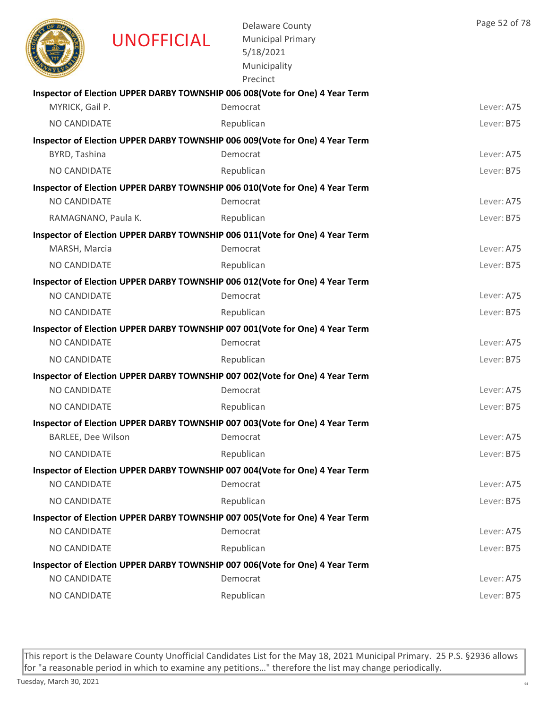|                           | <b>UNOFFICIAL</b>   | <b>Delaware County</b><br><b>Municipal Primary</b><br>5/18/2021<br>Municipality<br>Precinct | Page 52 of 78 |
|---------------------------|---------------------|---------------------------------------------------------------------------------------------|---------------|
|                           |                     | Inspector of Election UPPER DARBY TOWNSHIP 006 008(Vote for One) 4 Year Term                |               |
| MYRICK, Gail P.           |                     | Democrat                                                                                    | Lever: A75    |
| NO CANDIDATE              |                     | Republican                                                                                  | Lever: B75    |
|                           |                     | Inspector of Election UPPER DARBY TOWNSHIP 006 009(Vote for One) 4 Year Term                |               |
| BYRD, Tashina             |                     | Democrat                                                                                    | Lever: A75    |
| <b>NO CANDIDATE</b>       |                     | Republican                                                                                  | Lever: B75    |
|                           |                     | Inspector of Election UPPER DARBY TOWNSHIP 006 010(Vote for One) 4 Year Term                |               |
| <b>NO CANDIDATE</b>       |                     | Democrat                                                                                    | Lever: A75    |
|                           | RAMAGNANO, Paula K. | Republican                                                                                  | Lever: B75    |
|                           |                     | Inspector of Election UPPER DARBY TOWNSHIP 006 011(Vote for One) 4 Year Term                |               |
| MARSH, Marcia             |                     | Democrat                                                                                    | Lever: A75    |
| NO CANDIDATE              |                     | Republican                                                                                  | Lever: B75    |
|                           |                     | Inspector of Election UPPER DARBY TOWNSHIP 006 012(Vote for One) 4 Year Term                |               |
| NO CANDIDATE              |                     | Democrat                                                                                    | Lever: A75    |
| NO CANDIDATE              |                     | Republican                                                                                  | Lever: B75    |
|                           |                     | Inspector of Election UPPER DARBY TOWNSHIP 007 001(Vote for One) 4 Year Term                |               |
| NO CANDIDATE              |                     | Democrat                                                                                    | Lever: A75    |
| NO CANDIDATE              |                     | Republican                                                                                  | Lever: B75    |
|                           |                     | Inspector of Election UPPER DARBY TOWNSHIP 007 002(Vote for One) 4 Year Term                |               |
| NO CANDIDATE              |                     | Democrat                                                                                    | Lever: A75    |
| NO CANDIDATE              |                     | Republican                                                                                  | Lever: B75    |
| <b>BARLEE, Dee Wilson</b> |                     | Inspector of Election UPPER DARBY TOWNSHIP 007 003 (Vote for One) 4 Year Term<br>Democrat   | Lever: A75    |
|                           |                     |                                                                                             |               |
| <b>NO CANDIDATE</b>       |                     | Republican                                                                                  | Lever: B75    |
| NO CANDIDATE              |                     | Inspector of Election UPPER DARBY TOWNSHIP 007 004(Vote for One) 4 Year Term<br>Democrat    | Lever: A75    |
| NO CANDIDATE              |                     | Republican                                                                                  | Lever: B75    |
|                           |                     |                                                                                             |               |
| NO CANDIDATE              |                     | Inspector of Election UPPER DARBY TOWNSHIP 007 005(Vote for One) 4 Year Term<br>Democrat    | Lever: A75    |
| NO CANDIDATE              |                     | Republican                                                                                  | Lever: B75    |
|                           |                     | Inspector of Election UPPER DARBY TOWNSHIP 007 006(Vote for One) 4 Year Term                |               |
| NO CANDIDATE              |                     | Democrat                                                                                    | Lever: A75    |
| NO CANDIDATE              |                     | Republican                                                                                  | Lever: B75    |
|                           |                     |                                                                                             |               |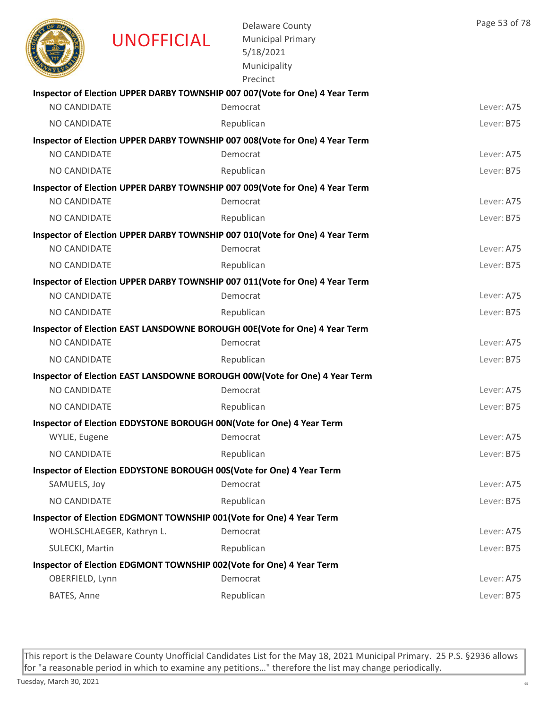|                     | <b>UNOFFICIAL</b>         | <b>Delaware County</b><br><b>Municipal Primary</b><br>5/18/2021<br>Municipality<br>Precinct | Page 53 of 78 |
|---------------------|---------------------------|---------------------------------------------------------------------------------------------|---------------|
|                     |                           | Inspector of Election UPPER DARBY TOWNSHIP 007 007 (Vote for One) 4 Year Term               |               |
| NO CANDIDATE        |                           | Democrat                                                                                    | Lever: A75    |
| <b>NO CANDIDATE</b> |                           | Republican                                                                                  | Lever: B75    |
|                     |                           | Inspector of Election UPPER DARBY TOWNSHIP 007 008(Vote for One) 4 Year Term                |               |
| NO CANDIDATE        |                           | Democrat                                                                                    | Lever: A75    |
| <b>NO CANDIDATE</b> |                           | Republican                                                                                  | Lever: B75    |
|                     |                           | Inspector of Election UPPER DARBY TOWNSHIP 007 009(Vote for One) 4 Year Term                |               |
| <b>NO CANDIDATE</b> |                           | Democrat                                                                                    | Lever: A75    |
| NO CANDIDATE        |                           | Republican                                                                                  | Lever: B75    |
|                     |                           | Inspector of Election UPPER DARBY TOWNSHIP 007 010(Vote for One) 4 Year Term                |               |
| NO CANDIDATE        |                           | Democrat                                                                                    | Lever: A75    |
| NO CANDIDATE        |                           | Republican                                                                                  | Lever: B75    |
|                     |                           | Inspector of Election UPPER DARBY TOWNSHIP 007 011(Vote for One) 4 Year Term                |               |
| NO CANDIDATE        |                           | Democrat                                                                                    | Lever: A75    |
| NO CANDIDATE        |                           | Republican                                                                                  | Lever: B75    |
|                     |                           | Inspector of Election EAST LANSDOWNE BOROUGH 00E(Vote for One) 4 Year Term                  |               |
| NO CANDIDATE        |                           | Democrat                                                                                    | Lever: A75    |
| NO CANDIDATE        |                           | Republican                                                                                  | Lever: B75    |
|                     |                           | Inspector of Election EAST LANSDOWNE BOROUGH 00W(Vote for One) 4 Year Term                  |               |
| NO CANDIDATE        |                           | Democrat                                                                                    | Lever: A75    |
| NO CANDIDATE        |                           | Republican                                                                                  | Lever: B75    |
|                     |                           | Inspector of Election EDDYSTONE BOROUGH 00N(Vote for One) 4 Year Term                       |               |
| WYLIE, Eugene       |                           | Democrat                                                                                    | Lever: A75    |
| <b>NO CANDIDATE</b> |                           | Republican                                                                                  | Lever: B75    |
|                     |                           | Inspector of Election EDDYSTONE BOROUGH 00S(Vote for One) 4 Year Term                       |               |
| SAMUELS, Joy        |                           | Democrat                                                                                    | Lever: A75    |
| NO CANDIDATE        |                           | Republican                                                                                  | Lever: B75    |
|                     |                           | Inspector of Election EDGMONT TOWNSHIP 001(Vote for One) 4 Year Term                        |               |
|                     | WOHLSCHLAEGER, Kathryn L. | Democrat                                                                                    | Lever: A75    |
| SULECKI, Martin     |                           | Republican                                                                                  | Lever: B75    |
|                     |                           | Inspector of Election EDGMONT TOWNSHIP 002(Vote for One) 4 Year Term                        |               |
| OBERFIELD, Lynn     |                           | Democrat                                                                                    | Lever: A75    |
| BATES, Anne         |                           | Republican                                                                                  | Lever: B75    |
|                     |                           |                                                                                             |               |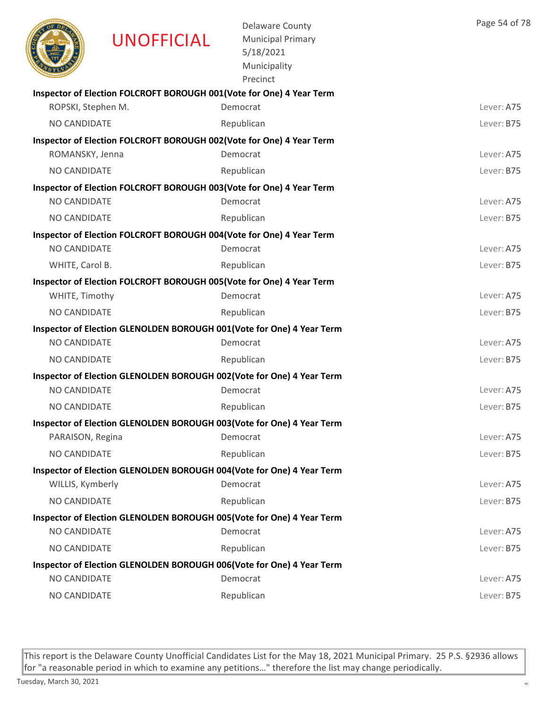|                     | <b>UNOFFICIAL</b> | <b>Delaware County</b><br><b>Municipal Primary</b><br>5/18/2021<br>Municipality<br>Precinct | Page 54 of 78 |
|---------------------|-------------------|---------------------------------------------------------------------------------------------|---------------|
|                     |                   | Inspector of Election FOLCROFT BOROUGH 001(Vote for One) 4 Year Term                        |               |
| ROPSKI, Stephen M.  |                   | Democrat                                                                                    | Lever: A75    |
| <b>NO CANDIDATE</b> |                   | Republican                                                                                  | Lever: B75    |
|                     |                   | Inspector of Election FOLCROFT BOROUGH 002(Vote for One) 4 Year Term                        |               |
| ROMANSKY, Jenna     |                   | Democrat                                                                                    | Lever: A75    |
| NO CANDIDATE        |                   | Republican                                                                                  | Lever: B75    |
|                     |                   | Inspector of Election FOLCROFT BOROUGH 003(Vote for One) 4 Year Term<br>Democrat            |               |
| <b>NO CANDIDATE</b> |                   |                                                                                             | Lever: A75    |
| NO CANDIDATE        |                   | Republican                                                                                  | Lever: B75    |
| NO CANDIDATE        |                   | Inspector of Election FOLCROFT BOROUGH 004(Vote for One) 4 Year Term<br>Democrat            | Lever: A75    |
|                     |                   |                                                                                             |               |
| WHITE, Carol B.     |                   | Republican                                                                                  | Lever: B75    |
| WHITE, Timothy      |                   | Inspector of Election FOLCROFT BOROUGH 005(Vote for One) 4 Year Term<br>Democrat            | Lever: A75    |
| NO CANDIDATE        |                   |                                                                                             | Lever: B75    |
|                     |                   | Republican                                                                                  |               |
| NO CANDIDATE        |                   | Inspector of Election GLENOLDEN BOROUGH 001(Vote for One) 4 Year Term<br>Democrat           | Lever: A75    |
| <b>NO CANDIDATE</b> |                   | Republican                                                                                  | Lever: B75    |
|                     |                   |                                                                                             |               |
| NO CANDIDATE        |                   | Inspector of Election GLENOLDEN BOROUGH 002(Vote for One) 4 Year Term<br>Democrat           | Lever: A75    |
| <b>NO CANDIDATE</b> |                   | Republican                                                                                  | Lever: B75    |
|                     |                   |                                                                                             |               |
| PARAISON, Regina    |                   | Inspector of Election GLENOLDEN BOROUGH 003(Vote for One) 4 Year Term<br>Democrat           | Lever: A75    |
| NO CANDIDATE        |                   | Republican                                                                                  | Lever: B75    |
|                     |                   |                                                                                             |               |
| WILLIS, Kymberly    |                   | Inspector of Election GLENOLDEN BOROUGH 004(Vote for One) 4 Year Term<br>Democrat           | Lever: A75    |
| NO CANDIDATE        |                   | Republican                                                                                  | Lever: B75    |
|                     |                   | Inspector of Election GLENOLDEN BOROUGH 005(Vote for One) 4 Year Term                       |               |
| NO CANDIDATE        |                   | Democrat                                                                                    | Lever: A75    |
| NO CANDIDATE        |                   | Republican                                                                                  | Lever: B75    |
|                     |                   | Inspector of Election GLENOLDEN BOROUGH 006(Vote for One) 4 Year Term                       |               |
| NO CANDIDATE        |                   | Democrat                                                                                    | Lever: A75    |
| NO CANDIDATE        |                   | Republican                                                                                  | Lever: B75    |
|                     |                   |                                                                                             |               |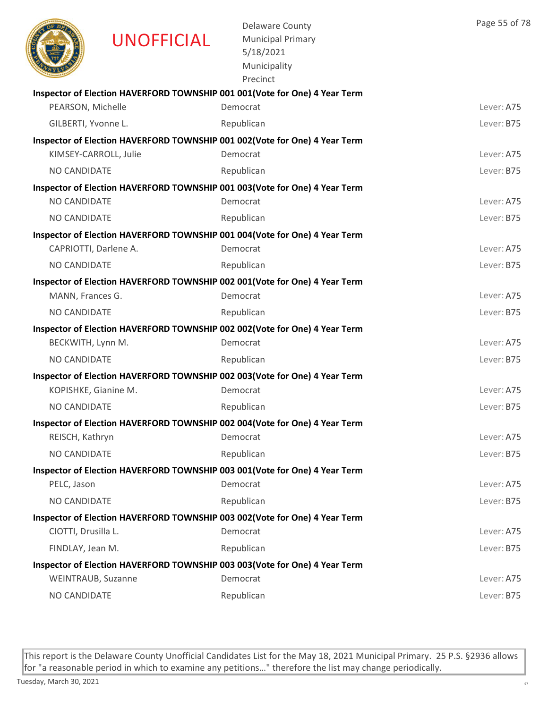|                       | <b>UNOFFICIAL</b>     | <b>Delaware County</b><br><b>Municipal Primary</b><br>5/18/2021<br>Municipality<br>Precinct | Page 55 of 78 |
|-----------------------|-----------------------|---------------------------------------------------------------------------------------------|---------------|
|                       |                       | Inspector of Election HAVERFORD TOWNSHIP 001 001 (Vote for One) 4 Year Term                 |               |
| PEARSON, Michelle     |                       | Democrat                                                                                    | Lever: A75    |
| GILBERTI, Yvonne L.   |                       | Republican                                                                                  | Lever: B75    |
|                       |                       | Inspector of Election HAVERFORD TOWNSHIP 001 002(Vote for One) 4 Year Term                  |               |
|                       | KIMSEY-CARROLL, Julie | Democrat                                                                                    | Lever: A75    |
| <b>NO CANDIDATE</b>   |                       | Republican                                                                                  | Lever: B75    |
|                       |                       | Inspector of Election HAVERFORD TOWNSHIP 001 003 (Vote for One) 4 Year Term                 |               |
| <b>NO CANDIDATE</b>   |                       | Democrat                                                                                    | Lever: A75    |
| <b>NO CANDIDATE</b>   |                       | Republican                                                                                  | Lever: B75    |
|                       |                       | Inspector of Election HAVERFORD TOWNSHIP 001 004 (Vote for One) 4 Year Term                 |               |
| CAPRIOTTI, Darlene A. |                       | Democrat                                                                                    | Lever: A75    |
| NO CANDIDATE          |                       | Republican                                                                                  | Lever: B75    |
|                       |                       | Inspector of Election HAVERFORD TOWNSHIP 002 001(Vote for One) 4 Year Term                  |               |
| MANN, Frances G.      |                       | Democrat                                                                                    | Lever: A75    |
| <b>NO CANDIDATE</b>   |                       | Republican                                                                                  | Lever: B75    |
|                       |                       | Inspector of Election HAVERFORD TOWNSHIP 002 002 (Vote for One) 4 Year Term                 |               |
| BECKWITH, Lynn M.     |                       | Democrat                                                                                    | Lever: A75    |
| <b>NO CANDIDATE</b>   |                       | Republican                                                                                  | Lever: B75    |
|                       |                       | Inspector of Election HAVERFORD TOWNSHIP 002 003(Vote for One) 4 Year Term                  | Lever: A75    |
| KOPISHKE, Gianine M.  |                       | Democrat                                                                                    |               |
| <b>NO CANDIDATE</b>   |                       | Republican                                                                                  | Lever: B75    |
|                       |                       | Inspector of Election HAVERFORD TOWNSHIP 002 004(Vote for One) 4 Year Term                  |               |
| REISCH, Kathryn       |                       | Democrat                                                                                    | Lever: A75    |
| NO CANDIDATE          |                       | Republican                                                                                  | Lever: B75    |
|                       |                       | Inspector of Election HAVERFORD TOWNSHIP 003 001(Vote for One) 4 Year Term                  |               |
| PELC, Jason           |                       | Democrat                                                                                    | Lever: A75    |
| NO CANDIDATE          |                       | Republican                                                                                  | Lever: B75    |
|                       |                       | Inspector of Election HAVERFORD TOWNSHIP 003 002(Vote for One) 4 Year Term<br>Democrat      | Lever: A75    |
| CIOTTI, Drusilla L.   |                       |                                                                                             |               |
| FINDLAY, Jean M.      |                       | Republican                                                                                  | Lever: B75    |
| WEINTRAUB, Suzanne    |                       | Inspector of Election HAVERFORD TOWNSHIP 003 003(Vote for One) 4 Year Term<br>Democrat      | Lever: A75    |
|                       |                       |                                                                                             |               |
| NO CANDIDATE          |                       | Republican                                                                                  | Lever: B75    |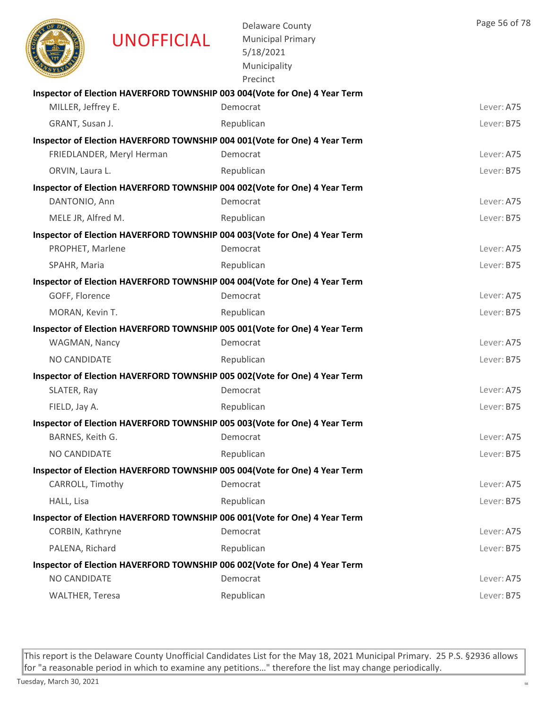|                        | <b>UNOFFICIAL</b>         | <b>Delaware County</b><br><b>Municipal Primary</b><br>5/18/2021<br>Municipality<br>Precinct | Page 56 of 78 |
|------------------------|---------------------------|---------------------------------------------------------------------------------------------|---------------|
|                        |                           | Inspector of Election HAVERFORD TOWNSHIP 003 004(Vote for One) 4 Year Term                  |               |
| MILLER, Jeffrey E.     |                           | Democrat                                                                                    | Lever: A75    |
| GRANT, Susan J.        |                           | Republican                                                                                  | Lever: B75    |
|                        |                           | Inspector of Election HAVERFORD TOWNSHIP 004 001(Vote for One) 4 Year Term                  |               |
|                        | FRIEDLANDER, Meryl Herman | Democrat                                                                                    | Lever: A75    |
| ORVIN, Laura L.        |                           | Republican                                                                                  | Lever: B75    |
|                        |                           | Inspector of Election HAVERFORD TOWNSHIP 004 002(Vote for One) 4 Year Term                  |               |
| DANTONIO, Ann          |                           | Democrat                                                                                    | Lever: A75    |
| MELE JR, Alfred M.     |                           | Republican                                                                                  | Lever: B75    |
|                        |                           | Inspector of Election HAVERFORD TOWNSHIP 004 003(Vote for One) 4 Year Term                  |               |
| PROPHET, Marlene       |                           | Democrat                                                                                    | Lever: A75    |
| SPAHR, Maria           |                           | Republican                                                                                  | Lever: B75    |
|                        |                           | Inspector of Election HAVERFORD TOWNSHIP 004 004(Vote for One) 4 Year Term                  |               |
| GOFF, Florence         |                           | Democrat                                                                                    | Lever: A75    |
| MORAN, Kevin T.        |                           | Republican                                                                                  | Lever: B75    |
|                        |                           | Inspector of Election HAVERFORD TOWNSHIP 005 001(Vote for One) 4 Year Term                  |               |
| WAGMAN, Nancy          |                           | Democrat                                                                                    | Lever: A75    |
| <b>NO CANDIDATE</b>    |                           | Republican                                                                                  | Lever: B75    |
|                        |                           | Inspector of Election HAVERFORD TOWNSHIP 005 002(Vote for One) 4 Year Term                  |               |
| SLATER, Ray            |                           | Democrat                                                                                    | Lever: A75    |
| FIELD, Jay A.          |                           | Republican                                                                                  | Lever: B75    |
|                        |                           | Inspector of Election HAVERFORD TOWNSHIP 005 003(Vote for One) 4 Year Term                  |               |
| BARNES, Keith G.       |                           | Democrat                                                                                    | Lever: A75    |
| NO CANDIDATE           |                           | Republican                                                                                  | Lever: B75    |
|                        |                           | Inspector of Election HAVERFORD TOWNSHIP 005 004(Vote for One) 4 Year Term                  |               |
| CARROLL, Timothy       |                           | Democrat                                                                                    | Lever: A75    |
| HALL, Lisa             |                           | Republican                                                                                  | Lever: B75    |
|                        |                           | Inspector of Election HAVERFORD TOWNSHIP 006 001(Vote for One) 4 Year Term                  |               |
| CORBIN, Kathryne       |                           | Democrat                                                                                    | Lever: A75    |
| PALENA, Richard        |                           | Republican                                                                                  | Lever: B75    |
|                        |                           | Inspector of Election HAVERFORD TOWNSHIP 006 002(Vote for One) 4 Year Term                  |               |
| NO CANDIDATE           |                           | Democrat                                                                                    | Lever: A75    |
| <b>WALTHER, Teresa</b> |                           | Republican                                                                                  | Lever: B75    |
|                        |                           |                                                                                             |               |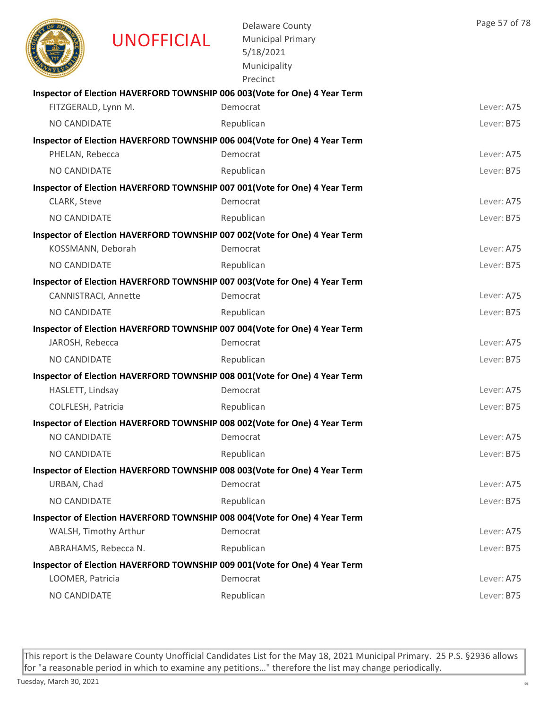|                     | UNOFFICIAL            | <b>Delaware County</b><br><b>Municipal Primary</b><br>5/18/2021<br>Municipality<br>Precinct | Page 57 of 78 |
|---------------------|-----------------------|---------------------------------------------------------------------------------------------|---------------|
|                     |                       | Inspector of Election HAVERFORD TOWNSHIP 006 003(Vote for One) 4 Year Term                  |               |
| FITZGERALD, Lynn M. |                       | Democrat                                                                                    | Lever: A75    |
| NO CANDIDATE        |                       | Republican                                                                                  | Lever: B75    |
|                     |                       | Inspector of Election HAVERFORD TOWNSHIP 006 004(Vote for One) 4 Year Term                  |               |
| PHELAN, Rebecca     |                       | Democrat                                                                                    | Lever: A75    |
| NO CANDIDATE        |                       | Republican                                                                                  | Lever: B75    |
|                     |                       | Inspector of Election HAVERFORD TOWNSHIP 007 001(Vote for One) 4 Year Term                  |               |
| CLARK, Steve        |                       | Democrat                                                                                    | Lever: A75    |
| NO CANDIDATE        |                       | Republican                                                                                  | Lever: B75    |
|                     |                       | Inspector of Election HAVERFORD TOWNSHIP 007 002(Vote for One) 4 Year Term                  |               |
| KOSSMANN, Deborah   |                       | Democrat                                                                                    | Lever: A75    |
| NO CANDIDATE        |                       | Republican                                                                                  | Lever: B75    |
|                     |                       | Inspector of Election HAVERFORD TOWNSHIP 007 003(Vote for One) 4 Year Term                  |               |
|                     | CANNISTRACI, Annette  | Democrat                                                                                    | Lever: A75    |
| NO CANDIDATE        |                       | Republican                                                                                  | Lever: B75    |
|                     |                       | Inspector of Election HAVERFORD TOWNSHIP 007 004(Vote for One) 4 Year Term                  |               |
| JAROSH, Rebecca     |                       | Democrat                                                                                    | Lever: A75    |
| NO CANDIDATE        |                       | Republican                                                                                  | Lever: B75    |
|                     |                       | Inspector of Election HAVERFORD TOWNSHIP 008 001(Vote for One) 4 Year Term                  |               |
| HASLETT, Lindsay    |                       | Democrat                                                                                    | Lever: A75    |
| COLFLESH, Patricia  |                       | Republican                                                                                  | Lever: B75    |
|                     |                       | Inspector of Election HAVERFORD TOWNSHIP 008 002(Vote for One) 4 Year Term                  |               |
| NO CANDIDATE        |                       | Democrat                                                                                    | Lever: A75    |
| NO CANDIDATE        |                       | Republican                                                                                  | Lever: B75    |
|                     |                       | Inspector of Election HAVERFORD TOWNSHIP 008 003 (Vote for One) 4 Year Term                 |               |
| URBAN, Chad         |                       | Democrat                                                                                    | Lever: A75    |
| NO CANDIDATE        |                       | Republican                                                                                  | Lever: B75    |
|                     |                       | Inspector of Election HAVERFORD TOWNSHIP 008 004 (Vote for One) 4 Year Term                 |               |
|                     | WALSH, Timothy Arthur | Democrat                                                                                    | Lever: A75    |
|                     | ABRAHAMS, Rebecca N.  | Republican                                                                                  | Lever: B75    |
|                     |                       | Inspector of Election HAVERFORD TOWNSHIP 009 001(Vote for One) 4 Year Term                  |               |
| LOOMER, Patricia    |                       | Democrat                                                                                    | Lever: A75    |
| NO CANDIDATE        |                       | Republican                                                                                  | Lever: B75    |
|                     |                       |                                                                                             |               |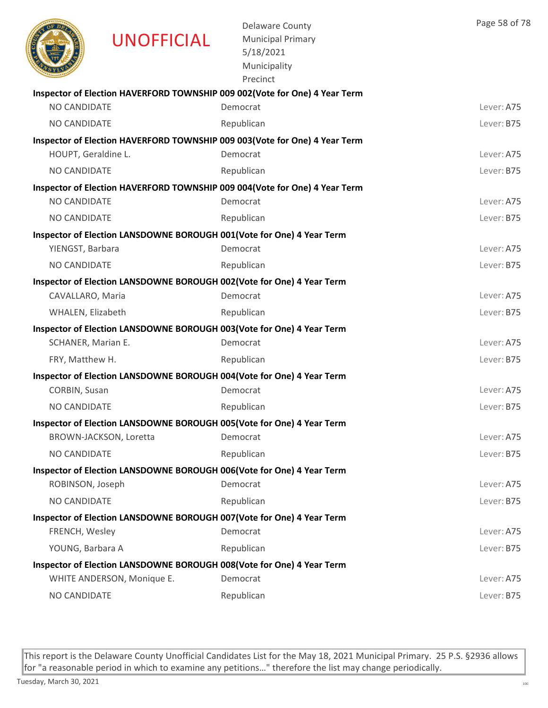|                     | <b>UNOFFICIAL</b>          | <b>Delaware County</b><br><b>Municipal Primary</b><br>5/18/2021<br>Municipality<br>Precinct | Page 58 of 78 |
|---------------------|----------------------------|---------------------------------------------------------------------------------------------|---------------|
|                     |                            | Inspector of Election HAVERFORD TOWNSHIP 009 002(Vote for One) 4 Year Term                  |               |
| <b>NO CANDIDATE</b> |                            | Democrat                                                                                    | Lever: A75    |
| NO CANDIDATE        |                            | Republican                                                                                  | Lever: B75    |
|                     |                            | Inspector of Election HAVERFORD TOWNSHIP 009 003(Vote for One) 4 Year Term                  |               |
| HOUPT, Geraldine L. |                            | Democrat                                                                                    | Lever: A75    |
| NO CANDIDATE        |                            | Republican                                                                                  | Lever: B75    |
|                     |                            | Inspector of Election HAVERFORD TOWNSHIP 009 004(Vote for One) 4 Year Term                  |               |
| NO CANDIDATE        |                            | Democrat                                                                                    | Lever: A75    |
| <b>NO CANDIDATE</b> |                            | Republican                                                                                  | Lever: B75    |
|                     |                            | Inspector of Election LANSDOWNE BOROUGH 001(Vote for One) 4 Year Term                       |               |
| YIENGST, Barbara    |                            | Democrat                                                                                    | Lever: A75    |
| <b>NO CANDIDATE</b> |                            | Republican                                                                                  | Lever: B75    |
|                     |                            | Inspector of Election LANSDOWNE BOROUGH 002(Vote for One) 4 Year Term                       |               |
| CAVALLARO, Maria    |                            | Democrat                                                                                    | Lever: A75    |
| WHALEN, Elizabeth   |                            | Republican                                                                                  | Lever: B75    |
|                     |                            | Inspector of Election LANSDOWNE BOROUGH 003(Vote for One) 4 Year Term                       |               |
| SCHANER, Marian E.  |                            | Democrat                                                                                    | Lever: A75    |
| FRY, Matthew H.     |                            | Republican                                                                                  | Lever: B75    |
|                     |                            | Inspector of Election LANSDOWNE BOROUGH 004(Vote for One) 4 Year Term                       |               |
| CORBIN, Susan       |                            | Democrat                                                                                    | Lever: A75    |
| NO CANDIDATE        |                            | Republican                                                                                  | Lever: B75    |
|                     |                            | Inspector of Election LANSDOWNE BOROUGH 005(Vote for One) 4 Year Term                       |               |
|                     | BROWN-JACKSON, Loretta     | Democrat                                                                                    | Lever: A75    |
| NO CANDIDATE        |                            | Republican                                                                                  | Lever: B75    |
|                     |                            | Inspector of Election LANSDOWNE BOROUGH 006(Vote for One) 4 Year Term                       |               |
| ROBINSON, Joseph    |                            | Democrat                                                                                    | Lever: A75    |
| NO CANDIDATE        |                            | Republican                                                                                  | Lever: B75    |
|                     |                            | Inspector of Election LANSDOWNE BOROUGH 007(Vote for One) 4 Year Term                       |               |
| FRENCH, Wesley      |                            | Democrat                                                                                    | Lever: A75    |
| YOUNG, Barbara A    |                            | Republican                                                                                  | Lever: B75    |
|                     |                            | Inspector of Election LANSDOWNE BOROUGH 008(Vote for One) 4 Year Term<br>Democrat           | Lever: A75    |
|                     | WHITE ANDERSON, Monique E. |                                                                                             |               |
| NO CANDIDATE        |                            | Republican                                                                                  | Lever: B75    |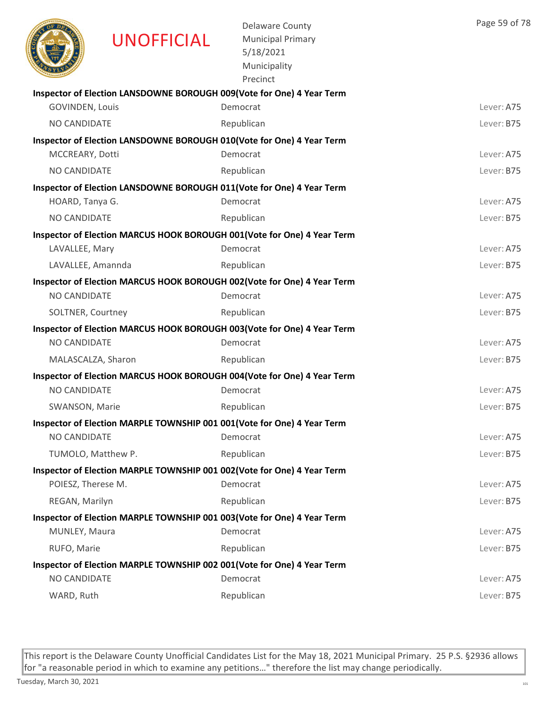|                        | <b>UNOFFICIAL</b> | <b>Delaware County</b><br><b>Municipal Primary</b><br>5/18/2021<br>Municipality<br>Precinct | Page 59 of 78 |
|------------------------|-------------------|---------------------------------------------------------------------------------------------|---------------|
|                        |                   | Inspector of Election LANSDOWNE BOROUGH 009(Vote for One) 4 Year Term                       |               |
| <b>GOVINDEN, Louis</b> |                   | Democrat                                                                                    | Lever: A75    |
| NO CANDIDATE           |                   | Republican                                                                                  | Lever: B75    |
| MCCREARY, Dotti        |                   | Inspector of Election LANSDOWNE BOROUGH 010(Vote for One) 4 Year Term<br>Democrat           | Lever: A75    |
| NO CANDIDATE           |                   | Republican                                                                                  | Lever: B75    |
|                        |                   | Inspector of Election LANSDOWNE BOROUGH 011(Vote for One) 4 Year Term                       |               |
| HOARD, Tanya G.        |                   | Democrat                                                                                    | Lever: A75    |
| NO CANDIDATE           |                   | Republican                                                                                  | Lever: B75    |
|                        |                   | Inspector of Election MARCUS HOOK BOROUGH 001 (Vote for One) 4 Year Term                    |               |
| LAVALLEE, Mary         |                   | Democrat                                                                                    | Lever: A75    |
| LAVALLEE, Amannda      |                   | Republican                                                                                  | Lever: B75    |
|                        |                   | Inspector of Election MARCUS HOOK BOROUGH 002(Vote for One) 4 Year Term                     |               |
| NO CANDIDATE           |                   | Democrat                                                                                    | Lever: A75    |
| SOLTNER, Courtney      |                   | Republican                                                                                  | Lever: B75    |
|                        |                   | Inspector of Election MARCUS HOOK BOROUGH 003(Vote for One) 4 Year Term                     |               |
| NO CANDIDATE           |                   | Democrat                                                                                    | Lever: A75    |
| MALASCALZA, Sharon     |                   | Republican                                                                                  | Lever: B75    |
|                        |                   | Inspector of Election MARCUS HOOK BOROUGH 004(Vote for One) 4 Year Term                     |               |
| NO CANDIDATE           |                   | Democrat                                                                                    | Lever: A75    |
| SWANSON, Marie         |                   | Republican                                                                                  | Lever: B75    |
|                        |                   | Inspector of Election MARPLE TOWNSHIP 001 001(Vote for One) 4 Year Term                     |               |
| NO CANDIDATE           |                   | Democrat                                                                                    | Lever: A75    |
| TUMOLO, Matthew P.     |                   | Republican                                                                                  | Lever: B75    |
|                        |                   | Inspector of Election MARPLE TOWNSHIP 001 002(Vote for One) 4 Year Term                     |               |
| POIESZ, Therese M.     |                   | Democrat                                                                                    | Lever: A75    |
| REGAN, Marilyn         |                   | Republican                                                                                  | Lever: B75    |
|                        |                   | Inspector of Election MARPLE TOWNSHIP 001 003(Vote for One) 4 Year Term                     |               |
| MUNLEY, Maura          |                   | Democrat                                                                                    | Lever: A75    |
| RUFO, Marie            |                   | Republican                                                                                  | Lever: B75    |
|                        |                   | Inspector of Election MARPLE TOWNSHIP 002 001(Vote for One) 4 Year Term                     |               |
| NO CANDIDATE           |                   | Democrat                                                                                    | Lever: A75    |
| WARD, Ruth             |                   | Republican                                                                                  | Lever: B75    |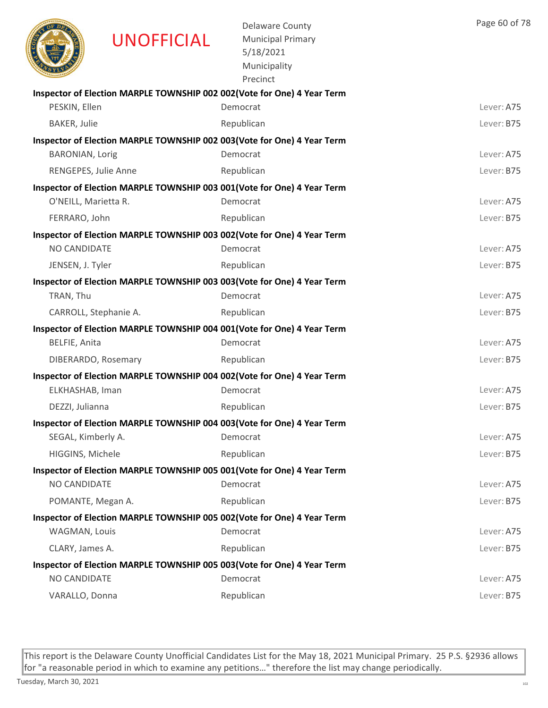

UNOFFICIAL

Delaware County Municipal Primary 5/18/2021 Municipality

|                        | Precinct                                                                |            |
|------------------------|-------------------------------------------------------------------------|------------|
|                        | Inspector of Election MARPLE TOWNSHIP 002 002(Vote for One) 4 Year Term |            |
| PESKIN, Ellen          | Democrat                                                                | Lever: A75 |
| <b>BAKER, Julie</b>    | Republican                                                              | Lever: B75 |
|                        | Inspector of Election MARPLE TOWNSHIP 002 003(Vote for One) 4 Year Term |            |
| <b>BARONIAN, Lorig</b> | Democrat                                                                | Lever: A75 |
| RENGEPES, Julie Anne   | Republican                                                              | Lever: B75 |
|                        | Inspector of Election MARPLE TOWNSHIP 003 001(Vote for One) 4 Year Term |            |
| O'NEILL, Marietta R.   | Democrat                                                                | Lever: A75 |
| FERRARO, John          | Republican                                                              | Lever: B75 |
|                        | Inspector of Election MARPLE TOWNSHIP 003 002(Vote for One) 4 Year Term |            |
| <b>NO CANDIDATE</b>    | Democrat                                                                | Lever: A75 |
| JENSEN, J. Tyler       | Republican                                                              | Lever: B75 |
|                        | Inspector of Election MARPLE TOWNSHIP 003 003(Vote for One) 4 Year Term |            |
| TRAN, Thu              | Democrat                                                                | Lever: A75 |
| CARROLL, Stephanie A.  | Republican                                                              | Lever: B75 |
|                        | Inspector of Election MARPLE TOWNSHIP 004 001(Vote for One) 4 Year Term |            |
| BELFIE, Anita          | Democrat                                                                | Lever: A75 |
| DIBERARDO, Rosemary    | Republican                                                              | Lever: B75 |
|                        | Inspector of Election MARPLE TOWNSHIP 004 002(Vote for One) 4 Year Term |            |
| ELKHASHAB, Iman        | Democrat                                                                | Lever: A75 |
| DEZZI, Julianna        | Republican                                                              | Lever: B75 |
|                        | Inspector of Election MARPLE TOWNSHIP 004 003(Vote for One) 4 Year Term |            |
| SEGAL, Kimberly A.     | Democrat                                                                | Lever: A75 |
| HIGGINS, Michele       | Republican                                                              | Lever: B75 |
|                        | Inspector of Election MARPLE TOWNSHIP 005 001(Vote for One) 4 Year Term |            |
| NO CANDIDATE           | Democrat                                                                | Lever: A75 |
| POMANTE, Megan A.      | Republican                                                              | Lever: B75 |
|                        | Inspector of Election MARPLE TOWNSHIP 005 002(Vote for One) 4 Year Term |            |
| WAGMAN, Louis          | Democrat                                                                | Lever: A75 |
| CLARY, James A.        | Republican                                                              | Lever: B75 |
|                        | Inspector of Election MARPLE TOWNSHIP 005 003(Vote for One) 4 Year Term |            |
| NO CANDIDATE           | Democrat                                                                | Lever: A75 |
| VARALLO, Donna         | Republican                                                              | Lever: B75 |

This report is the Delaware County Unofficial Candidates List for the May 18, 2021 Municipal Primary. 25 P.S. §2936 allows for "a reasonable period in which to examine any petitions…" therefore the list may change periodically.

Page 60 of 78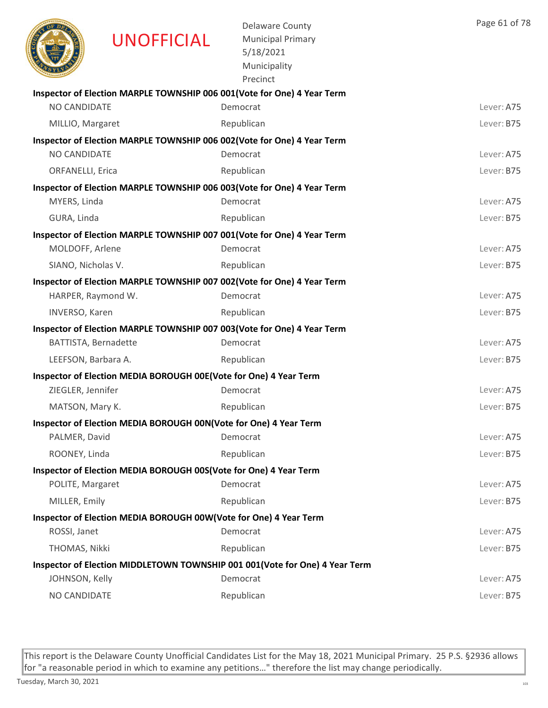| <b>UNOFFICIAL</b>                                                                          | <b>Delaware County</b><br><b>Municipal Primary</b><br>5/18/2021<br>Municipality<br>Precinct | Page 61 of 78 |
|--------------------------------------------------------------------------------------------|---------------------------------------------------------------------------------------------|---------------|
| Inspector of Election MARPLE TOWNSHIP 006 001(Vote for One) 4 Year Term                    |                                                                                             |               |
| NO CANDIDATE                                                                               | Democrat                                                                                    | Lever: A75    |
| MILLIO, Margaret                                                                           | Republican                                                                                  | Lever: B75    |
| Inspector of Election MARPLE TOWNSHIP 006 002(Vote for One) 4 Year Term                    |                                                                                             |               |
| NO CANDIDATE                                                                               | Democrat                                                                                    | Lever: A75    |
| <b>ORFANELLI, Erica</b>                                                                    | Republican                                                                                  | Lever: B75    |
| Inspector of Election MARPLE TOWNSHIP 006 003(Vote for One) 4 Year Term                    |                                                                                             |               |
| MYERS, Linda                                                                               | Democrat                                                                                    | Lever: A75    |
| GURA, Linda                                                                                | Republican                                                                                  | Lever: B75    |
| Inspector of Election MARPLE TOWNSHIP 007 001(Vote for One) 4 Year Term<br>MOLDOFF, Arlene | Democrat                                                                                    | Lever: A75    |
| SIANO, Nicholas V.                                                                         | Republican                                                                                  | Lever: B75    |
| Inspector of Election MARPLE TOWNSHIP 007 002(Vote for One) 4 Year Term                    |                                                                                             |               |
| HARPER, Raymond W.                                                                         | Democrat                                                                                    | Lever: A75    |
| <b>INVERSO, Karen</b>                                                                      | Republican                                                                                  | Lever: B75    |
| Inspector of Election MARPLE TOWNSHIP 007 003(Vote for One) 4 Year Term                    |                                                                                             |               |
| BATTISTA, Bernadette                                                                       | Democrat                                                                                    | Lever: A75    |
| LEEFSON, Barbara A.                                                                        | Republican                                                                                  | Lever: B75    |
| Inspector of Election MEDIA BOROUGH 00E(Vote for One) 4 Year Term                          |                                                                                             |               |
| ZIEGLER, Jennifer                                                                          | Democrat                                                                                    | Lever: A75    |
| MATSON, Mary K.                                                                            | Republican                                                                                  | Lever: B75    |
| Inspector of Election MEDIA BOROUGH 00N(Vote for One) 4 Year Term                          |                                                                                             |               |
| PALMER, David                                                                              | Democrat                                                                                    | Lever: A75    |
| ROONEY, Linda                                                                              | Republican                                                                                  | Lever: B75    |
| Inspector of Election MEDIA BOROUGH 00S(Vote for One) 4 Year Term                          |                                                                                             |               |
| POLITE, Margaret                                                                           | Democrat                                                                                    | Lever: A75    |
| MILLER, Emily                                                                              | Republican                                                                                  | Lever: B75    |
| Inspector of Election MEDIA BOROUGH 00W(Vote for One) 4 Year Term                          |                                                                                             |               |
| ROSSI, Janet                                                                               | Democrat                                                                                    | Lever: A75    |
| THOMAS, Nikki                                                                              | Republican                                                                                  | Lever: B75    |
|                                                                                            | Inspector of Election MIDDLETOWN TOWNSHIP 001 001(Vote for One) 4 Year Term                 |               |
| JOHNSON, Kelly                                                                             | Democrat                                                                                    | Lever: A75    |
| NO CANDIDATE                                                                               | Republican                                                                                  | Lever: B75    |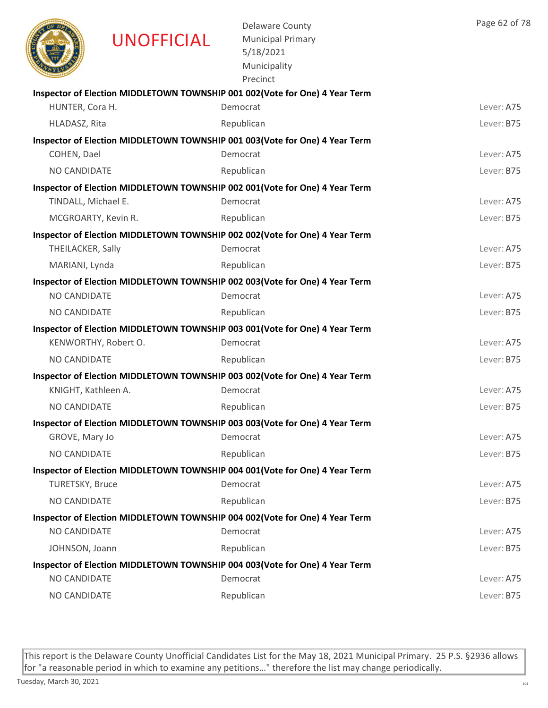|                        | <b>UNOFFICIAL</b>    | <b>Delaware County</b><br><b>Municipal Primary</b><br>5/18/2021<br>Municipality<br>Precinct | Page 62 of 78 |
|------------------------|----------------------|---------------------------------------------------------------------------------------------|---------------|
|                        |                      | Inspector of Election MIDDLETOWN TOWNSHIP 001 002(Vote for One) 4 Year Term                 |               |
| HUNTER, Cora H.        |                      | Democrat                                                                                    | Lever: A75    |
| HLADASZ, Rita          |                      | Republican                                                                                  | Lever: B75    |
|                        |                      | Inspector of Election MIDDLETOWN TOWNSHIP 001 003(Vote for One) 4 Year Term                 |               |
| COHEN, Dael            |                      | Democrat                                                                                    | Lever: A75    |
| NO CANDIDATE           |                      | Republican                                                                                  | Lever: B75    |
|                        |                      | Inspector of Election MIDDLETOWN TOWNSHIP 002 001(Vote for One) 4 Year Term                 |               |
| TINDALL, Michael E.    |                      | Democrat                                                                                    | Lever: A75    |
|                        | MCGROARTY, Kevin R.  | Republican                                                                                  | Lever: B75    |
|                        |                      | Inspector of Election MIDDLETOWN TOWNSHIP 002 002 (Vote for One) 4 Year Term                |               |
| THEILACKER, Sally      |                      | Democrat                                                                                    | Lever: A75    |
| MARIANI, Lynda         |                      | Republican                                                                                  | Lever: B75    |
|                        |                      | Inspector of Election MIDDLETOWN TOWNSHIP 002 003(Vote for One) 4 Year Term                 |               |
| <b>NO CANDIDATE</b>    |                      | Democrat                                                                                    | Lever: A75    |
| NO CANDIDATE           |                      | Republican                                                                                  | Lever: B75    |
|                        |                      | Inspector of Election MIDDLETOWN TOWNSHIP 003 001(Vote for One) 4 Year Term                 |               |
|                        | KENWORTHY, Robert O. | Democrat                                                                                    | Lever: A75    |
| NO CANDIDATE           |                      | Republican                                                                                  | Lever: B75    |
|                        |                      | Inspector of Election MIDDLETOWN TOWNSHIP 003 002(Vote for One) 4 Year Term                 |               |
| KNIGHT, Kathleen A.    |                      | Democrat                                                                                    | Lever: A75    |
| NO CANDIDATE           |                      | Republican                                                                                  | Lever: B75    |
|                        |                      | Inspector of Election MIDDLETOWN TOWNSHIP 003 003 (Vote for One) 4 Year Term                |               |
| GROVE, Mary Jo         |                      | Democrat                                                                                    | Lever: A75    |
| NO CANDIDATE           |                      | Republican                                                                                  | Lever: B75    |
|                        |                      | Inspector of Election MIDDLETOWN TOWNSHIP 004 001 (Vote for One) 4 Year Term                |               |
| <b>TURETSKY, Bruce</b> |                      | Democrat                                                                                    | Lever: A75    |
| NO CANDIDATE           |                      | Republican                                                                                  | Lever: B75    |
| NO CANDIDATE           |                      | Inspector of Election MIDDLETOWN TOWNSHIP 004 002 (Vote for One) 4 Year Term<br>Democrat    | Lever: A75    |
|                        |                      |                                                                                             |               |
| JOHNSON, Joann         |                      | Republican                                                                                  | Lever: B75    |
| NO CANDIDATE           |                      | Inspector of Election MIDDLETOWN TOWNSHIP 004 003(Vote for One) 4 Year Term<br>Democrat     | Lever: A75    |
| NO CANDIDATE           |                      | Republican                                                                                  | Lever: B75    |
|                        |                      |                                                                                             |               |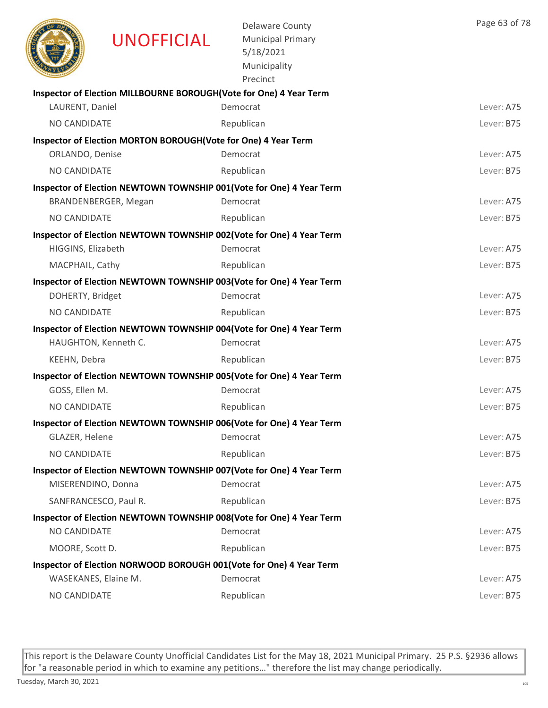|                      | <b>UNOFFICIAL</b>                                                   | <b>Delaware County</b><br><b>Municipal Primary</b><br>5/18/2021<br>Municipality<br>Precinct | Page 63 of 78 |
|----------------------|---------------------------------------------------------------------|---------------------------------------------------------------------------------------------|---------------|
| LAURENT, Daniel      | Inspector of Election MILLBOURNE BOROUGH (Vote for One) 4 Year Term | Democrat                                                                                    | Lever: A75    |
| <b>NO CANDIDATE</b>  |                                                                     | Republican                                                                                  | Lever: B75    |
|                      | Inspector of Election MORTON BOROUGH(Vote for One) 4 Year Term      |                                                                                             |               |
| ORLANDO, Denise      |                                                                     | Democrat                                                                                    | Lever: A75    |
| NO CANDIDATE         |                                                                     | Republican                                                                                  | Lever: B75    |
|                      |                                                                     | Inspector of Election NEWTOWN TOWNSHIP 001(Vote for One) 4 Year Term                        |               |
|                      | BRANDENBERGER, Megan                                                | Democrat                                                                                    | Lever: A75    |
| NO CANDIDATE         |                                                                     | Republican                                                                                  | Lever: B75    |
|                      |                                                                     | Inspector of Election NEWTOWN TOWNSHIP 002(Vote for One) 4 Year Term                        |               |
| HIGGINS, Elizabeth   |                                                                     | Democrat                                                                                    | Lever: A75    |
| MACPHAIL, Cathy      |                                                                     | Republican                                                                                  | Lever: B75    |
|                      |                                                                     | Inspector of Election NEWTOWN TOWNSHIP 003(Vote for One) 4 Year Term                        |               |
| DOHERTY, Bridget     |                                                                     | Democrat                                                                                    | Lever: A75    |
| NO CANDIDATE         |                                                                     | Republican                                                                                  | Lever: B75    |
|                      |                                                                     | Inspector of Election NEWTOWN TOWNSHIP 004(Vote for One) 4 Year Term                        |               |
|                      | HAUGHTON, Kenneth C.                                                | Democrat                                                                                    | Lever: A75    |
| KEEHN, Debra         |                                                                     | Republican                                                                                  | Lever: B75    |
|                      |                                                                     | Inspector of Election NEWTOWN TOWNSHIP 005(Vote for One) 4 Year Term                        |               |
| GOSS, Ellen M.       |                                                                     | Democrat                                                                                    | Lever: A75    |
| <b>NO CANDIDATE</b>  |                                                                     | Republican                                                                                  | Lever: B75    |
|                      |                                                                     | Inspector of Election NEWTOWN TOWNSHIP 006(Vote for One) 4 Year Term                        |               |
| GLAZER, Helene       |                                                                     | Democrat                                                                                    | Lever: A75    |
| NO CANDIDATE         |                                                                     | Republican                                                                                  | Lever: B75    |
| MISERENDINO, Donna   |                                                                     | Inspector of Election NEWTOWN TOWNSHIP 007(Vote for One) 4 Year Term<br>Democrat            | Lever: A75    |
|                      | SANFRANCESCO, Paul R.                                               | Republican                                                                                  | Lever: B75    |
|                      |                                                                     | Inspector of Election NEWTOWN TOWNSHIP 008(Vote for One) 4 Year Term                        |               |
| NO CANDIDATE         |                                                                     | Democrat                                                                                    | Lever: A75    |
| MOORE, Scott D.      |                                                                     | Republican                                                                                  | Lever: B75    |
|                      |                                                                     | Inspector of Election NORWOOD BOROUGH 001(Vote for One) 4 Year Term                         |               |
| WASEKANES, Elaine M. |                                                                     | Democrat                                                                                    | Lever: A75    |
| NO CANDIDATE         |                                                                     | Republican                                                                                  | Lever: B75    |
|                      |                                                                     |                                                                                             |               |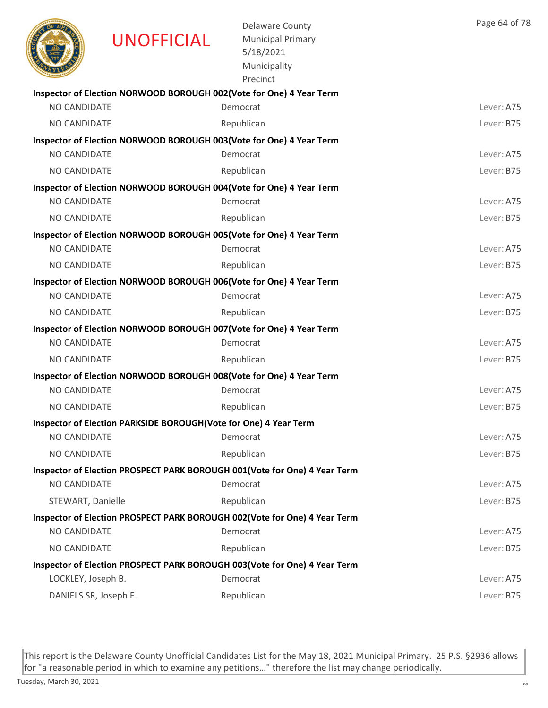|                       | UNOFFICIAL                                                       | <b>Delaware County</b><br><b>Municipal Primary</b><br>5/18/2021<br>Municipality<br>Precinct | Page 64 of 78 |
|-----------------------|------------------------------------------------------------------|---------------------------------------------------------------------------------------------|---------------|
|                       |                                                                  | Inspector of Election NORWOOD BOROUGH 002(Vote for One) 4 Year Term                         |               |
| NO CANDIDATE          |                                                                  | Democrat                                                                                    | Lever: A75    |
| <b>NO CANDIDATE</b>   |                                                                  | Republican                                                                                  | Lever: B75    |
|                       |                                                                  | Inspector of Election NORWOOD BOROUGH 003(Vote for One) 4 Year Term                         |               |
| NO CANDIDATE          |                                                                  | Democrat                                                                                    | Lever: A75    |
| <b>NO CANDIDATE</b>   |                                                                  | Republican                                                                                  | Lever: B75    |
|                       |                                                                  | Inspector of Election NORWOOD BOROUGH 004(Vote for One) 4 Year Term                         |               |
| <b>NO CANDIDATE</b>   |                                                                  | Democrat                                                                                    | Lever: A75    |
| NO CANDIDATE          |                                                                  | Republican                                                                                  | Lever: B75    |
|                       |                                                                  | Inspector of Election NORWOOD BOROUGH 005(Vote for One) 4 Year Term                         |               |
| NO CANDIDATE          |                                                                  | Democrat                                                                                    | Lever: A75    |
| <b>NO CANDIDATE</b>   |                                                                  | Republican                                                                                  | Lever: B75    |
|                       |                                                                  | Inspector of Election NORWOOD BOROUGH 006(Vote for One) 4 Year Term                         |               |
| <b>NO CANDIDATE</b>   |                                                                  | Democrat                                                                                    | Lever: A75    |
| <b>NO CANDIDATE</b>   |                                                                  | Republican                                                                                  | Lever: B75    |
|                       |                                                                  | Inspector of Election NORWOOD BOROUGH 007(Vote for One) 4 Year Term                         |               |
| NO CANDIDATE          |                                                                  | Democrat                                                                                    | Lever: A75    |
| <b>NO CANDIDATE</b>   |                                                                  | Republican                                                                                  | Lever: B75    |
|                       |                                                                  | Inspector of Election NORWOOD BOROUGH 008(Vote for One) 4 Year Term                         |               |
| <b>NO CANDIDATE</b>   |                                                                  | Democrat                                                                                    | Lever: A75    |
| <b>NO CANDIDATE</b>   |                                                                  | Republican                                                                                  | Lever: B75    |
|                       | Inspector of Election PARKSIDE BOROUGH(Vote for One) 4 Year Term |                                                                                             |               |
| NO CANDIDATE          |                                                                  | Democrat                                                                                    | Lever: A75    |
| NO CANDIDATE          |                                                                  | Republican                                                                                  | Lever: B75    |
|                       |                                                                  | Inspector of Election PROSPECT PARK BOROUGH 001(Vote for One) 4 Year Term                   |               |
| NO CANDIDATE          |                                                                  | Democrat                                                                                    | Lever: A75    |
| STEWART, Danielle     |                                                                  | Republican                                                                                  | Lever: B75    |
|                       |                                                                  | Inspector of Election PROSPECT PARK BOROUGH 002(Vote for One) 4 Year Term                   |               |
| NO CANDIDATE          |                                                                  | Democrat                                                                                    | Lever: A75    |
| NO CANDIDATE          |                                                                  | Republican                                                                                  | Lever: B75    |
|                       |                                                                  | Inspector of Election PROSPECT PARK BOROUGH 003(Vote for One) 4 Year Term                   |               |
| LOCKLEY, Joseph B.    |                                                                  | Democrat                                                                                    | Lever: A75    |
| DANIELS SR, Joseph E. |                                                                  | Republican                                                                                  | Lever: B75    |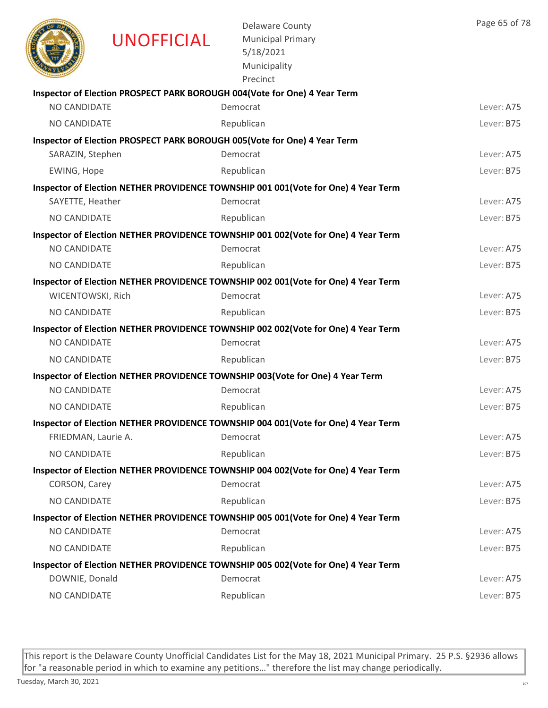|                     | <b>UNOFFICIAL</b> | <b>Delaware County</b><br><b>Municipal Primary</b><br>5/18/2021<br>Municipality<br>Precinct    | Page 65 of 78 |
|---------------------|-------------------|------------------------------------------------------------------------------------------------|---------------|
|                     |                   | Inspector of Election PROSPECT PARK BOROUGH 004(Vote for One) 4 Year Term                      |               |
| NO CANDIDATE        |                   | Democrat                                                                                       | Lever: A75    |
| <b>NO CANDIDATE</b> |                   | Republican                                                                                     | Lever: B75    |
|                     |                   | Inspector of Election PROSPECT PARK BOROUGH 005(Vote for One) 4 Year Term                      |               |
| SARAZIN, Stephen    |                   | Democrat                                                                                       | Lever: A75    |
| EWING, Hope         |                   | Republican                                                                                     | Lever: B75    |
|                     |                   | Inspector of Election NETHER PROVIDENCE TOWNSHIP 001 001(Vote for One) 4 Year Term             |               |
| SAYETTE, Heather    |                   | Democrat                                                                                       | Lever: A75    |
| NO CANDIDATE        |                   | Republican                                                                                     | Lever: B75    |
|                     |                   | Inspector of Election NETHER PROVIDENCE TOWNSHIP 001 002(Vote for One) 4 Year Term             |               |
| <b>NO CANDIDATE</b> |                   | Democrat                                                                                       | Lever: A75    |
| <b>NO CANDIDATE</b> |                   | Republican                                                                                     | Lever: B75    |
|                     |                   | Inspector of Election NETHER PROVIDENCE TOWNSHIP 002 001(Vote for One) 4 Year Term             |               |
| WICENTOWSKI, Rich   |                   | Democrat                                                                                       | Lever: A75    |
| <b>NO CANDIDATE</b> |                   | Republican                                                                                     | Lever: B75    |
|                     |                   | Inspector of Election NETHER PROVIDENCE TOWNSHIP 002 002(Vote for One) 4 Year Term             |               |
| NO CANDIDATE        |                   | Democrat                                                                                       | Lever: A75    |
| NO CANDIDATE        |                   | Republican                                                                                     | Lever: B75    |
|                     |                   | Inspector of Election NETHER PROVIDENCE TOWNSHIP 003(Vote for One) 4 Year Term                 |               |
| NO CANDIDATE        |                   | Democrat                                                                                       | Lever: A75    |
| NO CANDIDATE        |                   | Republican                                                                                     | Lever: B75    |
|                     |                   | Inspector of Election NETHER PROVIDENCE TOWNSHIP 004 001(Vote for One) 4 Year Term             |               |
| FRIEDMAN, Laurie A. |                   | Democrat                                                                                       | Lever: A75    |
| NO CANDIDATE        |                   | Republican                                                                                     | Lever: B75    |
| CORSON, Carey       |                   | Inspector of Election NETHER PROVIDENCE TOWNSHIP 004 002(Vote for One) 4 Year Term<br>Democrat | Lever: A75    |
|                     |                   |                                                                                                |               |
| NO CANDIDATE        |                   | Republican                                                                                     | Lever: B75    |
| NO CANDIDATE        |                   | Inspector of Election NETHER PROVIDENCE TOWNSHIP 005 001(Vote for One) 4 Year Term<br>Democrat | Lever: A75    |
|                     |                   |                                                                                                |               |
| NO CANDIDATE        |                   | Republican                                                                                     | Lever: B75    |
| DOWNIE, Donald      |                   | Inspector of Election NETHER PROVIDENCE TOWNSHIP 005 002(Vote for One) 4 Year Term<br>Democrat | Lever: A75    |
| NO CANDIDATE        |                   | Republican                                                                                     | Lever: B75    |
|                     |                   |                                                                                                |               |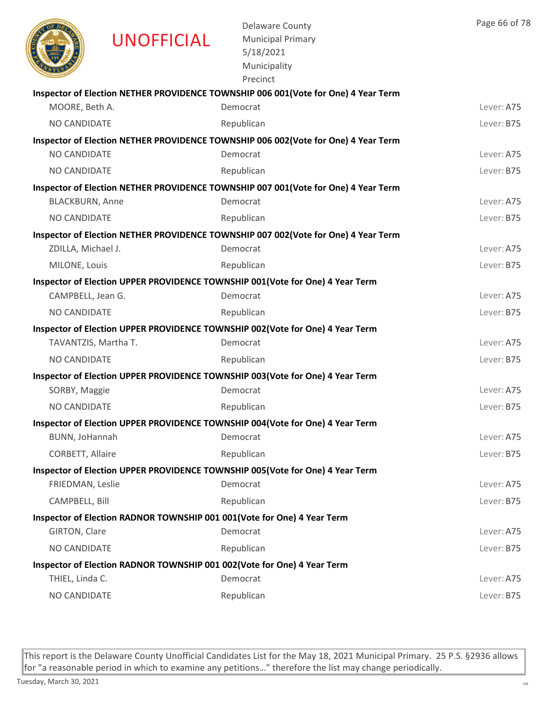|                        | <b>UNOFFICIAL</b> | <b>Delaware County</b><br><b>Municipal Primary</b><br>5/18/2021<br>Municipality<br>Precinct | Page 66 of 78 |
|------------------------|-------------------|---------------------------------------------------------------------------------------------|---------------|
|                        |                   | Inspector of Election NETHER PROVIDENCE TOWNSHIP 006 001(Vote for One) 4 Year Term          |               |
| MOORE, Beth A.         |                   | Democrat                                                                                    | Lever: A75    |
| NO CANDIDATE           |                   | Republican                                                                                  | Lever: B75    |
|                        |                   | Inspector of Election NETHER PROVIDENCE TOWNSHIP 006 002(Vote for One) 4 Year Term          |               |
| NO CANDIDATE           |                   | Democrat                                                                                    | Lever: A75    |
| <b>NO CANDIDATE</b>    |                   | Republican                                                                                  | Lever: B75    |
|                        |                   | Inspector of Election NETHER PROVIDENCE TOWNSHIP 007 001(Vote for One) 4 Year Term          |               |
| <b>BLACKBURN, Anne</b> |                   | Democrat                                                                                    | Lever: A75    |
| NO CANDIDATE           |                   | Republican                                                                                  | Lever: B75    |
|                        |                   | Inspector of Election NETHER PROVIDENCE TOWNSHIP 007 002(Vote for One) 4 Year Term          |               |
| ZDILLA, Michael J.     |                   | Democrat                                                                                    | Lever: A75    |
| MILONE, Louis          |                   | Republican                                                                                  | Lever: B75    |
|                        |                   | Inspector of Election UPPER PROVIDENCE TOWNSHIP 001(Vote for One) 4 Year Term               |               |
| CAMPBELL, Jean G.      |                   | Democrat                                                                                    | Lever: A75    |
| NO CANDIDATE           |                   | Republican                                                                                  | Lever: B75    |
|                        |                   | Inspector of Election UPPER PROVIDENCE TOWNSHIP 002(Vote for One) 4 Year Term               |               |
| TAVANTZIS, Martha T.   |                   | Democrat                                                                                    | Lever: A75    |
| NO CANDIDATE           |                   | Republican                                                                                  | Lever: B75    |
|                        |                   | Inspector of Election UPPER PROVIDENCE TOWNSHIP 003(Vote for One) 4 Year Term               |               |
| SORBY, Maggie          |                   | Democrat                                                                                    | Lever: A75    |
| NO CANDIDATE           |                   | Republican                                                                                  | Lever: B75    |
|                        |                   | Inspector of Election UPPER PROVIDENCE TOWNSHIP 004(Vote for One) 4 Year Term               |               |
| BUNN, JoHannah         |                   | Democrat                                                                                    | Lever: A75    |
| CORBETT, Allaire       |                   | Republican                                                                                  | Lever: B75    |
|                        |                   | Inspector of Election UPPER PROVIDENCE TOWNSHIP 005(Vote for One) 4 Year Term               |               |
| FRIEDMAN, Leslie       |                   | Democrat                                                                                    | Lever: A75    |
| CAMPBELL, Bill         |                   | Republican                                                                                  | Lever: B75    |
|                        |                   | Inspector of Election RADNOR TOWNSHIP 001 001 (Vote for One) 4 Year Term                    |               |
| GIRTON, Clare          |                   | Democrat                                                                                    | Lever: A75    |
| NO CANDIDATE           |                   | Republican                                                                                  | Lever: B75    |
|                        |                   | Inspector of Election RADNOR TOWNSHIP 001 002(Vote for One) 4 Year Term                     |               |
| THIEL, Linda C.        |                   | Democrat                                                                                    | Lever: A75    |
| NO CANDIDATE           |                   | Republican                                                                                  | Lever: B75    |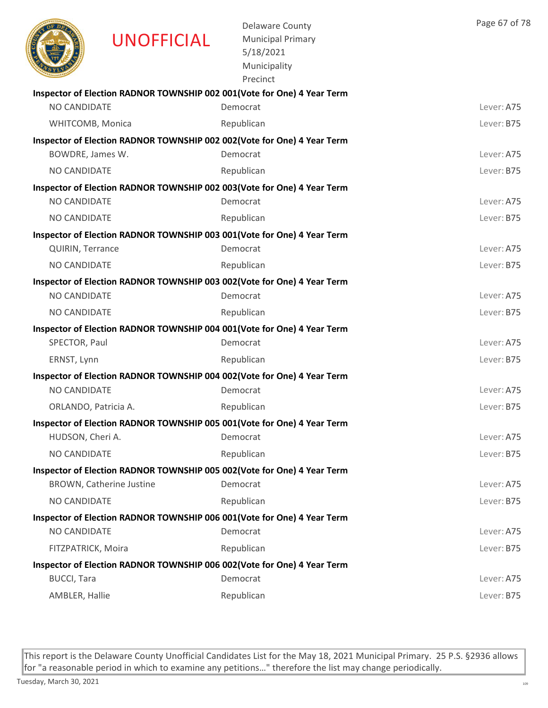|                      | <b>UNOFFICIAL</b>               | <b>Delaware County</b><br><b>Municipal Primary</b><br>5/18/2021<br>Municipality<br>Precinct | Page 67 of 78 |
|----------------------|---------------------------------|---------------------------------------------------------------------------------------------|---------------|
|                      |                                 | Inspector of Election RADNOR TOWNSHIP 002 001(Vote for One) 4 Year Term                     |               |
| NO CANDIDATE         |                                 | Democrat                                                                                    | Lever: A75    |
| WHITCOMB, Monica     |                                 | Republican                                                                                  | Lever: B75    |
| BOWDRE, James W.     |                                 | Inspector of Election RADNOR TOWNSHIP 002 002(Vote for One) 4 Year Term<br>Democrat         | Lever: A75    |
| NO CANDIDATE         |                                 | Republican                                                                                  | Lever: B75    |
|                      |                                 | Inspector of Election RADNOR TOWNSHIP 002 003(Vote for One) 4 Year Term                     |               |
| <b>NO CANDIDATE</b>  |                                 | Democrat                                                                                    | Lever: A75    |
| <b>NO CANDIDATE</b>  |                                 | Republican                                                                                  | Lever: B75    |
|                      |                                 | Inspector of Election RADNOR TOWNSHIP 003 001(Vote for One) 4 Year Term                     |               |
| QUIRIN, Terrance     |                                 | Democrat                                                                                    | Lever: A75    |
| <b>NO CANDIDATE</b>  |                                 | Republican                                                                                  | Lever: B75    |
|                      |                                 | Inspector of Election RADNOR TOWNSHIP 003 002(Vote for One) 4 Year Term                     |               |
| NO CANDIDATE         |                                 | Democrat                                                                                    | Lever: A75    |
| NO CANDIDATE         |                                 | Republican                                                                                  | Lever: B75    |
|                      |                                 | Inspector of Election RADNOR TOWNSHIP 004 001(Vote for One) 4 Year Term                     |               |
| SPECTOR, Paul        |                                 | Democrat                                                                                    | Lever: A75    |
| ERNST, Lynn          |                                 | Republican                                                                                  | Lever: B75    |
|                      |                                 | Inspector of Election RADNOR TOWNSHIP 004 002(Vote for One) 4 Year Term                     |               |
| NO CANDIDATE         |                                 | Democrat                                                                                    | Lever: A75    |
| ORLANDO, Patricia A. |                                 | Republican                                                                                  | Lever: B75    |
|                      |                                 | Inspector of Election RADNOR TOWNSHIP 005 001(Vote for One) 4 Year Term                     |               |
| HUDSON, Cheri A.     |                                 | Democrat                                                                                    | Lever: A75    |
| NO CANDIDATE         |                                 | Republican                                                                                  | Lever: B75    |
|                      |                                 | Inspector of Election RADNOR TOWNSHIP 005 002(Vote for One) 4 Year Term                     |               |
|                      | <b>BROWN, Catherine Justine</b> | Democrat                                                                                    | Lever: A75    |
| NO CANDIDATE         |                                 | Republican                                                                                  | Lever: B75    |
|                      |                                 | Inspector of Election RADNOR TOWNSHIP 006 001(Vote for One) 4 Year Term                     |               |
| NO CANDIDATE         |                                 | Democrat                                                                                    | Lever: A75    |
| FITZPATRICK, Moira   |                                 | Republican                                                                                  | Lever: B75    |
|                      |                                 | Inspector of Election RADNOR TOWNSHIP 006 002(Vote for One) 4 Year Term                     |               |
| <b>BUCCI, Tara</b>   |                                 | Democrat                                                                                    | Lever: A75    |
| AMBLER, Hallie       |                                 | Republican                                                                                  | Lever: B75    |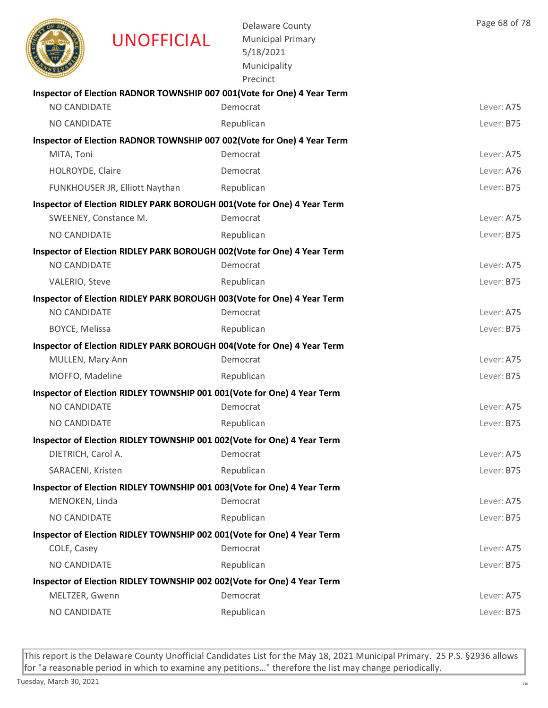|                     | <b>UNOFFICIAL</b>              | <b>Delaware County</b><br><b>Municipal Primary</b><br>5/18/2021<br>Municipality<br>Precinct | Page 68 of 78 |
|---------------------|--------------------------------|---------------------------------------------------------------------------------------------|---------------|
|                     |                                | Inspector of Election RADNOR TOWNSHIP 007 001(Vote for One) 4 Year Term                     |               |
| NO CANDIDATE        |                                | Democrat                                                                                    | Lever: A75    |
| <b>NO CANDIDATE</b> |                                | Republican                                                                                  | Lever: B75    |
|                     |                                | Inspector of Election RADNOR TOWNSHIP 007 002(Vote for One) 4 Year Term                     |               |
| MITA, Toni          |                                | Democrat                                                                                    | Lever: A75    |
| HOLROYDE, Claire    |                                | Democrat                                                                                    | Lever: A76    |
|                     | FUNKHOUSER JR, Elliott Naythan | Republican                                                                                  | Lever: B75    |
|                     |                                | Inspector of Election RIDLEY PARK BOROUGH 001 (Vote for One) 4 Year Term                    |               |
|                     | SWEENEY, Constance M.          | Democrat                                                                                    | Lever: A75    |
| <b>NO CANDIDATE</b> |                                | Republican                                                                                  | Lever: B75    |
|                     |                                | Inspector of Election RIDLEY PARK BOROUGH 002(Vote for One) 4 Year Term                     |               |
| <b>NO CANDIDATE</b> |                                | Democrat                                                                                    | Lever: A75    |
| VALERIO, Steve      |                                | Republican                                                                                  | Lever: B75    |
|                     |                                | Inspector of Election RIDLEY PARK BOROUGH 003(Vote for One) 4 Year Term                     |               |
| NO CANDIDATE        |                                | Democrat                                                                                    | Lever: A75    |
| BOYCE, Melissa      |                                | Republican                                                                                  | Lever: B75    |
|                     |                                | Inspector of Election RIDLEY PARK BOROUGH 004(Vote for One) 4 Year Term                     |               |
| MULLEN, Mary Ann    |                                | Democrat                                                                                    | Lever: A75    |
| MOFFO, Madeline     |                                | Republican                                                                                  | Lever: B75    |
|                     |                                | Inspector of Election RIDLEY TOWNSHIP 001 001(Vote for One) 4 Year Term                     |               |
| <b>NO CANDIDATE</b> |                                | Democrat                                                                                    | Lever: A75    |
| NO CANDIDATE        |                                | Republican                                                                                  | Lever: B75    |
|                     |                                | Inspector of Election RIDLEY TOWNSHIP 001 002(Vote for One) 4 Year Term                     |               |
| DIETRICH, Carol A.  |                                | Democrat                                                                                    | Lever: A75    |
| SARACENI, Kristen   |                                | Republican                                                                                  | Lever: B75    |
|                     |                                | Inspector of Election RIDLEY TOWNSHIP 001 003(Vote for One) 4 Year Term                     |               |
| MENOKEN, Linda      |                                | Democrat                                                                                    | Lever: A75    |
| NO CANDIDATE        |                                | Republican                                                                                  | Lever: B75    |
|                     |                                | Inspector of Election RIDLEY TOWNSHIP 002 001(Vote for One) 4 Year Term                     |               |
| COLE, Casey         |                                | Democrat                                                                                    | Lever: A75    |
| NO CANDIDATE        |                                | Republican                                                                                  | Lever: B75    |
|                     |                                | Inspector of Election RIDLEY TOWNSHIP 002 002(Vote for One) 4 Year Term                     |               |
| MELTZER, Gwenn      |                                | Democrat                                                                                    | Lever: A75    |
| NO CANDIDATE        |                                | Republican                                                                                  | Lever: B75    |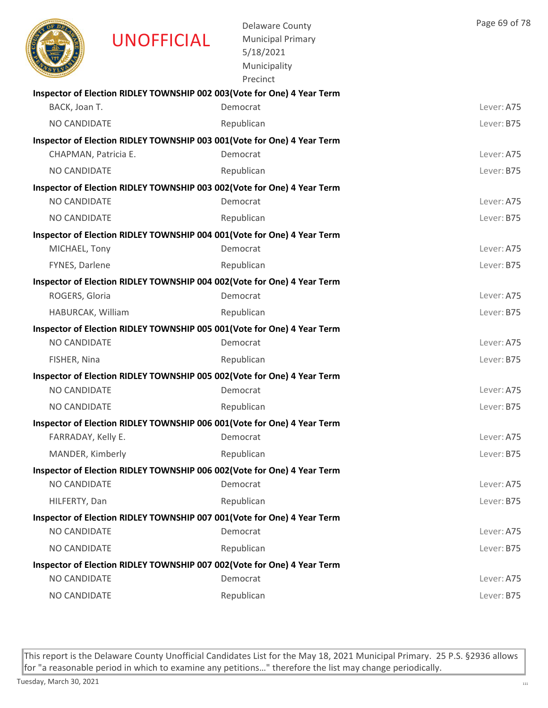|                      | <b>UNOFFICIAL</b> | <b>Delaware County</b><br><b>Municipal Primary</b><br>5/18/2021<br>Municipality<br>Precinct | Page 69 of 78 |
|----------------------|-------------------|---------------------------------------------------------------------------------------------|---------------|
|                      |                   | Inspector of Election RIDLEY TOWNSHIP 002 003(Vote for One) 4 Year Term                     |               |
| BACK, Joan T.        |                   | Democrat                                                                                    | Lever: A75    |
| <b>NO CANDIDATE</b>  |                   | Republican                                                                                  | Lever: B75    |
|                      |                   | Inspector of Election RIDLEY TOWNSHIP 003 001(Vote for One) 4 Year Term                     |               |
| CHAPMAN, Patricia E. |                   | Democrat                                                                                    | Lever: A75    |
| NO CANDIDATE         |                   | Republican                                                                                  | Lever: B75    |
|                      |                   | Inspector of Election RIDLEY TOWNSHIP 003 002(Vote for One) 4 Year Term                     |               |
| NO CANDIDATE         |                   | Democrat                                                                                    | Lever: A75    |
| NO CANDIDATE         |                   | Republican                                                                                  | Lever: B75    |
|                      |                   | Inspector of Election RIDLEY TOWNSHIP 004 001(Vote for One) 4 Year Term                     |               |
| MICHAEL, Tony        |                   | Democrat                                                                                    | Lever: A75    |
| FYNES, Darlene       |                   | Republican                                                                                  | Lever: B75    |
|                      |                   | Inspector of Election RIDLEY TOWNSHIP 004 002(Vote for One) 4 Year Term                     |               |
| ROGERS, Gloria       |                   | Democrat                                                                                    | Lever: A75    |
| HABURCAK, William    |                   | Republican                                                                                  | Lever: B75    |
| <b>NO CANDIDATE</b>  |                   | Inspector of Election RIDLEY TOWNSHIP 005 001(Vote for One) 4 Year Term<br>Democrat         | Lever: A75    |
|                      |                   |                                                                                             |               |
| FISHER, Nina         |                   | Republican                                                                                  | Lever: B75    |
| <b>NO CANDIDATE</b>  |                   | Inspector of Election RIDLEY TOWNSHIP 005 002(Vote for One) 4 Year Term<br>Democrat         | Lever: A75    |
|                      |                   |                                                                                             |               |
| <b>NO CANDIDATE</b>  |                   | Republican                                                                                  | Lever: B75    |
| FARRADAY, Kelly E.   |                   | Inspector of Election RIDLEY TOWNSHIP 006 001(Vote for One) 4 Year Term<br>Democrat         | Lever: A75    |
|                      |                   |                                                                                             |               |
| MANDER, Kimberly     |                   | Republican                                                                                  | Lever: B75    |
| NO CANDIDATE         |                   | Inspector of Election RIDLEY TOWNSHIP 006 002(Vote for One) 4 Year Term<br>Democrat         | Lever: A75    |
|                      |                   |                                                                                             | Lever: B75    |
| HILFERTY, Dan        |                   | Republican                                                                                  |               |
| NO CANDIDATE         |                   | Inspector of Election RIDLEY TOWNSHIP 007 001(Vote for One) 4 Year Term<br>Democrat         | Lever: A75    |
| NO CANDIDATE         |                   |                                                                                             | Lever: B75    |
|                      |                   | Republican                                                                                  |               |
| NO CANDIDATE         |                   | Inspector of Election RIDLEY TOWNSHIP 007 002(Vote for One) 4 Year Term<br>Democrat         | Lever: A75    |
| NO CANDIDATE         |                   | Republican                                                                                  | Lever: B75    |
|                      |                   |                                                                                             |               |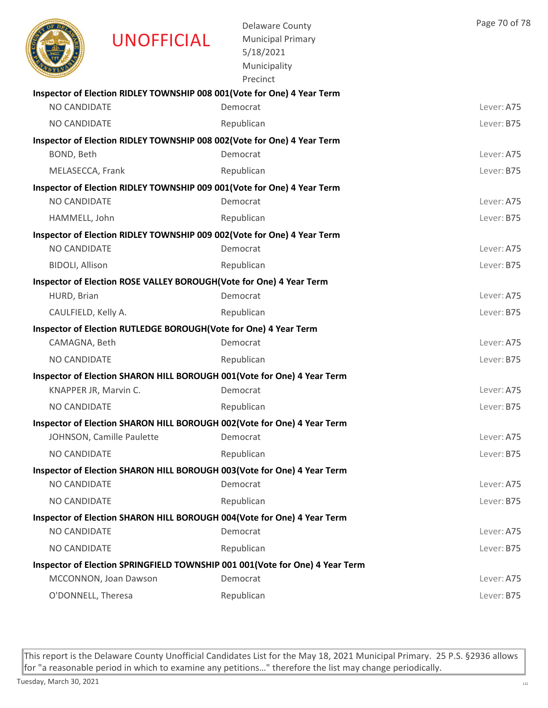|                        | <b>UNOFFICIAL</b>                                                   | <b>Delaware County</b><br><b>Municipal Primary</b><br>5/18/2021<br>Municipality<br>Precinct | Page 70 of 78 |
|------------------------|---------------------------------------------------------------------|---------------------------------------------------------------------------------------------|---------------|
|                        |                                                                     | Inspector of Election RIDLEY TOWNSHIP 008 001(Vote for One) 4 Year Term                     |               |
| NO CANDIDATE           |                                                                     | Democrat                                                                                    | Lever: A75    |
| <b>NO CANDIDATE</b>    |                                                                     | Republican                                                                                  | Lever: B75    |
|                        |                                                                     | Inspector of Election RIDLEY TOWNSHIP 008 002(Vote for One) 4 Year Term                     |               |
| BOND, Beth             |                                                                     | Democrat                                                                                    | Lever: A75    |
| MELASECCA, Frank       |                                                                     | Republican                                                                                  | Lever: B75    |
|                        |                                                                     | Inspector of Election RIDLEY TOWNSHIP 009 001(Vote for One) 4 Year Term                     |               |
| <b>NO CANDIDATE</b>    |                                                                     | Democrat                                                                                    | Lever: A75    |
| HAMMELL, John          |                                                                     | Republican                                                                                  | Lever: B75    |
|                        |                                                                     | Inspector of Election RIDLEY TOWNSHIP 009 002(Vote for One) 4 Year Term                     |               |
| <b>NO CANDIDATE</b>    |                                                                     | Democrat                                                                                    | Lever: A75    |
| <b>BIDOLI, Allison</b> |                                                                     | Republican                                                                                  | Lever: B75    |
| HURD, Brian            | Inspector of Election ROSE VALLEY BOROUGH(Vote for One) 4 Year Term | Democrat                                                                                    | Lever: A75    |
|                        |                                                                     |                                                                                             |               |
| CAULFIELD, Kelly A.    |                                                                     | Republican                                                                                  | Lever: B75    |
| CAMAGNA, Beth          | Inspector of Election RUTLEDGE BOROUGH(Vote for One) 4 Year Term    | Democrat                                                                                    | Lever: A75    |
| NO CANDIDATE           |                                                                     |                                                                                             |               |
|                        |                                                                     | Republican                                                                                  | Lever: B75    |
|                        | KNAPPER JR, Marvin C.                                               | Inspector of Election SHARON HILL BOROUGH 001(Vote for One) 4 Year Term<br>Democrat         | Lever: A75    |
| NO CANDIDATE           |                                                                     | Republican                                                                                  | Lever: B75    |
|                        |                                                                     |                                                                                             |               |
|                        | JOHNSON, Camille Paulette                                           | Inspector of Election SHARON HILL BOROUGH 002(Vote for One) 4 Year Term<br>Democrat         | Lever: A75    |
| NO CANDIDATE           |                                                                     | Republican                                                                                  | Lever: B75    |
|                        |                                                                     |                                                                                             |               |
| NO CANDIDATE           |                                                                     | Inspector of Election SHARON HILL BOROUGH 003(Vote for One) 4 Year Term<br>Democrat         | Lever: A75    |
| NO CANDIDATE           |                                                                     | Republican                                                                                  | Lever: B75    |
|                        |                                                                     | Inspector of Election SHARON HILL BOROUGH 004(Vote for One) 4 Year Term                     |               |
| NO CANDIDATE           |                                                                     | Democrat                                                                                    | Lever: A75    |
| NO CANDIDATE           |                                                                     | Republican                                                                                  | Lever: B75    |
|                        |                                                                     | Inspector of Election SPRINGFIELD TOWNSHIP 001 001(Vote for One) 4 Year Term                |               |
|                        | MCCONNON, Joan Dawson                                               | Democrat                                                                                    | Lever: A75    |
| O'DONNELL, Theresa     |                                                                     | Republican                                                                                  | Lever: B75    |
|                        |                                                                     |                                                                                             |               |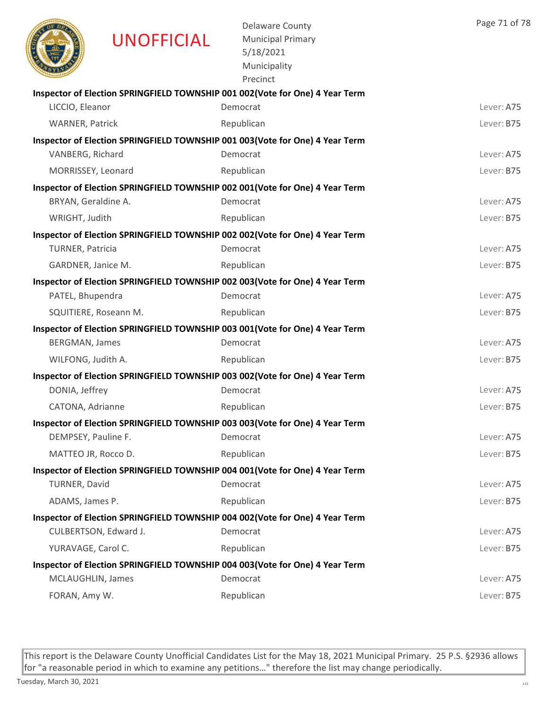|                         | <b>UNOFFICIAL</b>     | <b>Delaware County</b><br><b>Municipal Primary</b><br>5/18/2021<br>Municipality<br>Precinct | Page 71 of 78 |
|-------------------------|-----------------------|---------------------------------------------------------------------------------------------|---------------|
|                         |                       | Inspector of Election SPRINGFIELD TOWNSHIP 001 002 (Vote for One) 4 Year Term               |               |
| LICCIO, Eleanor         |                       | Democrat                                                                                    | Lever: A75    |
| <b>WARNER, Patrick</b>  |                       | Republican                                                                                  | Lever: B75    |
|                         |                       | Inspector of Election SPRINGFIELD TOWNSHIP 001 003 (Vote for One) 4 Year Term               |               |
| VANBERG, Richard        |                       | Democrat                                                                                    | Lever: A75    |
| MORRISSEY, Leonard      |                       | Republican                                                                                  | Lever: B75    |
|                         |                       | Inspector of Election SPRINGFIELD TOWNSHIP 002 001(Vote for One) 4 Year Term                |               |
| BRYAN, Geraldine A.     |                       | Democrat                                                                                    | Lever: A75    |
| WRIGHT, Judith          |                       | Republican                                                                                  | Lever: B75    |
|                         |                       | Inspector of Election SPRINGFIELD TOWNSHIP 002 002(Vote for One) 4 Year Term                |               |
| <b>TURNER, Patricia</b> |                       | Democrat                                                                                    | Lever: A75    |
| GARDNER, Janice M.      |                       | Republican                                                                                  | Lever: B75    |
| PATEL, Bhupendra        |                       | Inspector of Election SPRINGFIELD TOWNSHIP 002 003(Vote for One) 4 Year Term<br>Democrat    | Lever: A75    |
|                         |                       |                                                                                             | Lever: B75    |
|                         | SQUITIERE, Roseann M. | Republican                                                                                  |               |
| BERGMAN, James          |                       | Inspector of Election SPRINGFIELD TOWNSHIP 003 001(Vote for One) 4 Year Term<br>Democrat    | Lever: A75    |
| WILFONG, Judith A.      |                       | Republican                                                                                  | Lever: B75    |
|                         |                       | Inspector of Election SPRINGFIELD TOWNSHIP 003 002(Vote for One) 4 Year Term                |               |
| DONIA, Jeffrey          |                       | Democrat                                                                                    | Lever: A75    |
| CATONA, Adrianne        |                       | Republican                                                                                  | Lever: B75    |
|                         |                       | Inspector of Election SPRINGFIELD TOWNSHIP 003 003(Vote for One) 4 Year Term                |               |
| DEMPSEY, Pauline F.     |                       | Democrat                                                                                    | Lever: A75    |
| MATTEO JR, Rocco D.     |                       | Republican                                                                                  | Lever: B75    |
|                         |                       | Inspector of Election SPRINGFIELD TOWNSHIP 004 001(Vote for One) 4 Year Term                |               |
| TURNER, David           |                       | Democrat                                                                                    | Lever: A75    |
| ADAMS, James P.         |                       | Republican                                                                                  | Lever: B75    |
|                         |                       | Inspector of Election SPRINGFIELD TOWNSHIP 004 002(Vote for One) 4 Year Term                |               |
|                         | CULBERTSON, Edward J. | Democrat                                                                                    | Lever: A75    |
| YURAVAGE, Carol C.      |                       | Republican                                                                                  | Lever: B75    |
|                         |                       | Inspector of Election SPRINGFIELD TOWNSHIP 004 003(Vote for One) 4 Year Term                |               |
| MCLAUGHLIN, James       |                       | Democrat                                                                                    | Lever: A75    |
| FORAN, Amy W.           |                       | Republican                                                                                  | Lever: B75    |
|                         |                       |                                                                                             |               |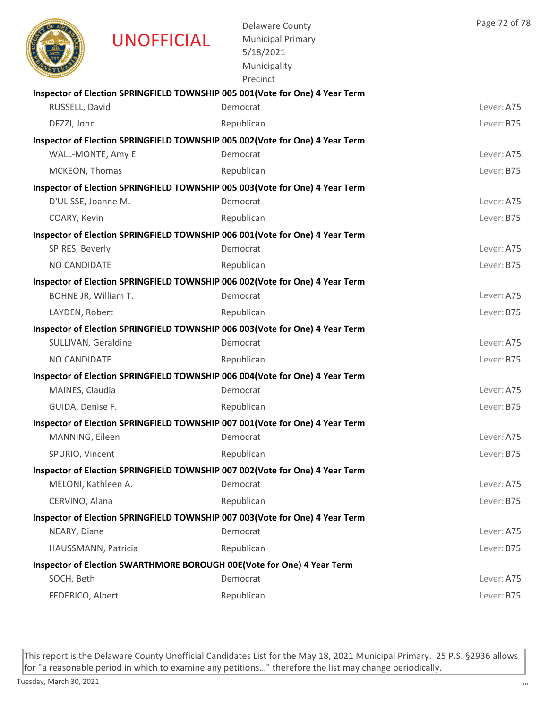|                      | <b>UNOFFICIAL</b> | <b>Delaware County</b><br><b>Municipal Primary</b><br>5/18/2021<br>Municipality<br>Precinct | Page 72 of 78 |
|----------------------|-------------------|---------------------------------------------------------------------------------------------|---------------|
|                      |                   | Inspector of Election SPRINGFIELD TOWNSHIP 005 001(Vote for One) 4 Year Term                |               |
| RUSSELL, David       |                   | Democrat                                                                                    | Lever: A75    |
| DEZZI, John          |                   | Republican                                                                                  | Lever: B75    |
|                      |                   | Inspector of Election SPRINGFIELD TOWNSHIP 005 002(Vote for One) 4 Year Term                |               |
| WALL-MONTE, Amy E.   |                   | Democrat                                                                                    | Lever: A75    |
| MCKEON, Thomas       |                   | Republican                                                                                  | Lever: B75    |
|                      |                   | Inspector of Election SPRINGFIELD TOWNSHIP 005 003 (Vote for One) 4 Year Term               |               |
| D'ULISSE, Joanne M.  |                   | Democrat                                                                                    | Lever: A75    |
| COARY, Kevin         |                   | Republican                                                                                  | Lever: B75    |
|                      |                   | Inspector of Election SPRINGFIELD TOWNSHIP 006 001(Vote for One) 4 Year Term                |               |
| SPIRES, Beverly      |                   | Democrat                                                                                    | Lever: A75    |
| NO CANDIDATE         |                   | Republican                                                                                  | Lever: B75    |
|                      |                   | Inspector of Election SPRINGFIELD TOWNSHIP 006 002(Vote for One) 4 Year Term                |               |
| BOHNE JR, William T. |                   | Democrat                                                                                    | Lever: A75    |
| LAYDEN, Robert       |                   | Republican                                                                                  | Lever: B75    |
|                      |                   | Inspector of Election SPRINGFIELD TOWNSHIP 006 003(Vote for One) 4 Year Term                |               |
| SULLIVAN, Geraldine  |                   | Democrat                                                                                    | Lever: A75    |
| NO CANDIDATE         |                   | Republican                                                                                  | Lever: B75    |
|                      |                   | Inspector of Election SPRINGFIELD TOWNSHIP 006 004(Vote for One) 4 Year Term                |               |
| MAINES, Claudia      |                   | Democrat                                                                                    | Lever: A75    |
| GUIDA, Denise F.     |                   | Republican                                                                                  | Lever: B75    |
|                      |                   | Inspector of Election SPRINGFIELD TOWNSHIP 007 001(Vote for One) 4 Year Term                |               |
| MANNING, Eileen      |                   | Democrat                                                                                    | Lever: A75    |
| SPURIO, Vincent      |                   | Republican                                                                                  | Lever: B75    |
| MELONI, Kathleen A.  |                   | Inspector of Election SPRINGFIELD TOWNSHIP 007 002(Vote for One) 4 Year Term<br>Democrat    | Lever: A75    |
|                      |                   |                                                                                             |               |
| CERVINO, Alana       |                   | Republican                                                                                  | Lever: B75    |
| NEARY, Diane         |                   | Inspector of Election SPRINGFIELD TOWNSHIP 007 003(Vote for One) 4 Year Term<br>Democrat    | Lever: A75    |
| HAUSSMANN, Patricia  |                   | Republican                                                                                  | Lever: B75    |
|                      |                   |                                                                                             |               |
| SOCH, Beth           |                   | Inspector of Election SWARTHMORE BOROUGH 00E(Vote for One) 4 Year Term<br>Democrat          | Lever: A75    |
| FEDERICO, Albert     |                   | Republican                                                                                  | Lever: B75    |
|                      |                   |                                                                                             |               |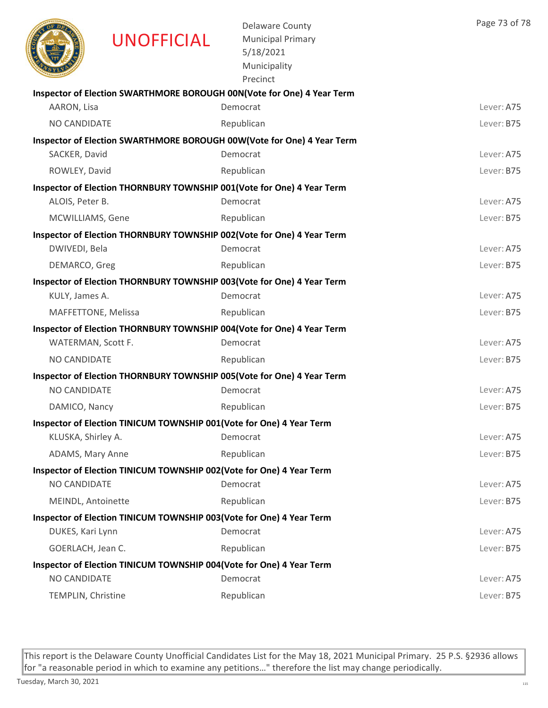|                     | <b>UNOFFICIAL</b>                                                    | <b>Delaware County</b><br><b>Municipal Primary</b><br>5/18/2021<br>Municipality<br>Precinct | Page 73 of 78 |
|---------------------|----------------------------------------------------------------------|---------------------------------------------------------------------------------------------|---------------|
|                     |                                                                      | Inspector of Election SWARTHMORE BOROUGH 00N(Vote for One) 4 Year Term<br>Democrat          |               |
| AARON, Lisa         |                                                                      |                                                                                             | Lever: A75    |
| <b>NO CANDIDATE</b> |                                                                      | Republican                                                                                  | Lever: B75    |
| SACKER, David       |                                                                      | Inspector of Election SWARTHMORE BOROUGH 00W(Vote for One) 4 Year Term<br>Democrat          | Lever: A75    |
| ROWLEY, David       |                                                                      | Republican                                                                                  | Lever: B75    |
|                     |                                                                      | Inspector of Election THORNBURY TOWNSHIP 001(Vote for One) 4 Year Term                      |               |
| ALOIS, Peter B.     |                                                                      | Democrat                                                                                    | Lever: A75    |
| MCWILLIAMS, Gene    |                                                                      | Republican                                                                                  | Lever: B75    |
|                     |                                                                      | Inspector of Election THORNBURY TOWNSHIP 002(Vote for One) 4 Year Term                      |               |
| DWIVEDI, Bela       |                                                                      | Democrat                                                                                    | Lever: A75    |
| DEMARCO, Greg       |                                                                      | Republican                                                                                  | Lever: B75    |
|                     |                                                                      | Inspector of Election THORNBURY TOWNSHIP 003(Vote for One) 4 Year Term                      |               |
| KULY, James A.      |                                                                      | Democrat                                                                                    | Lever: A75    |
| MAFFETTONE, Melissa |                                                                      | Republican                                                                                  | Lever: B75    |
|                     |                                                                      | Inspector of Election THORNBURY TOWNSHIP 004(Vote for One) 4 Year Term                      |               |
| WATERMAN, Scott F.  |                                                                      | Democrat                                                                                    | Lever: A75    |
| <b>NO CANDIDATE</b> |                                                                      | Republican                                                                                  | Lever: B75    |
|                     |                                                                      | Inspector of Election THORNBURY TOWNSHIP 005(Vote for One) 4 Year Term                      |               |
| <b>NO CANDIDATE</b> |                                                                      | Democrat                                                                                    | Lever: A75    |
| DAMICO, Nancy       |                                                                      | Republican                                                                                  | Lever: B75    |
|                     | Inspector of Election TINICUM TOWNSHIP 001(Vote for One) 4 Year Term |                                                                                             |               |
| KLUSKA, Shirley A.  |                                                                      | Democrat                                                                                    | Lever: A75    |
| ADAMS, Mary Anne    |                                                                      | Republican                                                                                  | Lever: B75    |
|                     | Inspector of Election TINICUM TOWNSHIP 002(Vote for One) 4 Year Term |                                                                                             |               |
| NO CANDIDATE        |                                                                      | Democrat                                                                                    | Lever: A75    |
| MEINDL, Antoinette  |                                                                      | Republican                                                                                  | Lever: B75    |
|                     | Inspector of Election TINICUM TOWNSHIP 003(Vote for One) 4 Year Term |                                                                                             | Lever: A75    |
| DUKES, Kari Lynn    |                                                                      | Democrat                                                                                    |               |
| GOERLACH, Jean C.   |                                                                      | Republican                                                                                  | Lever: B75    |
| NO CANDIDATE        | Inspector of Election TINICUM TOWNSHIP 004(Vote for One) 4 Year Term | Democrat                                                                                    | Lever: A75    |
| TEMPLIN, Christine  |                                                                      | Republican                                                                                  | Lever: B75    |
|                     |                                                                      |                                                                                             |               |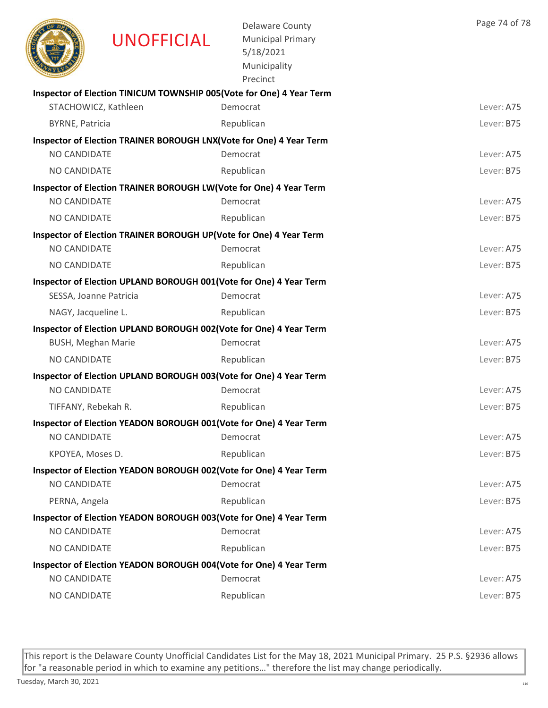

UNOFFICIAL

Delaware County Municipal Primary 5/18/2021 Municipality

| Lever: A75<br>Lever: B75<br>Lever: A75 |
|----------------------------------------|
|                                        |
|                                        |
|                                        |
|                                        |
|                                        |
| Lever: B75                             |
|                                        |
| Lever: A75                             |
| Lever: B75                             |
|                                        |
| Lever: A75                             |
| Lever: B75                             |
|                                        |
| Lever: A75                             |
| Lever: B75                             |
|                                        |
| Lever: A75                             |
| Lever: B75                             |
|                                        |
| Lever: A75                             |
| Lever: B75                             |
|                                        |
| Lever: A75                             |
| Lever: B75                             |
|                                        |
| Lever: A75                             |
| Lever: B75                             |
|                                        |
| Lever: A75                             |
| Lever: B75                             |
|                                        |
| Lever: A75                             |
| Lever: B75                             |
|                                        |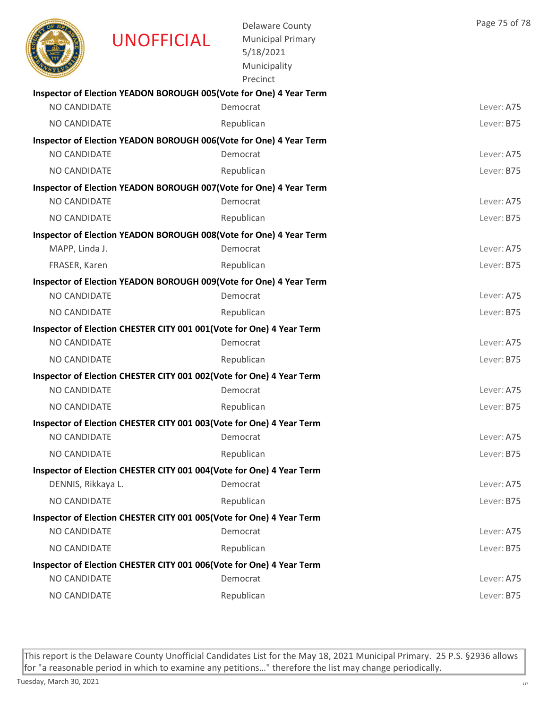|                     | <b>UNOFFICIAL</b>                                                    | <b>Delaware County</b><br><b>Municipal Primary</b><br>5/18/2021<br>Municipality<br>Precinct | Page 75 of 78 |
|---------------------|----------------------------------------------------------------------|---------------------------------------------------------------------------------------------|---------------|
|                     | Inspector of Election YEADON BOROUGH 005(Vote for One) 4 Year Term   |                                                                                             |               |
| NO CANDIDATE        |                                                                      | Democrat                                                                                    | Lever: A75    |
| <b>NO CANDIDATE</b> |                                                                      | Republican                                                                                  | Lever: B75    |
| NO CANDIDATE        | Inspector of Election YEADON BOROUGH 006(Vote for One) 4 Year Term   | Democrat                                                                                    | Lever: A75    |
|                     |                                                                      |                                                                                             | Lever: B75    |
| <b>NO CANDIDATE</b> |                                                                      | Republican                                                                                  |               |
| NO CANDIDATE        | Inspector of Election YEADON BOROUGH 007(Vote for One) 4 Year Term   | Democrat                                                                                    | Lever: A75    |
| NO CANDIDATE        |                                                                      | Republican                                                                                  | Lever: B75    |
|                     |                                                                      |                                                                                             |               |
| MAPP, Linda J.      | Inspector of Election YEADON BOROUGH 008(Vote for One) 4 Year Term   | Democrat                                                                                    | Lever: A75    |
| FRASER, Karen       |                                                                      | Republican                                                                                  | Lever: B75    |
|                     | Inspector of Election YEADON BOROUGH 009(Vote for One) 4 Year Term   |                                                                                             |               |
| <b>NO CANDIDATE</b> |                                                                      | Democrat                                                                                    | Lever: A75    |
| NO CANDIDATE        |                                                                      | Republican                                                                                  | Lever: B75    |
|                     | Inspector of Election CHESTER CITY 001 001(Vote for One) 4 Year Term |                                                                                             |               |
| NO CANDIDATE        |                                                                      | Democrat                                                                                    | Lever: A75    |
| <b>NO CANDIDATE</b> |                                                                      | Republican                                                                                  | Lever: B75    |
|                     | Inspector of Election CHESTER CITY 001 002(Vote for One) 4 Year Term |                                                                                             |               |
| NO CANDIDATE        |                                                                      | Democrat                                                                                    | Lever: A75    |
| NO CANDIDATE        |                                                                      | Republican                                                                                  | Lever: B75    |
|                     | Inspector of Election CHESTER CITY 001 003(Vote for One) 4 Year Term |                                                                                             |               |
| NO CANDIDATE        |                                                                      | Democrat                                                                                    | Lever: A75    |
| NO CANDIDATE        |                                                                      | Republican                                                                                  | Lever: B75    |
|                     | Inspector of Election CHESTER CITY 001 004(Vote for One) 4 Year Term |                                                                                             |               |
| DENNIS, Rikkaya L.  |                                                                      | Democrat                                                                                    | Lever: A75    |
| NO CANDIDATE        |                                                                      | Republican                                                                                  | Lever: B75    |
|                     | Inspector of Election CHESTER CITY 001 005(Vote for One) 4 Year Term |                                                                                             |               |
| NO CANDIDATE        |                                                                      | Democrat                                                                                    | Lever: A75    |
| NO CANDIDATE        |                                                                      | Republican                                                                                  | Lever: B75    |
|                     | Inspector of Election CHESTER CITY 001 006(Vote for One) 4 Year Term |                                                                                             |               |
| NO CANDIDATE        |                                                                      | Democrat                                                                                    | Lever: A75    |
| NO CANDIDATE        |                                                                      | Republican                                                                                  | Lever: B75    |
|                     |                                                                      |                                                                                             |               |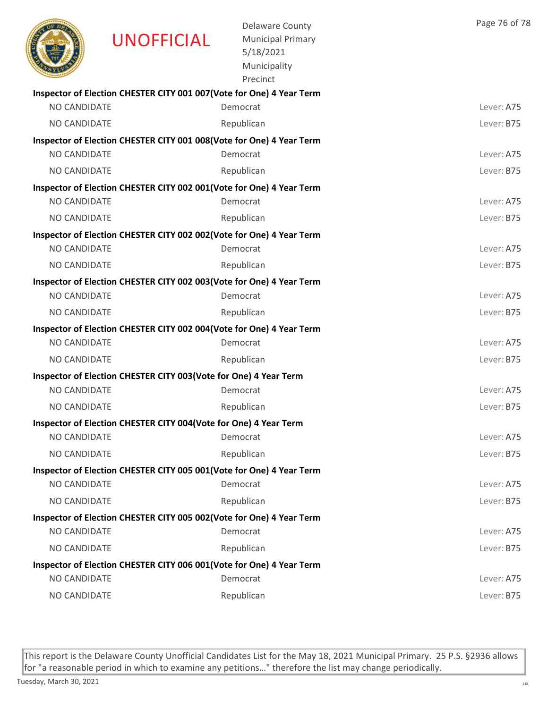|                     | <b>UNOFFICIAL</b>                                                     | <b>Delaware County</b><br><b>Municipal Primary</b><br>5/18/2021<br>Municipality<br>Precinct | Page 76 of 78 |
|---------------------|-----------------------------------------------------------------------|---------------------------------------------------------------------------------------------|---------------|
|                     | Inspector of Election CHESTER CITY 001 007 (Vote for One) 4 Year Term |                                                                                             |               |
| NO CANDIDATE        |                                                                       | Democrat                                                                                    | Lever: A75    |
| NO CANDIDATE        |                                                                       | Republican                                                                                  | Lever: B75    |
| <b>NO CANDIDATE</b> | Inspector of Election CHESTER CITY 001 008(Vote for One) 4 Year Term  | Democrat                                                                                    | Lever: A75    |
| <b>NO CANDIDATE</b> |                                                                       | Republican                                                                                  | Lever: B75    |
|                     | Inspector of Election CHESTER CITY 002 001(Vote for One) 4 Year Term  |                                                                                             |               |
| NO CANDIDATE        |                                                                       | Democrat                                                                                    | Lever: A75    |
| NO CANDIDATE        |                                                                       | Republican                                                                                  | Lever: B75    |
|                     | Inspector of Election CHESTER CITY 002 002(Vote for One) 4 Year Term  |                                                                                             |               |
| <b>NO CANDIDATE</b> |                                                                       | Democrat                                                                                    | Lever: A75    |
| <b>NO CANDIDATE</b> |                                                                       | Republican                                                                                  | Lever: B75    |
|                     | Inspector of Election CHESTER CITY 002 003(Vote for One) 4 Year Term  |                                                                                             |               |
| <b>NO CANDIDATE</b> |                                                                       | Democrat                                                                                    | Lever: A75    |
| NO CANDIDATE        |                                                                       | Republican                                                                                  | Lever: B75    |
|                     | Inspector of Election CHESTER CITY 002 004 (Vote for One) 4 Year Term |                                                                                             |               |
| NO CANDIDATE        |                                                                       | Democrat                                                                                    | Lever: A75    |
| NO CANDIDATE        |                                                                       | Republican                                                                                  | Lever: B75    |
|                     | Inspector of Election CHESTER CITY 003(Vote for One) 4 Year Term      |                                                                                             |               |
| NO CANDIDATE        |                                                                       | Democrat                                                                                    | Lever: A75    |
| NO CANDIDATE        |                                                                       | Republican                                                                                  | Lever: B75    |
|                     | Inspector of Election CHESTER CITY 004(Vote for One) 4 Year Term      |                                                                                             |               |
| NO CANDIDATE        |                                                                       | Democrat                                                                                    | Lever: A75    |
| NO CANDIDATE        |                                                                       | Republican                                                                                  | Lever: B75    |
|                     | Inspector of Election CHESTER CITY 005 001(Vote for One) 4 Year Term  |                                                                                             |               |
| NO CANDIDATE        |                                                                       | Democrat                                                                                    | Lever: A75    |
| NO CANDIDATE        |                                                                       | Republican                                                                                  | Lever: B75    |
|                     | Inspector of Election CHESTER CITY 005 002(Vote for One) 4 Year Term  |                                                                                             |               |
| NO CANDIDATE        |                                                                       | Democrat                                                                                    | Lever: A75    |
| NO CANDIDATE        |                                                                       | Republican                                                                                  | Lever: B75    |
|                     | Inspector of Election CHESTER CITY 006 001(Vote for One) 4 Year Term  |                                                                                             |               |
| NO CANDIDATE        |                                                                       | Democrat                                                                                    | Lever: A75    |
| NO CANDIDATE        |                                                                       | Republican                                                                                  | Lever: B75    |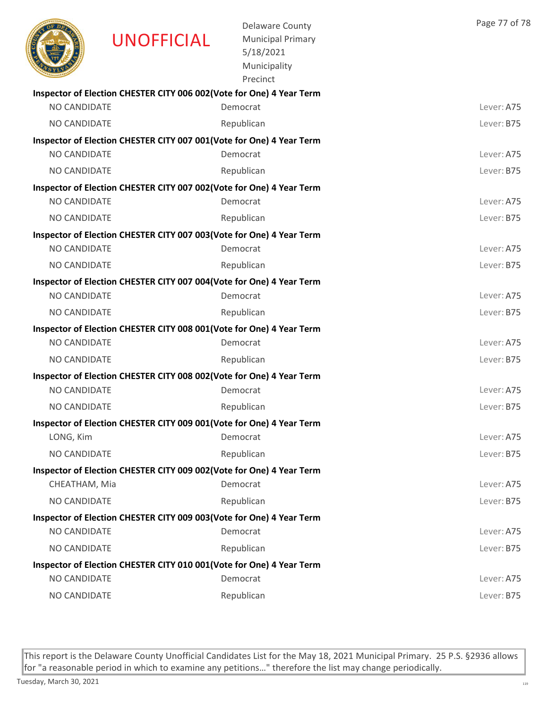|                     | <b>UNOFFICIAL</b>                                                     | <b>Delaware County</b><br><b>Municipal Primary</b><br>5/18/2021<br>Municipality<br>Precinct | Page 77 of 78 |
|---------------------|-----------------------------------------------------------------------|---------------------------------------------------------------------------------------------|---------------|
|                     | Inspector of Election CHESTER CITY 006 002(Vote for One) 4 Year Term  |                                                                                             |               |
| NO CANDIDATE        |                                                                       | Democrat                                                                                    | Lever: A75    |
| NO CANDIDATE        |                                                                       | Republican                                                                                  | Lever: B75    |
| <b>NO CANDIDATE</b> | Inspector of Election CHESTER CITY 007 001(Vote for One) 4 Year Term  | Democrat                                                                                    | Lever: A75    |
| <b>NO CANDIDATE</b> |                                                                       | Republican                                                                                  | Lever: B75    |
|                     | Inspector of Election CHESTER CITY 007 002(Vote for One) 4 Year Term  |                                                                                             |               |
| NO CANDIDATE        |                                                                       | Democrat                                                                                    | Lever: A75    |
| NO CANDIDATE        |                                                                       | Republican                                                                                  | Lever: B75    |
|                     | Inspector of Election CHESTER CITY 007 003 (Vote for One) 4 Year Term |                                                                                             |               |
| <b>NO CANDIDATE</b> |                                                                       | Democrat                                                                                    | Lever: A75    |
| <b>NO CANDIDATE</b> |                                                                       | Republican                                                                                  | Lever: B75    |
|                     | Inspector of Election CHESTER CITY 007 004(Vote for One) 4 Year Term  |                                                                                             |               |
| <b>NO CANDIDATE</b> |                                                                       | Democrat                                                                                    | Lever: A75    |
| NO CANDIDATE        |                                                                       | Republican                                                                                  | Lever: B75    |
|                     | Inspector of Election CHESTER CITY 008 001 (Vote for One) 4 Year Term |                                                                                             |               |
| NO CANDIDATE        |                                                                       | Democrat                                                                                    | Lever: A75    |
| NO CANDIDATE        |                                                                       | Republican                                                                                  | Lever: B75    |
|                     | Inspector of Election CHESTER CITY 008 002(Vote for One) 4 Year Term  |                                                                                             |               |
| <b>NO CANDIDATE</b> |                                                                       | Democrat                                                                                    | Lever: A75    |
| NO CANDIDATE        |                                                                       | Republican                                                                                  | Lever: B75    |
|                     | Inspector of Election CHESTER CITY 009 001 (Vote for One) 4 Year Term |                                                                                             |               |
| LONG, Kim           |                                                                       | Democrat                                                                                    | Lever: A75    |
| NO CANDIDATE        |                                                                       | Republican                                                                                  | Lever: B75    |
|                     | Inspector of Election CHESTER CITY 009 002(Vote for One) 4 Year Term  |                                                                                             |               |
| CHEATHAM, Mia       |                                                                       | Democrat                                                                                    | Lever: A75    |
| NO CANDIDATE        |                                                                       | Republican                                                                                  | Lever: B75    |
|                     | Inspector of Election CHESTER CITY 009 003(Vote for One) 4 Year Term  |                                                                                             |               |
| NO CANDIDATE        |                                                                       | Democrat                                                                                    | Lever: A75    |
| NO CANDIDATE        |                                                                       | Republican                                                                                  | Lever: B75    |
| NO CANDIDATE        | Inspector of Election CHESTER CITY 010 001(Vote for One) 4 Year Term  | Democrat                                                                                    | Lever: A75    |
| NO CANDIDATE        |                                                                       | Republican                                                                                  | Lever: B75    |
|                     |                                                                       |                                                                                             |               |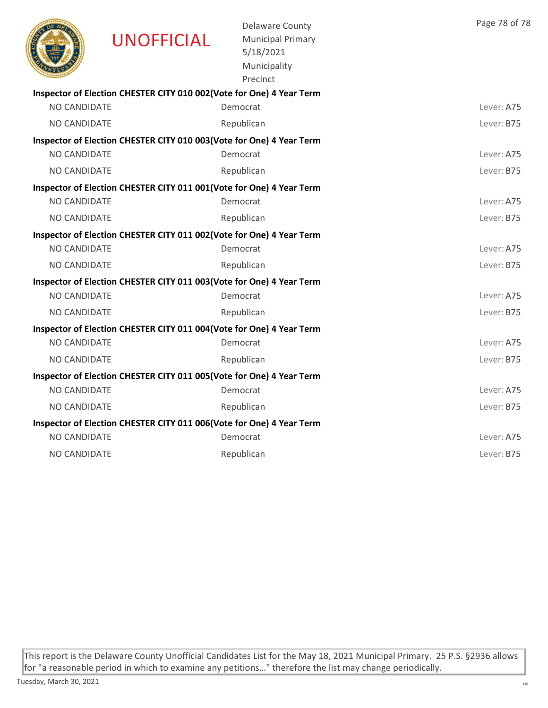|                     | <b>UNOFFICIAL</b>                                                     | Delaware County<br><b>Municipal Primary</b><br>5/18/2021<br>Municipality<br>Precinct | Page 78 of 78 |
|---------------------|-----------------------------------------------------------------------|--------------------------------------------------------------------------------------|---------------|
|                     | Inspector of Election CHESTER CITY 010 002(Vote for One) 4 Year Term  |                                                                                      |               |
| NO CANDIDATE        |                                                                       | Democrat                                                                             | Lever: A75    |
| NO CANDIDATE        |                                                                       | Republican                                                                           | Lever: B75    |
|                     | Inspector of Election CHESTER CITY 010 003(Vote for One) 4 Year Term  |                                                                                      |               |
| NO CANDIDATE        |                                                                       | Democrat                                                                             | Lever: A75    |
| NO CANDIDATE        |                                                                       | Republican                                                                           | Lever: B75    |
|                     | Inspector of Election CHESTER CITY 011 001(Vote for One) 4 Year Term  |                                                                                      |               |
| <b>NO CANDIDATE</b> |                                                                       | Democrat                                                                             | Lever: A75    |
| NO CANDIDATE        |                                                                       | Republican                                                                           | Lever: B75    |
|                     | Inspector of Election CHESTER CITY 011 002(Vote for One) 4 Year Term  |                                                                                      |               |
| <b>NO CANDIDATE</b> |                                                                       | Democrat                                                                             | Lever: A75    |
| NO CANDIDATE        |                                                                       | Republican                                                                           | Lever: B75    |
|                     | Inspector of Election CHESTER CITY 011 003 (Vote for One) 4 Year Term |                                                                                      |               |
| NO CANDIDATE        |                                                                       | Democrat                                                                             | Lever: A75    |
| NO CANDIDATE        |                                                                       | Republican                                                                           | Lever: B75    |
|                     | Inspector of Election CHESTER CITY 011 004 (Vote for One) 4 Year Term |                                                                                      |               |
| <b>NO CANDIDATE</b> |                                                                       | Democrat                                                                             | Lever: A75    |
| NO CANDIDATE        |                                                                       | Republican                                                                           | Lever: B75    |
|                     | Inspector of Election CHESTER CITY 011 005 (Vote for One) 4 Year Term |                                                                                      |               |
| <b>NO CANDIDATE</b> |                                                                       | Democrat                                                                             | Lever: A75    |
| NO CANDIDATE        |                                                                       | Republican                                                                           | Lever: B75    |
|                     | Inspector of Election CHESTER CITY 011 006(Vote for One) 4 Year Term  |                                                                                      |               |
| NO CANDIDATE        |                                                                       | Democrat                                                                             | Lever: A75    |
| <b>NO CANDIDATE</b> |                                                                       | Republican                                                                           | Lever: B75    |